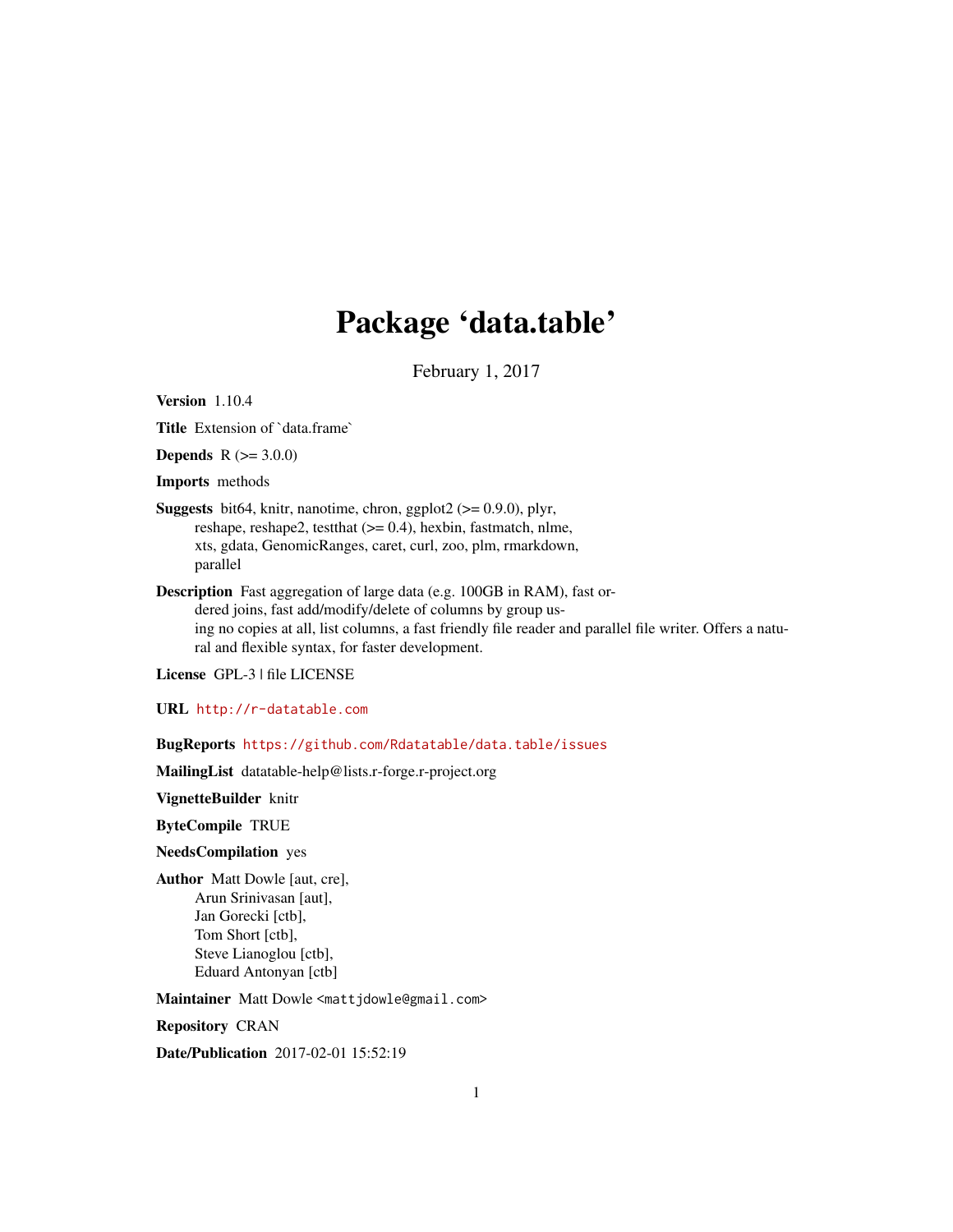# Package 'data.table'

February 1, 2017

<span id="page-0-0"></span>Version 1.10.4

Title Extension of `data.frame`

**Depends**  $R (= 3.0.0)$ 

Imports methods

- **Suggests** bit64, knitr, nanotime, chron, ggplot2 ( $> = 0.9.0$ ), plyr, reshape, reshape2, testthat  $(>= 0.4)$ , hexbin, fastmatch, nlme, xts, gdata, GenomicRanges, caret, curl, zoo, plm, rmarkdown, parallel
- Description Fast aggregation of large data (e.g. 100GB in RAM), fast ordered joins, fast add/modify/delete of columns by group using no copies at all, list columns, a fast friendly file reader and parallel file writer. Offers a natural and flexible syntax, for faster development.

License GPL-3 | file LICENSE

URL <http://r-datatable.com>

BugReports <https://github.com/Rdatatable/data.table/issues>

MailingList datatable-help@lists.r-forge.r-project.org

VignetteBuilder knitr

ByteCompile TRUE

NeedsCompilation yes

Author Matt Dowle [aut, cre], Arun Srinivasan [aut], Jan Gorecki [ctb], Tom Short [ctb], Steve Lianoglou [ctb], Eduard Antonyan [ctb]

Maintainer Matt Dowle <mattjdowle@gmail.com>

Repository CRAN

Date/Publication 2017-02-01 15:52:19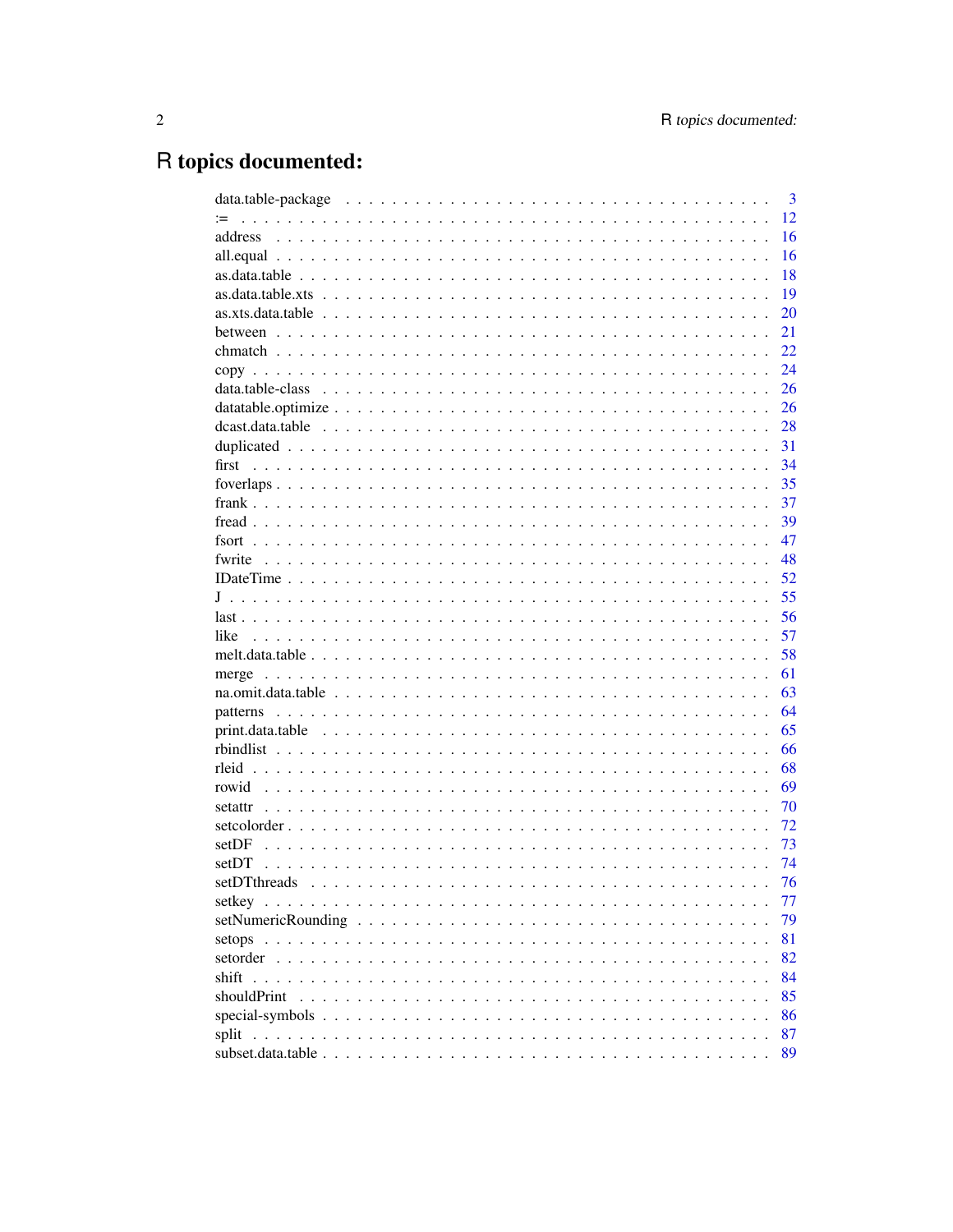# R topics documented:

|              | 3  |
|--------------|----|
| $:=$         | 12 |
|              | 16 |
|              | 16 |
|              | 18 |
|              | 19 |
|              | 20 |
|              | 21 |
|              | 22 |
|              | 24 |
|              | 26 |
|              | 26 |
|              | 28 |
|              | 31 |
| first        | 34 |
|              | 35 |
|              | 37 |
|              | 39 |
|              | 47 |
| fwrite       | 48 |
|              | 52 |
|              | 55 |
|              | 56 |
| like         | 57 |
|              | 58 |
|              | 61 |
|              | 63 |
|              | 64 |
|              | 65 |
|              | 66 |
|              | 68 |
| rowid        | 69 |
| setattr      | 70 |
|              | 72 |
| setDF        | 73 |
| setDT        | 74 |
| setDTthreads | 76 |
|              |    |
|              | 77 |
|              | 79 |
|              | 81 |
|              | 82 |
|              | 84 |
| shouldPrint  | 85 |
|              | 86 |
| split        | 87 |
|              | 89 |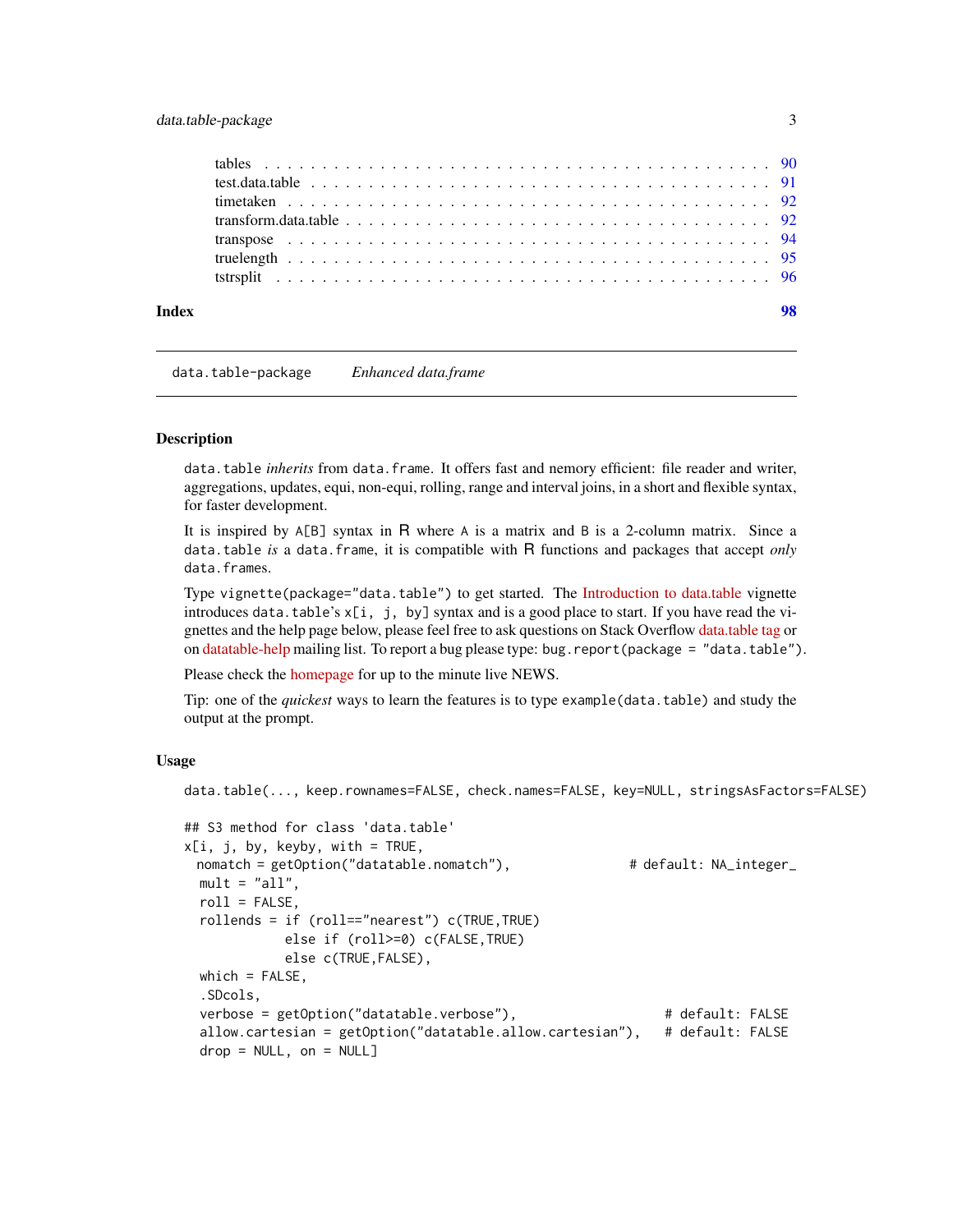# <span id="page-2-0"></span>data.table-package 3

data.table-package *Enhanced data.frame*

# <span id="page-2-1"></span>Description

data.table *inherits* from data.frame. It offers fast and nemory efficient: file reader and writer, aggregations, updates, equi, non-equi, rolling, range and interval joins, in a short and flexible syntax, for faster development.

It is inspired by A[B] syntax in R where A is a matrix and B is a 2-column matrix. Since a data.table *is* a data.frame, it is compatible with R functions and packages that accept *only* data.frames.

Type vignette(package="data.table") to get started. The [Introduction to data.table](../doc/datatable-intro.html) vignette introduces data.table's  $x[i, j, by]$  syntax and is a good place to start. If you have read the vignettes and the help page below, please feel free to ask questions on Stack Overflow [data.table tag](http://stackoverflow.com/questions/tagged/data.table) or on [datatable-help](http://r.789695.n4.nabble.com/datatable-help-f2315188.html) mailing list. To report a bug please type: bug.report(package = "data.table").

Please check the [homepage](https://github.com/Rdatatable/data.table/wiki) for up to the minute live NEWS.

Tip: one of the *quickest* ways to learn the features is to type example(data.table) and study the output at the prompt.

# Usage

data.table(..., keep.rownames=FALSE, check.names=FALSE, key=NULL, stringsAsFactors=FALSE)

```
## S3 method for class 'data.table'
x[i, j, by, keyby, with = TRUE,
 nomatch = getOption("datatable.nomatch"), \qquad # default: NA_integer_
 mult = "all".roll = FALSE,rollends = if (roll=="nearest") c(TRUE,TRUE)
            else if (roll>=0) c(FALSE,TRUE)
            else c(TRUE,FALSE),
 which = FALSE,.SDcols,
  verbose = getOption("datatable.verbose"), \qquad \qquad # default: FALSE
  allow.cartesian = getOption("datatable.allow.cartesian"), # default: FALSE
  drop = NULL, on = NULL
```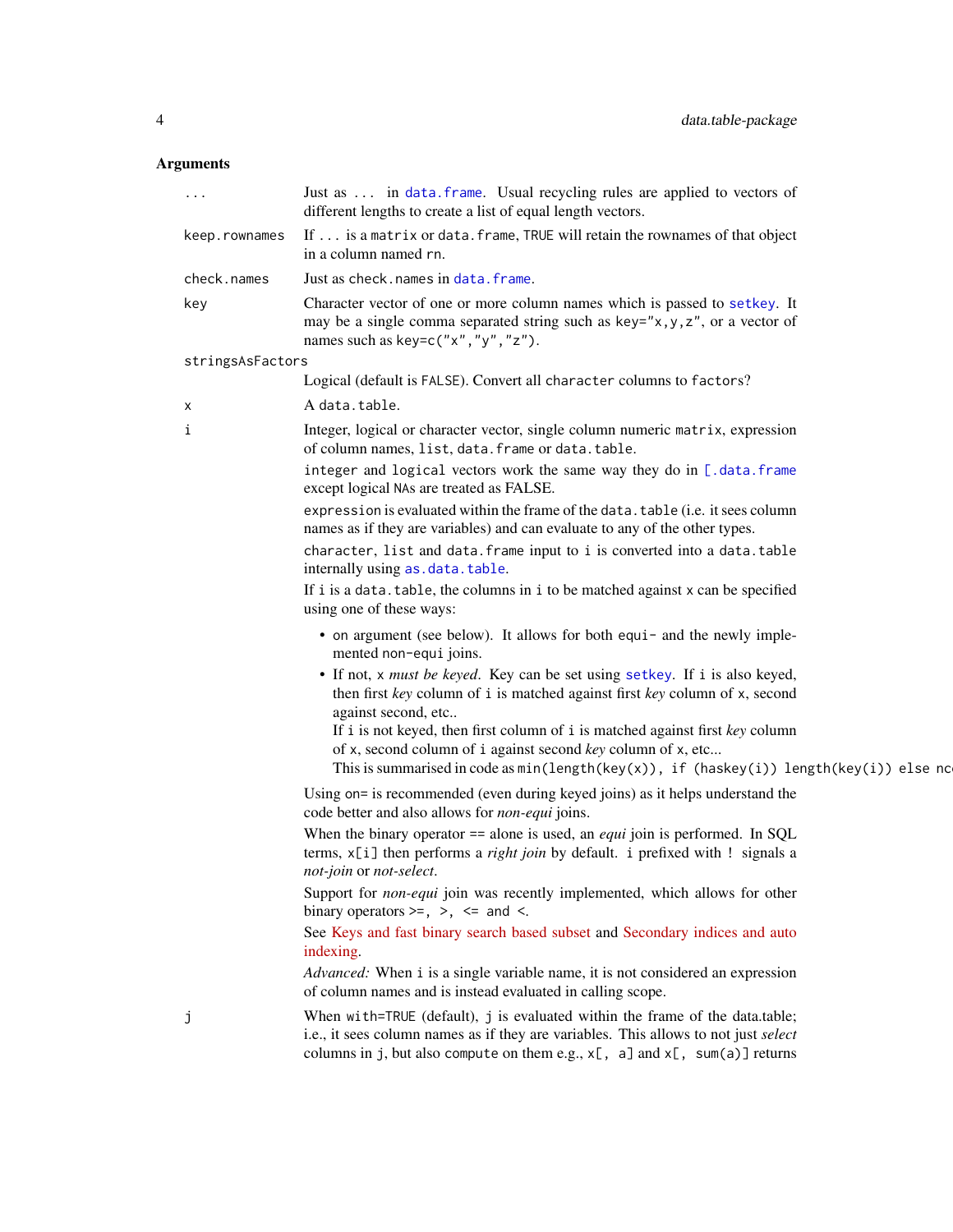# Arguments

| $\cdots$         | Just as  in data. frame. Usual recycling rules are applied to vectors of<br>different lengths to create a list of equal length vectors.                                                                                                                  |
|------------------|----------------------------------------------------------------------------------------------------------------------------------------------------------------------------------------------------------------------------------------------------------|
| keep.rownames    | If  is a matrix or data. frame, TRUE will retain the rownames of that object<br>in a column named rn.                                                                                                                                                    |
| check.names      | Just as check.names in data.frame.                                                                                                                                                                                                                       |
| key              | Character vector of one or more column names which is passed to setkey. It<br>may be a single comma separated string such as key="x, y, z", or a vector of<br>names such as key=c("x","y","z").                                                          |
| stringsAsFactors |                                                                                                                                                                                                                                                          |
|                  | Logical (default is FALSE). Convert all character columns to factors?                                                                                                                                                                                    |
| х                | A data.table.                                                                                                                                                                                                                                            |
| i                | Integer, logical or character vector, single column numeric matrix, expression<br>of column names, list, data. frame or data. table.                                                                                                                     |
|                  | integer and logical vectors work the same way they do in [.data.frame<br>except logical NAs are treated as FALSE.                                                                                                                                        |
|                  | expression is evaluated within the frame of the data.table (i.e. it sees column<br>names as if they are variables) and can evaluate to any of the other types.                                                                                           |
|                  | character, list and data. frame input to i is converted into a data. table<br>internally using as.data.table.                                                                                                                                            |
|                  | If i is a data. table, the columns in i to be matched against x can be specified<br>using one of these ways:                                                                                                                                             |
|                  | • on argument (see below). It allows for both equi- and the newly imple-<br>mented non-equi joins.                                                                                                                                                       |
|                  | • If not, x must be keyed. Key can be set using setkey. If i is also keyed,<br>then first key column of i is matched against first key column of x, second<br>against second, etc                                                                        |
|                  | If i is not keyed, then first column of $i$ is matched against first key column<br>of x, second column of i against second key column of x, etc<br>This is summarised in code as $min(length(key(x)), if (haskey(i)) length(key(i)) else nc)$            |
|                  | Using on= is recommended (even during keyed joins) as it helps understand the<br>code better and also allows for non-equi joins.                                                                                                                         |
|                  | When the binary operator $==$ alone is used, an <i>equi</i> join is performed. In SQL<br>terms, $x[i]$ then performs a <i>right join</i> by default. i prefixed with ! signals a<br>not-join or not-select.                                              |
|                  | Support for <i>non-equi</i> join was recently implemented, which allows for other<br>binary operators $>=$ , $>$ , $<=$ and $\lt$ .                                                                                                                      |
|                  | See Keys and fast binary search based subset and Secondary indices and auto<br>indexing.                                                                                                                                                                 |
|                  | Advanced: When i is a single variable name, it is not considered an expression<br>of column names and is instead evaluated in calling scope.                                                                                                             |
| Ĵ                | When with=TRUE (default), j is evaluated within the frame of the data.table;<br>i.e., it sees column names as if they are variables. This allows to not just select<br>columns in j, but also compute on them e.g., $x$ [, a] and $x$ [, sum(a)] returns |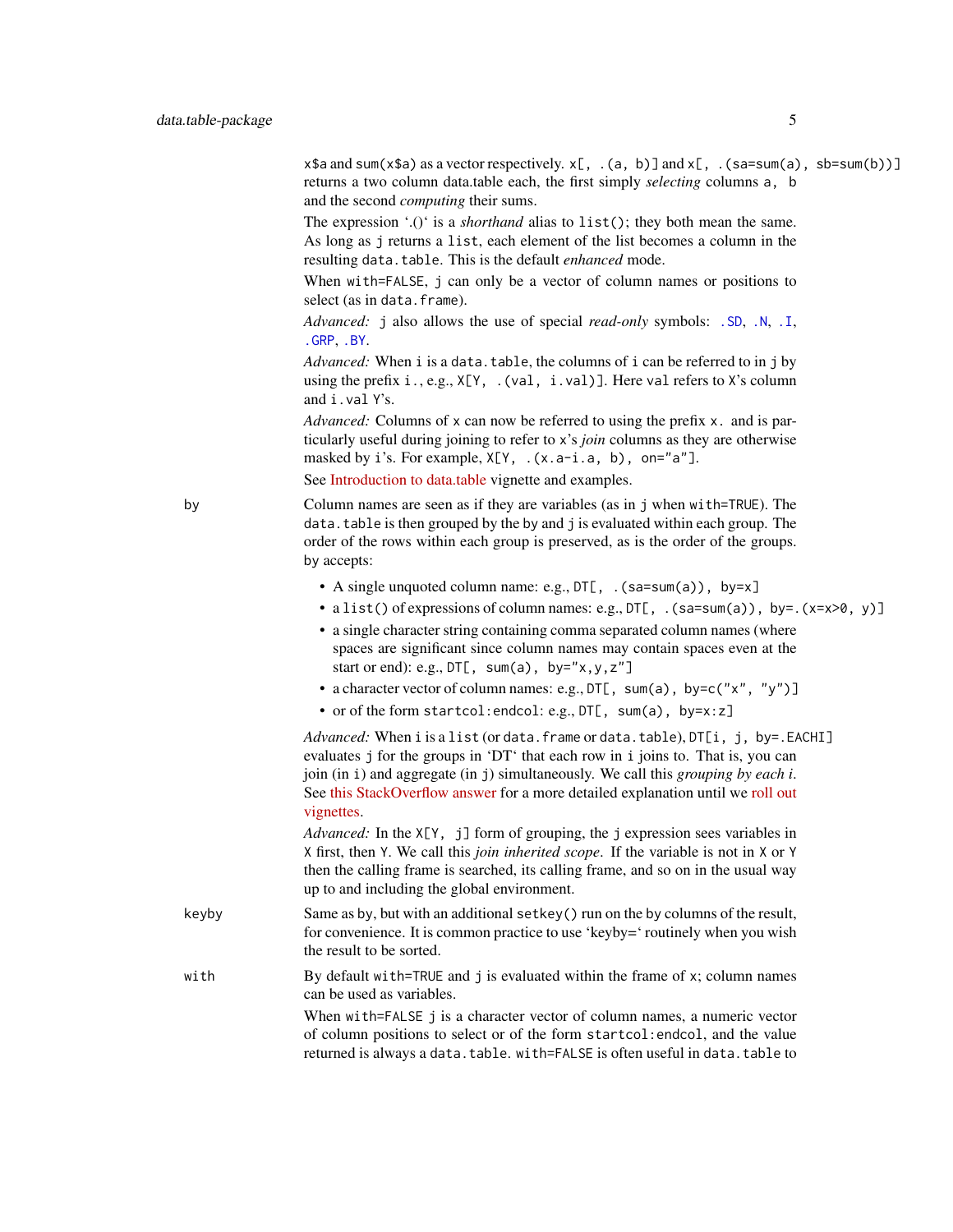$x$ \$a and sum( $x$ \$a) as a vector respectively.  $x$ [, .(a, b)] and  $x$ [, .(sa=sum(a), sb=sum(b))] returns a two column data.table each, the first simply *selecting* columns a, b and the second *computing* their sums.

The expression '.()' is a *shorthand* alias to list(); they both mean the same. As long as j returns a list, each element of the list becomes a column in the resulting data.table. This is the default *enhanced* mode.

When with=FALSE, j can only be a vector of column names or positions to select (as in data.frame).

*Advanced:* j also allows the use of special *read-only* symbols: [.SD](#page-85-1), [.N](#page-85-1), [.I](#page-85-1), [.GRP](#page-85-1), [.BY](#page-85-1).

*Advanced:* When i is a data.table, the columns of i can be referred to in j by using the prefix  $i$ ., e.g.,  $X[Y, .(val, i.val)]$ . Here val refers to X's column and i.val Y's.

*Advanced:* Columns of x can now be referred to using the prefix x. and is particularly useful during joining to refer to x's *join* columns as they are otherwise masked by i's. For example,  $X[Y, .(x.a-i.a, b), on='a'']$ . See [Introduction to data.table](../doc/datatable-intro.html) vignette and examples.

by Column names are seen as if they are variables (as in j when with=TRUE). The data.table is then grouped by the by and j is evaluated within each group. The order of the rows within each group is preserved, as is the order of the groups. by accepts:

- A single unquoted column name: e.g., DT[, . (sa=sum(a)), by=x]
- a list() of expressions of column names: e.g.,  $DT[,$  . (sa=sum(a)), by=. (x=x>0, y)]
- a single character string containing comma separated column names (where spaces are significant since column names may contain spaces even at the start or end): e.g.,  $DT[,$  sum(a), by="x,y,z"]
- a character vector of column names: e.g.,  $DT[$ , sum(a), by=c("x", "y")]
- or of the form startcol: endcol: e.g., DT[, sum(a), by=x:z]

Advanced: When i is a list (or data.frame or data.table),  $DT[i, j, by= .EACHI]$ evaluates j for the groups in 'DT' that each row in i joins to. That is, you can join (in i) and aggregate (in j) simultaneously. We call this *grouping by each i*. See [this StackOverflow answer](http://stackoverflow.com/a/27004566/559784) for a more detailed explanation until we [roll out](https://github.com/Rdatatable/data.table/issues/944) [vignettes.](https://github.com/Rdatatable/data.table/issues/944)

*Advanced:* In the X[Y, j] form of grouping, the j expression sees variables in X first, then Y. We call this *join inherited scope*. If the variable is not in X or Y then the calling frame is searched, its calling frame, and so on in the usual way up to and including the global environment.

keyby Same as by, but with an additional setkey() run on the by columns of the result, for convenience. It is common practice to use 'keyby=' routinely when you wish the result to be sorted.

with By default with=TRUE and j is evaluated within the frame of x; column names can be used as variables.

> When with=FALSE j is a character vector of column names, a numeric vector of column positions to select or of the form startcol:endcol, and the value returned is always a data.table. with=FALSE is often useful in data.table to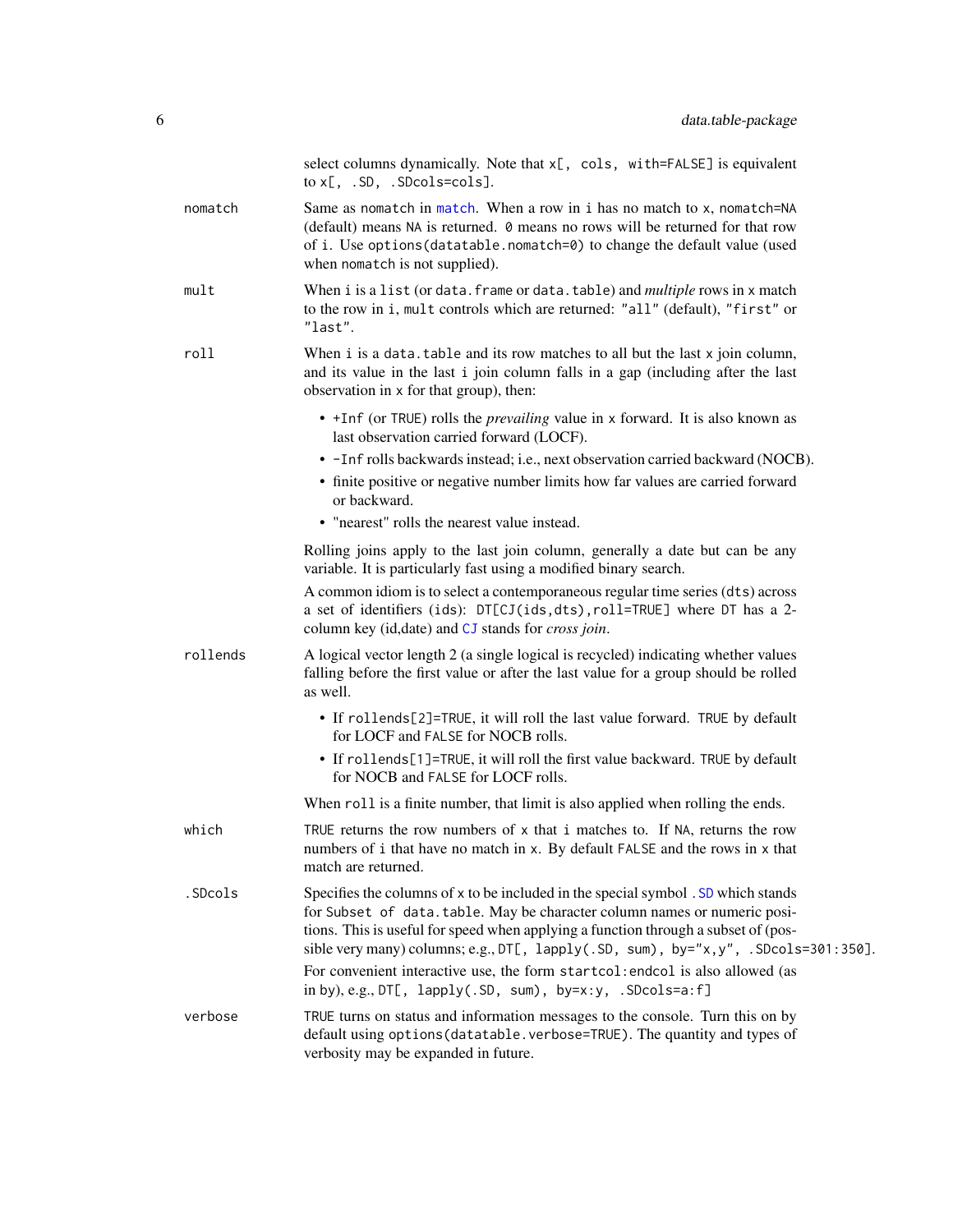|          | select columns dynamically. Note that x[, cols, with=FALSE] is equivalent<br>to $x[,$ . SD, . SDcols=cols].                                                                                                                                                                                                                                     |
|----------|-------------------------------------------------------------------------------------------------------------------------------------------------------------------------------------------------------------------------------------------------------------------------------------------------------------------------------------------------|
| nomatch  | Same as nomatch in match. When a row in i has no match to x, nomatch=NA<br>(default) means NA is returned. 0 means no rows will be returned for that row<br>of i. Use options (datatable.nomatch=0) to change the default value (used<br>when nomatch is not supplied).                                                                         |
| mult     | When i is a list (or data. frame or data. table) and <i>multiple</i> rows in x match<br>to the row in i, mult controls which are returned: "all" (default), "first" or<br>"last".                                                                                                                                                               |
| roll     | When i is a data. table and its row matches to all but the last x join column,<br>and its value in the last i join column falls in a gap (including after the last<br>observation in x for that group), then:                                                                                                                                   |
|          | • +Inf (or TRUE) rolls the <i>prevailing</i> value in x forward. It is also known as<br>last observation carried forward (LOCF).                                                                                                                                                                                                                |
|          | • - Inf rolls backwards instead; i.e., next observation carried backward (NOCB).<br>• finite positive or negative number limits how far values are carried forward<br>or backward.                                                                                                                                                              |
|          | • "nearest" rolls the nearest value instead.                                                                                                                                                                                                                                                                                                    |
|          | Rolling joins apply to the last join column, generally a date but can be any<br>variable. It is particularly fast using a modified binary search.                                                                                                                                                                                               |
|          | A common idiom is to select a contemporaneous regular time series (dts) across<br>a set of identifiers (ids): DT[CJ(ids,dts), roll=TRUE] where DT has a 2-<br>column key (id, date) and CJ stands for cross join.                                                                                                                               |
| rollends | A logical vector length 2 (a single logical is recycled) indicating whether values<br>falling before the first value or after the last value for a group should be rolled<br>as well.                                                                                                                                                           |
|          | • If rollends[2]=TRUE, it will roll the last value forward. TRUE by default<br>for LOCF and FALSE for NOCB rolls.                                                                                                                                                                                                                               |
|          | • If rollends[1]=TRUE, it will roll the first value backward. TRUE by default<br>for NOCB and FALSE for LOCF rolls.                                                                                                                                                                                                                             |
|          | When roll is a finite number, that limit is also applied when rolling the ends.                                                                                                                                                                                                                                                                 |
| which    | TRUE returns the row numbers of x that i matches to. If NA, returns the row<br>numbers of i that have no match in x. By default FALSE and the rows in x that<br>match are returned.                                                                                                                                                             |
| .SDcols  | Specifies the columns of x to be included in the special symbol . SD which stands<br>for Subset of data.table. May be character column names or numeric posi-<br>tions. This is useful for speed when applying a function through a subset of (pos-<br>sible very many) columns; e.g., $DT[$ , $lapply(.SD, sum), by='x, y", .SDCols=301:350].$ |
|          | For convenient interactive use, the form startcol: endcol is also allowed (as<br>in by), e.g., $DT[,$ lapply(.SD, sum), by=x:y, .SDcols=a:f]                                                                                                                                                                                                    |
| verbose  | TRUE turns on status and information messages to the console. Turn this on by<br>default using options (datatable. verbose=TRUE). The quantity and types of<br>verbosity may be expanded in future.                                                                                                                                             |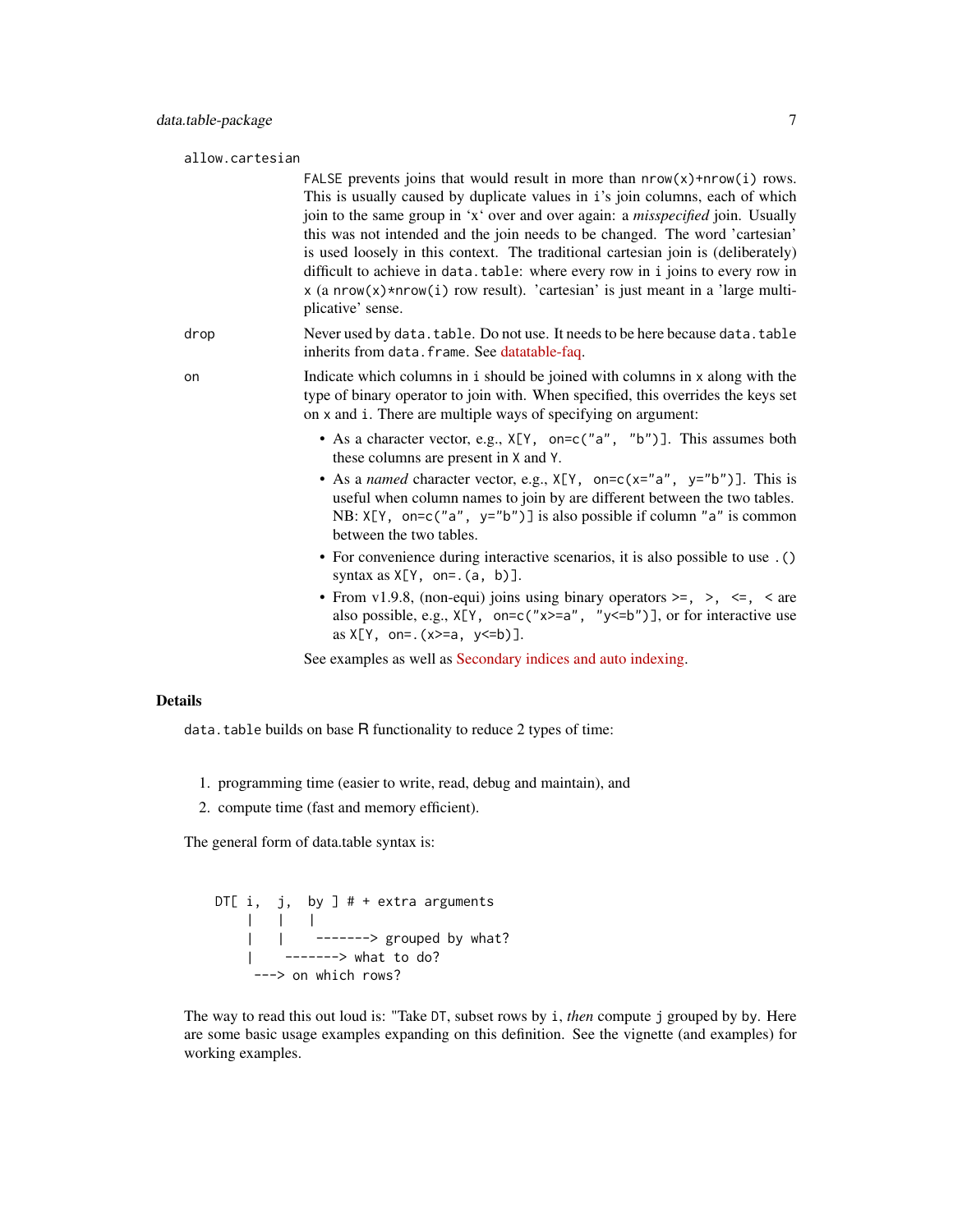#### allow.cartesian

FALSE prevents joins that would result in more than  $nrow(x) + nrow(i)$  rows. This is usually caused by duplicate values in i's join columns, each of which join to the same group in 'x' over and over again: a *misspecified* join. Usually this was not intended and the join needs to be changed. The word 'cartesian' is used loosely in this context. The traditional cartesian join is (deliberately) difficult to achieve in data.table: where every row in i joins to every row in  $x$  (a nrow(x)\*nrow(i) row result). 'cartesian' is just meant in a 'large multiplicative' sense.

- drop Never used by data.table. Do not use. It needs to be here because data.table inherits from data.frame. See [datatable-faq.](../doc/datatable-faq.html)
- on Indicate which columns in i should be joined with columns in x along with the type of binary operator to join with. When specified, this overrides the keys set on x and i. There are multiple ways of specifying on argument:
	- As a character vector, e.g., X[Y, on=c("a", "b")]. This assumes both these columns are present in X and Y.
	- As a *named* character vector, e.g.,  $X[Y, \text{ one}=c(x="a", y="b")]$ . This is useful when column names to join by are different between the two tables. NB:  $X[Y, \text{ one}=c("a", y="b")]$  is also possible if column "a" is common between the two tables.
	- For convenience during interactive scenarios, it is also possible to use .() syntax as  $X[Y, \text{ on}=(a, b)]$ .
	- From v1.9.8, (non-equi) joins using binary operators  $>=, >, <=, <$  are also possible, e.g.,  $X[Y, \text{ on} = c("x>=a", "y<=b")$ ], or for interactive use as  $X[Y, \text{ on}=(x>=a, y<=b)].$

See examples as well as [Secondary indices and auto indexing.](../doc/datatable-secondary-indices-and-auto-indexing.html)

# Details

data.table builds on base R functionality to reduce 2 types of time:

- 1. programming time (easier to write, read, debug and maintain), and
- 2. compute time (fast and memory efficient).

The general form of data.table syntax is:

```
DT[ i, j, by ] # + extra arguments
    | | |
    | | -------> grouped by what?
    | -------> what to do?
    ---> on which rows?
```
The way to read this out loud is: "Take DT, subset rows by i, *then* compute j grouped by by. Here are some basic usage examples expanding on this definition. See the vignette (and examples) for working examples.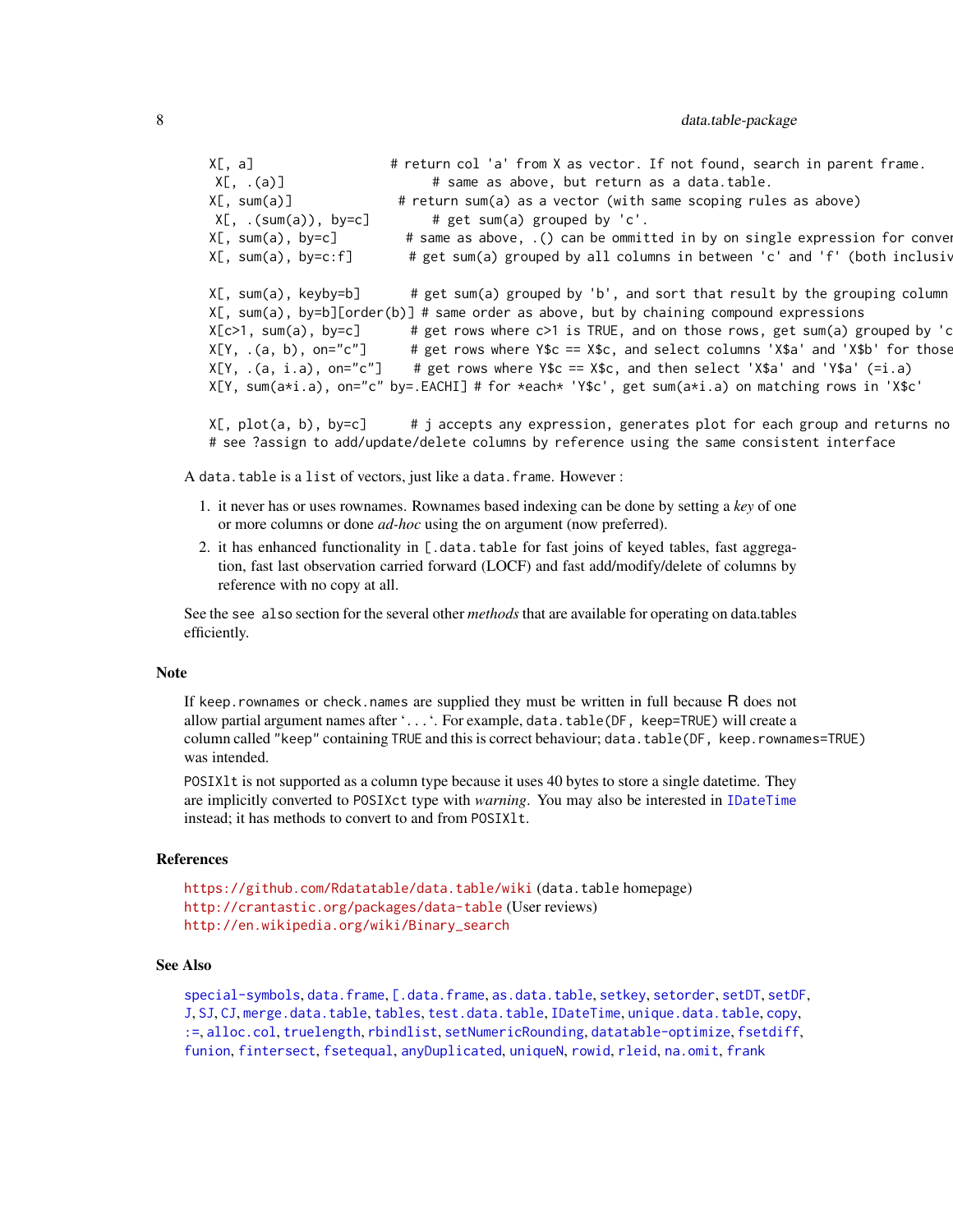8 data.table-package

X[, a]  $\qquad$  # return col 'a' from X as vector. If not found, search in parent frame.  $X[, .(a)]$  # same as above, but return as a data.table. X[, sum(a)] # return sum(a) as a vector (with same scoping rules as above)  $X[, . (sum(a)), by=c]$  # get sum(a) grouped by 'c'.  $X[$ , sum(a), by=c]  $\#$  same as above, .() can be ommitted in by on single expression for convent X[, sum(a), by=c:f] # get sum(a) grouped by all columns in between 'c' and 'f' (both inclusive) X[, sum(a), keyby=b] # get sum(a) grouped by 'b', and sort that result by the grouping column 'b' X[, sum(a), by=b][order(b)] # same order as above, but by chaining compound expressions X[c>1, sum(a), by=c] # get rows where c>1 is TRUE, and on those rows, get sum(a) grouped by 'c' X[Y, .(a, b), on="c"] # get rows where Y\$c == X\$c, and select columns 'X\$a' and 'X\$b' for those  $X[Y, .(a, i.a), on="C"]$  # get rows where  $Y$c == X$c, and then select 'X$a' and 'Y$a' (=i.a)$ X[Y, sum(a\*i.a), on="c" by=.EACHI] # for \*each\* 'Y\$c', get sum(a\*i.a) on matching rows in 'X\$c'

 $X[$ , plot(a, b), by=c]  $\#$  j accepts any expression, generates plot for each group and returns no # see ?assign to add/update/delete columns by reference using the same consistent interface

A data.table is a list of vectors, just like a data.frame. However :

- 1. it never has or uses rownames. Rownames based indexing can be done by setting a *key* of one or more columns or done *ad-hoc* using the on argument (now preferred).
- 2. it has enhanced functionality in [.data.table for fast joins of keyed tables, fast aggregation, fast last observation carried forward (LOCF) and fast add/modify/delete of columns by reference with no copy at all.

See the see also section for the several other *methods* that are available for operating on data.tables efficiently.

#### Note

If keep.rownames or check.names are supplied they must be written in full because R does not allow partial argument names after '...'. For example, data.table(DF, keep=TRUE) will create a column called "keep" containing TRUE and this is correct behaviour; data.table(DF, keep.rownames=TRUE) was intended.

POSIXlt is not supported as a column type because it uses 40 bytes to store a single datetime. They are implicitly converted to POSIXct type with *warning*. You may also be interested in [IDateTime](#page-51-1) instead; it has methods to convert to and from POSIXlt.

# References

```
https://github.com/Rdatatable/data.table/wiki (data.table homepage)
http://crantastic.org/packages/data-table (User reviews)
http://en.wikipedia.org/wiki/Binary_search
```
# See Also

[special-symbols](#page-85-2), [data.frame](#page-0-0), [\[.data.frame](#page-0-0), [as.data.table](#page-17-1), [setkey](#page-76-1), [setorder](#page-81-1), [setDT](#page-73-1), [setDF](#page-72-1), [J](#page-54-2), [SJ](#page-54-1), [CJ](#page-54-1), [merge.data.table](#page-60-1), [tables](#page-89-1), [test.data.table](#page-90-1), [IDateTime](#page-51-1), [unique.data.table](#page-30-1), [copy](#page-23-1), [:=](#page-11-1), [alloc.col](#page-94-1), [truelength](#page-94-2), [rbindlist](#page-65-1), [setNumericRounding](#page-78-1), [datatable-optimize](#page-25-1), [fsetdiff](#page-80-1), [funion](#page-80-1), [fintersect](#page-80-1), [fsetequal](#page-80-1), [anyDuplicated](#page-30-1), [uniqueN](#page-30-1), [rowid](#page-68-1), [rleid](#page-67-1), [na.omit](#page-62-1), [frank](#page-36-1)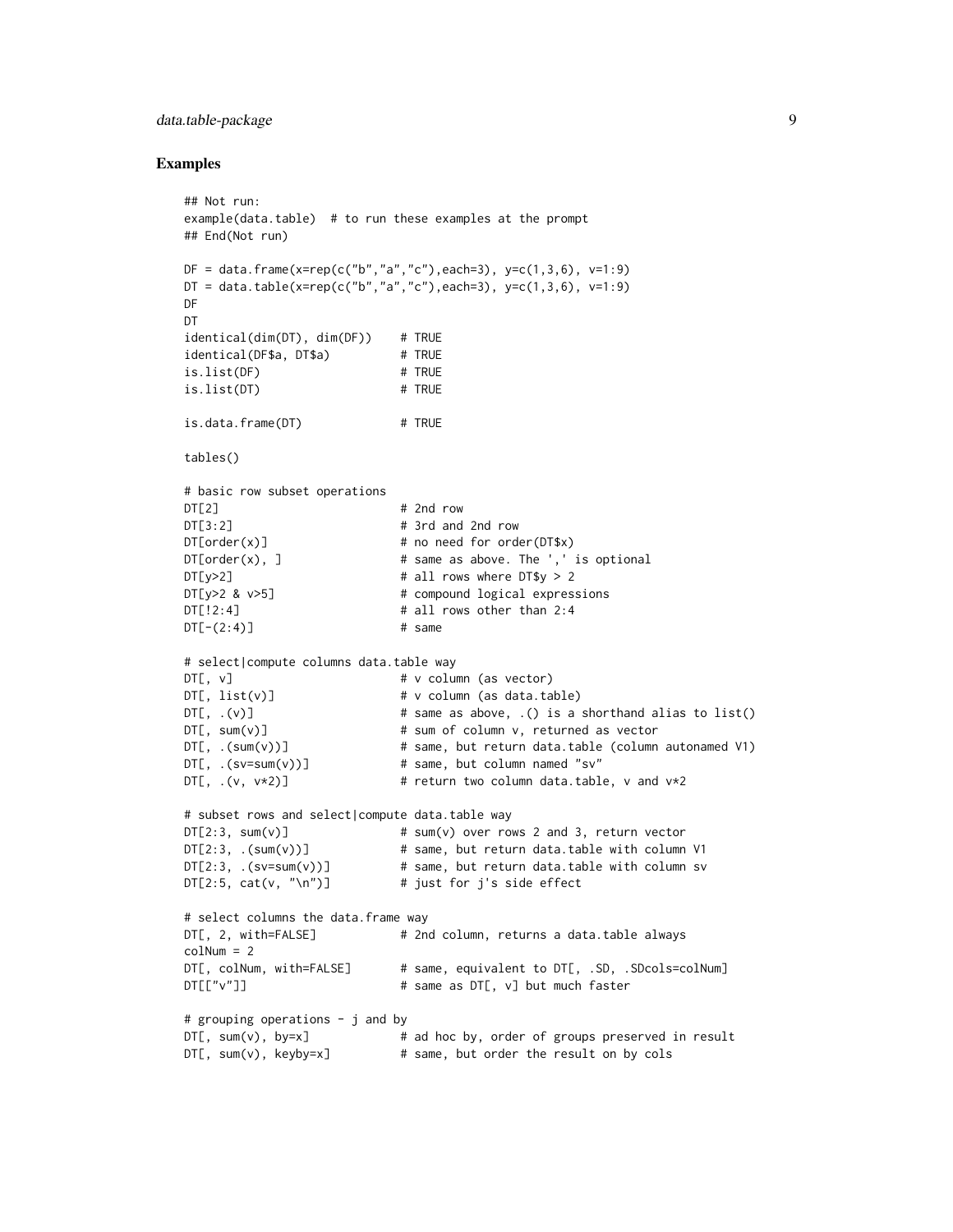# data.table-package 9

#### Examples

```
## Not run:
example(data.table) # to run these examples at the prompt
## End(Not run)
DF = data. frame(x=rep(c("b","a","c"),each=3), y=c(1,3,6), v=1:9)
DT = data.table(x=rep(c("b","a","c"),each=3), y=c(1,3,6), v=1:9)
DF
DT
identical(dim(DT), dim(DF)) # TRUE
identical(DF$a, DT$a) # TRUE
is.list(DF) # TRUE
is.list(DT) # TRUE
is.data.frame(DT) # TRUE
tables()
# basic row subset operations
DT[2] # 2nd row
DT[3:2] # 3rd and 2nd row
DT[order(x)] # no need for order(DT$x)
DT[order(x), ] # same as above. The ',' is optional
DT[y>2] # all rows where DT$y>2DT[y>2 & v>5] # compound logical expressions
DT[!/2:4] # all rows other than 2:4DT[-(2:4)] # same
# select|compute columns data.table way
DT[, v] # v column (as vector)
DT[, list(v)] \qquad \qquad # \text{ v column (as data_table)}DT[, .(v)] # same as above, .() is a shorthand alias to list()<br>DT[, sum(v)] # sum of column v, returned as vector
DT[, sum(v)] \begin{array}{ccc} \hbox{DT[}, & \hbox{sum}(v)] \end{array} # sum of column v, returned as vector<br>DT[, .(sum(v))] # same, but return data.table (column
                           # same, but return data.table (column autonamed V1)
DT[, .(sv=sum(v))] # same, but column named "sv"
DT[, .(v, v*2] \qquad \qquad \qquad # return two column data.table, v and v*2# subset rows and select|compute data.table way
DT[2:3, sum(v)] # sum(v) over rows 2 and 3, return vector
DT[2:3, .(sum(v))) # same, but return data.table with column V1
DT[2:3, .(sv=sum(v))] # same, but return data.table with column sv
DT[2:5, cat(v, "n")] # just for j's side effect
# select columns the data.frame way
DT[, 2, with=FALSE] # 2nd column, returns a data.table always
colNum = 2DT[, colNum, with=FALSE] # same, equivalent to DT[, .SD, .SDcols=colNum]
DT[["v"]] \qquad \qquad \qquad \qquad # same as DT[, v] but much faster
# grouping operations - j and by
DT[, sum(v), by=x] # ad hoc by, order of groups preserved in result
DT[, sum(v), keyby=x] # same, but order the result on by cols
```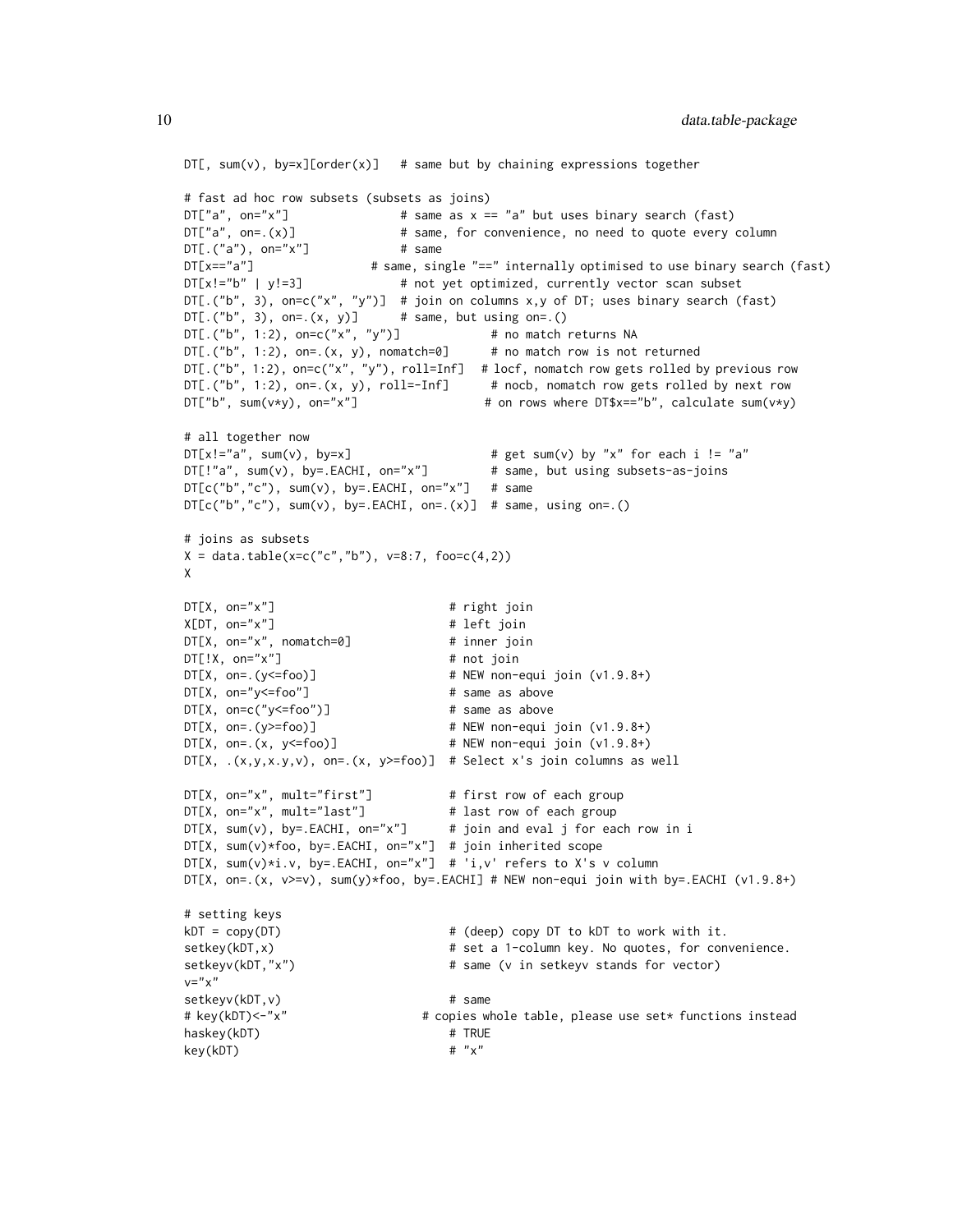```
DT[, sum(v), by=x][order(x)] # same but by chaining expressions together
# fast ad hoc row subsets (subsets as joins)
DT["a", on="x"] # same as x == "a" but uses binary search (fast)
DT["a", on=.(x)] # same, for convenience, no need to quote every column
DT[.("a"), on="x"] # same
DT[x=="a"] # same, single "==" internally optimised to use binary search (fast)
DT[x!="b" | y!=3] # not yet optimized, currently vector scan subset
DT[.("b", 3), onec("x", "y")] # join on columns x,y of DT; uses binary search (fast)
DT[.("b", 3), on=.(x, y)] # same, but using on=.()
DT[.("b", 1:2), one = c("x", "y") # no match returns NA
DT[.("b", 1:2), on=.(x, y), nonatch=0] # no match row is not returned
DT[.("b", 1:2), on=c("x", "y"), roll=Inf] # locf, nomatch row gets rolled by previous row
DT[.('b", 1:2), on=(x, y), roll=-Inf] # nocb, nomatch row gets rolled by next row
DT["b", sum(v*y), on="x"] # on rows where DT$x=="b", calculate sum(v*y)
# all together now
DT[x!="a", sum(v), by=x] # get sum(v) by "x" for each i != "a"
DT[!"a", sum(v), by=.EACHI, on="x"] # same, but using subsets-as-joins
DT[c("b", "c"), sum(v), by=.EACHI, on="x"] # sameDT[C("b", "c"), sum(v), by=.EACHI, on=.(x)] # same, using on=.()# joins as subsets
X = data.title(x=c("c", "b"), v=8:7, foo=c(4,2))X
DT[X, on="x"] # right join
X[DT, on="x"] \qquad \qquad \qquad \qquad # left join
DT[X, on="x", nomatch=0] # inner join
DT[:X, on="x"] # not join
DT[X, on=.(y \le foo)] \qquad \qquad \# NEW non-equi join (v1.9.8+)DT[X, on="y<=foo"] # same as above
DT[X, on=c("y<=foo")] # same as above
DT[X, on=.(y>=foo)] # NEW non-equi join (v1.9.8+)DT[X, on=.(x, y \le foo)] # NEW non-equi join (v1.9.8+)DT[X, (x,y,x,y,v), on=.(x, y>=foo)] # Select x's join columns as well
DT[X, on="x", mult="first"] # first row of each group
DT[X, on="x", mult="last"] # last row of each group
DT[X, sum(v), by=.EACHI, on="x"] # join and eval j for each row in i
DT[X, sum(v)*foo, by=.EACHI, on="x"] # join inherited scope
DT[X, sum(v)*i.v, by=.EACHI, on="x"] # 'i,v' refers to X's v column
DT[X, on=.(x, v>=v), sum(y)*foo, by=.EACHI] # NEW non-equi join with by=.EACHI (v1.9.8+)
# setting keys
kDT = copy(DT) \# (deep) copy DT to kDT to work with it.
setkey(kDT,x) \qquad # set a 1-column key. No quotes, for convenience.
setkeyv(kDT,"x") # same (v in setkeyv stands for vector)
v = "x"setkeyv(kDT,v) # same
# key(kDT)<-"x" # copies whole table, please use set* functions instead
haskey(kDT) # TRUE
key(kDT)
```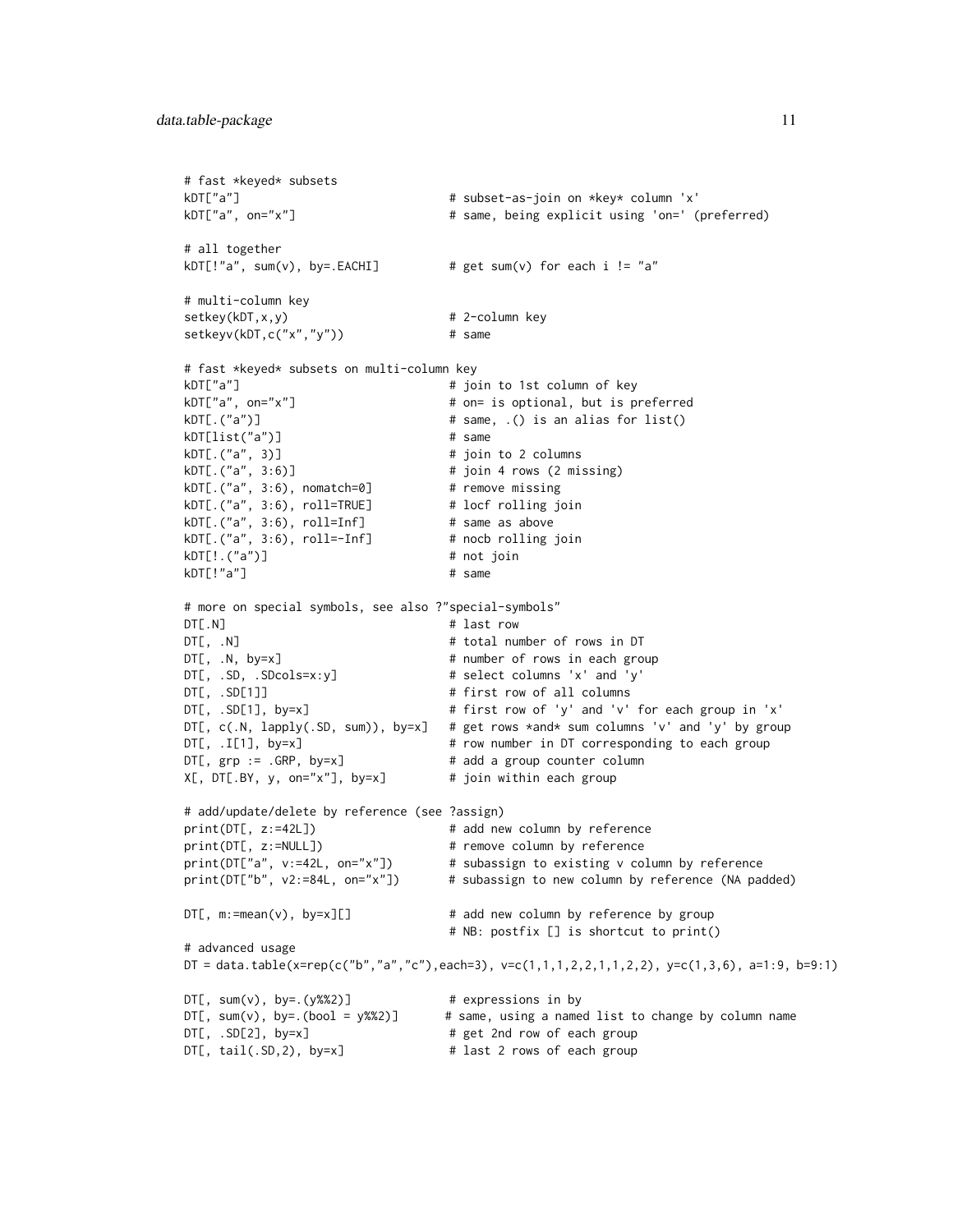```
# fast *keyed* subsets
kDT["a"] \qquad \qquad \qquad \qquad # subset-as-join on *key* column 'x'
kDT["a", on="x"] # same, being explicit using 'on=' (preferred)
# all together
kDT[!"a", sum(v), by=.EACHI] # get sum(v) for each i != "a"
# multi-column key
setkey(kDT,x,y) \qquad # 2-column key
setkeyv(kDT,c("x","y")) # same
# fast *keyed* subsets on multi-column key
kDT["a"] \qquad \qquad \qquad \qquad # join to 1st column of key
kDT["a", on="x"] \qquad \qquad \qquad # \text{ on} = \text{ is optional, but is preferred}kDT[.("a")] # same, .() is an alias for list()
kDT[list("a")]kDT[.("a", 3)] \qquad \qquad \qquad \qquad # join to 2 columns
kDT[.("a", 3:6)] # join 4 rows (2 missing)
kDT[.("a", 3:6), nomatch=0] # remove missing
kDT[.("a", 3:6), roll=TRUE] # locf rolling join
kDT[.("a", 3:6), roll=Inf] # same as above
kDT[.("a", 3:6), roll=-Inf] # nocb rolling join
kDT[!.("a")] # not join
kDT[!"a"] # same
# more on special symbols, see also ?"special-symbols"
DT[.N] # last row
DT[, .N] \# total number of rows in DT
DT[, .N, by=x] \# number of rows in each group
DT[, .SD, .SDcols=x:y] # select columns 'x' and 'y'
DT[, .SD[1]] \qquad \qquad \qquad \qquad # first row of all columns
DT[, .SD[1], by=x] # first row of 'y' and 'v' for each group in 'x'
DT[, c(.N, lapply(.SD, sum)), by=x] # get rows *and* sum columns 'v' and 'y' by group
DT[, .I[1], by=x] # row number in DT corresponding to each group
DT[, grp := .GRP, by=x] # add a group counter column
X[, DT[.BY, y, on="x"], by=x] # join within each group
# add/update/delete by reference (see ?assign)
print(DT[, z:=42L]) # add new column by reference
print(DT[, z:=NULL]) # remove column by reference
print(DT["a", v:=42L, on="x"]) # subassign to existing v column by reference
print(DT["b", v2:=84L, on="x"]) # subassign to new column by reference (NA padded)
DT[, m:=mean(v), by=x][] # add new column by reference by group
                                # NB: postfix [] is shortcut to print()
# advanced usage
DT = data.title(x=rep(c('b'', 'a'', 'c''), each=3), v=c(1,1,1,2,2,1,1,2,2), y=c(1,3,6), a=1:9, b=9:1)DT[, sum(v), by=.(y%%2)] # expressions in by<br>DT[, sum(v), by=.(bool = y%%2)] # same, using a named<br>"
                              # same, using a named list to change by column name
DT[, .SD[2], by=x] # get 2nd row of each group
DT[, tail(.SD,2), by=x] # last 2 rows of each group
```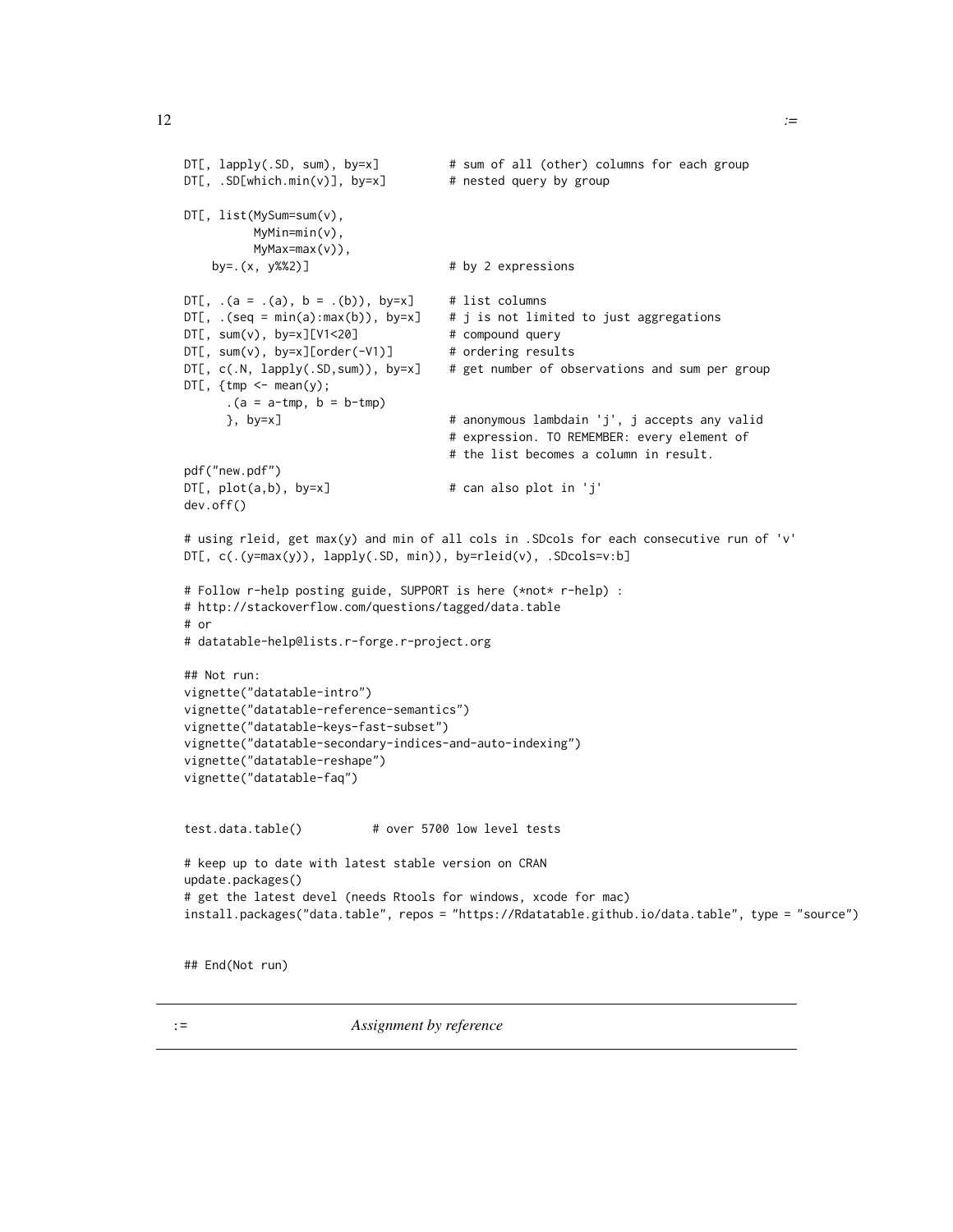```
DT[, lapply(.SD, sum), by=x] # sum of all (other) columns for each group
DT[, .SD[which.min(v)], by=x] # nested query by group
DT[, list(MySum=sum(v),
         MyMin=min(v),
         MyMax=max(v)),
   by=.(x, y%%2)] \qquad \qquad \qquad \qquad # by 2 expressions
DT[, (a = .(a), b = .(b)), by=x] # list columns
DT[, .(seq = min(a):max(b)), by=x] # j is not limited to just aggregations
DT[, sum(v), by=x][V1<20] # compound query
DT[, sum(v), by=x][order(-V1)] # ordering results
DT[, c(.N, lapply(.SD,sum)), by=x] # get number of observations and sum per group
DTL, {tmp <- mean(y);
     (a = a - tmp, b = b - tmp)}, by=x] # anonymous lambdain 'j', j accepts any valid
                                    # expression. TO REMEMBER: every element of
                                    # the list becomes a column in result.
pdf("new.pdf")
DT[, plot(a, b), by=x] # can also plot in 'j'dev.off()
# using rleid, get max(y) and min of all cols in .SDcols for each consecutive run of 'v'
DT[, c(.(y=max(y)), lapply(.SD, min)), by=rleid(v), .SDcols=v:b]
# Follow r-help posting guide, SUPPORT is here (*not* r-help) :
# http://stackoverflow.com/questions/tagged/data.table
# or
# datatable-help@lists.r-forge.r-project.org
## Not run:
vignette("datatable-intro")
vignette("datatable-reference-semantics")
vignette("datatable-keys-fast-subset")
vignette("datatable-secondary-indices-and-auto-indexing")
vignette("datatable-reshape")
vignette("datatable-faq")
test.data.table() # over 5700 low level tests
# keep up to date with latest stable version on CRAN
update.packages()
# get the latest devel (needs Rtools for windows, xcode for mac)
install.packages("data.table", repos = "https://Rdatatable.github.io/data.table", type = "source")
## End(Not run)
```
<span id="page-11-2"></span><span id="page-11-1"></span>:= *Assignment by reference*

<span id="page-11-0"></span> $12$  :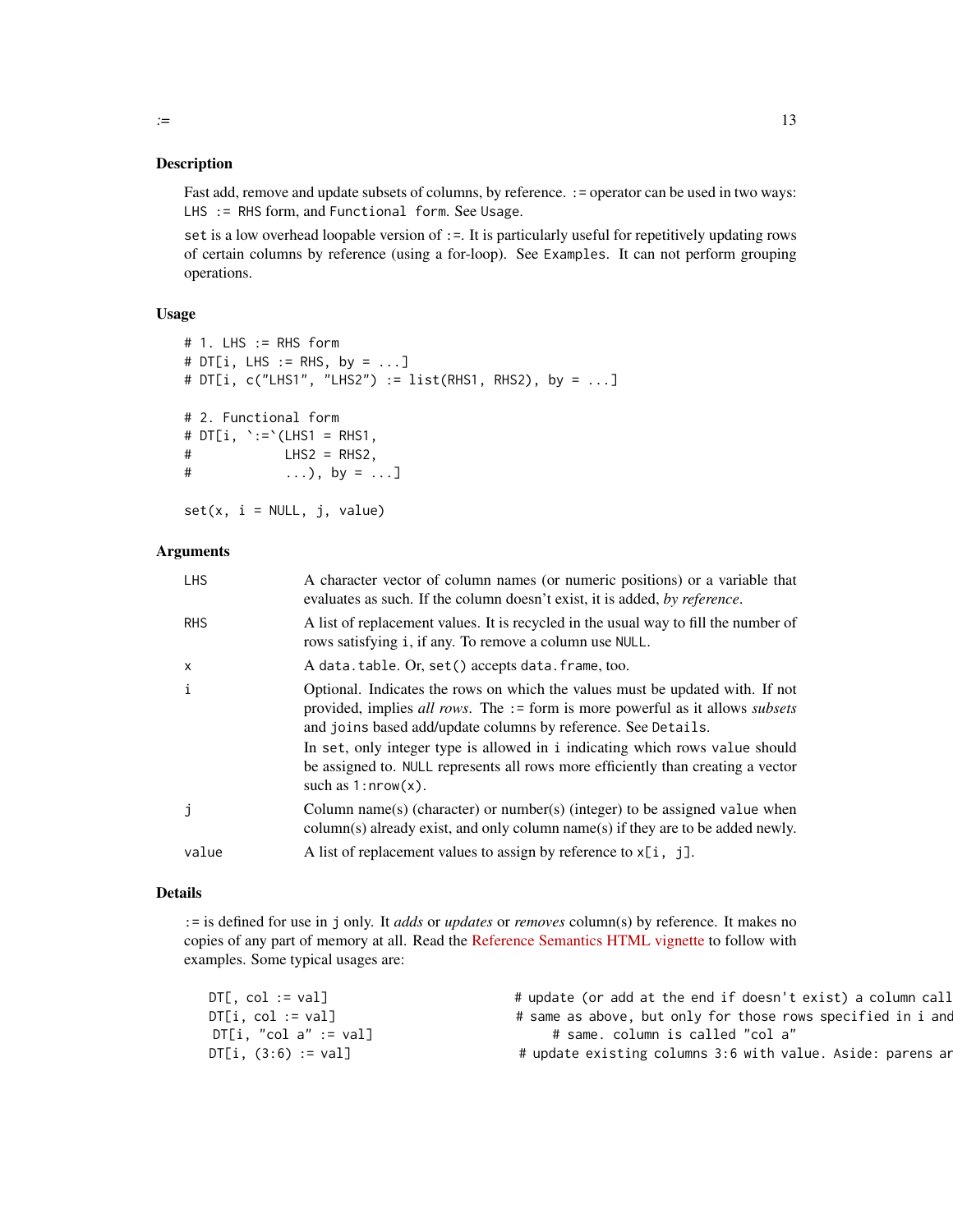#### Description

Fast add, remove and update subsets of columns, by reference. : = operator can be used in two ways: LHS := RHS form, and Functional form. See Usage.

set is a low overhead loopable version of :=. It is particularly useful for repetitively updating rows of certain columns by reference (using a for-loop). See Examples. It can not perform grouping operations.

# Usage

```
# 1. LHS := RHS form
# DT[i, LHS := RHS, by = ...]
# DT[i, c("LHS1", "LHS2") := list(RHS1, RHS2), by = ...]
# 2. Functional form
# DT[i, ':='(LHS1 = RHS1,\# LHS2 = RHS2,
# ...), by = ...]
set(x, i = NULL, j, value)
```
# Arguments

| <b>LHS</b> | A character vector of column names (or numeric positions) or a variable that<br>evaluates as such. If the column doesn't exist, it is added, by reference.                                                                                                                                                                                                                                                                    |
|------------|-------------------------------------------------------------------------------------------------------------------------------------------------------------------------------------------------------------------------------------------------------------------------------------------------------------------------------------------------------------------------------------------------------------------------------|
| <b>RHS</b> | A list of replacement values. It is recycled in the usual way to fill the number of<br>rows satisfying i, if any. To remove a column use NULL.                                                                                                                                                                                                                                                                                |
| X          | A data.table. Or, set() accepts data.frame, too.                                                                                                                                                                                                                                                                                                                                                                              |
| i          | Optional. Indicates the rows on which the values must be updated with. If not<br>provided, implies all rows. The := form is more powerful as it allows subsets<br>and joins based add/update columns by reference. See Details.<br>In set, only integer type is allowed in i indicating which rows value should<br>be assigned to. NULL represents all rows more efficiently than creating a vector<br>such as $1: nrow(x)$ . |
| j          | Column name(s) (character) or number(s) (integer) to be assigned value when<br>column(s) already exist, and only column name(s) if they are to be added newly.                                                                                                                                                                                                                                                                |
| value      | A list of replacement values to assign by reference to $x[i, j]$ .                                                                                                                                                                                                                                                                                                                                                            |

#### Details

:= is defined for use in j only. It *adds* or *updates* or *removes* column(s) by reference. It makes no copies of any part of memory at all. Read the [Reference Semantics HTML vignette](../doc/datatable-reference-semantics.html) to follow with examples. Some typical usages are:

| $D\mathsf{T}[\, , \; \mathsf{col} \; : = \mathsf{val}]$ | # update (or add at the end if doesn't exist) a column call |
|---------------------------------------------------------|-------------------------------------------------------------|
| $DT[i, col := val]$                                     | # same as above, but only for those rows specified in i and |
| DT[i, "col a" $:=$ val]                                 | # same. column is called "col a"                            |
| DT[i, (3:6) := val]                                     | # update existing columns 3:6 with value. Aside: parens ar  |

 $:=$  13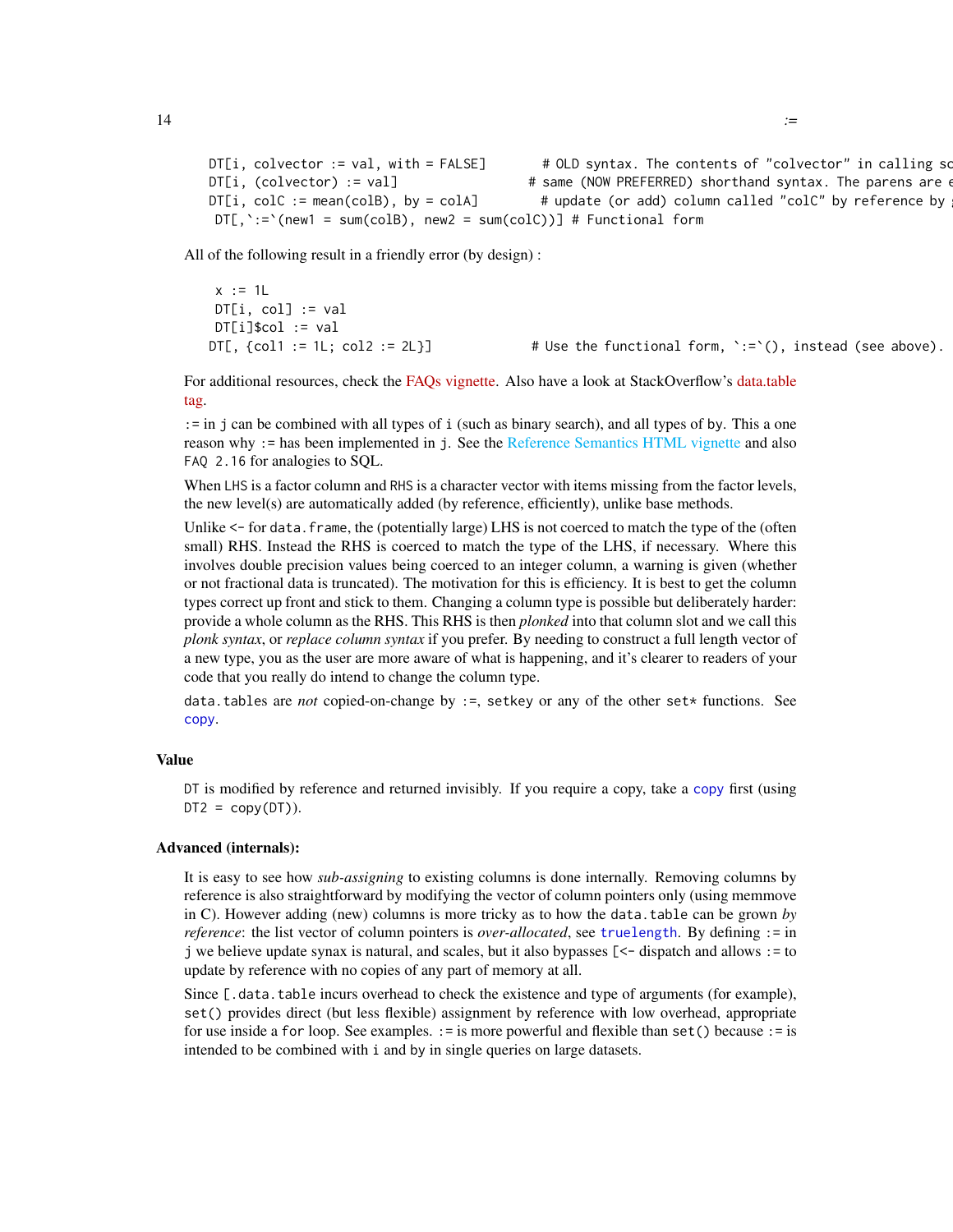All of the following result in a friendly error (by design) :

 $x := 1L$  $DT[i, col] := val$  $DT[i]$ col := val

DT[,  ${col1 := 1L; col2 := 2L}}$  # Use the functional form,  $:='(),$  instead (see above).

For additional resources, check the FAOs vignette. Also have a look at StackOverflow's [data.table](http://stackoverflow.com/search?q=%5Bdata.table%5D+reference) [tag.](http://stackoverflow.com/search?q=%5Bdata.table%5D+reference)

 $DT[,$ :=`(new1 = sum(colB), new2 = sum(colC))] # Functional form

:= in j can be combined with all types of i (such as binary search), and all types of by. This a one reason why : = has been implemented in j. See the [Reference Semantics HTML vignette](#page-0-0) and also FAQ 2.16 for analogies to SQL.

When LHS is a factor column and RHS is a character vector with items missing from the factor levels, the new level(s) are automatically added (by reference, efficiently), unlike base methods.

Unlike  $\le$  for data. frame, the (potentially large) LHS is not coerced to match the type of the (often small) RHS. Instead the RHS is coerced to match the type of the LHS, if necessary. Where this involves double precision values being coerced to an integer column, a warning is given (whether or not fractional data is truncated). The motivation for this is efficiency. It is best to get the column types correct up front and stick to them. Changing a column type is possible but deliberately harder: provide a whole column as the RHS. This RHS is then *plonked* into that column slot and we call this *plonk syntax*, or *replace column syntax* if you prefer. By needing to construct a full length vector of a new type, you as the user are more aware of what is happening, and it's clearer to readers of your code that you really do intend to change the column type.

data.tables are *not* copied-on-change by :=, setkey or any of the other set\* functions. See [copy](#page-23-1).

# Value

DT is modified by reference and returned invisibly. If you require a copy, take a [copy](#page-23-1) first (using  $DT2 = copy(DT)$ ).

#### Advanced (internals):

It is easy to see how *sub-assigning* to existing columns is done internally. Removing columns by reference is also straightforward by modifying the vector of column pointers only (using memmove in C). However adding (new) columns is more tricky as to how the data.table can be grown *by reference*: the list vector of column pointers is *over-allocated*, see [truelength](#page-94-2). By defining := in j we believe update synax is natural, and scales, but it also bypasses [<- dispatch and allows := to update by reference with no copies of any part of memory at all.

Since [.data.table incurs overhead to check the existence and type of arguments (for example), set() provides direct (but less flexible) assignment by reference with low overhead, appropriate for use inside a for loop. See examples.  $:=$  is more powerful and flexible than set () because  $:=$  is intended to be combined with i and by in single queries on large datasets.

 $14$  :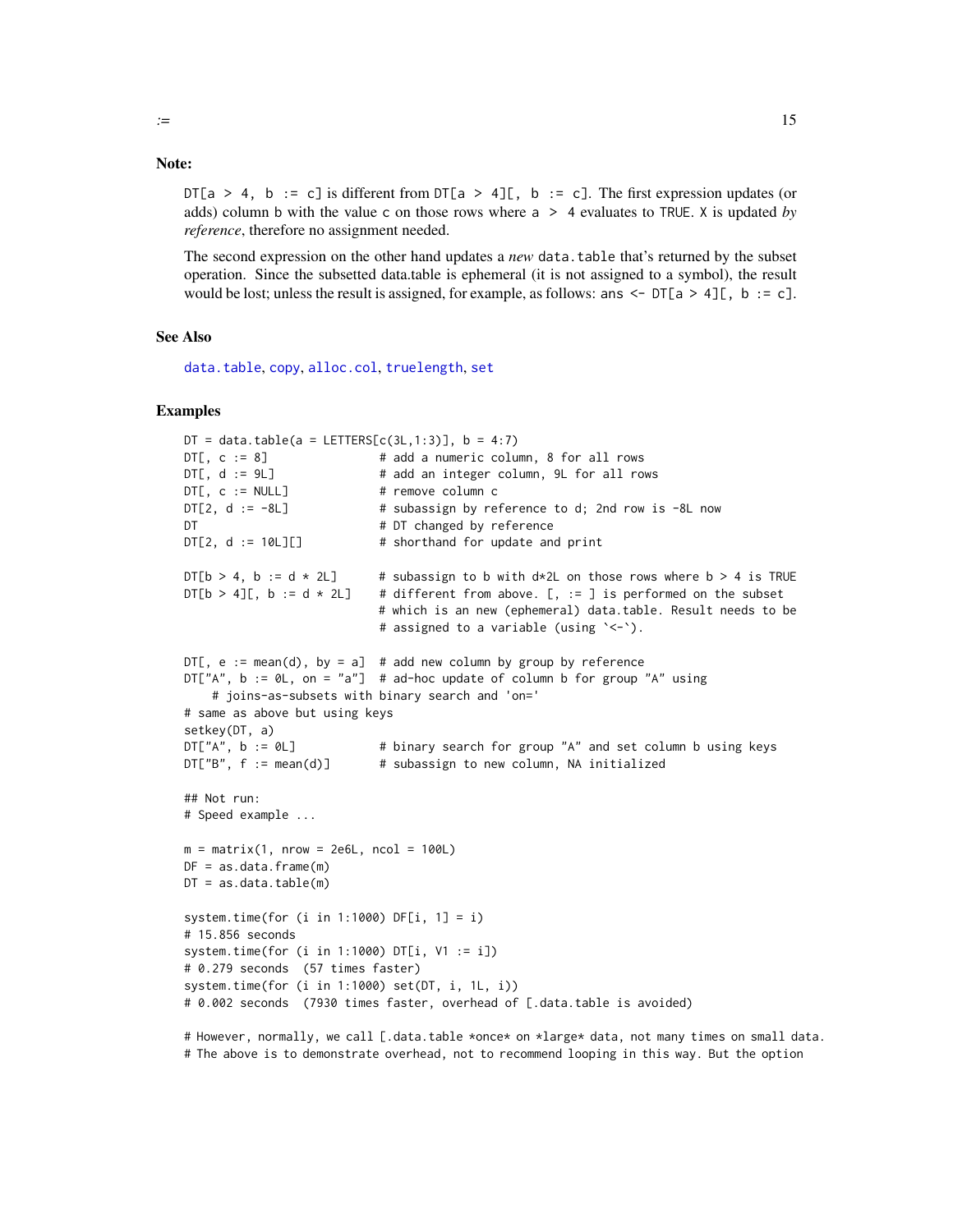# Note:

DT[a > 4, b := c] is different from DT[a > 4][, b := c]. The first expression updates (or adds) column b with the value c on those rows where a > 4 evaluates to TRUE. X is updated *by reference*, therefore no assignment needed.

The second expression on the other hand updates a *new* data.table that's returned by the subset operation. Since the subsetted data.table is ephemeral (it is not assigned to a symbol), the result would be lost; unless the result is assigned, for example, as follows: ans  $\leq$  DT[a > 4][, b := c].

# See Also

[data.table](#page-2-1), [copy](#page-23-1), [alloc.col](#page-94-1), [truelength](#page-94-2), [set](#page-11-2)

#### Examples

```
DT = data.table(a = LEFTERS[c(3L, 1:3)], b = 4:7)DT[, c := 8] \qquad # add a numeric column, 8 for all rows
DT[, d := 9L] # add an integer column, 9L for all rows
DT[, c := NULL] # remove column c
DT[2, d := -8L] # subassign by reference to d; 2nd row is -8L now
DT # DT changed by reference
DT[2, d := 10L][ # shorthand for update and print
DT[b > 4, b := d * 2L] # subassign to b with d*2L on those rows where b > 4 is TRUE
DT[b > 4][, b := d * 2L] # different from above. [, := ] is performed on the subset
                          # which is an new (ephemeral) data.table. Result needs to be
                          # assigned to a variable (using `<-`).
DT[, e := mean(d), by = a] # add new column by group by reference
D T['A'', b := 0, on = "a"] # ad-hoc update of column b for group "A" using
   # joins-as-subsets with binary search and 'on='
# same as above but using keys
setkey(DT, a)
DT["A", b := 0L] # binary search for group "A" and set column b using keys
DT["B", f := mean(d)] # subassign to new column, NA initialized
## Not run:
# Speed example ...
m = matrix(1, nrow = 2e6L, ncol = 100L)DF = as.data frame(m)DT = as.data.title(m)system.time(for (i in 1:1000) DF[i, 1] = i)
# 15.856 seconds
system.time(for (i in 1:1000) DT[i, V1 := i])
# 0.279 seconds (57 times faster)
system.time(for (i in 1:1000) set(DT, i, 1L, i))
# 0.002 seconds (7930 times faster, overhead of [.data.table is avoided)
```
# However, normally, we call [.data.table \*once\* on \*large\* data, not many times on small data. # The above is to demonstrate overhead, not to recommend looping in this way. But the option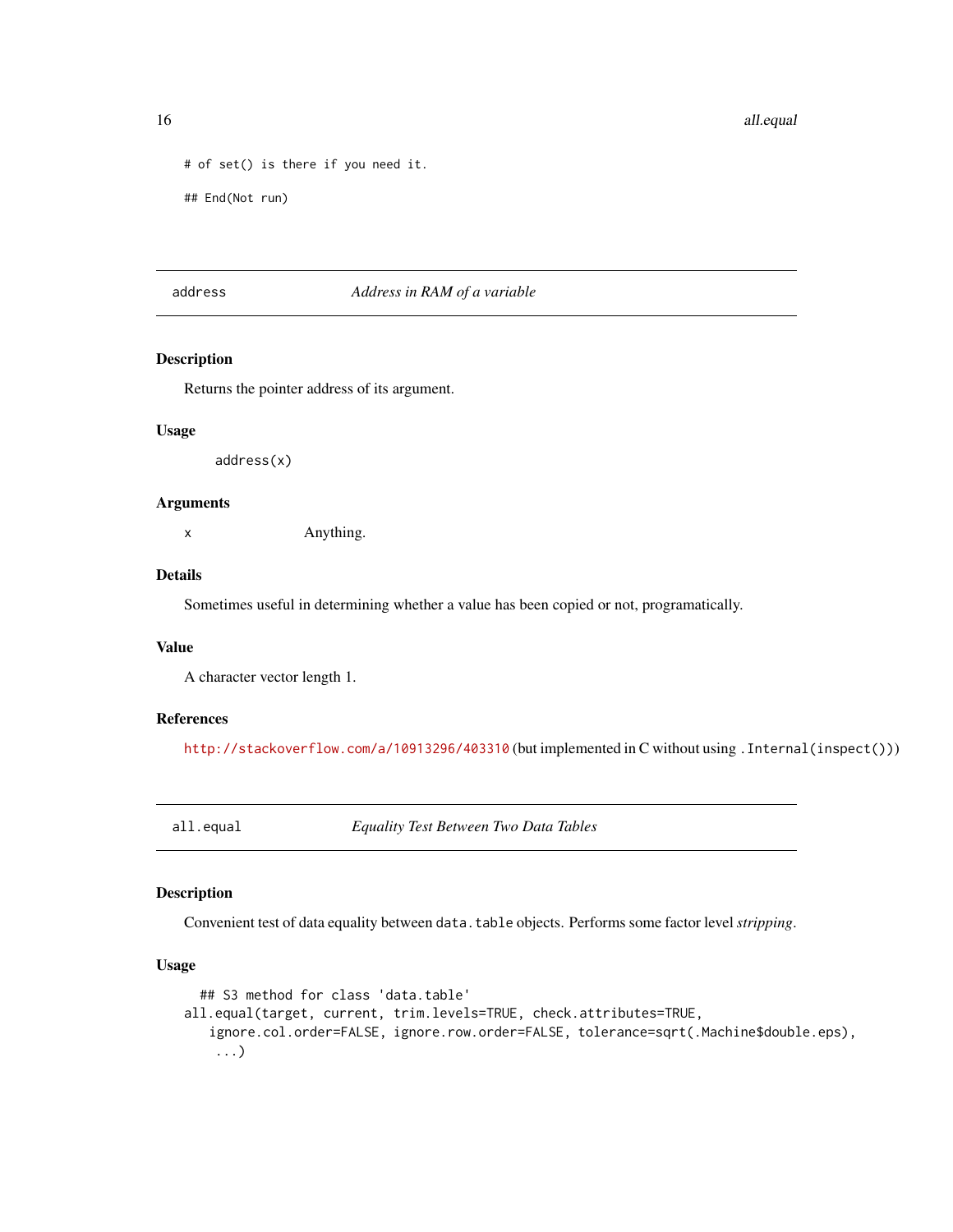```
# of set() is there if you need it.
## End(Not run)
```
# address *Address in RAM of a variable*

# Description

Returns the pointer address of its argument.

# Usage

address(x)

# Arguments

x Anything.

# Details

Sometimes useful in determining whether a value has been copied or not, programatically.

# Value

A character vector length 1.

# References

<http://stackoverflow.com/a/10913296/403310> (but implemented in C without using .Internal(inspect()))

<span id="page-15-1"></span>all.equal *Equality Test Between Two Data Tables*

# Description

Convenient test of data equality between data.table objects. Performs some factor level *stripping*.

# Usage

```
## S3 method for class 'data.table'
all.equal(target, current, trim.levels=TRUE, check.attributes=TRUE,
   ignore.col.order=FALSE, ignore.row.order=FALSE, tolerance=sqrt(.Machine$double.eps),
    ...)
```
<span id="page-15-0"></span>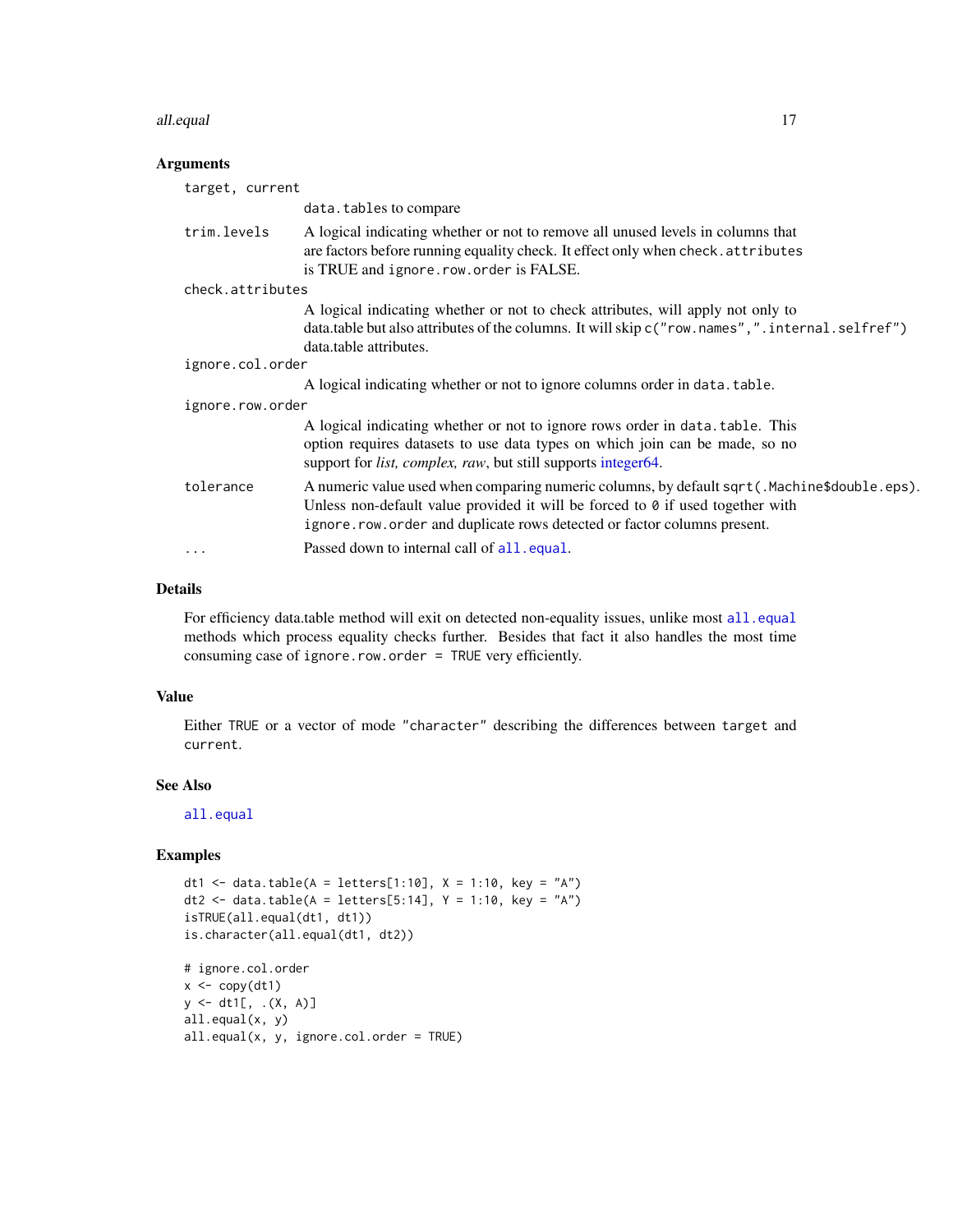#### all.equal to the contract of the contract of the contract of the contract of the contract of the contract of the contract of the contract of the contract of the contract of the contract of the contract of the contract of t

# Arguments

| target, current  |                                                                                                                                                                                                                                                                    |
|------------------|--------------------------------------------------------------------------------------------------------------------------------------------------------------------------------------------------------------------------------------------------------------------|
|                  | data. tables to compare                                                                                                                                                                                                                                            |
| trim.levels      | A logical indicating whether or not to remove all unused levels in columns that<br>are factors before running equality check. It effect only when check. attributes<br>is TRUE and ignore.row.order is FALSE.                                                      |
| check.attributes |                                                                                                                                                                                                                                                                    |
|                  | A logical indicating whether or not to check attributes, will apply not only to<br>data.table but also attributes of the columns. It will skip $c("row.names",".internal.setfreq")$<br>data.table attributes.                                                      |
| ignore.col.order |                                                                                                                                                                                                                                                                    |
|                  | A logical indicating whether or not to ignore columns order in data.table.                                                                                                                                                                                         |
| ignore.row.order |                                                                                                                                                                                                                                                                    |
|                  | A logical indicating whether or not to ignore rows order in data. table. This<br>option requires datasets to use data types on which join can be made, so no<br>support for <i>list, complex, raw</i> , but still supports integer64.                              |
| tolerance        | A numeric value used when comparing numeric columns, by default sqrt(.Machine\$double.eps).<br>Unless non-default value provided it will be forced to $\theta$ if used together with<br>ignore . row. order and duplicate rows detected or factor columns present. |
| $\cdots$         | Passed down to internal call of all. equal.                                                                                                                                                                                                                        |

# Details

For efficiency data.table method will exit on detected non-equality issues, unlike most [all.equal](#page-15-1) methods which process equality checks further. Besides that fact it also handles the most time consuming case of ignore.row.order = TRUE very efficiently.

# Value

Either TRUE or a vector of mode "character" describing the differences between target and current.

# See Also

[all.equal](#page-15-1)

# Examples

```
dt1 <- data.table(A = \text{letters}[1:10], X = 1:10, key = "A")
dt2 <- data.table(A = \text{letters}[5:14], Y = 1:10, key = "A")
isTRUE(all.equal(dt1, dt1))
is.character(all.equal(dt1, dt2))
```

```
# ignore.col.order
x \leftarrow \text{copy}(\text{dt1})y <- dt1[, .(X, A)]
all.equal(x, y)
all.equal(x, y, ignore.col.order = TRUE)
```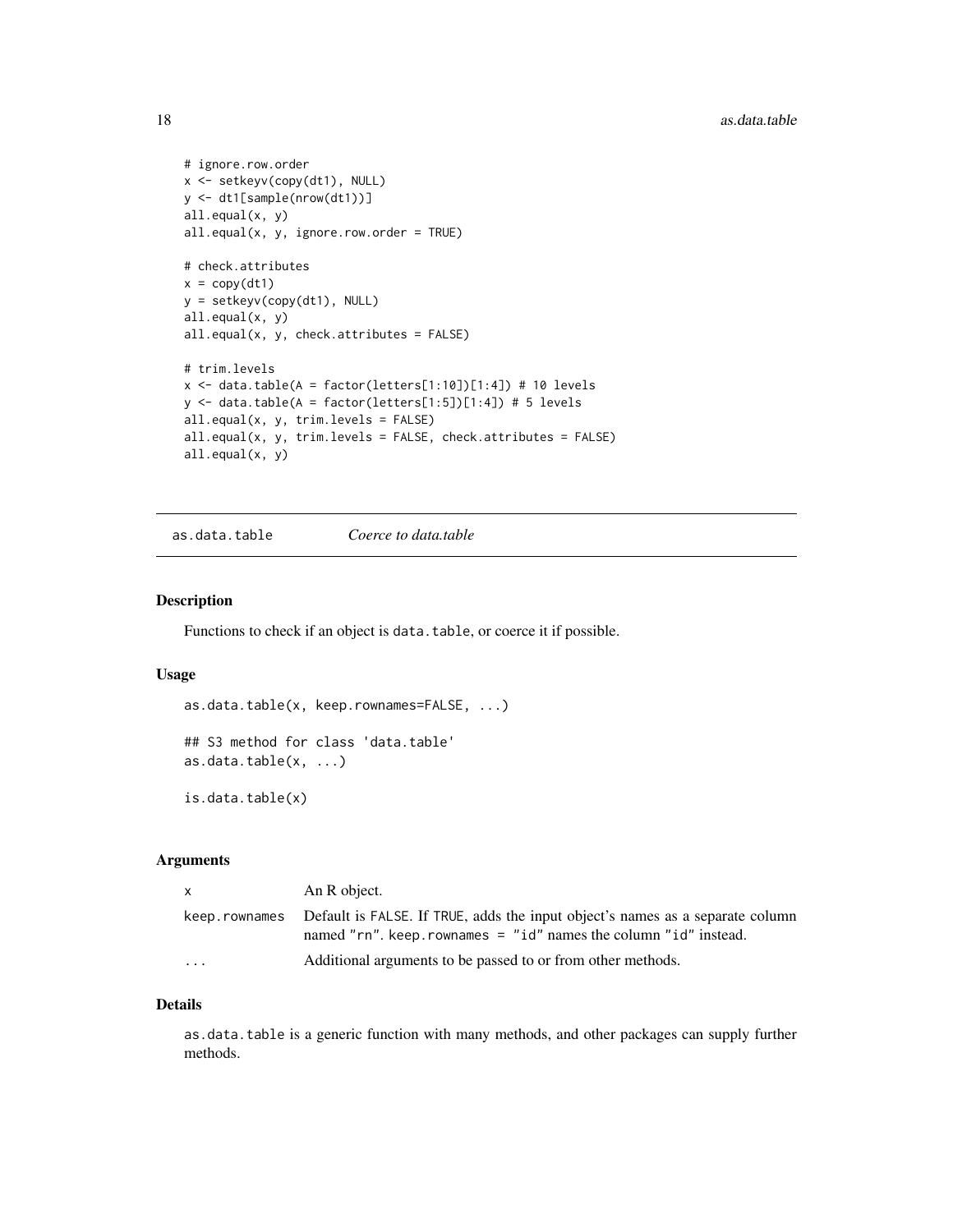```
# ignore.row.order
x <- setkeyv(copy(dt1), NULL)
y <- dt1[sample(nrow(dt1))]
all.equal(x, y)
all.equals(x, y, ignorerow.order = TRUE)# check.attributes
x = copy(dt1)y = setkeyv(copy(dt1), NULL)
all.equal(x, y)
all.equal(x, y, check.attributes = FALSE)
# trim.levels
x \le - data.table(A = factor(letters[1:10])[1:4]) # 10 levels
y <- data.table(A = factor(letters[1:5])[1:4]) # 5 levels
all.equal(x, y, trim.levels = FALSE)
all.equal(x, y, trim.levels = FALSE, check.attributes = FALSE)
all.equal(x, y)
```
<span id="page-17-1"></span>as.data.table *Coerce to data.table*

# Description

Functions to check if an object is data.table, or coerce it if possible.

# Usage

```
as.data.table(x, keep.rownames=FALSE, ...)
## S3 method for class 'data.table'
```
as.data.table(x, ...)

is.data.table(x)

#### Arguments

| $\mathsf{X}$            | An R object.                                                                                                                                                            |
|-------------------------|-------------------------------------------------------------------------------------------------------------------------------------------------------------------------|
|                         | keep.rownames Default is FALSE. If TRUE, adds the input object's names as a separate column<br>named "rn". keep. rownames = " $id$ " names the column " $id$ " instead. |
| $\cdot$ $\cdot$ $\cdot$ | Additional arguments to be passed to or from other methods.                                                                                                             |

# Details

as.data.table is a generic function with many methods, and other packages can supply further methods.

<span id="page-17-0"></span>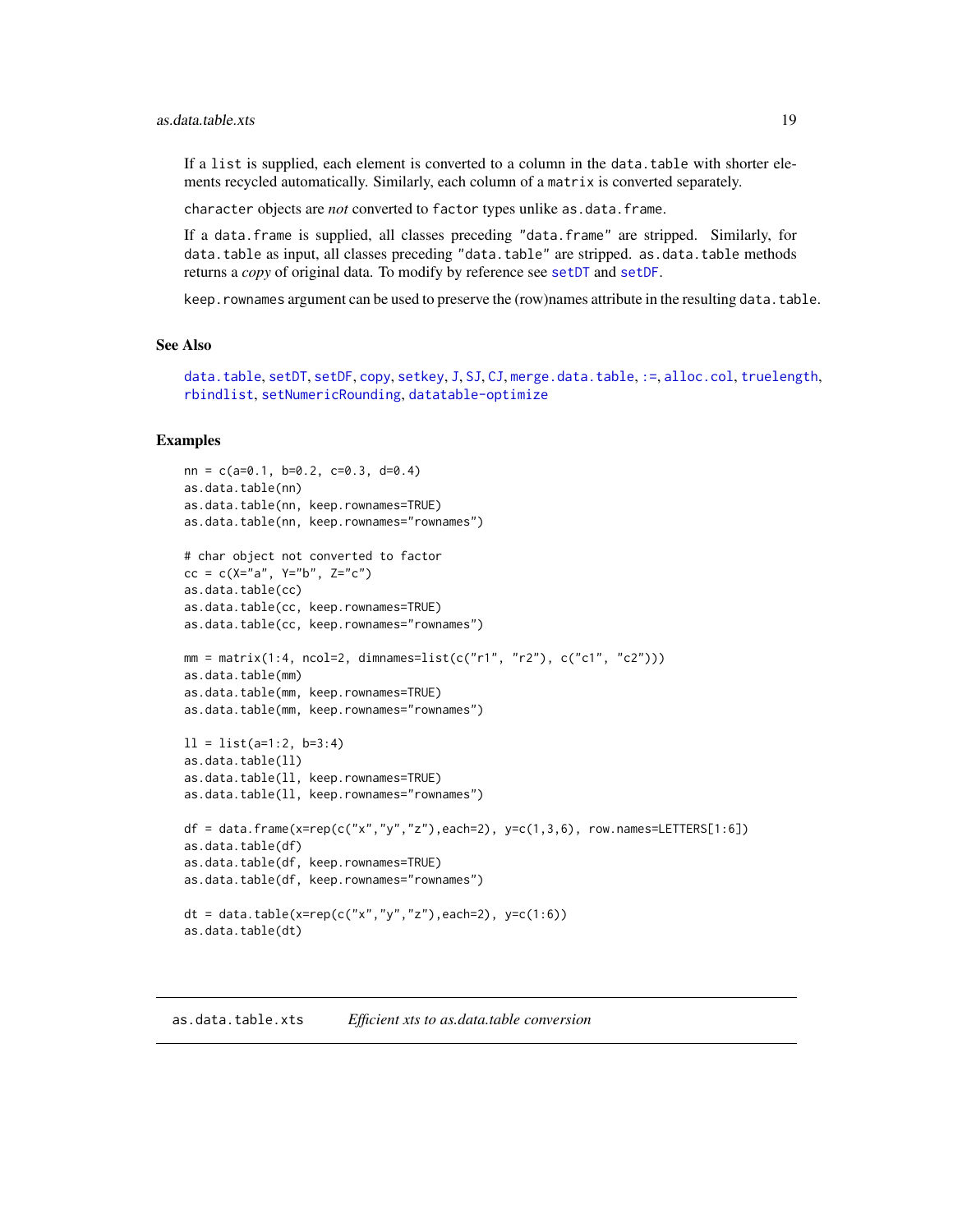<span id="page-18-0"></span>If a list is supplied, each element is converted to a column in the data.table with shorter elements recycled automatically. Similarly, each column of a matrix is converted separately.

character objects are *not* converted to factor types unlike as.data.frame.

If a data.frame is supplied, all classes preceding "data.frame" are stripped. Similarly, for data.table as input, all classes preceding "data.table" are stripped. as.data.table methods returns a *copy* of original data. To modify by reference see [setDT](#page-73-1) and [setDF](#page-72-1).

keep. rownames argument can be used to preserve the (row)names attribute in the resulting data.table.

#### See Also

```
data.table, setDT, setDF, copy, setkey, J, SJ, CJ, merge.data.table, :=, alloc.col, truelength,
rbindlist, setNumericRounding, datatable-optimize
```
#### Examples

```
nn = c(a=0.1, b=0.2, c=0.3, d=0.4)as.data.table(nn)
as.data.table(nn, keep.rownames=TRUE)
as.data.table(nn, keep.rownames="rownames")
# char object not converted to factor
cc = c(X = "a", Y = "b", Z = "c")as.data.table(cc)
as.data.table(cc, keep.rownames=TRUE)
as.data.table(cc, keep.rownames="rownames")
mm = matrix(1:4, ncol=2, dimnames=list(c("r1", "r2"), c("c1", "c2")))
as.data.table(mm)
as.data.table(mm, keep.rownames=TRUE)
as.data.table(mm, keep.rownames="rownames")
11 = list(a=1:2, b=3:4)as.data.table(ll)
as.data.table(ll, keep.rownames=TRUE)
as.data.table(ll, keep.rownames="rownames")
df = data. frame(x=rep(c("x", "y", "z"), each=2), ye=c(1,3,6), row. names=LETTERS[1:6])as.data.table(df)
as.data.table(df, keep.rownames=TRUE)
as.data.table(df, keep.rownames="rownames")
dt = data.table(x=rep(c("x","y","z"),each=2), y=c(1:6))
as.data.table(dt)
```
# <span id="page-18-1"></span>as.data.table.xts *Efficient xts to as.data.table conversion*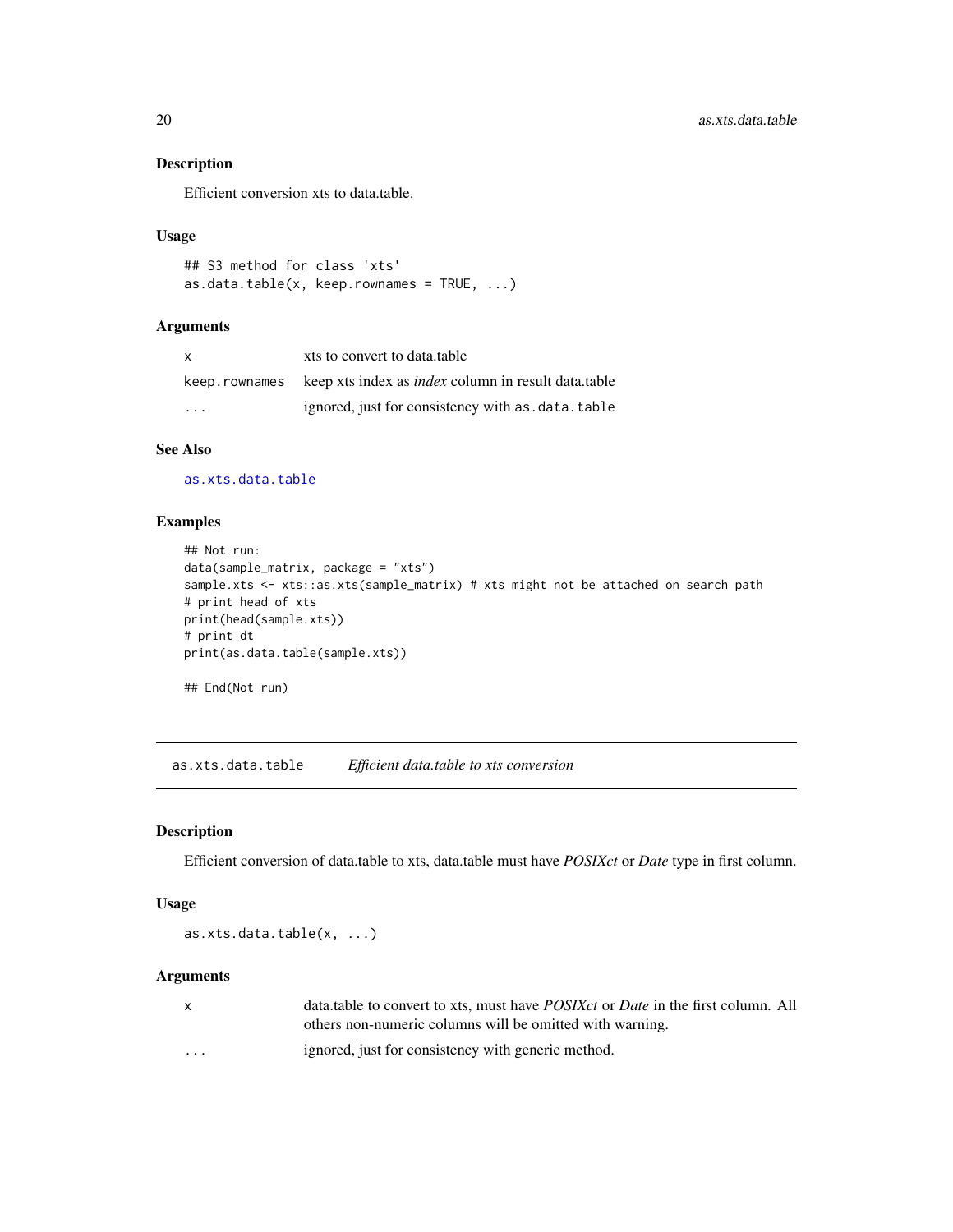# Description

Efficient conversion xts to data.table.

# Usage

```
## S3 method for class 'xts'
as.data.table(x, keep.rownames = TRUE, ...)
```
# Arguments

| x       | xts to convert to data.table                                              |
|---------|---------------------------------------------------------------------------|
|         | keep. rownames keep xts index as <i>index</i> column in result data.table |
| $\cdot$ | ignored, just for consistency with as, data, table                        |

# See Also

[as.xts.data.table](#page-19-1)

# Examples

```
## Not run:
data(sample_matrix, package = "xts")
sample.xts <- xts::as.xts(sample_matrix) # xts might not be attached on search path
# print head of xts
print(head(sample.xts))
# print dt
print(as.data.table(sample.xts))
## End(Not run)
```
<span id="page-19-1"></span>as.xts.data.table *Efficient data.table to xts conversion*

# Description

Efficient conversion of data.table to xts, data.table must have *POSIXct* or *Date* type in first column.

#### Usage

as.xts.data.table(x, ...)

# Arguments

| $\mathsf{x}$            | data.table to convert to xts, must have <i>POSIXct</i> or <i>Date</i> in the first column. All |
|-------------------------|------------------------------------------------------------------------------------------------|
|                         | others non-numeric columns will be omitted with warning.                                       |
| $\cdot$ $\cdot$ $\cdot$ | ignored, just for consistency with generic method.                                             |

<span id="page-19-0"></span>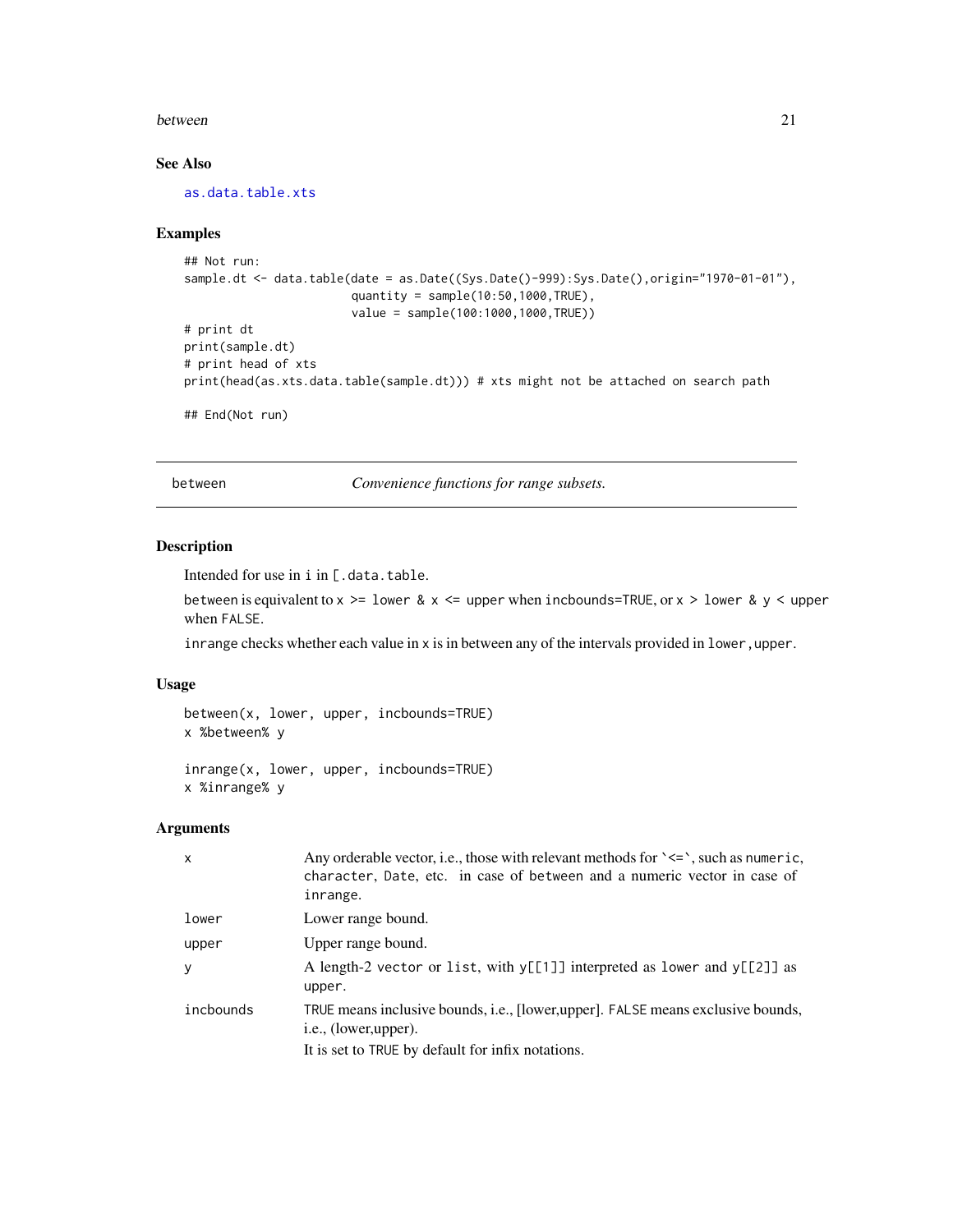#### <span id="page-20-0"></span>between 21

# See Also

[as.data.table.xts](#page-18-1)

#### Examples

```
## Not run:
sample.dt <- data.table(date = as.Date((Sys.Date()-999):Sys.Date(),origin="1970-01-01"),
                        quantity = sample(10:50,1000,TRUE),
                        value = sample(100:1000,1000,TRUE))
# print dt
print(sample.dt)
# print head of xts
print(head(as.xts.data.table(sample.dt))) # xts might not be attached on search path
## End(Not run)
```
between *Convenience functions for range subsets.*

# Description

Intended for use in i in [.data.table.

between is equivalent to  $x \ge 1$  ower &  $x \le$  upper when incbounds=TRUE, or  $x > 1$  ower &  $y \le$  upper when FALSE.

inrange checks whether each value in  $x$  is in between any of the intervals provided in lower, upper.

# Usage

```
between(x, lower, upper, incbounds=TRUE)
x %between% y
```

```
inrange(x, lower, upper, incbounds=TRUE)
x %inrange% y
```
#### **Arguments**

| X         | Any orderable vector, i.e., those with relevant methods for $\le$ $\le$ $\le$ $\le$ , such as numeric,<br>character, Date, etc. in case of between and a numeric vector in case of<br>inrange. |
|-----------|------------------------------------------------------------------------------------------------------------------------------------------------------------------------------------------------|
| lower     | Lower range bound.                                                                                                                                                                             |
| upper     | Upper range bound.                                                                                                                                                                             |
| y         | A length-2 vector or list, with $y[[1]]$ interpreted as lower and $y[[2]]$ as<br>upper.                                                                                                        |
| incbounds | TRUE means inclusive bounds, i.e., [lower,upper]. FALSE means exclusive bounds,<br>i.e., (lower, upper).<br>It is set to TRUE by default for infix notations.                                  |
|           |                                                                                                                                                                                                |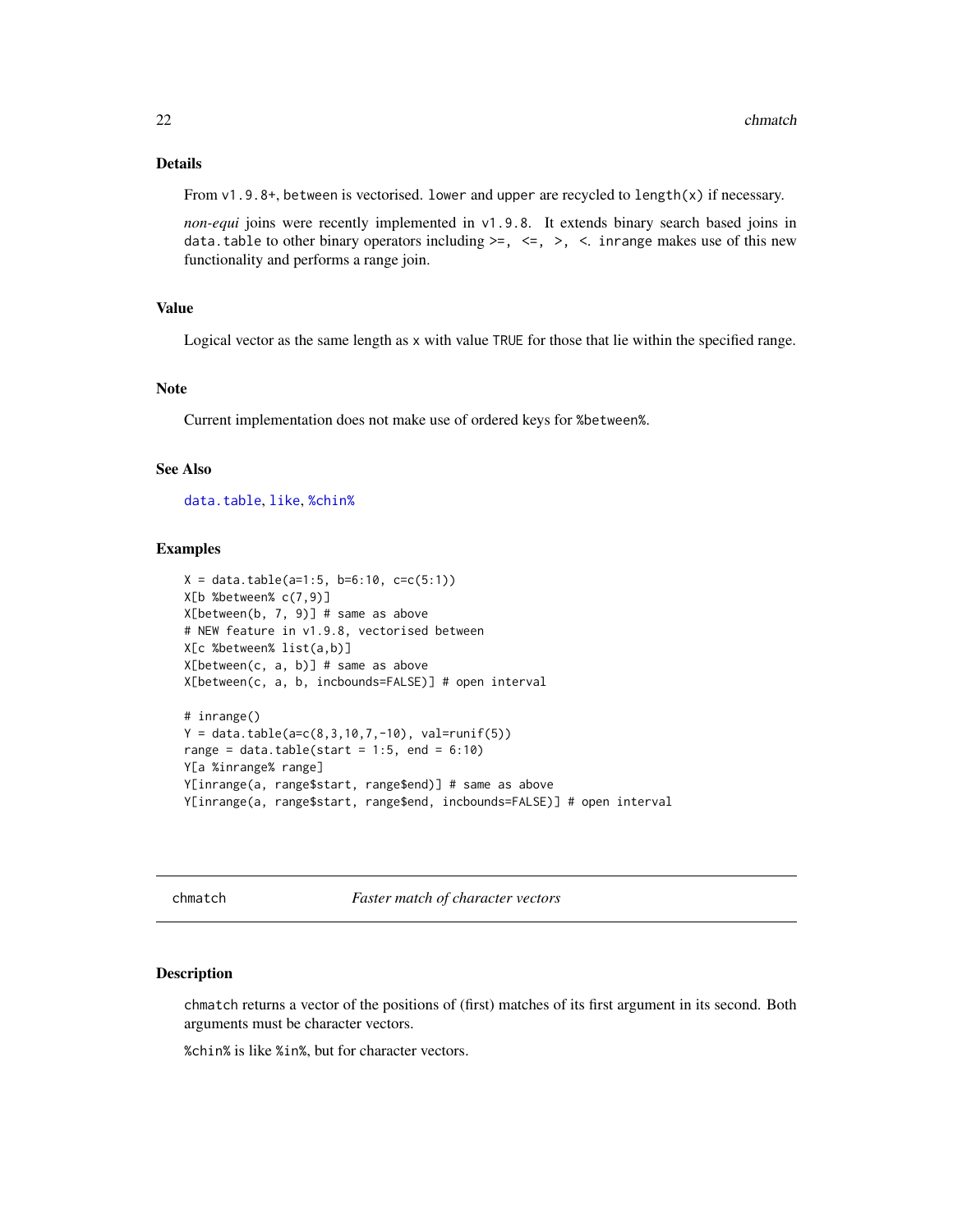# <span id="page-21-0"></span>Details

From  $v1.9.8+$ , between is vectorised. lower and upper are recycled to length(x) if necessary.

*non-equi* joins were recently implemented in v1.9.8. It extends binary search based joins in data.table to other binary operators including  $>=, \leq, >, <$  inrange makes use of this new functionality and performs a range join.

# Value

Logical vector as the same length as x with value TRUE for those that lie within the specified range.

# Note

Current implementation does not make use of ordered keys for %between%.

# See Also

[data.table](#page-2-1), [like](#page-56-1), [%chin%](#page-21-1)

#### Examples

```
X = data.title(a=1:5, b=6:10, c=c(5:1))X[b %between% c(7,9)]
X[between(b, 7, 9)] # same as above
# NEW feature in v1.9.8, vectorised between
X[c %between% list(a,b)]
X[between(c, a, b)] # same as above
X[between(c, a, b, incbounds=FALSE)] # open interval
# inrange()
Y = data.title(a=c(8,3,10,7,-10), val = runif(5))range = data.table(start = 1:5, end = 6:10)
Y[a %inrange% range]
```
Y[inrange(a, range\$start, range\$end, incbounds=FALSE)] # open interval

Y[inrange(a, range\$start, range\$end)] # same as above

chmatch *Faster match of character vectors*

# <span id="page-21-1"></span>Description

chmatch returns a vector of the positions of (first) matches of its first argument in its second. Both arguments must be character vectors.

%chin% is like %in%, but for character vectors.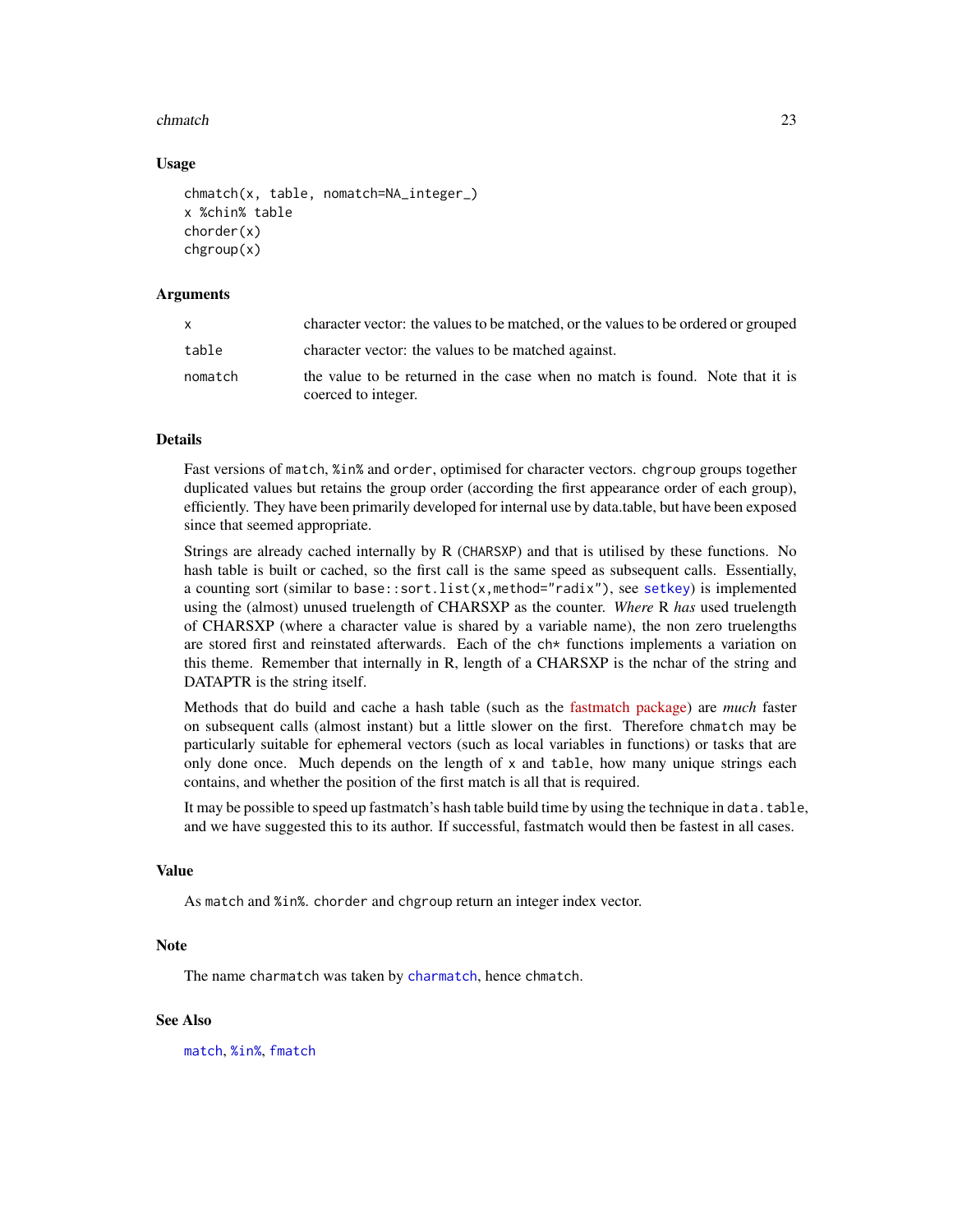#### chmatch 23

# Usage

```
chmatch(x, table, nomatch=NA_integer_)
x %chin% table
chorder(x)
chgroup(x)
```
#### Arguments

| $\mathsf{x}$ | character vector: the values to be matched, or the values to be ordered or grouped                  |
|--------------|-----------------------------------------------------------------------------------------------------|
| table        | character vector: the values to be matched against.                                                 |
| nomatch      | the value to be returned in the case when no match is found. Note that it is<br>coerced to integer. |

#### Details

Fast versions of match, %in% and order, optimised for character vectors. chgroup groups together duplicated values but retains the group order (according the first appearance order of each group), efficiently. They have been primarily developed for internal use by data.table, but have been exposed since that seemed appropriate.

Strings are already cached internally by R (CHARSXP) and that is utilised by these functions. No hash table is built or cached, so the first call is the same speed as subsequent calls. Essentially, a counting sort (similar to base::sort.list(x,method="radix"), see [setkey](#page-76-1)) is implemented using the (almost) unused truelength of CHARSXP as the counter. *Where* R *has* used truelength of CHARSXP (where a character value is shared by a variable name), the non zero truelengths are stored first and reinstated afterwards. Each of the ch\* functions implements a variation on this theme. Remember that internally in R, length of a CHARSXP is the nchar of the string and DATAPTR is the string itself.

Methods that do build and cache a hash table (such as the [fastmatch package\)](http://www.rforge.net/fastmatch) are *much* faster on subsequent calls (almost instant) but a little slower on the first. Therefore chmatch may be particularly suitable for ephemeral vectors (such as local variables in functions) or tasks that are only done once. Much depends on the length of  $x$  and table, how many unique strings each contains, and whether the position of the first match is all that is required.

It may be possible to speed up fastmatch's hash table build time by using the technique in data.table, and we have suggested this to its author. If successful, fastmatch would then be fastest in all cases.

# Value

As match and %in%. chorder and chgroup return an integer index vector.

## **Note**

The name [charmatch](#page-0-0) was taken by charmatch, hence chmatch.

#### See Also

[match](#page-0-0), [%in%](#page-0-0), [fmatch](#page-0-0)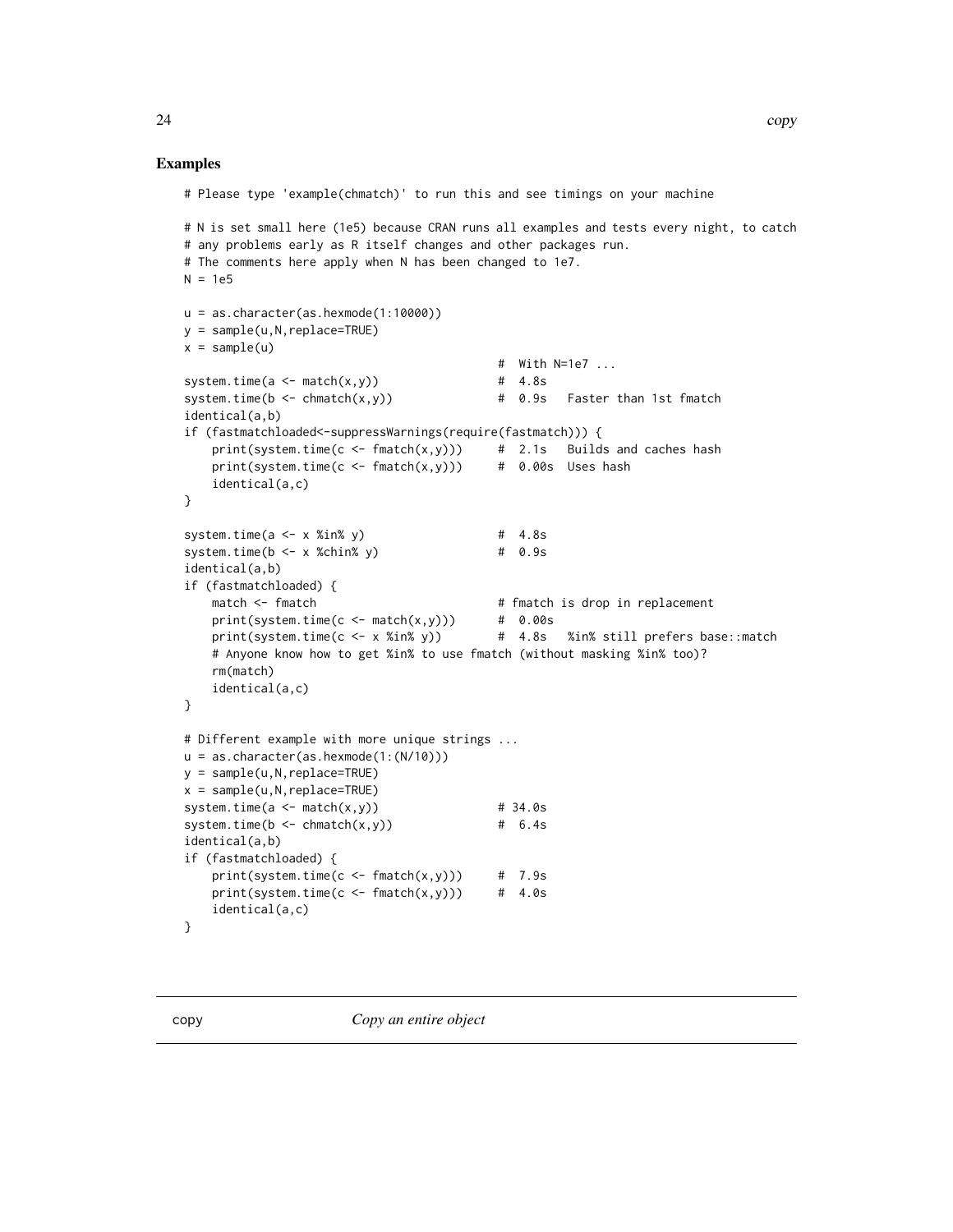# Examples

```
# Please type 'example(chmatch)' to run this and see timings on your machine
# N is set small here (1e5) because CRAN runs all examples and tests every night, to catch
# any problems early as R itself changes and other packages run.
# The comments here apply when N has been changed to 1e7.
N = 1e5u = as.character(as.hexmode(1:10000))
y = sample(u,N,replace=TRUE)
x = sample(u)# With N=1e7 ...
system.time(a \leq - \text{match}(x, y)) # 4.8s
system.time(b \leq chmatch(x,y) \qquad # 0.9s Faster than 1st fmatch
identical(a,b)
if (fastmatchloaded<-suppressWarnings(require(fastmatch))) {
   print(system.time(c \leq function(x,y))) # 2.1s Builds and caches hash
   print(system.time(c \leq final(x,y))) # 0.00s Uses hash
   identical(a,c)
}
system.time(a \le x %in% y) # 4.8s
system.time(b \le x %chin% y) # 0.9s
identical(a,b)
if (fastmatchloaded) {
   match <- fmatch \leq fmatch \leq fmatch \leq fmatch is drop in replacement
   print(system.time(c <- match(x,y)) # 0.00s
   print(system.time(c <- x %in% y)) # 4.8s %in% still prefers base::match
   # Anyone know how to get %in% to use fmatch (without masking %in% too)?
   rm(match)
   identical(a,c)
}
# Different example with more unique strings ...
u = as.character(as.hexmode(1:(N/10)))
y = sample(u, N, replace=TRUE)x = sample(u, N, replace = TRUE)system.time(a \leq match(x,y)) # 34.0s
system.time(b \leq chmatch(x, y)) # 6.4s
identical(a,b)
if (fastmatchloaded) {
   print(system.time(c \leq fmatch(x,y))) # 7.9s
   print(system.time(c <- fmatch(x,y))) # 4.0s
   identical(a,c)
}
```
<span id="page-23-1"></span>

<span id="page-23-0"></span>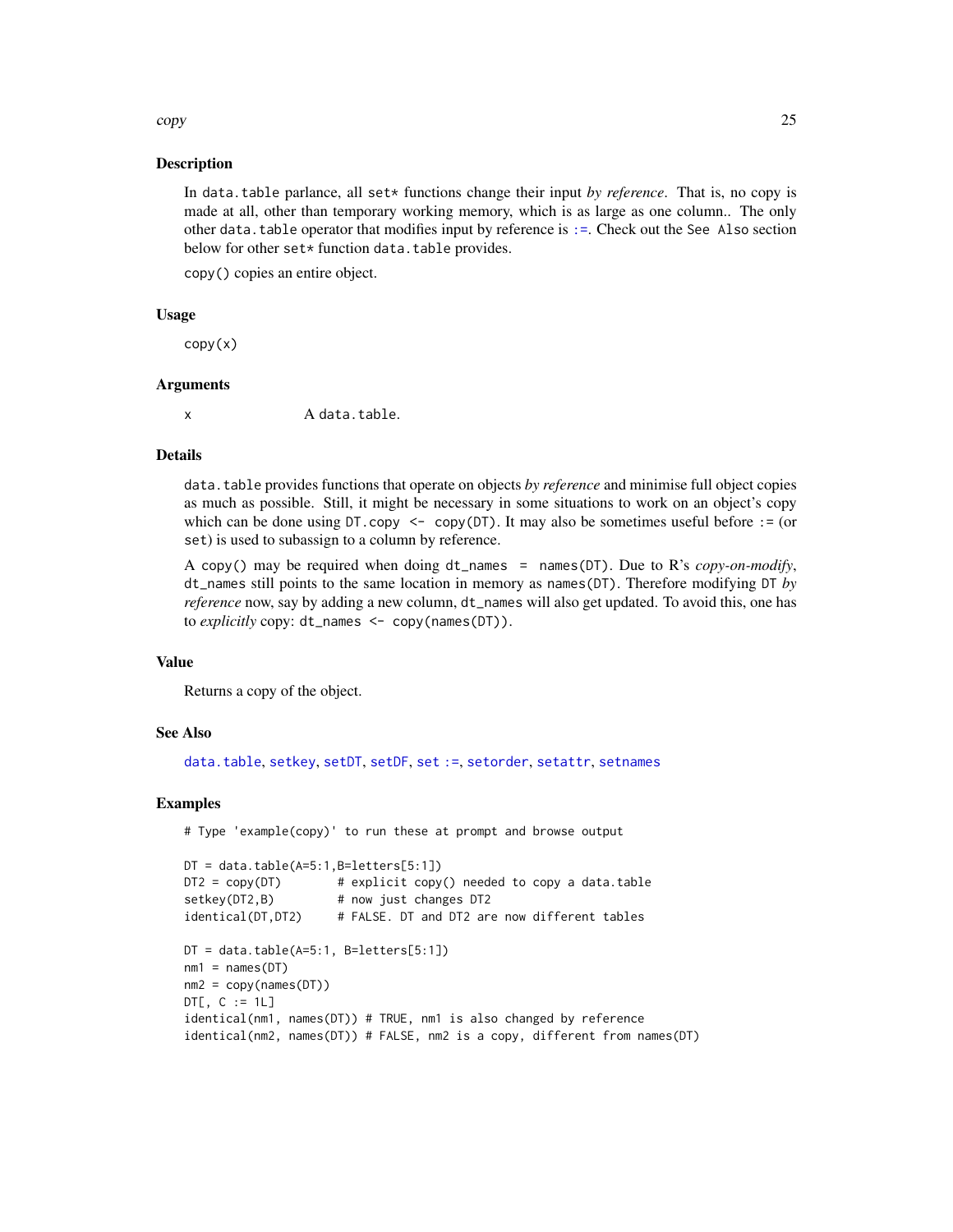#### copy 25

# Description

In data.table parlance, all set\* functions change their input *by reference*. That is, no copy is made at all, other than temporary working memory, which is as large as one column.. The only other data.table operator that modifies input by reference is [:=](#page-11-1). Check out the See Also section below for other set\* function data.table provides.

copy() copies an entire object.

# Usage

copy(x)

#### Arguments

x A data.table.

## Details

data.table provides functions that operate on objects *by reference* and minimise full object copies as much as possible. Still, it might be necessary in some situations to work on an object's copy which can be done using  $DT$ .copy  $\leq$  copy( $DT$ ). It may also be sometimes useful before := (or set) is used to subassign to a column by reference.

A copy() may be required when doing dt\_names = names(DT). Due to R's *copy-on-modify*, dt\_names still points to the same location in memory as names(DT). Therefore modifying DT *by reference* now, say by adding a new column, dt\_names will also get updated. To avoid this, one has to *explicitly* copy: dt\_names <- copy(names(DT)).

#### Value

Returns a copy of the object.

#### See Also

[data.table](#page-2-1), [setkey](#page-76-1), [setDT](#page-73-1), [setDF](#page-72-1), [set](#page-11-2) [:=](#page-11-1), [setorder](#page-81-1), [setattr](#page-69-1), [setnames](#page-69-2)

# Examples

# Type 'example(copy)' to run these at prompt and browse output

```
DT = data.title(A=5:1,B=letters[5:1])DT2 = copy(DT) # explicit copy() needed to copy a data.table
setkey(DT2,B) # now just changes DT2
identical(DT,DT2) # FALSE. DT and DT2 are now different tables
DT = data.table(A=5:1, B=letters[5:1])
nm1 = names(DT)nm2 = copy(names(DT))
DT[, C := 1L]
identical(nm1, names(DT)) # TRUE, nm1 is also changed by reference
identical(nm2, names(DT)) # FALSE, nm2 is a copy, different from names(DT)
```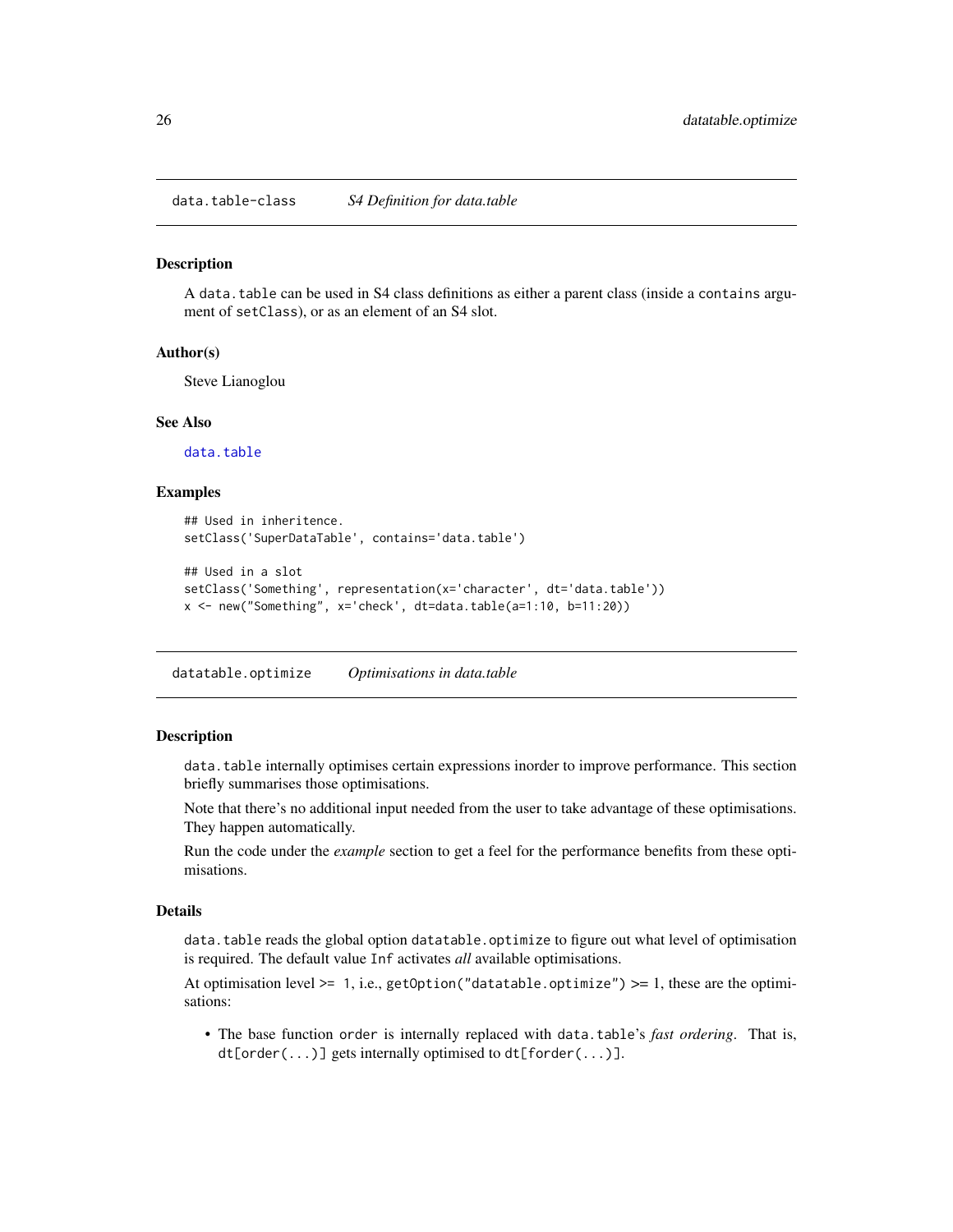<span id="page-25-0"></span>data.table-class *S4 Definition for data.table*

# Description

A data.table can be used in S4 class definitions as either a parent class (inside a contains argument of setClass), or as an element of an S4 slot.

#### Author(s)

Steve Lianoglou

#### See Also

[data.table](#page-2-1)

# Examples

```
## Used in inheritence.
setClass('SuperDataTable', contains='data.table')
## Used in a slot
setClass('Something', representation(x='character', dt='data.table'))
x <- new("Something", x='check', dt=data.table(a=1:10, b=11:20))
```
datatable.optimize *Optimisations in data.table*

# <span id="page-25-1"></span>Description

data.table internally optimises certain expressions inorder to improve performance. This section briefly summarises those optimisations.

Note that there's no additional input needed from the user to take advantage of these optimisations. They happen automatically.

Run the code under the *example* section to get a feel for the performance benefits from these optimisations.

#### Details

data.table reads the global option datatable.optimize to figure out what level of optimisation is required. The default value Inf activates *all* available optimisations.

At optimisation level >= 1, i.e., getOption("datatable.optimize") >= 1, these are the optimisations:

• The base function order is internally replaced with data.table's *fast ordering*. That is, dt[order(...)] gets internally optimised to dt[forder(...)].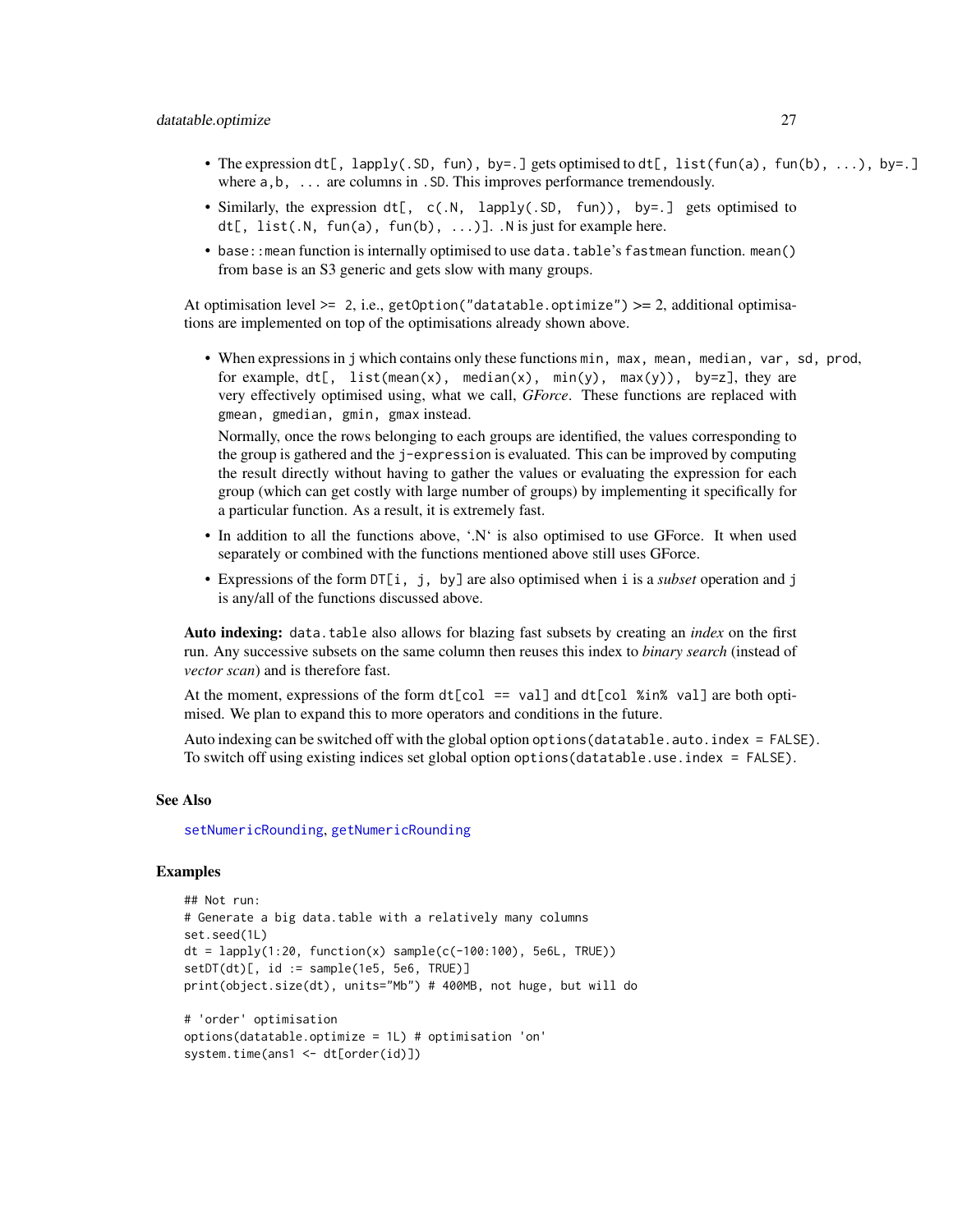- The expression dt[, lapply(.SD, fun), by=.] gets optimised to dt[, list(fun(a), fun(b), ...), by=.] where  $a, b, \ldots$  are columns in . SD. This improves performance tremendously.
- Similarly, the expression dt[, c(.N, lapply(.SD, fun)), by=. gets optimised to  $dt[$ , list(.N, fun(a), fun(b), ...)]. N is just for example here.
- base:: mean function is internally optimised to use data.table's fastmean function. mean() from base is an S3 generic and gets slow with many groups.

At optimisation level  $>= 2$ , i.e., getOption("datatable.optimize")  $>= 2$ , additional optimisations are implemented on top of the optimisations already shown above.

• When expressions in j which contains only these functions min, max, mean, median, var, sd, prod, for example,  $dt$ [, list(mean(x), median(x), min(y), max(y)), by=z], they are very effectively optimised using, what we call, *GForce*. These functions are replaced with gmean, gmedian, gmin, gmax instead.

Normally, once the rows belonging to each groups are identified, the values corresponding to the group is gathered and the j-expression is evaluated. This can be improved by computing the result directly without having to gather the values or evaluating the expression for each group (which can get costly with large number of groups) by implementing it specifically for a particular function. As a result, it is extremely fast.

- In addition to all the functions above, '.N' is also optimised to use GForce. It when used separately or combined with the functions mentioned above still uses GForce.
- Expressions of the form DT[i, j, by] are also optimised when i is a *subset* operation and j is any/all of the functions discussed above.

Auto indexing: data.table also allows for blazing fast subsets by creating an *index* on the first run. Any successive subsets on the same column then reuses this index to *binary search* (instead of *vector scan*) and is therefore fast.

At the moment, expressions of the form  $dt$ [col = val] and  $dt$ [col %in% val] are both optimised. We plan to expand this to more operators and conditions in the future.

Auto indexing can be switched off with the global option options (datatable.auto.index =  $FALSE$ ). To switch off using existing indices set global option options(datatable.use.index = FALSE).

#### See Also

[setNumericRounding](#page-78-1), [getNumericRounding](#page-78-2)

# Examples

```
## Not run:
# Generate a big data.table with a relatively many columns
set.seed(1L)
dt = \text{lapply}(1:20, function(x) sample(c(-100:100), 5e6L, TRUE))setDT(dt)[, id := sample(1e5, 5e6, TRUE)]
print(object.size(dt), units="Mb") # 400MB, not huge, but will do
# 'order' optimisation
options(datatable.optimize = 1L) # optimisation 'on'
system.time(ans1 <- dt[order(id)])
```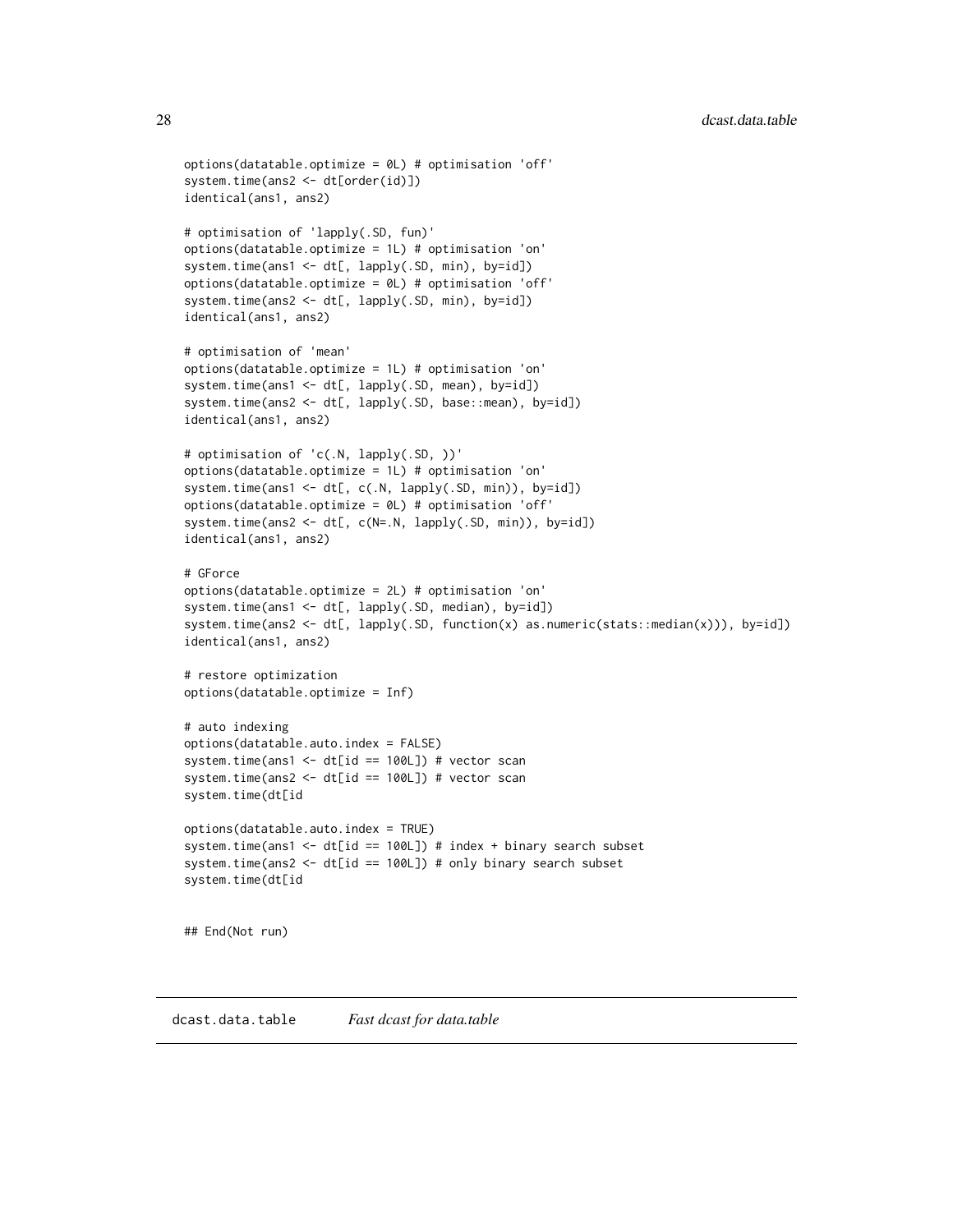```
options(datatable.optimize = 0L) # optimisation 'off'
system.time(ans2 <- dt[order(id)])
identical(ans1, ans2)
# optimisation of 'lapply(.SD, fun)'
options(datatable.optimize = 1L) # optimisation 'on'
system.time(ans1 <- dt[, lapply(.SD, min), by=id])
options(datatable.optimize = 0L) # optimisation 'off'
system.time(ans2 <- dt[, lapply(.SD, min), by=id])
identical(ans1, ans2)
# optimisation of 'mean'
options(datatable.optimize = 1L) # optimisation 'on'
system.time(ans1 <- dt[, lapply(.SD, mean), by=id])
system.time(ans2 <- dt[, lapply(.SD, base::mean), by=id])
identical(ans1, ans2)
# optimisation of 'c(.N, lapply(.SD, ))'
options(datatable.optimize = 1L) # optimisation 'on'
system.time(ans1 <- dt[, c(.N, lapply(.SD, min)), by=id])
options(datatable.optimize = 0L) # optimisation 'off'
system.time(ans2 <- dt[, c(N=.N, lapply(.SD, min)), by=id])
identical(ans1, ans2)
# GForce
options(datatable.optimize = 2L) # optimisation 'on'
system.time(ans1 <- dt[, lapply(.SD, median), by=id])
system.time(ans2 <- dt[, lapply(.SD, function(x) as.numeric(stats::median(x))), by=id])
identical(ans1, ans2)
# restore optimization
options(datatable.optimize = Inf)
# auto indexing
options(datatable.auto.index = FALSE)
system.time(ans1 <- dt[id == 100L]) # vector scan
system.time(ans2 <- dt[id == 100L]) # vector scan
system.time(dt[id
options(datatable.auto.index = TRUE)
system.time(ans1 <- dt[id == 100L]) # index + binary search subset
system.time(ans2 <- dt[id == 100L]) # only binary search subset
system.time(dt[id
## End(Not run)
```
dcast.data.table *Fast dcast for data.table*

<span id="page-27-0"></span>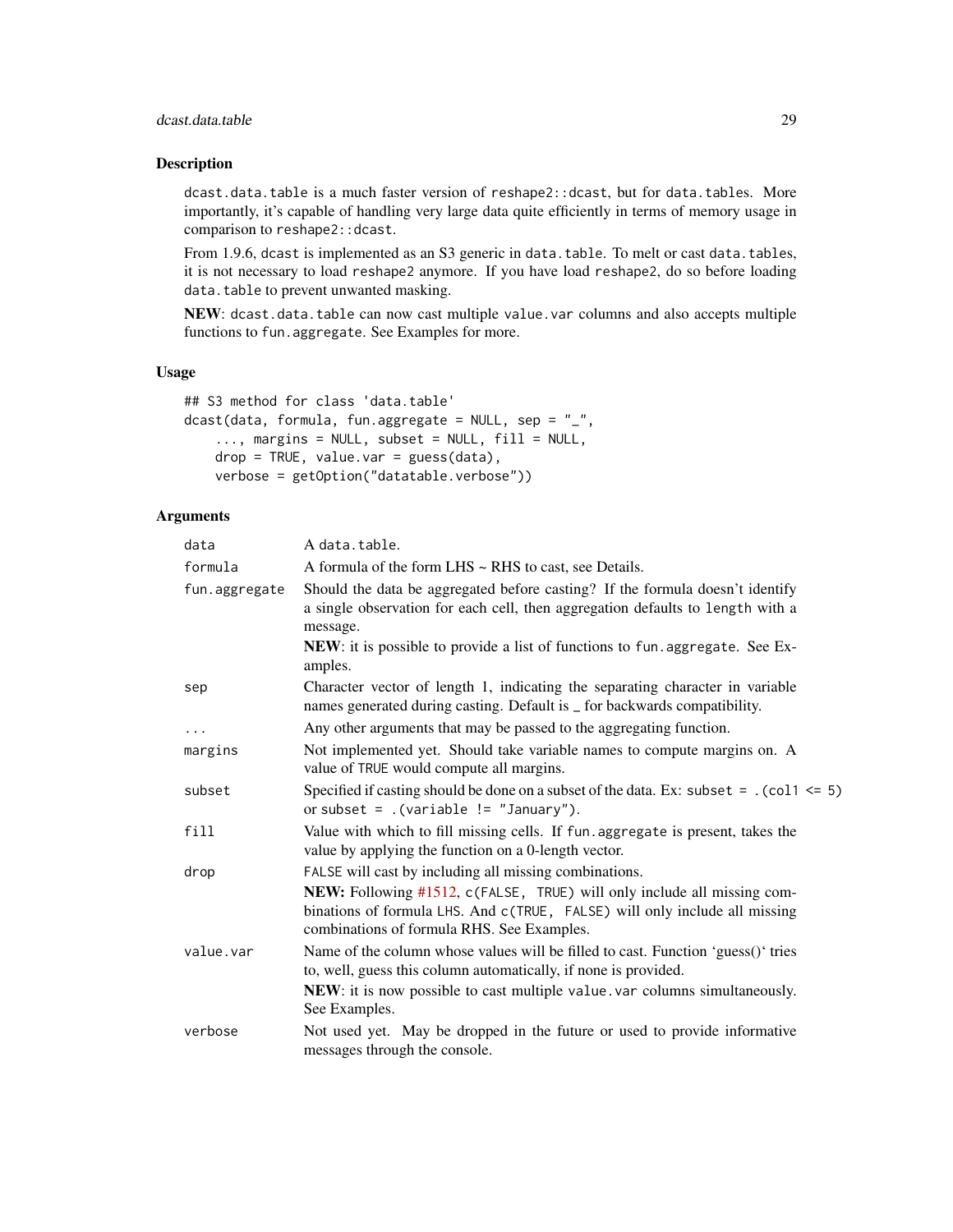# dcast.data.table 29

# Description

dcast.data.table is a much faster version of reshape2::dcast, but for data.tables. More importantly, it's capable of handling very large data quite efficiently in terms of memory usage in comparison to reshape2::dcast.

From 1.9.6, dcast is implemented as an S3 generic in data.table. To melt or cast data.tables, it is not necessary to load reshape2 anymore. If you have load reshape2, do so before loading data.table to prevent unwanted masking.

NEW: dcast.data.table can now cast multiple value.var columns and also accepts multiple functions to fun.aggregate. See Examples for more.

#### Usage

```
## S3 method for class 'data.table'
dcast(data, formula, fun.aggregate = NULL, sep = "_",
   ..., margins = NULL, subset = NULL, fill = NULL,
   drop = TRUE, value.var = guess(data),
   verbose = getOption("datatable.verbose"))
```
# Arguments

| data          | A data.table.                                                                                                                                                                                                                                                 |
|---------------|---------------------------------------------------------------------------------------------------------------------------------------------------------------------------------------------------------------------------------------------------------------|
| formula       | A formula of the form LHS ~ RHS to cast, see Details.                                                                                                                                                                                                         |
| fun.aggregate | Should the data be aggregated before casting? If the formula doesn't identify<br>a single observation for each cell, then aggregation defaults to length with a<br>message.                                                                                   |
|               | NEW: it is possible to provide a list of functions to fun. aggregate. See Ex-<br>amples.                                                                                                                                                                      |
| sep           | Character vector of length 1, indicating the separating character in variable<br>names generated during casting. Default is _ for backwards compatibility.                                                                                                    |
| $\cdots$      | Any other arguments that may be passed to the aggregating function.                                                                                                                                                                                           |
| margins       | Not implemented yet. Should take variable names to compute margins on. A<br>value of TRUE would compute all margins.                                                                                                                                          |
| subset        | Specified if casting should be done on a subset of the data. Ex: subset = $\cdot$ (col 1 <= 5)<br>or subset = $.(variable != "January").$                                                                                                                     |
| fill          | Value with which to fill missing cells. If fun. aggregate is present, takes the<br>value by applying the function on a 0-length vector.                                                                                                                       |
| drop          | FALSE will cast by including all missing combinations.<br>NEW: Following #1512, c(FALSE, TRUE) will only include all missing com-<br>binations of formula LHS. And c(TRUE, FALSE) will only include all missing<br>combinations of formula RHS. See Examples. |
| value.var     | Name of the column whose values will be filled to cast. Function 'guess()' tries<br>to, well, guess this column automatically, if none is provided.<br>NEW: it is now possible to cast multiple value. var columns simultaneously.                            |
|               | See Examples.                                                                                                                                                                                                                                                 |
| verbose       | Not used yet. May be dropped in the future or used to provide informative<br>messages through the console.                                                                                                                                                    |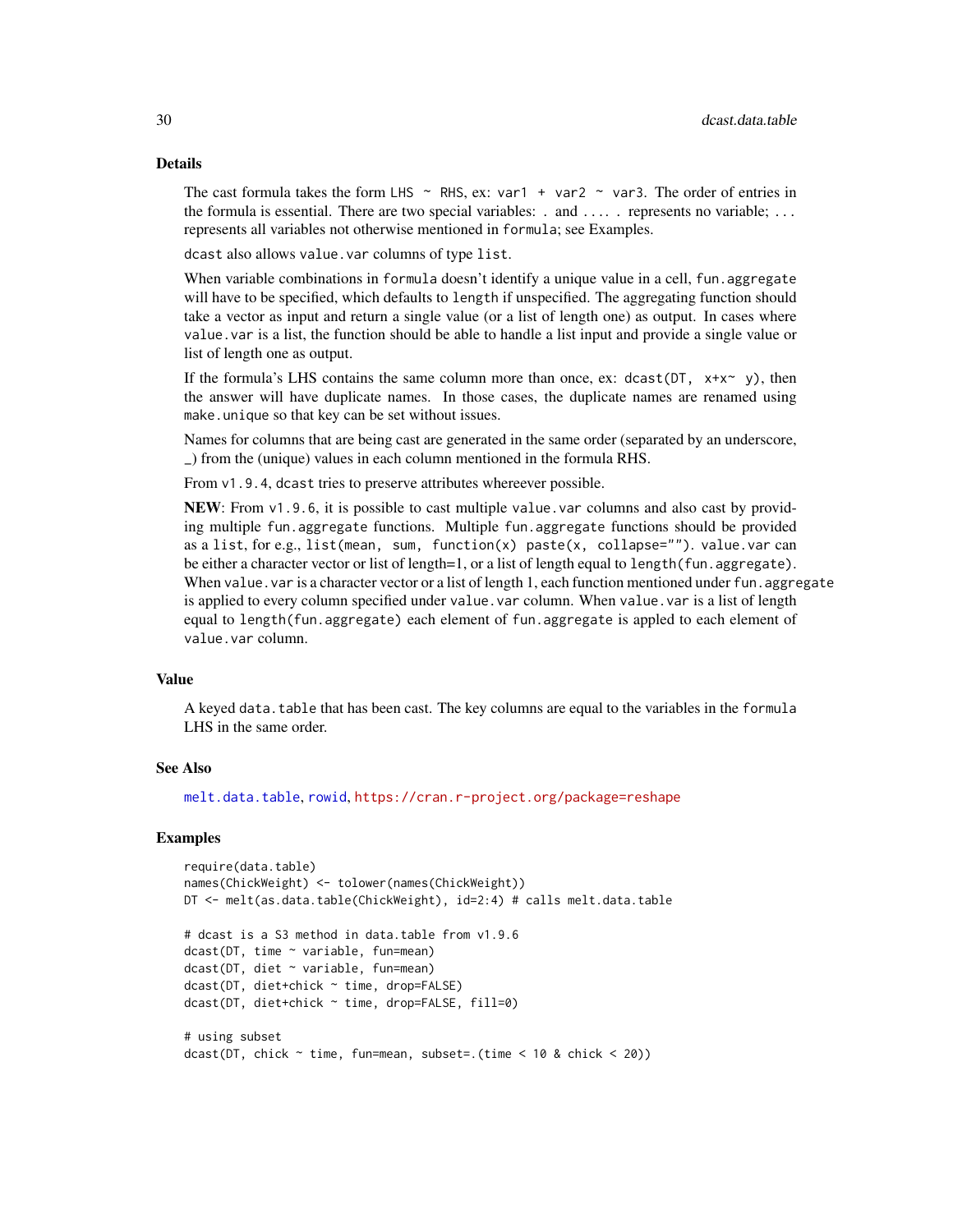# Details

The cast formula takes the form LHS  $\sim$  RHS, ex: var1 + var2  $\sim$  var3. The order of entries in the formula is essential. There are two special variables: . and .... . represents no variable; ... represents all variables not otherwise mentioned in formula; see Examples.

dcast also allows value.var columns of type list.

When variable combinations in formula doesn't identify a unique value in a cell, fun. aggregate will have to be specified, which defaults to length if unspecified. The aggregating function should take a vector as input and return a single value (or a list of length one) as output. In cases where value.var is a list, the function should be able to handle a list input and provide a single value or list of length one as output.

If the formula's LHS contains the same column more than once, ex: dcast( $DT, x+x<sup>2</sup>$  y), then the answer will have duplicate names. In those cases, the duplicate names are renamed using make.unique so that key can be set without issues.

Names for columns that are being cast are generated in the same order (separated by an underscore, \_) from the (unique) values in each column mentioned in the formula RHS.

From  $v1.9.4$ , dcast tries to preserve attributes whereever possible.

NEW: From  $v1.9.6$ , it is possible to cast multiple value. var columns and also cast by providing multiple fun.aggregate functions. Multiple fun.aggregate functions should be provided as a list, for e.g., list(mean, sum, function(x) paste(x, collapse=""). value.var can be either a character vector or list of length=1, or a list of length equal to length(fun.aggregate). When value. var is a character vector or a list of length 1, each function mentioned under fun. aggregate is applied to every column specified under value. var column. When value. var is a list of length equal to length(fun.aggregate) each element of fun.aggregate is appled to each element of value.var column.

#### Value

A keyed data.table that has been cast. The key columns are equal to the variables in the formula LHS in the same order.

# See Also

[melt.data.table](#page-57-1), [rowid](#page-68-1), <https://cran.r-project.org/package=reshape>

#### Examples

```
require(data.table)
names(ChickWeight) <- tolower(names(ChickWeight))
DT <- melt(as.data.table(ChickWeight), id=2:4) # calls melt.data.table
# dcast is a S3 method in data.table from v1.9.6
dcast(DT, time ~ variable, fun=mean)
dcast(DT, diet ~ variable, fun=mean)
dcast(DT, diet+chick ~ time, drop=FALSE)
dcast(DT, diet+chick ~ time, drop=FALSE, fill=0)
# using subset
dcast(DT, chick ~ time, fun=mean, subset=.(time ~ 10 & chick ~ 20))
```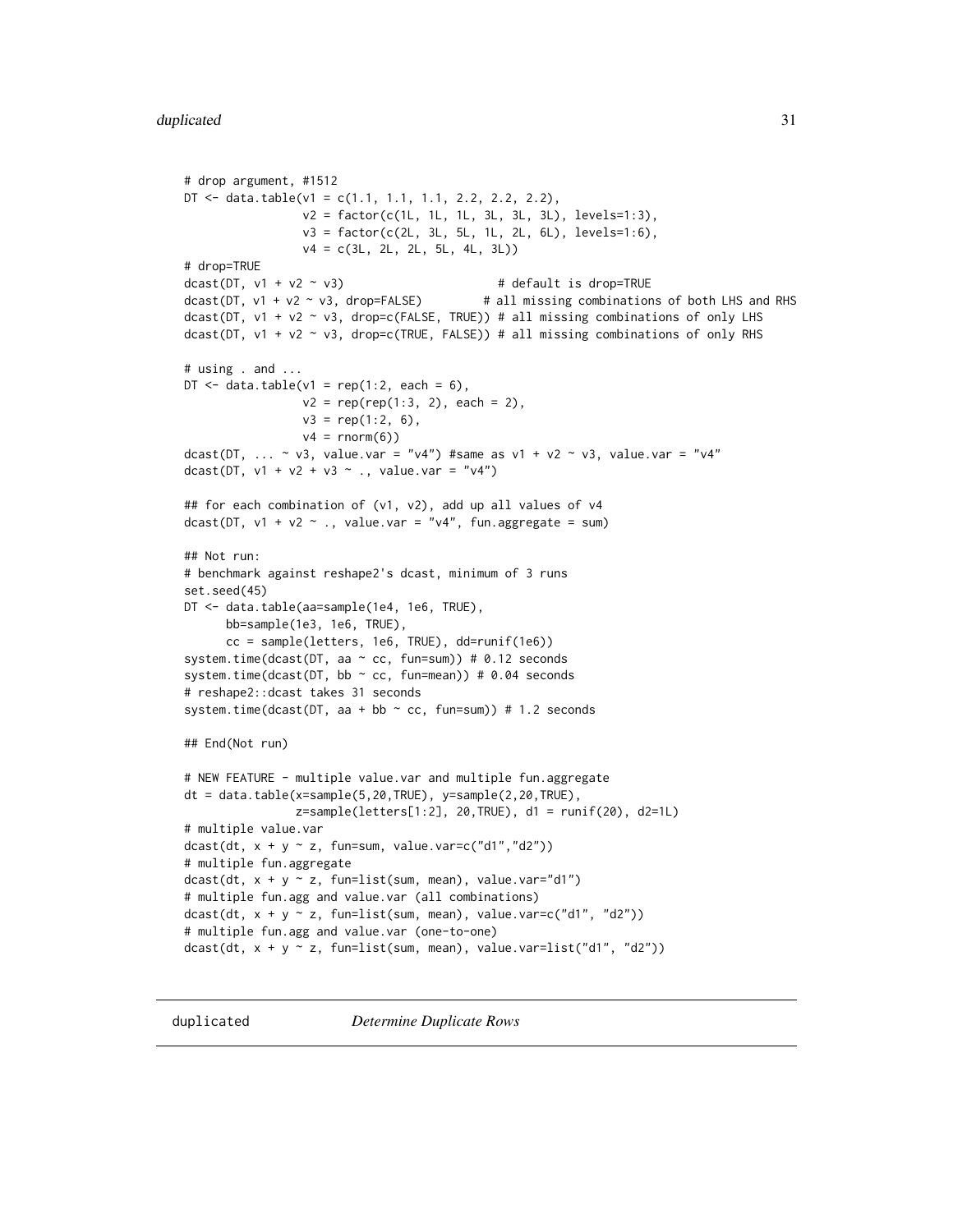```
# drop argument, #1512
DT \le data.table(v1 = c(1.1, 1.1, 1.1, 2.2, 2.2, 2.2),
                 v2 = factor(c(1L, 1L, 1L, 3L, 3L, 3L), levels=1:3),
                 v3 = factor(c(2L, 3L, 5L, 1L, 2L, 6L), levels=1:6),
                 v4 = c(3L, 2L, 2L, 5L, 4L, 3L))# drop=TRUE
dcast(DT, v1 + v2 ~ v3) # default is drop=TRUE
dcast(DT, v1 + v2 \sim v3, drop=FALSE) # all missing combinations of both LHS and RHS
dcast(DT, v1 + v2 ~ v3, drop=c(FALSE, TRUE)) # all missing combinations of only LHS
dcast(DT, v1 + v2 \sim v3, drop=c(TRUE, FALSE)) # all missing combinations of only RHS
# using . and ...
DT \le data.table(v1 = rep(1:2, each = 6),
                 v2 = rep(rep(1:3, 2), each = 2),v3 = rep(1:2, 6),v4 = rnorm(6)dcast(DT, ... ~ v3, value.var = "v4") #same as v1 + v2 ~ v3, value.var = "v4"
dcast(DT, v1 + v2 + v3 \sim ., value.var = "v4")
## for each combination of (v1, v2), add up all values of v4
dcast(DT, v1 + v2 ~ ., value.var = "v4", fun.aggregate = sum)
## Not run:
# benchmark against reshape2's dcast, minimum of 3 runs
set.seed(45)
DT <- data.table(aa=sample(1e4, 1e6, TRUE),
     bb=sample(1e3, 1e6, TRUE),
      cc = sample(letters, 1e6, TRUE), dd=runif(1e6))
system.time(dcast(DT, aa \sim cc, fun=sum)) # 0.12 seconds
system.time(dcast(DT, bb ~ cc, fun=mean)) # 0.04 seconds
# reshape2::dcast takes 31 seconds
system.time(dcast(DT, aa + bb ~ cc, fun=sum)) # 1.2 seconds
## End(Not run)
# NEW FEATURE - multiple value.var and multiple fun.aggregate
dt = data.table(x=sample(5,20,TRUE), y=sample(2,20,TRUE),
                z=sample(letters[1:2], 20,TRUE), d1 = runif(20), d2=1L)
# multiple value.var
dcast(dt, x + y \sim z, fun=sum, value.var=c("d1","d2"))
# multiple fun.aggregate
dcast(dt, x + y \sim z, fun=list(sum, mean), value.var="d1")
# multiple fun.agg and value.var (all combinations)
dcast(dt, x + y \sim z, fun=list(sum, mean), value.var=c("d1", "d2"))
# multiple fun.agg and value.var (one-to-one)
dcast(dt, x + y \sim z, fun=list(sum, mean), value.var=list("d1", "d2"))
```
<span id="page-30-2"></span><span id="page-30-1"></span>

duplicated *Determine Duplicate Rows*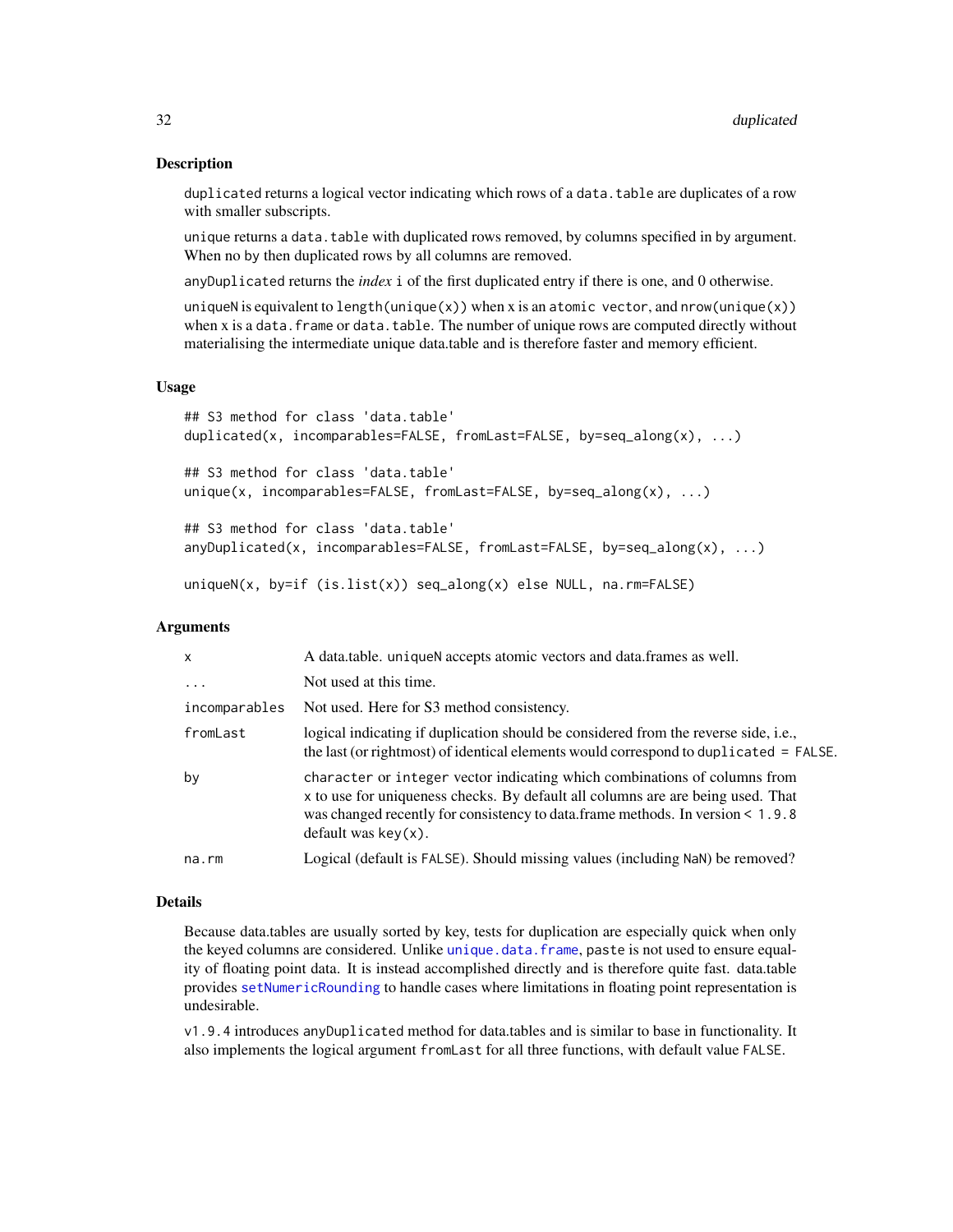#### Description

duplicated returns a logical vector indicating which rows of a data.table are duplicates of a row with smaller subscripts.

unique returns a data.table with duplicated rows removed, by columns specified in by argument. When no by then duplicated rows by all columns are removed.

anyDuplicated returns the *index* i of the first duplicated entry if there is one, and 0 otherwise.

uniqueN is equivalent to length(unique(x)) when x is an atomic vector, and nrow(unique(x)) when x is a data. frame or data.table. The number of unique rows are computed directly without materialising the intermediate unique data.table and is therefore faster and memory efficient.

# Usage

```
## S3 method for class 'data.table'
duplicated(x, incomparables=FALSE, fromLast=FALSE, by=seq_along(x), ...)
## S3 method for class 'data.table'
unique(x, incomparables=FALSE, fromLast=FALSE, by=seq_along(x), ...)
## S3 method for class 'data.table'
anyDuplicated(x, incomparables=FALSE, fromLast=FALSE, by=seq_along(x), ...)
uniqueN(x, by=if (is.list(x)) seq_along(x) else NULL, na.rm=FALSE)
```
#### Arguments

| $\mathsf{x}$  | A data.table. uniqueN accepts atomic vectors and data.frames as well.                                                                                                                                                                                                       |
|---------------|-----------------------------------------------------------------------------------------------------------------------------------------------------------------------------------------------------------------------------------------------------------------------------|
| $\ddots$ .    | Not used at this time.                                                                                                                                                                                                                                                      |
| incomparables | Not used. Here for S3 method consistency.                                                                                                                                                                                                                                   |
| fromLast      | logical indicating if duplication should be considered from the reverse side, i.e.,<br>the last (or rightmost) of identical elements would correspond to duplicated = FALSE.                                                                                                |
| by            | character or integer vector indicating which combinations of columns from<br>x to use for uniqueness checks. By default all columns are are being used. That<br>was changed recently for consistency to data.frame methods. In version < 1.9.8<br>$default$ was key $(x)$ . |
| na.rm         | Logical (default is FALSE). Should missing values (including NaN) be removed?                                                                                                                                                                                               |

# Details

Because data.tables are usually sorted by key, tests for duplication are especially quick when only the keyed columns are considered. Unlike [unique.data.frame](#page-0-0), paste is not used to ensure equality of floating point data. It is instead accomplished directly and is therefore quite fast. data.table provides [setNumericRounding](#page-78-1) to handle cases where limitations in floating point representation is undesirable.

v1.9.4 introduces anyDuplicated method for data.tables and is similar to base in functionality. It also implements the logical argument fromLast for all three functions, with default value FALSE.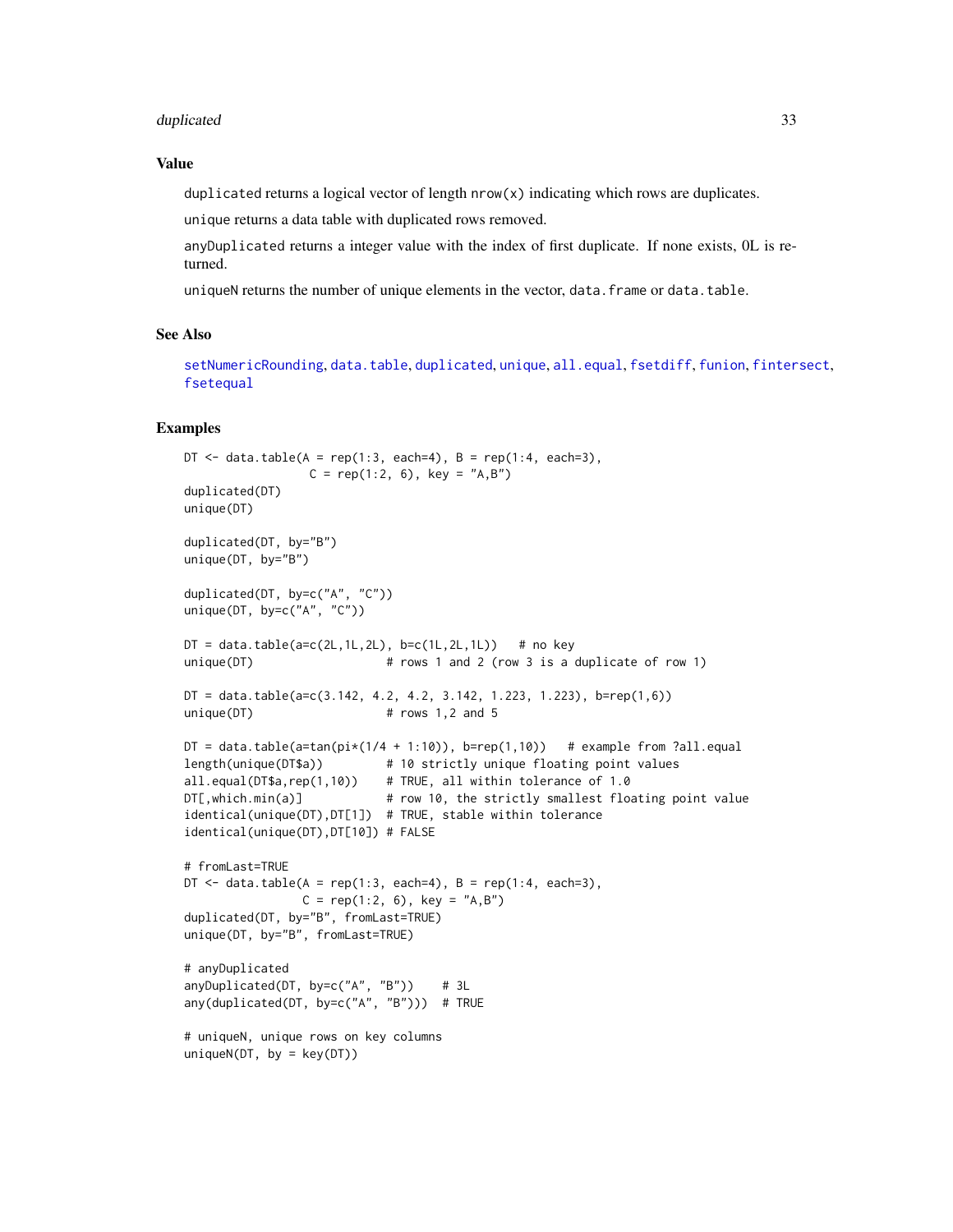#### duplicated 33

# Value

duplicated returns a logical vector of length  $nrow(x)$  indicating which rows are duplicates.

unique returns a data table with duplicated rows removed.

anyDuplicated returns a integer value with the index of first duplicate. If none exists, 0L is returned.

uniqueN returns the number of unique elements in the vector, data.frame or data.table.

# See Also

[setNumericRounding](#page-78-1), [data.table](#page-2-1), [duplicated](#page-30-2), [unique](#page-30-1), [all.equal](#page-15-1), [fsetdiff](#page-80-1), [funion](#page-80-1), [fintersect](#page-80-1), [fsetequal](#page-80-1)

#### Examples

```
DT <- data.table(A = rep(1:3, each=4), B = rep(1:4, each=3),
                 C = rep(1:2, 6), key = "A,B")
duplicated(DT)
unique(DT)
duplicated(DT, by="B")
unique(DT, by="B")
duplicated(DT, by=c("A", "C"))
unique(DT, by=c("A", "C"))
DT = data.table(a=c(2L, 1L, 2L), b=c(1L, 2L, 1L)) # no key
unique(DT) \qquad \qquad # rows 1 and 2 (row 3 is a duplicate of row 1)DT = data.table(a=c(3.142, 4.2, 4.2, 3.142, 1.223, 1.223), b=rep(1,6))unique(DT) # rows 1,2 and 5
DT = data.table(a=tan(pi*(1/4 + 1:10)), b=rep(1,10)) # example from ?all.equal
length(unique(DT$a)) # 10 strictly unique floating point values
all.equal(DT$a,rep(1,10)) # TRUE, all within tolerance of 1.0
DT[,which.min(a)] \qquad \qquad # row 10, the strictly smallest floating point value
identical(unique(DT),DT[1]) # TRUE, stable within tolerance
identical(unique(DT),DT[10]) # FALSE
# fromLast=TRUE
DT \le data.table(A = rep(1:3, each=4), B = rep(1:4, each=3),
                C = rep(1:2, 6), key = "A,B")duplicated(DT, by="B", fromLast=TRUE)
unique(DT, by="B", fromLast=TRUE)
# anyDuplicated
anyDuplicated(DT, by=c("A", "B")) # 3L
any(duplicated(DT, by=c("A", "B"))) # TRUE
# uniqueN, unique rows on key columns
uniqueN(DT, by = key(DT))
```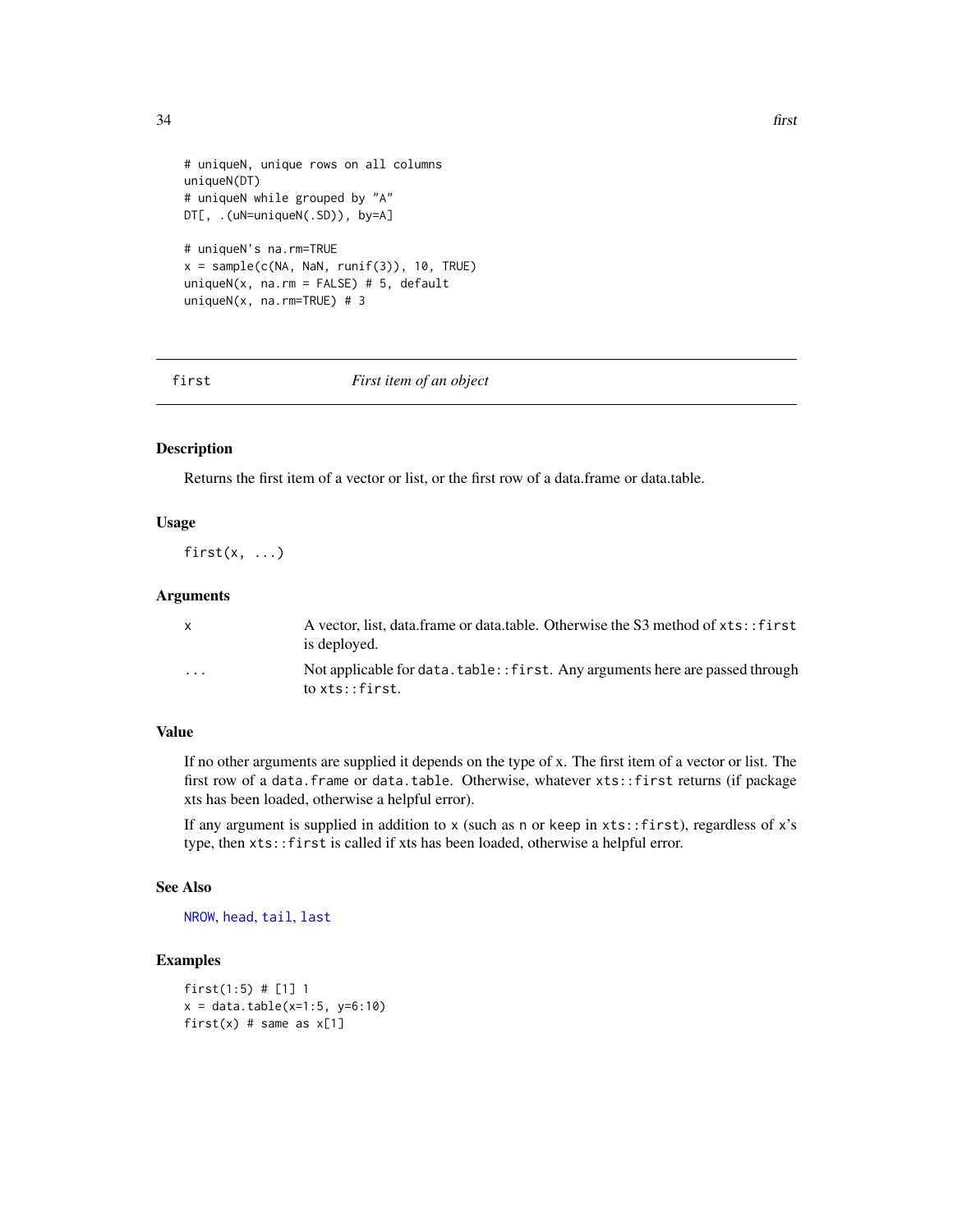```
# uniqueN, unique rows on all columns
uniqueN(DT)
# uniqueN while grouped by "A"
DT[, .(uN=uniqueN(.SD)), by=A]
# uniqueN's na.rm=TRUE
x = sample(c(NA, \text{NaN}, \text{runif}(3)), 10, \text{TRUE})uniqueN(x, na.rm = FALSE) # 5, default
uniqueN(x, na.rm=TRUE) # 3
```
first *First item of an object*

# Description

Returns the first item of a vector or list, or the first row of a data.frame or data.table.

# Usage

 $first(x, ...)$ 

#### Arguments

|          | A vector, list, data.frame or data.table. Otherwise the S3 method of xts:: first<br>is deployed. |
|----------|--------------------------------------------------------------------------------------------------|
| $\cdots$ | Not applicable for data.table:: first. Any arguments here are passed through<br>to xts::first.   |

# Value

If no other arguments are supplied it depends on the type of x. The first item of a vector or list. The first row of a data.frame or data.table. Otherwise, whatever xts::first returns (if package xts has been loaded, otherwise a helpful error).

If any argument is supplied in addition to  $x$  (such as n or keep in  $x$ ts::first), regardless of  $x$ 's type, then xts::first is called if xts has been loaded, otherwise a helpful error.

#### See Also

[NROW](#page-0-0), [head](#page-0-0), [tail](#page-0-0), [last](#page-55-1)

# Examples

```
first(1:5) # [1] 1
x = data.title(x=1:5, y=6:10)first(x) # same as x[1]
```
<span id="page-33-0"></span>34 first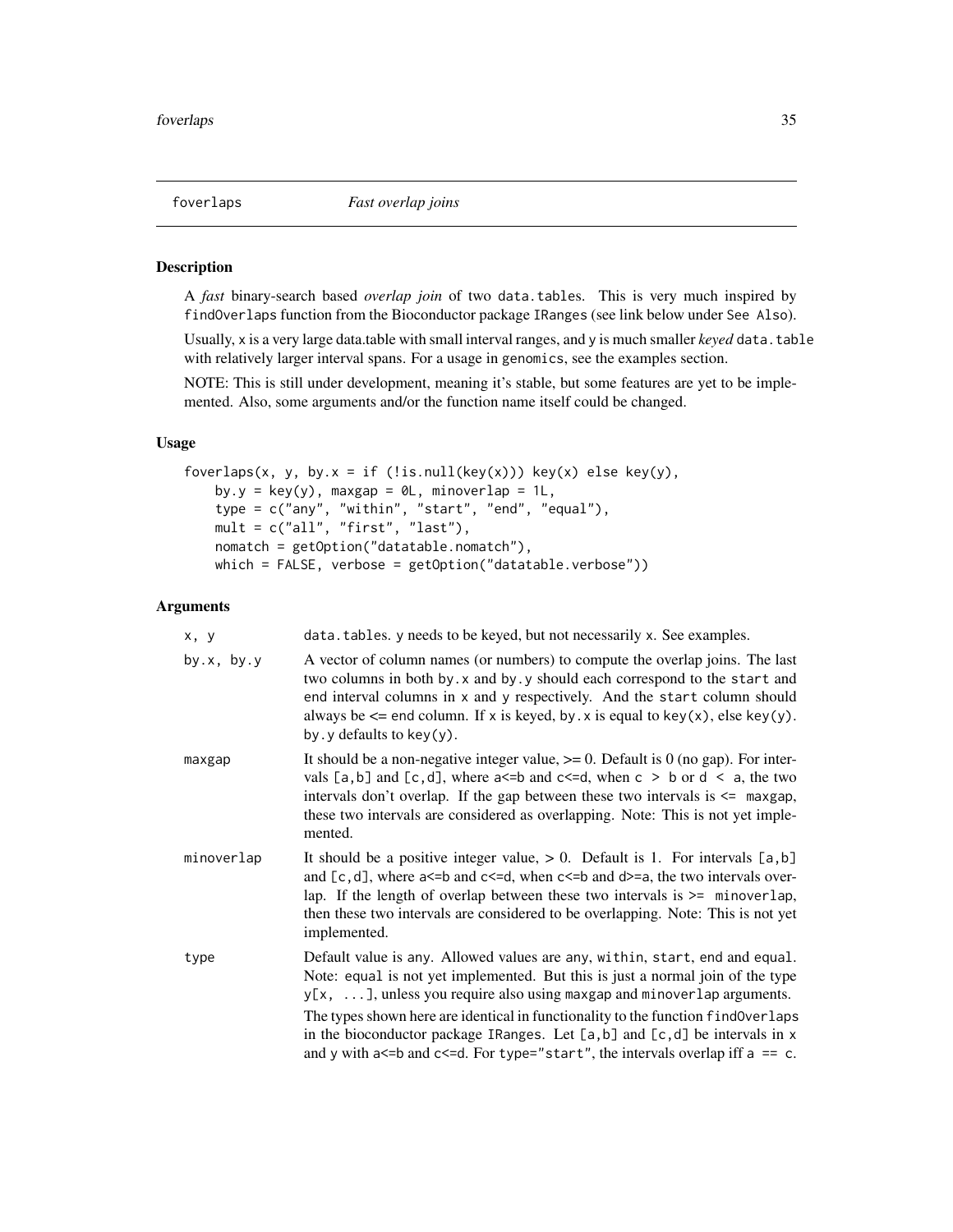<span id="page-34-0"></span>

#### Description

A *fast* binary-search based *overlap join* of two data.tables. This is very much inspired by findOverlaps function from the Bioconductor package IRanges (see link below under See Also).

Usually, x is a very large data.table with small interval ranges, and y is much smaller *keyed* data.table with relatively larger interval spans. For a usage in genomics, see the examples section.

NOTE: This is still under development, meaning it's stable, but some features are yet to be implemented. Also, some arguments and/or the function name itself could be changed.

# Usage

```
foverlaps(x, y, by.x = if (!is.null(key(x))) key(x) else key(y),
   by.y = key(y), maxgap = 0L, minoverlap = 1L,
   type = c("any", "within", "start", "end", "equal"),
   mult = c("all", "first", "last"),
   nomatch = getOption("datatable.nomatch"),
   which = FALSE, verbose = getOption("datatable.verbose"))
```
# Arguments

| x, y         | data.tables. y needs to be keyed, but not necessarily x. See examples.                                                                                                                                                                                                                                                                                                                                                                                                                                                 |
|--------------|------------------------------------------------------------------------------------------------------------------------------------------------------------------------------------------------------------------------------------------------------------------------------------------------------------------------------------------------------------------------------------------------------------------------------------------------------------------------------------------------------------------------|
| by. $x, by.$ | A vector of column names (or numbers) to compute the overlap joins. The last<br>two columns in both by.x and by.y should each correspond to the start and<br>end interval columns in x and y respectively. And the start column should<br>always be $\leq$ end column. If x is keyed, by x is equal to key(x), else key(y).<br>by $\cdot$ y defaults to key(y).                                                                                                                                                        |
| maxgap       | It should be a non-negative integer value, $>= 0$ . Default is 0 (no gap). For inter-<br>vals $[a, b]$ and $[c, d]$ , where $a \le b$ and $c \le d$ , when $c > b$ or $d < a$ , the two<br>intervals don't overlap. If the gap between these two intervals is $\leq$ maxgap,<br>these two intervals are considered as overlapping. Note: This is not yet imple-<br>mented.                                                                                                                                             |
| minoverlap   | It should be a positive integer value, $> 0$ . Default is 1. For intervals $[a, b]$<br>and $[c, d]$ , where a<=b and c<=d, when c<=b and d>=a, the two intervals over-<br>lap. If the length of overlap between these two intervals is $\geq$ minoverlap,<br>then these two intervals are considered to be overlapping. Note: This is not yet<br>implemented.                                                                                                                                                          |
| type         | Default value is any. Allowed values are any, within, start, end and equal.<br>Note: equal is not yet implemented. But this is just a normal join of the type<br>$y[x, \ldots]$ , unless you require also using maxgap and minoverlap arguments.<br>The types shown here are identical in functionality to the function find Overlaps<br>in the bioconductor package IRanges. Let $[a,b]$ and $[c,d]$ be intervals in x<br>and y with $a \le b$ and $c \le d$ . For type="start", the intervals overlap iff $a == c$ . |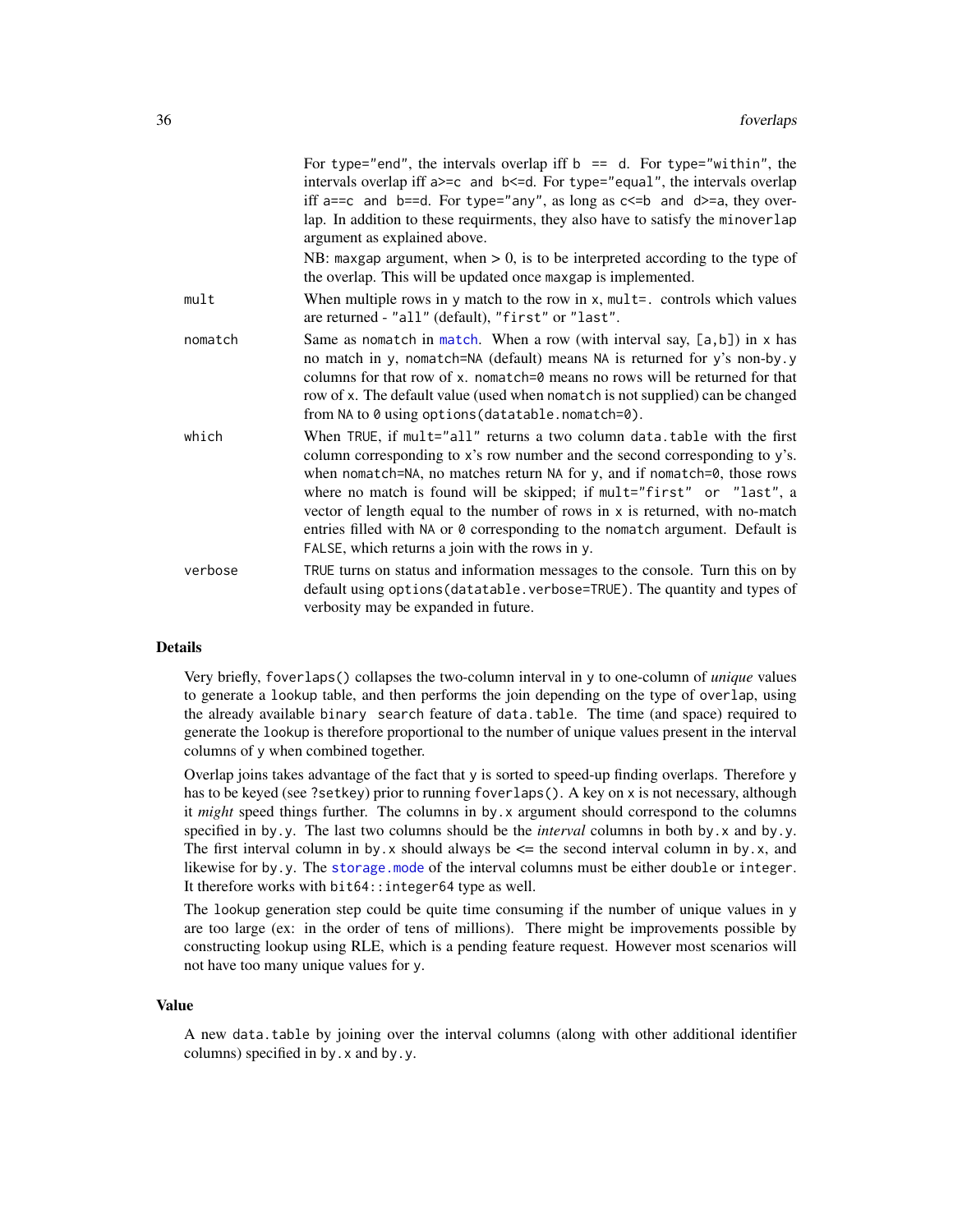|         | For type="end", the intervals overlap iff $b == d$ . For type="within", the<br>intervals overlap iff a>=c and b<=d. For type="equal", the intervals overlap<br>iff $a == c$ and $b == d$ . For type="any", as long as $c \le b$ and $d >= a$ , they over-<br>lap. In addition to these requirments, they also have to satisfy the minoverlap<br>argument as explained above.                                                                                                                                                       |
|---------|------------------------------------------------------------------------------------------------------------------------------------------------------------------------------------------------------------------------------------------------------------------------------------------------------------------------------------------------------------------------------------------------------------------------------------------------------------------------------------------------------------------------------------|
|         | NB: maxgap argument, when $> 0$ , is to be interpreted according to the type of<br>the overlap. This will be updated once maxgap is implemented.                                                                                                                                                                                                                                                                                                                                                                                   |
| mult    | When multiple rows in y match to the row in $x$ , $mult =$ . controls which values<br>are returned - "all" (default), "first" or "last".                                                                                                                                                                                                                                                                                                                                                                                           |
| nomatch | Same as nomatch in match. When a row (with interval say, $[a,b]$ ) in x has<br>no match in y, nomatch=NA (default) means NA is returned for y's non-by y<br>columns for that row of x. nomatch=0 means no rows will be returned for that<br>row of x. The default value (used when nomatch is not supplied) can be changed<br>from NA to 0 using options (datatable.nomatch=0).                                                                                                                                                    |
| which   | When TRUE, if mult="all" returns a two column data.table with the first<br>column corresponding to x's row number and the second corresponding to y's.<br>when nomatch=NA, no matches return NA for y, and if nomatch=0, those rows<br>where no match is found will be skipped; if mult="first" or "last", a<br>vector of length equal to the number of rows in $x$ is returned, with no-match<br>entries filled with NA or 0 corresponding to the nomatch argument. Default is<br>FALSE, which returns a join with the rows in y. |
| verbose | TRUE turns on status and information messages to the console. Turn this on by<br>default using options (datatable. verbose=TRUE). The quantity and types of<br>verbosity may be expanded in future.                                                                                                                                                                                                                                                                                                                                |

# Details

Very briefly, foverlaps() collapses the two-column interval in y to one-column of *unique* values to generate a lookup table, and then performs the join depending on the type of overlap, using the already available binary search feature of data.table. The time (and space) required to generate the lookup is therefore proportional to the number of unique values present in the interval columns of y when combined together.

Overlap joins takes advantage of the fact that y is sorted to speed-up finding overlaps. Therefore y has to be keyed (see ?setkey) prior to running foverlaps(). A key on x is not necessary, although it *might* speed things further. The columns in by.x argument should correspond to the columns specified in by.y. The last two columns should be the *interval* columns in both by.x and by.y. The first interval column in by.x should always be  $\leq$  the second interval column in by.x, and likewise for by.y. The [storage.mode](#page-0-0) of the interval columns must be either double or integer. It therefore works with bit64::integer64 type as well.

The lookup generation step could be quite time consuming if the number of unique values in y are too large (ex: in the order of tens of millions). There might be improvements possible by constructing lookup using RLE, which is a pending feature request. However most scenarios will not have too many unique values for y.

#### Value

A new data.table by joining over the interval columns (along with other additional identifier columns) specified in by.x and by.y.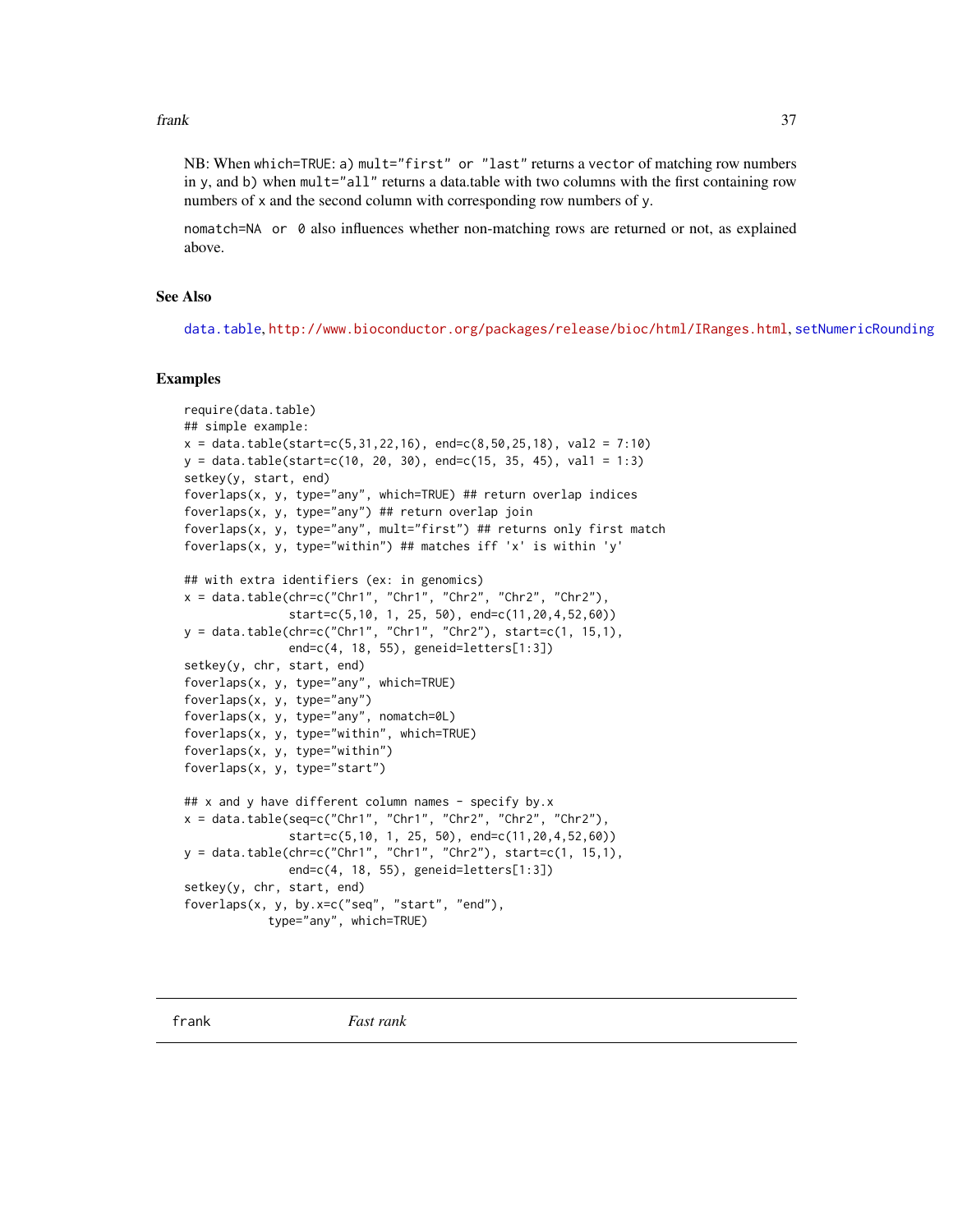#### frank 37

NB: When which=TRUE: a) mult="first" or "last" returns a vector of matching row numbers in y, and b) when  $mult="all"$  returns a data.table with two columns with the first containing row numbers of x and the second column with corresponding row numbers of y.

nomatch=NA or 0 also influences whether non-matching rows are returned or not, as explained above.

### See Also

[data.table](#page-2-0), <http://www.bioconductor.org/packages/release/bioc/html/IRanges.html>, [setNumericRounding](#page-78-0)

```
require(data.table)
## simple example:
x = data.title(start=c(5, 31, 22, 16), end=c(8, 50, 25, 18), val2 = 7:10)y = data_table(start=c(10, 20, 30), end=c(15, 35, 45), val1 = 1:3)setkey(y, start, end)
foverlaps(x, y, type="any", which=TRUE) ## return overlap indices
foverlaps(x, y, type="any") ## return overlap join
foverlaps(x, y, type="any", mult="first") ## returns only first match
foverlaps(x, y, type="within") ## matches iff 'x' is within 'y'
## with extra identifiers (ex: in genomics)
x = data.table(char=c("Chr1", "Chr1", "Chr2", "Chr2", "Chr2", "Chr2").start=c(5,10, 1, 25, 50), end=c(11,20,4,52,60))
y = data.table(chr=c("Chr1", "Chr1", "Chr2"), start=c(1, 15,1),
               end=c(4, 18, 55), geneid=letters[1:3])
setkey(y, chr, start, end)
foverlaps(x, y, type="any", which=TRUE)
foverlaps(x, y, type="any")
foverlaps(x, y, type="any", nomatch=0L)
foverlaps(x, y, type="within", which=TRUE)
foverlaps(x, y, type="within")
foverlaps(x, y, type="start")
## x and y have different column names - specify by.x
x = data.table(seq=c("Chr1", "Chr1", "Chr2", "Chr2", "Chr2", "Chr2").start=c(5,10, 1, 25, 50), end=c(11,20,4,52,60))
y = data.title(chr = c("Chr1", "Chr1", "Chr2")), start=c(1, 15,1),
               end=c(4, 18, 55), geneid=letters[1:3])
setkey(y, chr, start, end)
foverlaps(x, y, by.x=c("seq", "start", "end"),
            type="any", which=TRUE)
```
<span id="page-36-0"></span>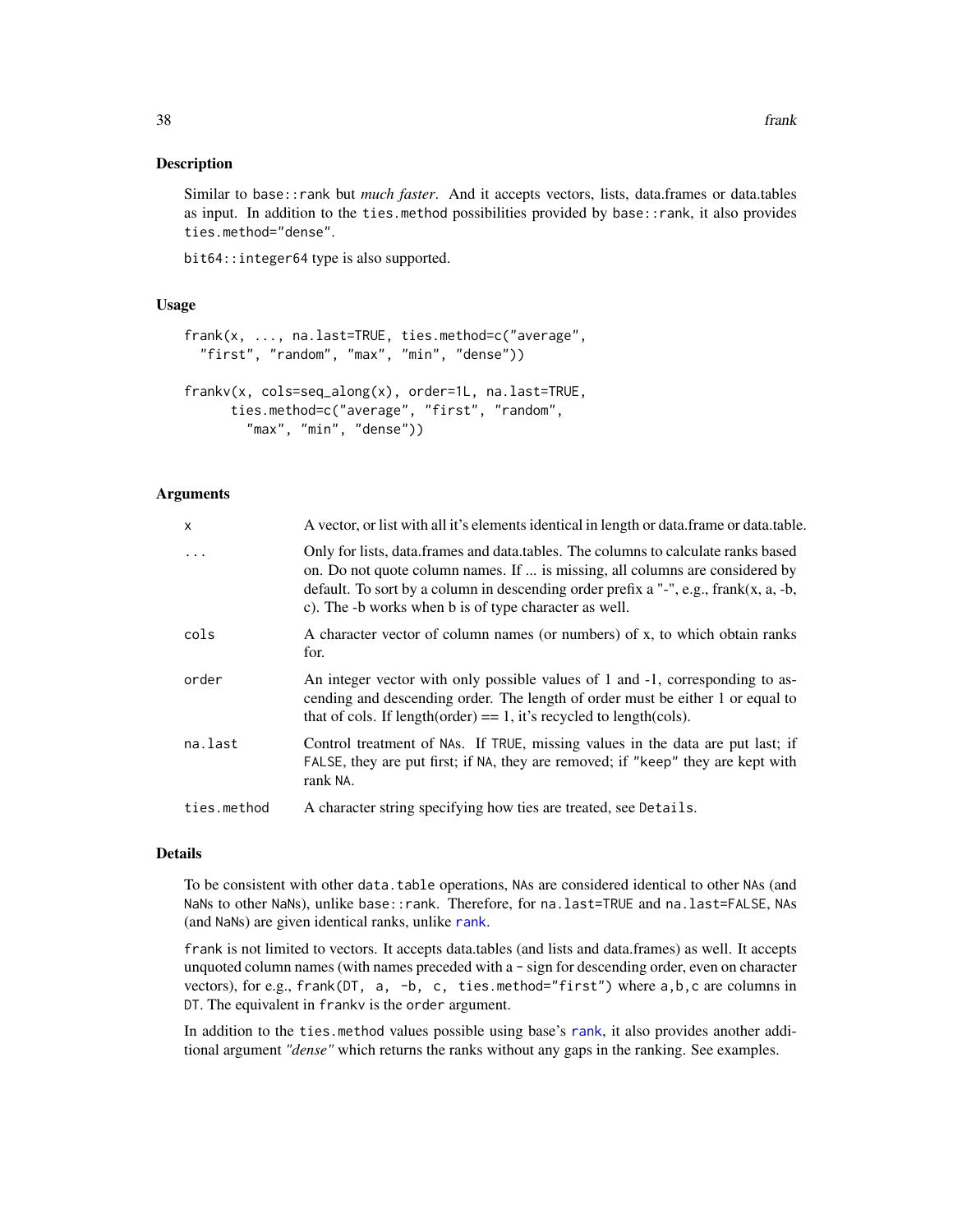### Description

Similar to base::rank but *much faster*. And it accepts vectors, lists, data.frames or data.tables as input. In addition to the ties.method possibilities provided by base::rank, it also provides ties.method="dense".

bit64::integer64 type is also supported.

## Usage

```
frank(x, ..., na.last=TRUE, ties.method=c("average",
  "first", "random", "max", "min", "dense"))
frankv(x, cols=seq_along(x), order=1L, na.last=TRUE,
     ties.method=c("average", "first", "random",
        "max", "min", "dense"))
```
## Arguments

| X           | A vector, or list with all it's elements identical in length or data. frame or data. table.                                                                                                                                                                                                                          |
|-------------|----------------------------------------------------------------------------------------------------------------------------------------------------------------------------------------------------------------------------------------------------------------------------------------------------------------------|
|             | Only for lists, data.frames and data.tables. The columns to calculate ranks based<br>on. Do not quote column names. If  is missing, all columns are considered by<br>default. To sort by a column in descending order prefix a "-", e.g., $frank(x, a, -b,$<br>c). The -b works when b is of type character as well. |
| cols        | A character vector of column names (or numbers) of x, to which obtain ranks<br>for.                                                                                                                                                                                                                                  |
| order       | An integer vector with only possible values of 1 and -1, corresponding to as-<br>cending and descending order. The length of order must be either 1 or equal to<br>that of cols. If length(order) $== 1$ , it's recycled to length(cols).                                                                            |
| na.last     | Control treatment of NAs. If TRUE, missing values in the data are put last; if<br>FALSE, they are put first; if NA, they are removed; if "keep" they are kept with<br>rank NA.                                                                                                                                       |
| ties.method | A character string specifying how ties are treated, see Details.                                                                                                                                                                                                                                                     |

### Details

To be consistent with other data.table operations, NAs are considered identical to other NAs (and NaNs to other NaNs), unlike base::rank. Therefore, for na.last=TRUE and na.last=FALSE, NAs (and NaNs) are given identical ranks, unlike [rank](#page-36-0).

frank is not limited to vectors. It accepts data.tables (and lists and data.frames) as well. It accepts unquoted column names (with names preceded with a - sign for descending order, even on character vectors), for e.g.,  $frank(DT, a, -b, c, ties.method="first")$  where  $a, b, c$  are columns in DT. The equivalent in frankv is the order argument.

In addition to the ties.method values possible using base's [rank](#page-36-0), it also provides another additional argument *"dense"* which returns the ranks without any gaps in the ranking. See examples.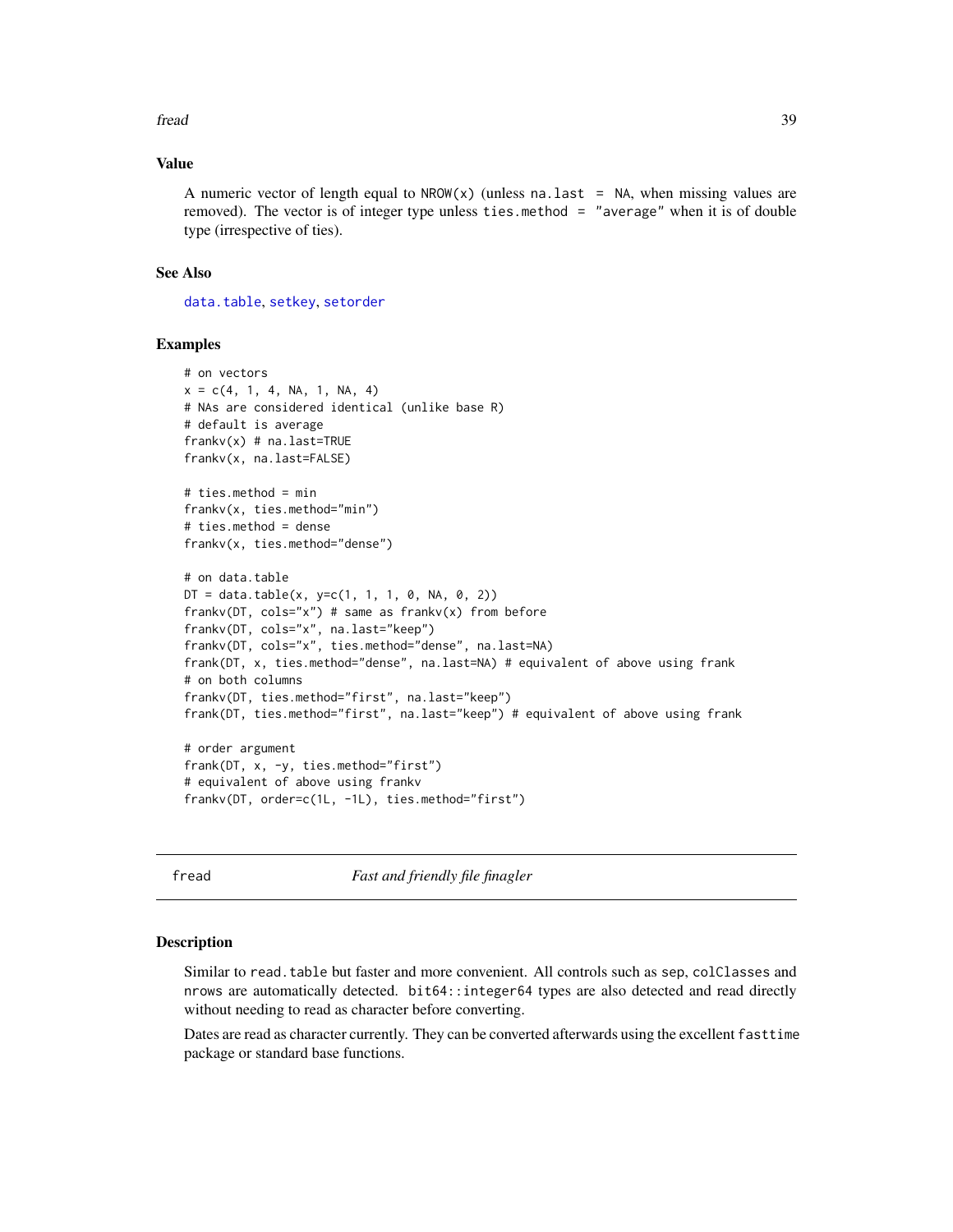#### fread 39

### Value

A numeric vector of length equal to  $NROW(x)$  (unless na.last = NA, when missing values are removed). The vector is of integer type unless ties.method = "average" when it is of double type (irrespective of ties).

# See Also

[data.table](#page-2-0), [setkey](#page-76-0), [setorder](#page-81-0)

#### Examples

```
# on vectors
x = c(4, 1, 4, NA, 1, NA, 4)# NAs are considered identical (unlike base R)
# default is average
frankv(x) # na.last=TRUE
frankv(x, na.last=FALSE)
# ties.method = min
frankv(x, ties.method="min")
# ties.method = dense
frankv(x, ties.method="dense")
# on data.table
DT = data.table(x, y=c(1, 1, 1, 0, NA, 0, 2))frankv(DT, cols="x") # same as frankv(x) from before
frankv(DT, cols="x", na.last="keep")
frankv(DT, cols="x", ties.method="dense", na.last=NA)
frank(DT, x, ties.method="dense", na.last=NA) # equivalent of above using frank
# on both columns
frankv(DT, ties.method="first", na.last="keep")
frank(DT, ties.method="first", na.last="keep") # equivalent of above using frank
# order argument
frank(DT, x, -y, ties.method="first")
# equivalent of above using frankv
frankv(DT, order=c(1L, -1L), ties.method="first")
```
<span id="page-38-0"></span>fread *Fast and friendly file finagler*

### Description

Similar to read.table but faster and more convenient. All controls such as sep, colClasses and nrows are automatically detected. bit64::integer64 types are also detected and read directly without needing to read as character before converting.

Dates are read as character currently. They can be converted afterwards using the excellent fasttime package or standard base functions.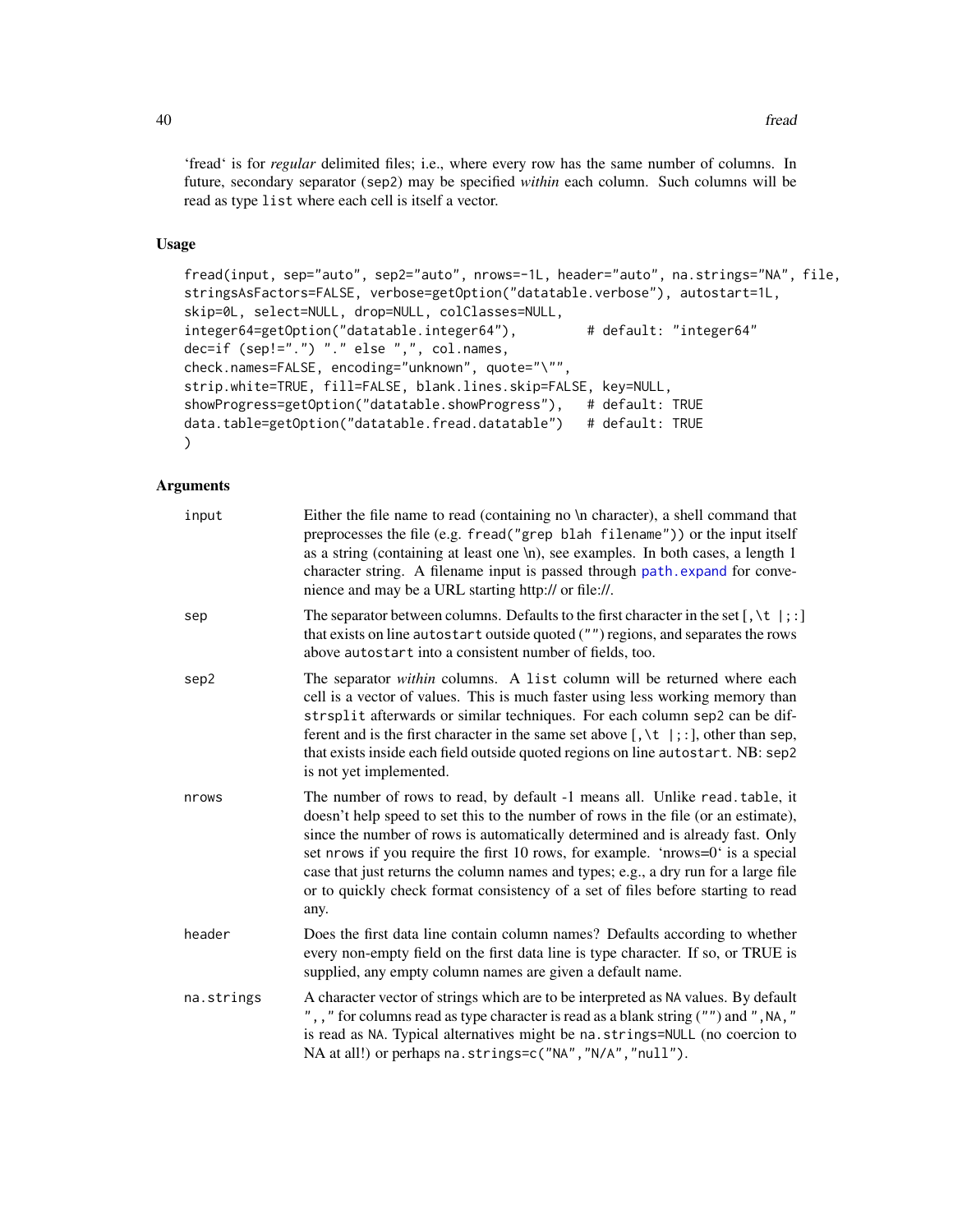40 fread of the state of the state of the state of the state of the state of the state of the state of the state of the state of the state of the state of the state of the state of the state of the state of the state of th

'fread' is for *regular* delimited files; i.e., where every row has the same number of columns. In future, secondary separator (sep2) may be specified *within* each column. Such columns will be read as type list where each cell is itself a vector.

# Usage

```
fread(input, sep="auto", sep2="auto", nrows=-1L, header="auto", na.strings="NA", file,
stringsAsFactors=FALSE, verbose=getOption("datatable.verbose"), autostart=1L,
skip=0L, select=NULL, drop=NULL, colClasses=NULL,
integer64=getOption("datatable.integer64"), # default: "integer64"
dec=if (sep!=".") "." else ",", col.names,
check.names=FALSE, encoding="unknown", quote="\"",
strip.white=TRUE, fill=FALSE, blank.lines.skip=FALSE, key=NULL,
showProgress=getOption("datatable.showProgress"), # default: TRUE
data.table=getOption("datatable.fread.datatable") # default: TRUE
)
```

| input      | Either the file name to read (containing no \n character), a shell command that<br>preprocesses the file (e.g. fread("grep blah filename")) or the input itself<br>as a string (containing at least one \n), see examples. In both cases, a length 1<br>character string. A filename input is passed through path. expand for conve-<br>nience and may be a URL starting http:// or file://.                                                                                                                             |
|------------|--------------------------------------------------------------------------------------------------------------------------------------------------------------------------------------------------------------------------------------------------------------------------------------------------------------------------------------------------------------------------------------------------------------------------------------------------------------------------------------------------------------------------|
| sep        | The separator between columns. Defaults to the first character in the set $[ , \setminus t ]$ ; $]$<br>that exists on line autostart outside quoted ("") regions, and separates the rows<br>above autostart into a consistent number of fields, too.                                                                                                                                                                                                                                                                     |
| sep2       | The separator within columns. A list column will be returned where each<br>cell is a vector of values. This is much faster using less working memory than<br>strsplit afterwards or similar techniques. For each column sep2 can be dif-<br>ferent and is the first character in the same set above $[ , \setminus t   ; : ]$ , other than sep,<br>that exists inside each field outside quoted regions on line autostart. NB: sep2<br>is not yet implemented.                                                           |
| nrows      | The number of rows to read, by default -1 means all. Unlike read.table, it<br>doesn't help speed to set this to the number of rows in the file (or an estimate),<br>since the number of rows is automatically determined and is already fast. Only<br>set nrows if you require the first 10 rows, for example. 'nrows=0' is a special<br>case that just returns the column names and types; e.g., a dry run for a large file<br>or to quickly check format consistency of a set of files before starting to read<br>any. |
| header     | Does the first data line contain column names? Defaults according to whether<br>every non-empty field on the first data line is type character. If so, or TRUE is<br>supplied, any empty column names are given a default name.                                                                                                                                                                                                                                                                                          |
| na.strings | A character vector of strings which are to be interpreted as NA values. By default<br>", , " for columns read as type character is read as a blank string ("") and ", NA, "<br>is read as NA. Typical alternatives might be na. strings=NULL (no coercion to<br>NA at all!) or perhaps na. strings=c("NA", "N/A", "null").                                                                                                                                                                                               |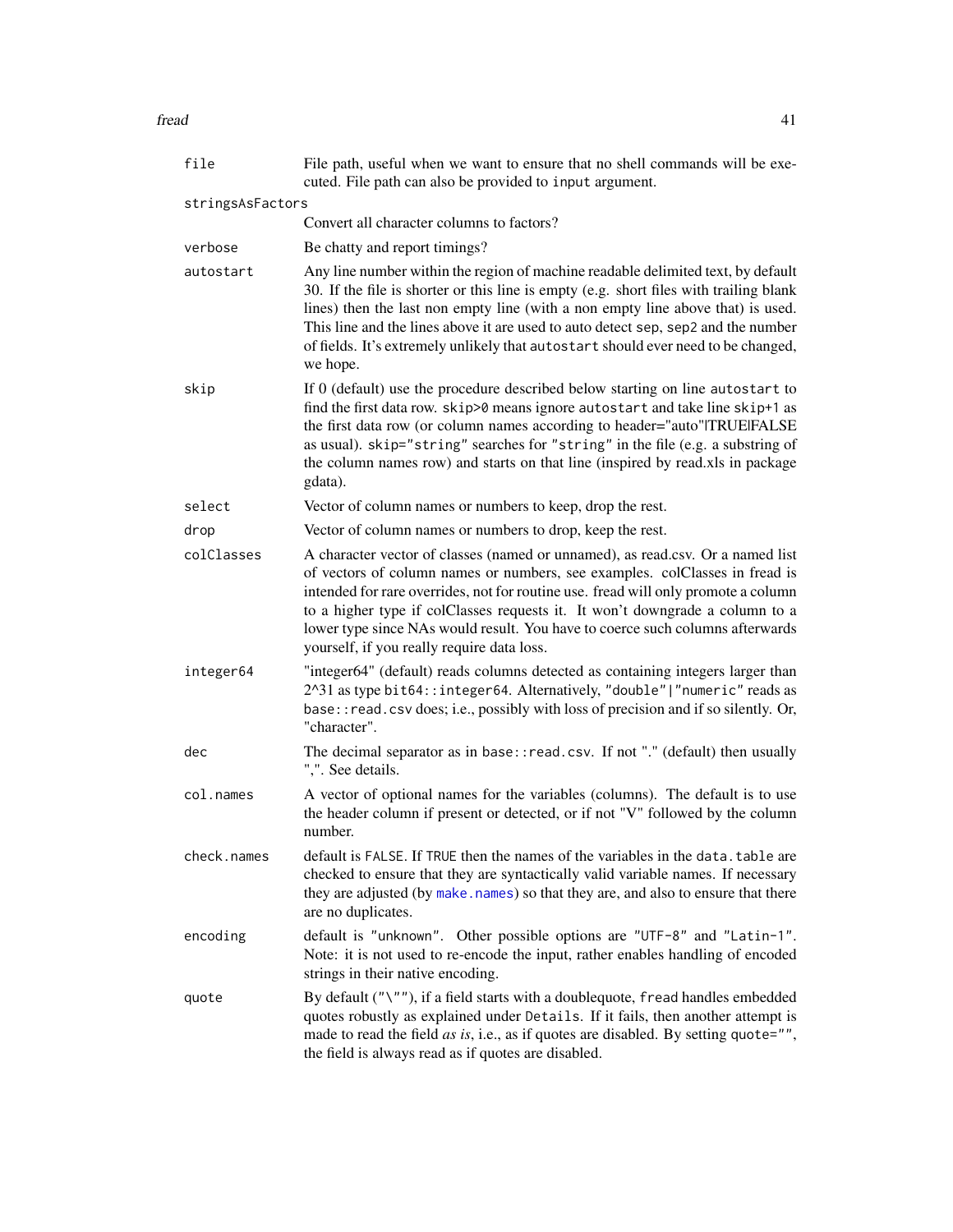fread 41

| file             | File path, useful when we want to ensure that no shell commands will be exe-<br>cuted. File path can also be provided to input argument.                                                                                                                                                                                                                                                                                                                           |
|------------------|--------------------------------------------------------------------------------------------------------------------------------------------------------------------------------------------------------------------------------------------------------------------------------------------------------------------------------------------------------------------------------------------------------------------------------------------------------------------|
| stringsAsFactors |                                                                                                                                                                                                                                                                                                                                                                                                                                                                    |
|                  | Convert all character columns to factors?                                                                                                                                                                                                                                                                                                                                                                                                                          |
| verbose          | Be chatty and report timings?                                                                                                                                                                                                                                                                                                                                                                                                                                      |
| autostart        | Any line number within the region of machine readable delimited text, by default<br>30. If the file is shorter or this line is empty (e.g. short files with trailing blank<br>lines) then the last non empty line (with a non empty line above that) is used.<br>This line and the lines above it are used to auto detect sep, sep2 and the number<br>of fields. It's extremely unlikely that autostart should ever need to be changed,<br>we hope.                |
| skip             | If 0 (default) use the procedure described below starting on line autostart to<br>find the first data row. skip>0 means ignore autostart and take line skip+1 as<br>the first data row (or column names according to header="auto" TRUE FALSE<br>as usual). skip="string" searches for "string" in the file (e.g. a substring of<br>the column names row) and starts on that line (inspired by read.xls in package<br>gdata).                                      |
| select           | Vector of column names or numbers to keep, drop the rest.                                                                                                                                                                                                                                                                                                                                                                                                          |
| drop             | Vector of column names or numbers to drop, keep the rest.                                                                                                                                                                                                                                                                                                                                                                                                          |
| colClasses       | A character vector of classes (named or unnamed), as read.csv. Or a named list<br>of vectors of column names or numbers, see examples. colClasses in fread is<br>intended for rare overrides, not for routine use. fread will only promote a column<br>to a higher type if colClasses requests it. It won't downgrade a column to a<br>lower type since NAs would result. You have to coerce such columns afterwards<br>yourself, if you really require data loss. |
| integer64        | "integer64" (default) reads columns detected as containing integers larger than<br>2^31 as type bit64:: integer64. Alternatively, "double"   "numeric" reads as<br>base:: read.csv does; i.e., possibly with loss of precision and if so silently. Or,<br>"character".                                                                                                                                                                                             |
| dec              | The decimal separator as in base:: read.csv. If not "." (default) then usually<br>",". See details.                                                                                                                                                                                                                                                                                                                                                                |
| col.names        | A vector of optional names for the variables (columns). The default is to use<br>the header column if present or detected, or if not "V" followed by the column<br>number.                                                                                                                                                                                                                                                                                         |
| check.names      | default is FALSE. If TRUE then the names of the variables in the data. table are<br>checked to ensure that they are syntactically valid variable names. If necessary<br>they are adjusted (by make. names) so that they are, and also to ensure that there<br>are no duplicates.                                                                                                                                                                                   |
| encoding         | default is "unknown". Other possible options are "UTF-8" and "Latin-1".<br>Note: it is not used to re-encode the input, rather enables handling of encoded<br>strings in their native encoding.                                                                                                                                                                                                                                                                    |
| quote            | By default $("\\ "$ "), if a field starts with a doublequote, fread handles embedded<br>quotes robustly as explained under Details. If it fails, then another attempt is<br>made to read the field as is, i.e., as if quotes are disabled. By setting quote="",<br>the field is always read as if quotes are disabled.                                                                                                                                             |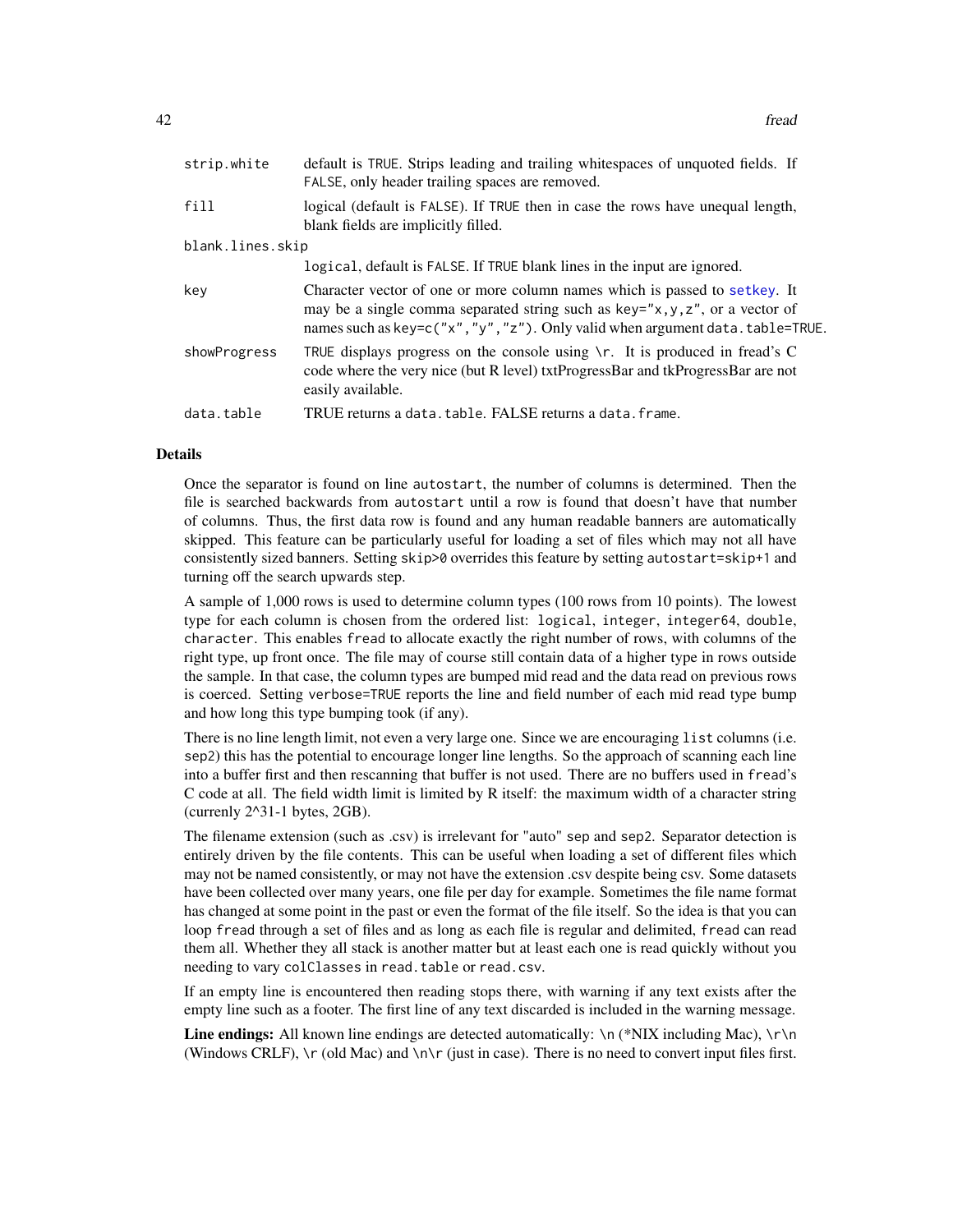| strip.white      | default is TRUE. Strips leading and trailing whitespaces of unquoted fields. If<br>FALSE, only header trailing spaces are removed.                                                                                                                   |
|------------------|------------------------------------------------------------------------------------------------------------------------------------------------------------------------------------------------------------------------------------------------------|
| fill             | logical (default is FALSE). If TRUE then in case the rows have unequal length,<br>blank fields are implicitly filled.                                                                                                                                |
| blank.lines.skip |                                                                                                                                                                                                                                                      |
|                  | logical, default is FALSE. If TRUE blank lines in the input are ignored.                                                                                                                                                                             |
| key              | Character vector of one or more column names which is passed to setkey. It<br>may be a single comma separated string such as $key = "x, y, z",$ or a vector of<br>names such as key= $c("x", "y", "z")$ . Only valid when argument data. table=TRUE. |
| showProgress     | TRUE displays progress on the console using $\trsim$ . It is produced in fread's C<br>code where the very nice (but R level) txtProgressBar and tkProgressBar are not<br>easily available.                                                           |
| data.table       | TRUE returns a data, table. FALSE returns a data, frame.                                                                                                                                                                                             |
|                  |                                                                                                                                                                                                                                                      |

## Details

Once the separator is found on line autostart, the number of columns is determined. Then the file is searched backwards from autostart until a row is found that doesn't have that number of columns. Thus, the first data row is found and any human readable banners are automatically skipped. This feature can be particularly useful for loading a set of files which may not all have consistently sized banners. Setting skip>0 overrides this feature by setting autostart=skip+1 and turning off the search upwards step.

A sample of 1,000 rows is used to determine column types (100 rows from 10 points). The lowest type for each column is chosen from the ordered list: logical, integer, integer64, double, character. This enables fread to allocate exactly the right number of rows, with columns of the right type, up front once. The file may of course still contain data of a higher type in rows outside the sample. In that case, the column types are bumped mid read and the data read on previous rows is coerced. Setting verbose=TRUE reports the line and field number of each mid read type bump and how long this type bumping took (if any).

There is no line length limit, not even a very large one. Since we are encouraging list columns (i.e. sep2) this has the potential to encourage longer line lengths. So the approach of scanning each line into a buffer first and then rescanning that buffer is not used. There are no buffers used in fread's C code at all. The field width limit is limited by R itself: the maximum width of a character string (currenly 2^31-1 bytes, 2GB).

The filename extension (such as .csv) is irrelevant for "auto" sep and sep2. Separator detection is entirely driven by the file contents. This can be useful when loading a set of different files which may not be named consistently, or may not have the extension .csv despite being csv. Some datasets have been collected over many years, one file per day for example. Sometimes the file name format has changed at some point in the past or even the format of the file itself. So the idea is that you can loop fread through a set of files and as long as each file is regular and delimited, fread can read them all. Whether they all stack is another matter but at least each one is read quickly without you needing to vary colClasses in read.table or read.csv.

If an empty line is encountered then reading stops there, with warning if any text exists after the empty line such as a footer. The first line of any text discarded is included in the warning message.

**Line endings:** All known line endings are detected automatically:  $\ln$  (\*NIX including Mac),  $\ln \ln$ (Windows CRLF),  $\rceil$  (old Mac) and  $\ln \rceil$  (just in case). There is no need to convert input files first.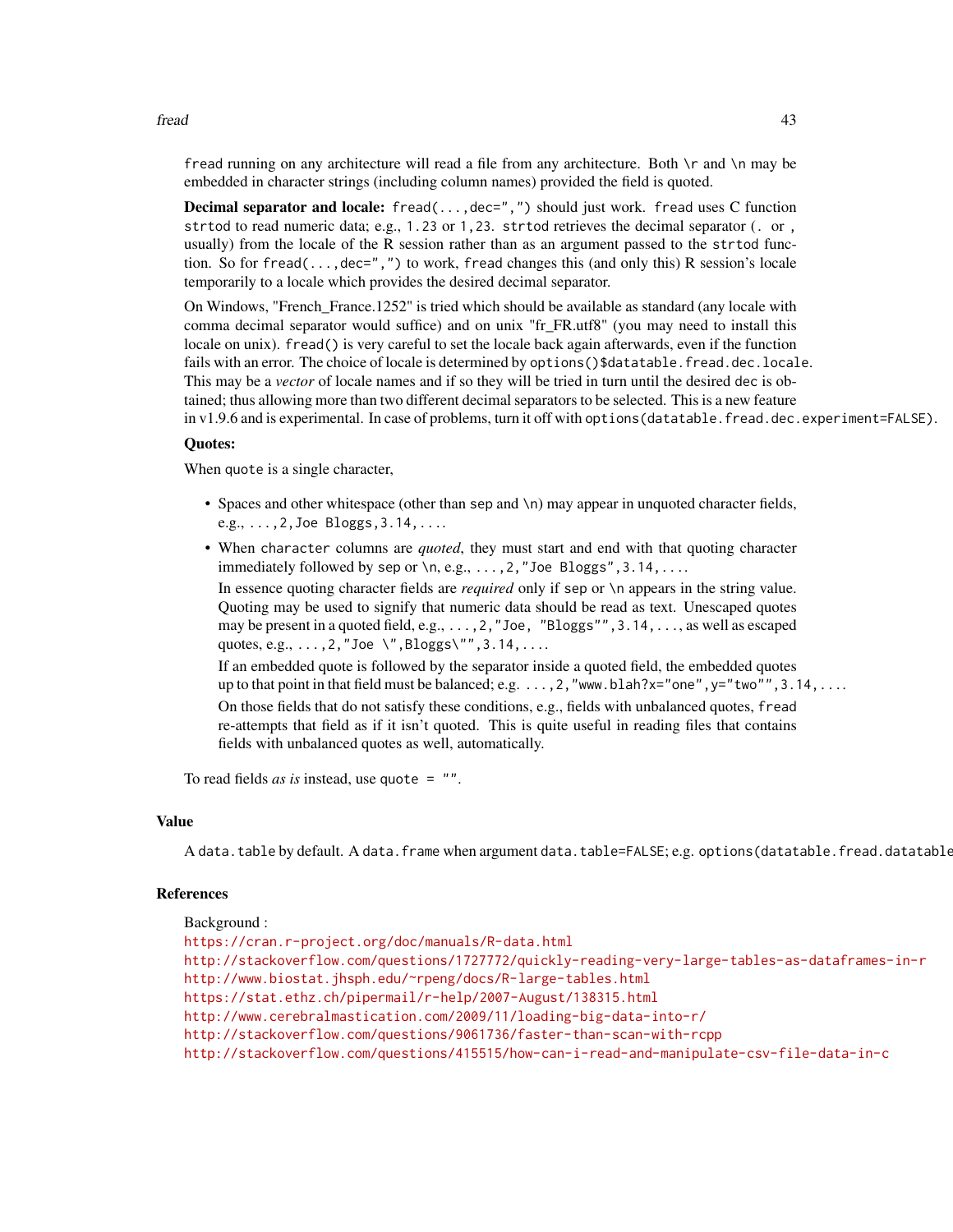#### fread 43

fread running on any architecture will read a file from any architecture. Both \r and \n may be embedded in character strings (including column names) provided the field is quoted.

Decimal separator and locale: fread(...,dec=",") should just work. fread uses C function strtod to read numeric data; e.g., 1.23 or 1,23. strtod retrieves the decimal separator (. or, usually) from the locale of the R session rather than as an argument passed to the strtod function. So for fread(...,dec=",") to work, fread changes this (and only this) R session's locale temporarily to a locale which provides the desired decimal separator.

On Windows, "French\_France.1252" is tried which should be available as standard (any locale with comma decimal separator would suffice) and on unix "fr\_FR.utf8" (you may need to install this locale on unix). fread() is very careful to set the locale back again afterwards, even if the function fails with an error. The choice of locale is determined by options()\$datatable. fread.dec.locale. This may be a *vector* of locale names and if so they will be tried in turn until the desired dec is obtained; thus allowing more than two different decimal separators to be selected. This is a new feature in v1.9.6 and is experimental. In case of problems, turn it off with options(datatable.fread.dec.experiment=FALSE).

### Quotes:

When quote is a single character,

- Spaces and other whitespace (other than sep and  $\n\t\$ n) may appear in unquoted character fields, e.g., ...,2,Joe Bloggs,3.14,....
- When character columns are *quoted*, they must start and end with that quoting character immediately followed by sep or  $\ln$ , e.g., ..., 2, "Joe Bloggs", 3.14, ...

In essence quoting character fields are *required* only if sep or \n appears in the string value. Quoting may be used to signify that numeric data should be read as text. Unescaped quotes may be present in a quoted field, e.g., ..., 2, "Joe, "Bloggs"", 3.14, ..., as well as escaped quotes, e.g.,  $\dots$ , 2, "Joe \", Bloggs\"", 3.14, ....

If an embedded quote is followed by the separator inside a quoted field, the embedded quotes up to that point in that field must be balanced; e.g.  $\dots$ , 2, "www.blah?x="one", y="two"", 3.14, ... On those fields that do not satisfy these conditions, e.g., fields with unbalanced quotes, fread re-attempts that field as if it isn't quoted. This is quite useful in reading files that contains fields with unbalanced quotes as well, automatically.

To read fields *as is* instead, use quote = "".

# Value

A data.table by default. A data.frame when argument data.table=FALSE; e.g. options(datatable.fread.datatable

#### References

```
Background :
https://cran.r-project.org/doc/manuals/R-data.html
http://stackoverflow.com/questions/1727772/quickly-reading-very-large-tables-as-dataframes-in-r
http://www.biostat.jhsph.edu/~rpeng/docs/R-large-tables.html
https://stat.ethz.ch/pipermail/r-help/2007-August/138315.html
http://www.cerebralmastication.com/2009/11/loading-big-data-into-r/
http://stackoverflow.com/questions/9061736/faster-than-scan-with-rcpp
http://stackoverflow.com/questions/415515/how-can-i-read-and-manipulate-csv-file-data-in-c
```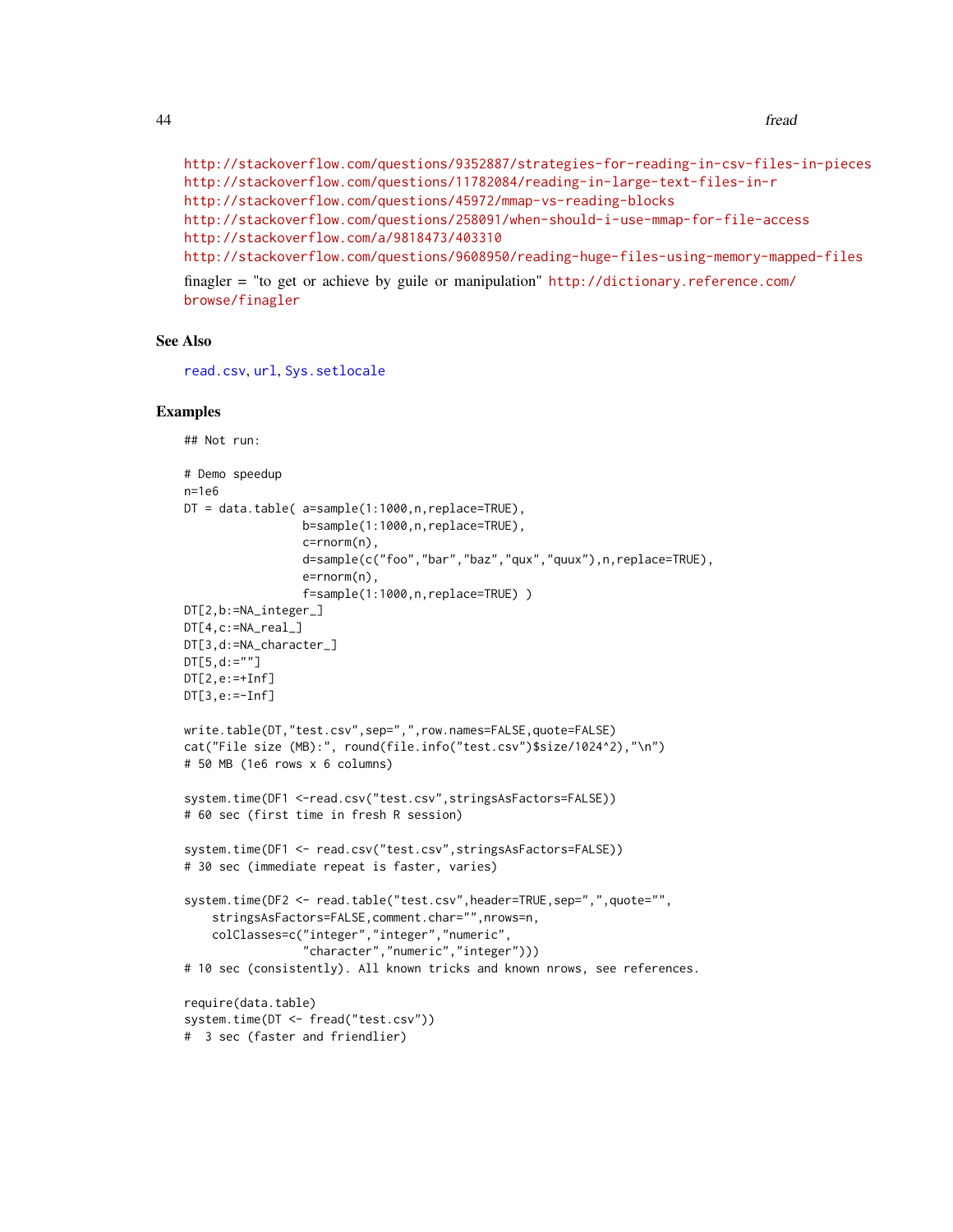```
http://stackoverflow.com/questions/9352887/strategies-for-reading-in-csv-files-in-pieces
http://stackoverflow.com/questions/11782084/reading-in-large-text-files-in-r
http://stackoverflow.com/questions/45972/mmap-vs-reading-blocks
http://stackoverflow.com/questions/258091/when-should-i-use-mmap-for-file-access
http://stackoverflow.com/a/9818473/403310
http://stackoverflow.com/questions/9608950/reading-huge-files-using-memory-mapped-files
finagler = "to get or achieve by guile or manipulation" http://dictionary.reference.com/
```
[browse/finagler](http://dictionary.reference.com/browse/finagler)

# See Also

[read.csv](#page-0-0), [url](#page-0-0), [Sys.setlocale](#page-0-0)

```
## Not run:
# Demo speedup
n=1e6
DT = data.table( a=sample(1:1000,n,replace=TRUE),
                 b=sample(1:1000,n,replace=TRUE),
                 c=rnorm(n),
                 d=sample(c("foo","bar","baz","qux","quux"),n,replace=TRUE),
                 e=rnorm(n),
                 f=sample(1:1000,n,replace=TRUE) )
DT[2,b:=NA_integer_]
DT[4,c:=NA_real_]
DT[3,d:=NA_character_]
DT[5,d:=""]DT[2,e:=+Inf]
DT[3,e:=-Inf]write.table(DT,"test.csv",sep=",",row.names=FALSE,quote=FALSE)
cat("File size (MB):", round(file.info("test.csv")$size/1024^2),"\n")
# 50 MB (1e6 rows x 6 columns)
system.time(DF1 <-read.csv("test.csv",stringsAsFactors=FALSE))
# 60 sec (first time in fresh R session)
system.time(DF1 <- read.csv("test.csv",stringsAsFactors=FALSE))
# 30 sec (immediate repeat is faster, varies)
system.time(DF2 <- read.table("test.csv",header=TRUE,sep=",",quote="",
    stringsAsFactors=FALSE,comment.char="",nrows=n,
    colClasses=c("integer","integer","numeric",
                 "character","numeric","integer")))
# 10 sec (consistently). All known tricks and known nrows, see references.
require(data.table)
system.time(DT <- fread("test.csv"))
# 3 sec (faster and friendlier)
```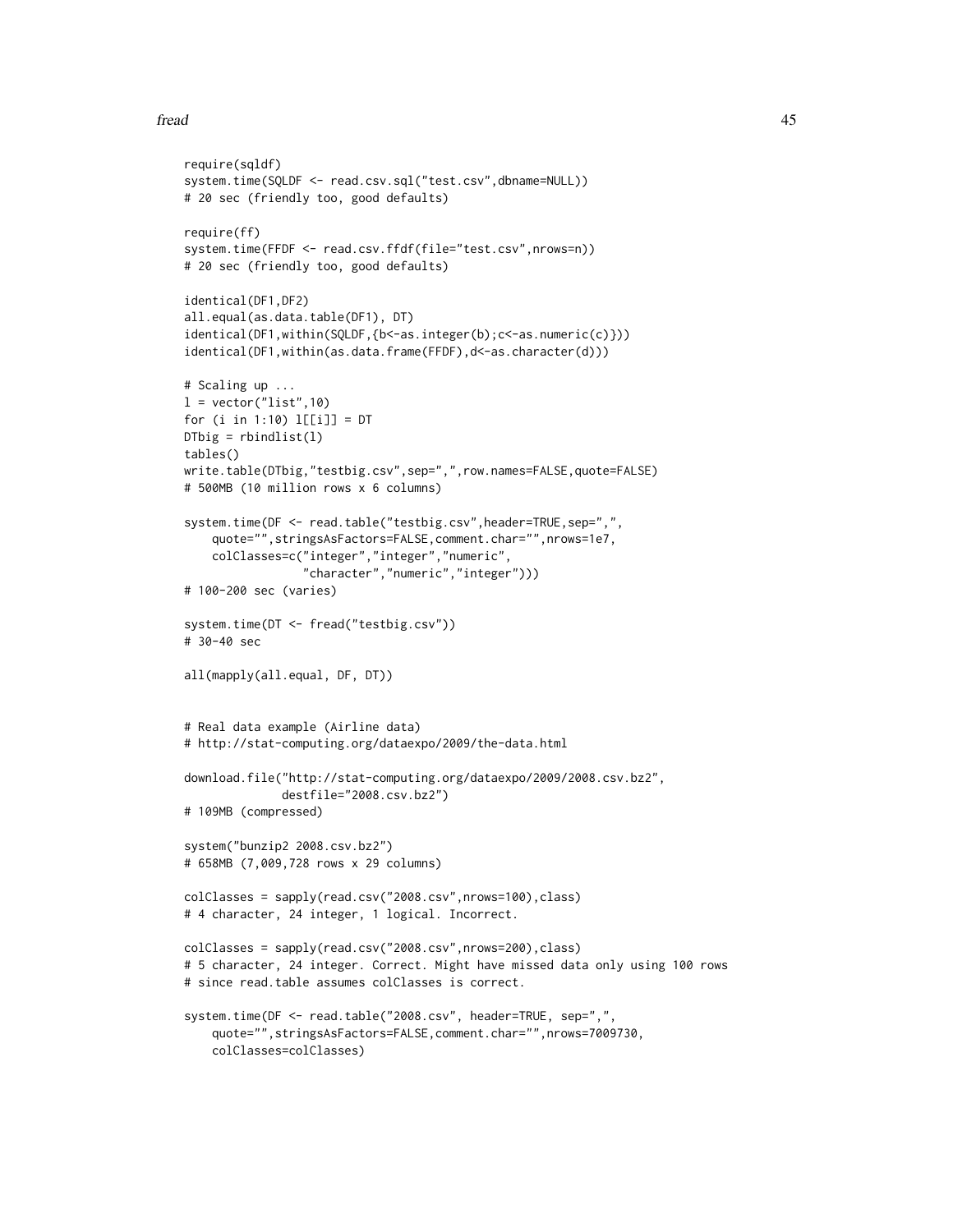#### fread 45

```
require(sqldf)
system.time(SQLDF <- read.csv.sql("test.csv",dbname=NULL))
# 20 sec (friendly too, good defaults)
require(ff)
system.time(FFDF <- read.csv.ffdf(file="test.csv",nrows=n))
# 20 sec (friendly too, good defaults)
identical(DF1,DF2)
all.equal(as.data.table(DF1), DT)
identical(DF1,within(SQLDF,{b<-as.integer(b);c<-as.numeric(c)}))
identical(DF1,within(as.data.frame(FFDF),d<-as.character(d)))
# Scaling up ...
l = vector("list", 10)for (i in 1:10) l[[i]] = DT
D \text{This} = \text{rbindlist}(1)tables()
write.table(DTbig,"testbig.csv",sep=",",row.names=FALSE,quote=FALSE)
# 500MB (10 million rows x 6 columns)
system.time(DF <- read.table("testbig.csv",header=TRUE,sep=",",
    quote="",stringsAsFactors=FALSE,comment.char="",nrows=1e7,
    colClasses=c("integer","integer","numeric",
                 "character","numeric","integer")))
# 100-200 sec (varies)
system.time(DT <- fread("testbig.csv"))
# 30-40 sec
all(mapply(all.equal, DF, DT))
# Real data example (Airline data)
# http://stat-computing.org/dataexpo/2009/the-data.html
download.file("http://stat-computing.org/dataexpo/2009/2008.csv.bz2",
              destfile="2008.csv.bz2")
# 109MB (compressed)
system("bunzip2 2008.csv.bz2")
# 658MB (7,009,728 rows x 29 columns)
colClasses = sapply(read.csv("2008.csv",nrows=100),class)
# 4 character, 24 integer, 1 logical. Incorrect.
colClasses = sapply(read.csv("2008.csv",nrows=200),class)
# 5 character, 24 integer. Correct. Might have missed data only using 100 rows
# since read.table assumes colClasses is correct.
system.time(DF <- read.table("2008.csv", header=TRUE, sep=",",
    quote="",stringsAsFactors=FALSE,comment.char="",nrows=7009730,
    colClasses=colClasses)
```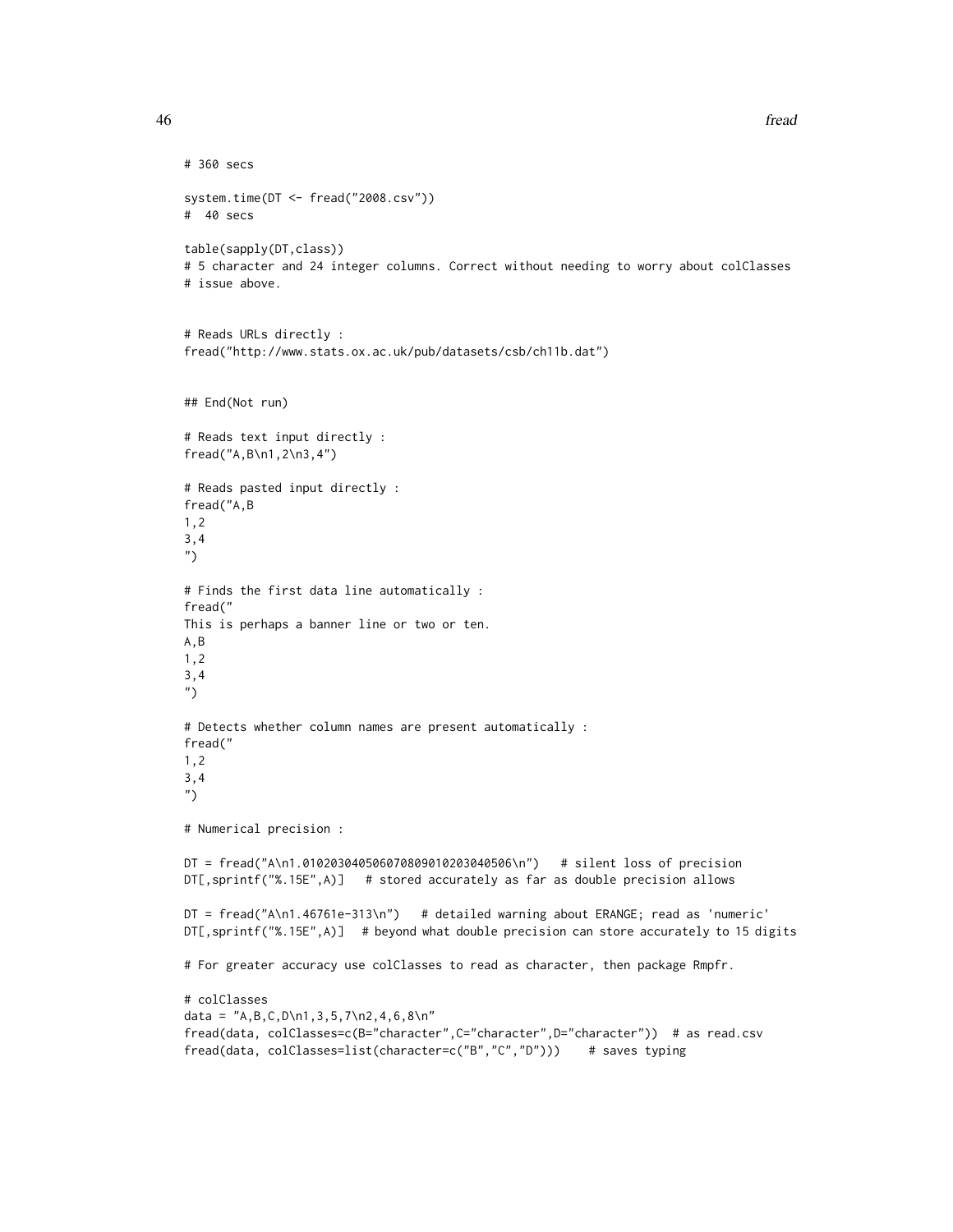```
# 360 secs
system.time(DT <- fread("2008.csv"))
# 40 secs
table(sapply(DT,class))
# 5 character and 24 integer columns. Correct without needing to worry about colClasses
# issue above.
# Reads URLs directly :
fread("http://www.stats.ox.ac.uk/pub/datasets/csb/ch11b.dat")
## End(Not run)
# Reads text input directly :
fread("A,B\n1,2\n3,4")
# Reads pasted input directly :
fread("A,B
1,2
3,4
")
# Finds the first data line automatically :
fread("
This is perhaps a banner line or two or ten.
A,B
1,2
3,4
")
# Detects whether column names are present automatically :
fread("
1,2
3,4
")
# Numerical precision :
DT = fread("A\n1.010203040506070809010203040506\n") # silent loss of precision
DT[, sprintf("%.15E", A)] # stored accurately as far as double precision allows
DT = fread("A\n1.46761e-313\n") # detailed warning about ERANGE; read as 'numeric'
DT[,sprintf("%.15E",A)] # beyond what double precision can store accurately to 15 digits
# For greater accuracy use colClasses to read as character, then package Rmpfr.
# colClasses
data = "A,B,C,D\n1,3,5,7\n2,4,6,8\n"
fread(data, colClasses=c(B="character",C="character",D="character")) # as read.csv
fread(data, colClasses=list(character=c("B","C","D"))) # saves typing
```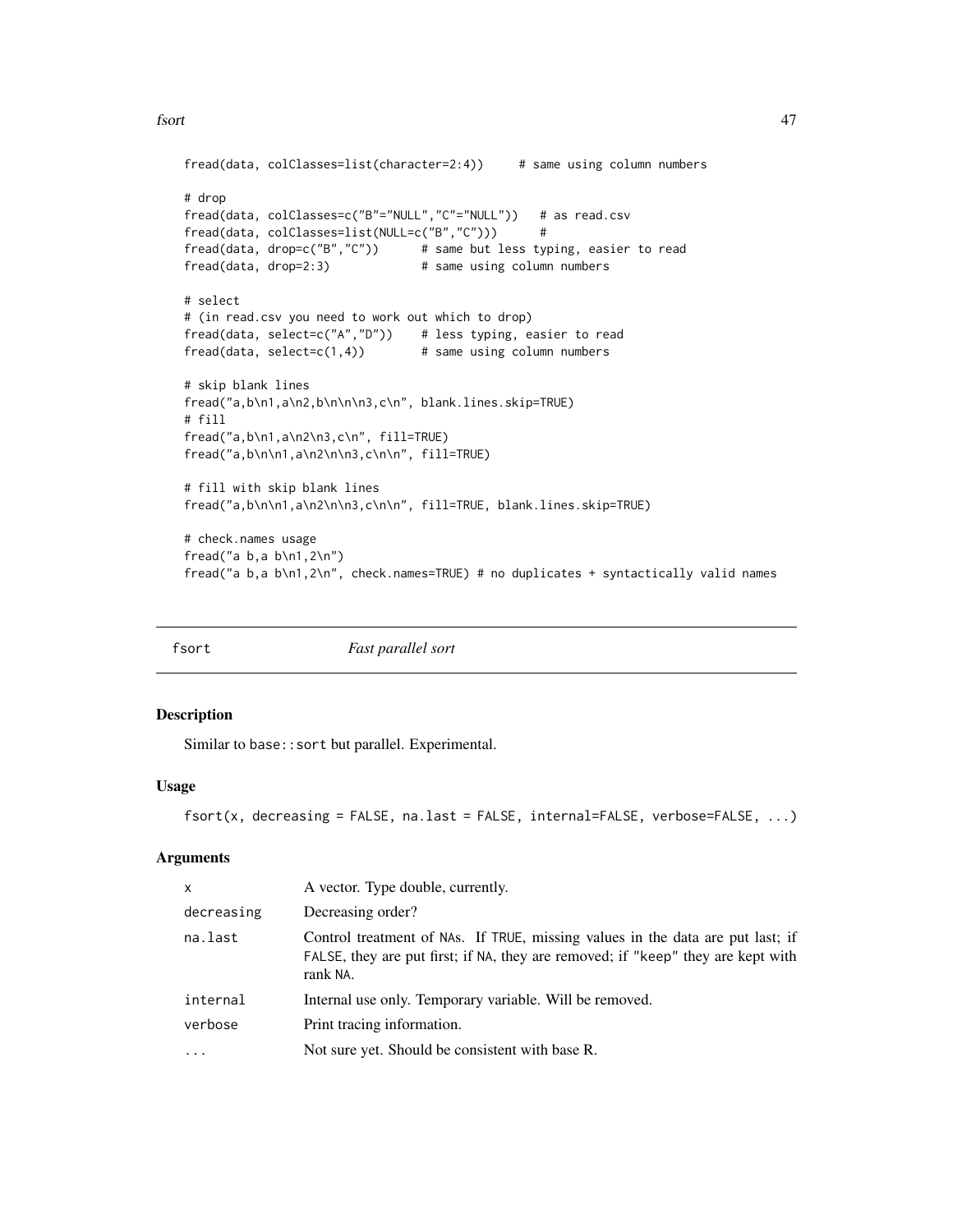```
fread(data, colClasses=list(character=2:4)) # same using column numbers
# drop
fread(data, colClasses=c("B"="NULL","C"="NULL")) # as read.csv
fread(data, colClasses=list(NULL=c("B","C"))) #
fread(data, drop=c("B","C")) # same but less typing, easier to read
fread(data, drop=2:3) # same using column numbers
# select
# (in read.csv you need to work out which to drop)
fread(data, select=c("A","D")) # less typing, easier to read
fread(data, select=c(1,4)) # same using column numbers
# skip blank lines
fread("a,b\n1,a\n2,b\n\n\n3,c\n", blank.lines.skip=TRUE)
# fill
fread("a,b\n1,a\n2\n3,c\n", fill=TRUE)
fread("a,b\n\n1,a\n2\n\n3,c\n\n", fill=TRUE)
# fill with skip blank lines
fread("a,b\n\n1,a\n2\n\n3,c\n\n", fill=TRUE, blank.lines.skip=TRUE)
# check.names usage
fread("a b,a b\n1,2\n")
fread("a b,a b\n1,2\n", check.names=TRUE) # no duplicates + syntactically valid names
```

| fsort | <i>Fast parallel sort</i> |
|-------|---------------------------|
|       |                           |

### Description

Similar to base::sort but parallel. Experimental.

# Usage

```
fsort(x, decreasing = FALSE, na.last = FALSE, internal=FALSE, verbose=FALSE, ...)
```

| $\mathsf{x}$ | A vector. Type double, currently.                                                                                                                                              |
|--------------|--------------------------------------------------------------------------------------------------------------------------------------------------------------------------------|
| decreasing   | Decreasing order?                                                                                                                                                              |
| na.last      | Control treatment of NAs. If TRUE, missing values in the data are put last; if<br>FALSE, they are put first; if NA, they are removed; if "keep" they are kept with<br>rank NA. |
| internal     | Internal use only. Temporary variable. Will be removed.                                                                                                                        |
| verbose      | Print tracing information.                                                                                                                                                     |
|              | Not sure yet. Should be consistent with base R.                                                                                                                                |
|              |                                                                                                                                                                                |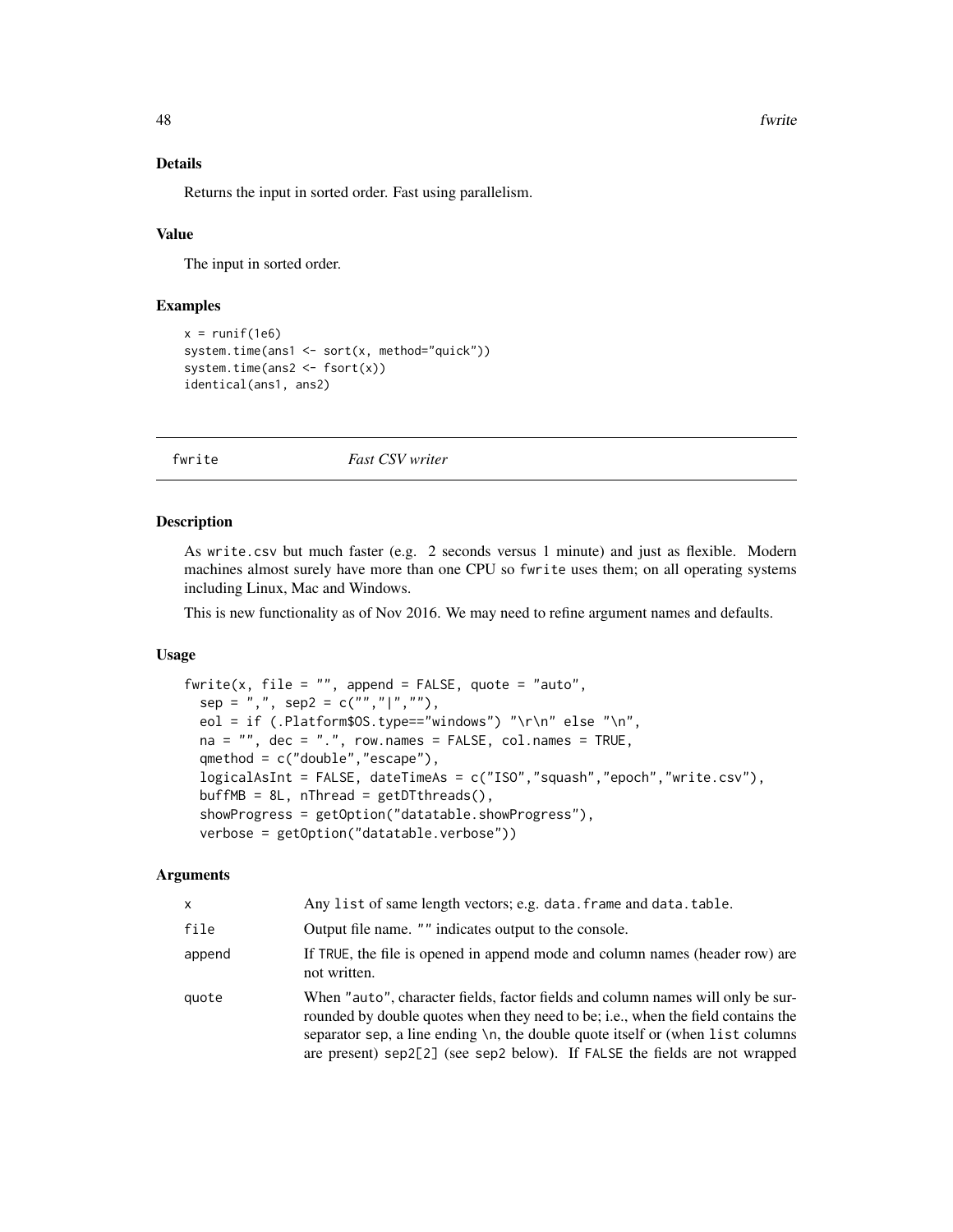#### 48 fwrite

# Details

Returns the input in sorted order. Fast using parallelism.

#### Value

The input in sorted order.

## Examples

```
x = runif(1e6)system.time(ans1 <- sort(x, method="quick"))
system.time(ans2 <- fsort(x))
identical(ans1, ans2)
```
### fwrite *Fast CSV writer*

## Description

As write.csv but much faster (e.g. 2 seconds versus 1 minute) and just as flexible. Modern machines almost surely have more than one CPU so fwrite uses them; on all operating systems including Linux, Mac and Windows.

This is new functionality as of Nov 2016. We may need to refine argument names and defaults.

#### Usage

```
fwrite(x, file = ", append = FALSE, quote = "auto",
  sep = ",", sep2 = c("", " | ", "", ""),
  eol = if (.Platform$0S.type=="windows") "\r\n" else "\n",
  na = "", dec = ".", row.name = FALSE, col.name = TRUE,qmethod = c("double","escape"),
  logicalAsInt = FALSE, dateTimeAs = c("ISO","squash","epoch","write.csv"),
  buffer = 8L, nThread = getDTthreads(),
  showProgress = getOption("datatable.showProgress"),
  verbose = getOption("datatable.verbose"))
```

| X      | Any list of same length vectors; e.g. data. frame and data. table.                                                                                                                                                                                                                                                                  |
|--------|-------------------------------------------------------------------------------------------------------------------------------------------------------------------------------------------------------------------------------------------------------------------------------------------------------------------------------------|
| file   | Output file name. "" indicates output to the console.                                                                                                                                                                                                                                                                               |
| append | If TRUE, the file is opened in append mode and column names (header row) are<br>not written.                                                                                                                                                                                                                                        |
| quote  | When "auto", character fields, factor fields and column names will only be sur-<br>rounded by double quotes when they need to be; i.e., when the field contains the<br>separator sep, a line ending \n, the double quote itself or (when list columns<br>are present) sep2[2] (see sep2 below). If FALSE the fields are not wrapped |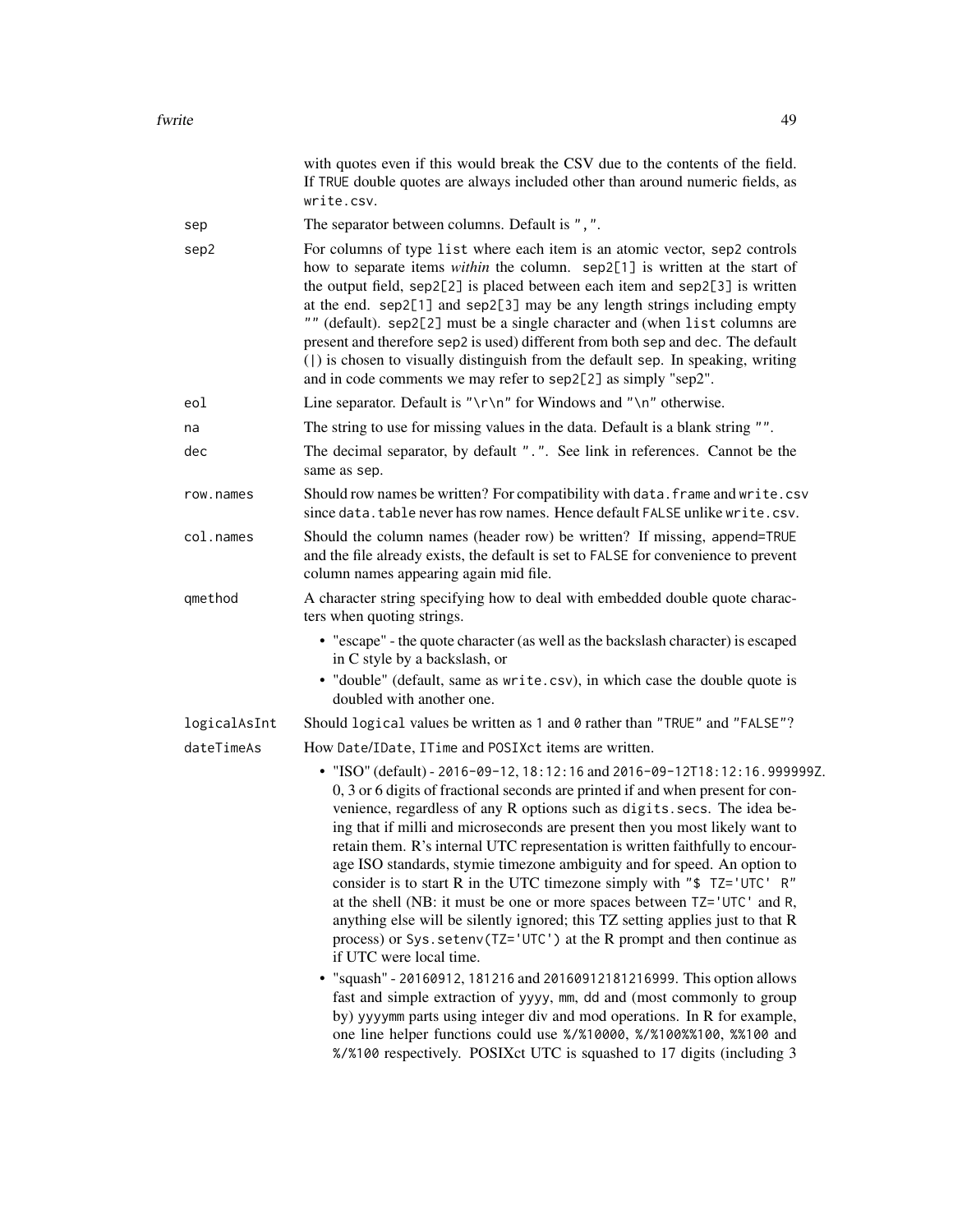|              | with quotes even if this would break the CSV due to the contents of the field.<br>If TRUE double quotes are always included other than around numeric fields, as<br>write.csv.                                                                                                                                                                                                                                                                                                                                                                                                                                                                                                                                                                                                                                                                                                                                                                                                        |
|--------------|---------------------------------------------------------------------------------------------------------------------------------------------------------------------------------------------------------------------------------------------------------------------------------------------------------------------------------------------------------------------------------------------------------------------------------------------------------------------------------------------------------------------------------------------------------------------------------------------------------------------------------------------------------------------------------------------------------------------------------------------------------------------------------------------------------------------------------------------------------------------------------------------------------------------------------------------------------------------------------------|
| sep          | The separator between columns. Default is ", ".                                                                                                                                                                                                                                                                                                                                                                                                                                                                                                                                                                                                                                                                                                                                                                                                                                                                                                                                       |
| sep2         | For columns of type list where each item is an atomic vector, sep2 controls<br>how to separate items within the column. sep2[1] is written at the start of<br>the output field, sep2[2] is placed between each item and sep2[3] is written<br>at the end. sep2[1] and sep2[3] may be any length strings including empty<br>"" (default). sep2[2] must be a single character and (when list columns are<br>present and therefore sep2 is used) different from both sep and dec. The default<br>(1) is chosen to visually distinguish from the default sep. In speaking, writing<br>and in code comments we may refer to sep2[2] as simply "sep2".                                                                                                                                                                                                                                                                                                                                      |
| eol          | Line separator. Default is "\r\n" for Windows and "\n" otherwise.                                                                                                                                                                                                                                                                                                                                                                                                                                                                                                                                                                                                                                                                                                                                                                                                                                                                                                                     |
| na           | The string to use for missing values in the data. Default is a blank string "".                                                                                                                                                                                                                                                                                                                                                                                                                                                                                                                                                                                                                                                                                                                                                                                                                                                                                                       |
| dec          | The decimal separator, by default ".". See link in references. Cannot be the<br>same as sep.                                                                                                                                                                                                                                                                                                                                                                                                                                                                                                                                                                                                                                                                                                                                                                                                                                                                                          |
| row.names    | Should row names be written? For compatibility with data. frame and write.csv<br>since data.table never has row names. Hence default FALSE unlike write.csv.                                                                                                                                                                                                                                                                                                                                                                                                                                                                                                                                                                                                                                                                                                                                                                                                                          |
| col.names    | Should the column names (header row) be written? If missing, append=TRUE<br>and the file already exists, the default is set to FALSE for convenience to prevent<br>column names appearing again mid file.                                                                                                                                                                                                                                                                                                                                                                                                                                                                                                                                                                                                                                                                                                                                                                             |
| qmethod      | A character string specifying how to deal with embedded double quote charac-<br>ters when quoting strings.                                                                                                                                                                                                                                                                                                                                                                                                                                                                                                                                                                                                                                                                                                                                                                                                                                                                            |
|              | • "escape" - the quote character (as well as the backslash character) is escaped<br>in C style by a backslash, or<br>• "double" (default, same as write.csv), in which case the double quote is<br>doubled with another one.                                                                                                                                                                                                                                                                                                                                                                                                                                                                                                                                                                                                                                                                                                                                                          |
| logicalAsInt | Should logical values be written as 1 and 0 rather than "TRUE" and "FALSE"?                                                                                                                                                                                                                                                                                                                                                                                                                                                                                                                                                                                                                                                                                                                                                                                                                                                                                                           |
| dateTimeAs   | How Date/IDate, ITime and POSIXct items are written.                                                                                                                                                                                                                                                                                                                                                                                                                                                                                                                                                                                                                                                                                                                                                                                                                                                                                                                                  |
|              | • "ISO" (default) - 2016-09-12, 18:12:16 and 2016-09-12T18:12:16.9999992.<br>0, 3 or 6 digits of fractional seconds are printed if and when present for con-<br>venience, regardless of any R options such as digits. secs. The idea be-<br>ing that if milli and microseconds are present then you most likely want to<br>retain them. R's internal UTC representation is written faithfully to encour-<br>age ISO standards, stymie timezone ambiguity and for speed. An option to<br>consider is to start R in the UTC timezone simply with "\$ TZ='UTC' R"<br>at the shell (NB: it must be one or more spaces between TZ='UTC' and R,<br>anything else will be silently ignored; this TZ setting applies just to that R<br>process) or Sys. setenv(TZ='UTC') at the R prompt and then continue as<br>if UTC were local time.<br>• "squash" - 20160912, 181216 and 20160912181216999. This option allows<br>fast and simple extraction of yyyy, mm, dd and (most commonly to group |
|              | by) yyyymm parts using integer div and mod operations. In R for example,<br>one line helper functions could use %/%10000, %/%100%%100, %%100 and<br>%/%100 respectively. POSIXct UTC is squashed to 17 digits (including 3                                                                                                                                                                                                                                                                                                                                                                                                                                                                                                                                                                                                                                                                                                                                                            |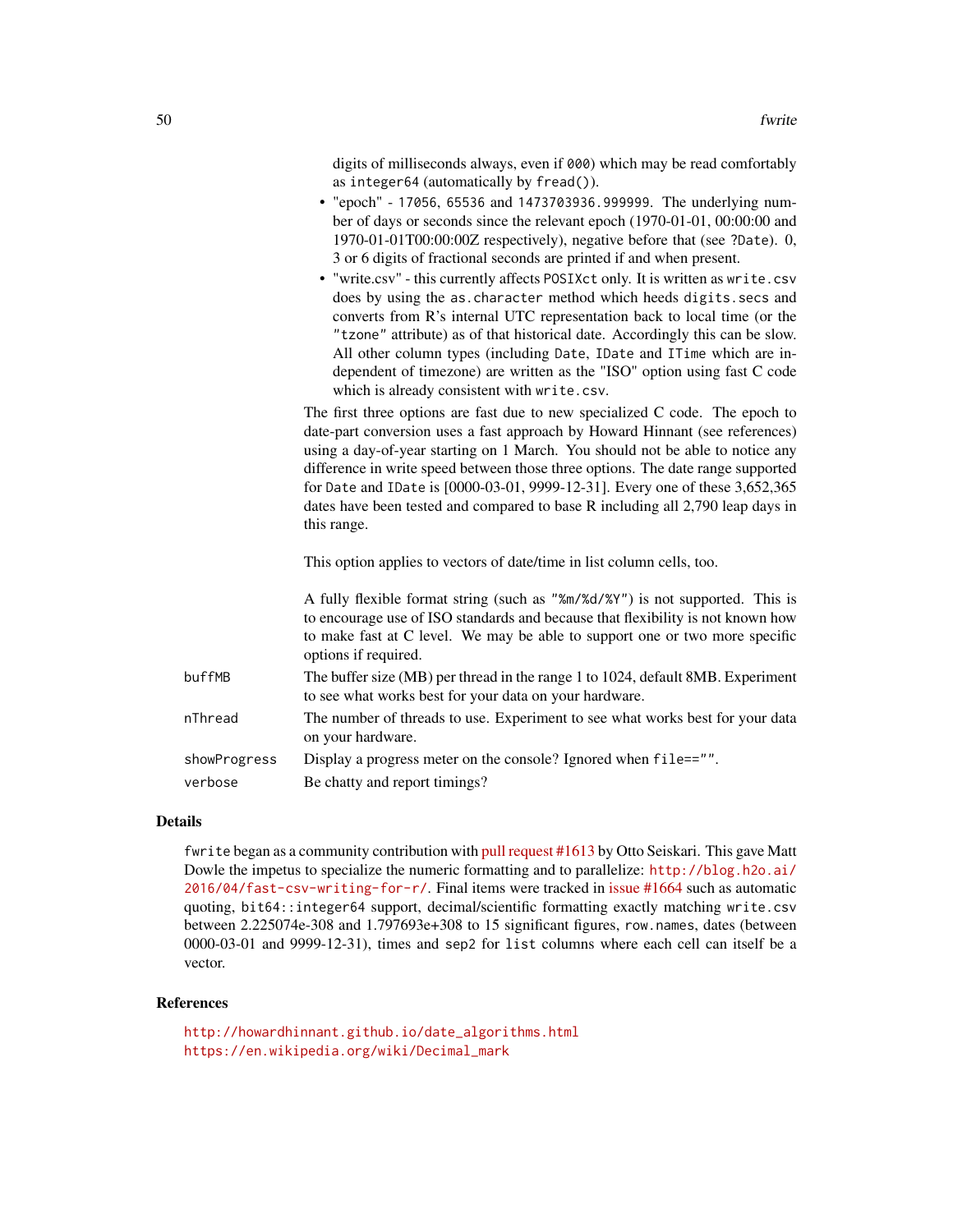digits of milliseconds always, even if 000) which may be read comfortably as integer64 (automatically by fread()).

- "epoch" 17056, 65536 and 1473703936.999999. The underlying number of days or seconds since the relevant epoch (1970-01-01, 00:00:00 and 1970-01-01T00:00:00Z respectively), negative before that (see ?Date). 0, 3 or 6 digits of fractional seconds are printed if and when present.
- "write.csv" this currently affects POSIXct only. It is written as write.csv does by using the as.character method which heeds digits.secs and converts from R's internal UTC representation back to local time (or the "tzone" attribute) as of that historical date. Accordingly this can be slow. All other column types (including Date, IDate and ITime which are independent of timezone) are written as the "ISO" option using fast C code which is already consistent with write.csv.

The first three options are fast due to new specialized C code. The epoch to date-part conversion uses a fast approach by Howard Hinnant (see references) using a day-of-year starting on 1 March. You should not be able to notice any difference in write speed between those three options. The date range supported for Date and IDate is [0000-03-01, 9999-12-31]. Every one of these 3,652,365 dates have been tested and compared to base R including all 2,790 leap days in this range.

This option applies to vectors of date/time in list column cells, too.

A fully flexible format string (such as "%m/%d/%Y") is not supported. This is to encourage use of ISO standards and because that flexibility is not known how to make fast at C level. We may be able to support one or two more specific options if required.

- buffMB The buffer size (MB) per thread in the range 1 to 1024, default 8MB. Experiment to see what works best for your data on your hardware.
- nThread The number of threads to use. Experiment to see what works best for your data on your hardware.

showProgress Display a progress meter on the console? Ignored when file=="".

verbose Be chatty and report timings?

# Details

fwrite began as a community contribution with [pull request #1613](https://github.com/Rdatatable/data.table/pull/1613) by Otto Seiskari. This gave Matt Dowle the impetus to specialize the numeric formatting and to parallelize: [http://blog.h2o.ai/](http://blog.h2o.ai/2016/04/fast-csv-writing-for-r/) [2016/04/fast-csv-writing-for-r/](http://blog.h2o.ai/2016/04/fast-csv-writing-for-r/). Final items were tracked in [issue #1664](https://github.com/Rdatatable/data.table/issues/1664) such as automatic quoting, bit64::integer64 support, decimal/scientific formatting exactly matching write.csv between 2.225074e-308 and 1.797693e+308 to 15 significant figures, row.names, dates (between 0000-03-01 and 9999-12-31), times and sep2 for list columns where each cell can itself be a vector.

### References

[http://howardhinnant.github.io/date\\_algorithms.html](http://howardhinnant.github.io/date_algorithms.html) [https://en.wikipedia.org/wiki/Decimal\\_mark](https://en.wikipedia.org/wiki/Decimal_mark)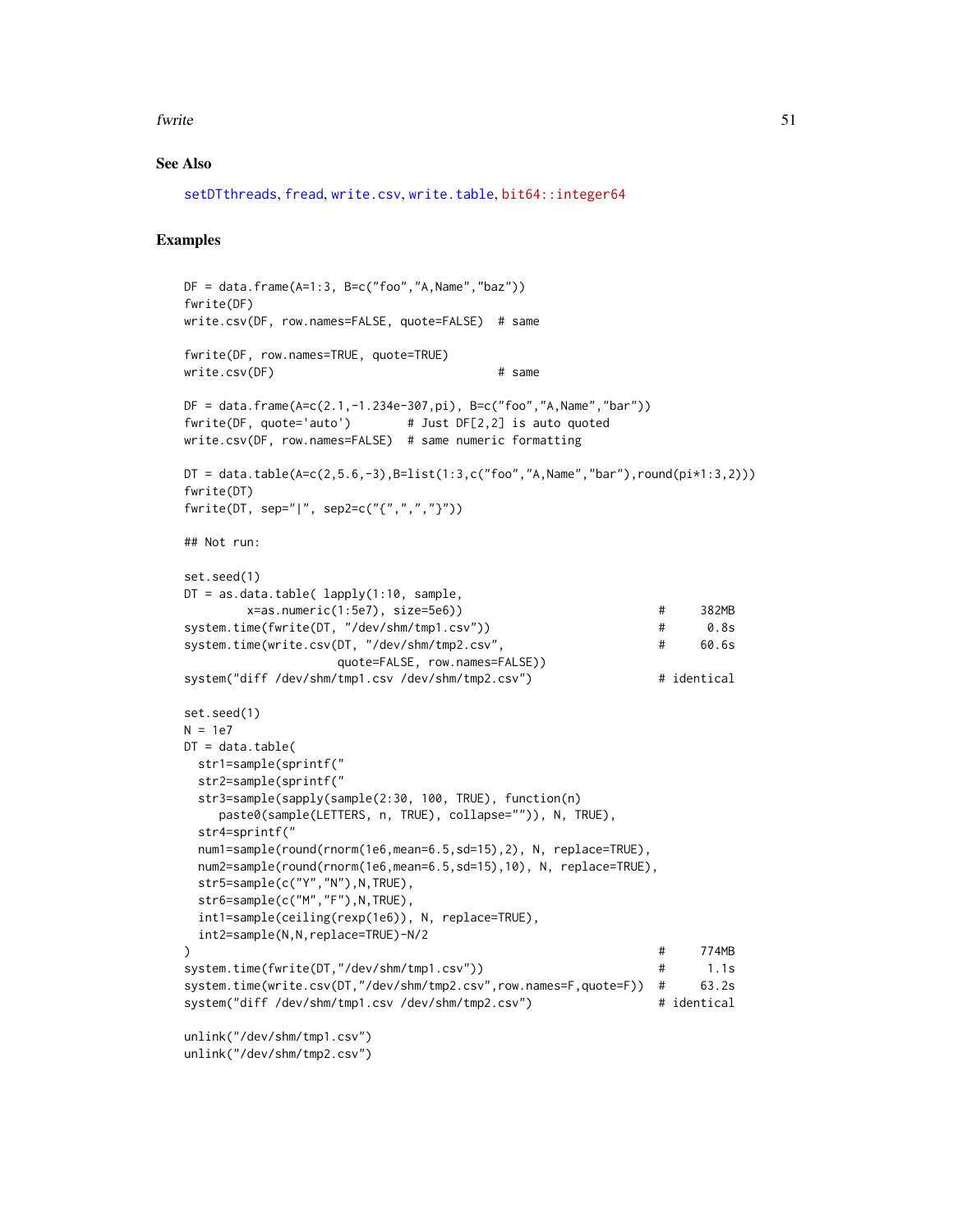#### fwrite 51

## See Also

```
setDTthreads, fread, write.csv, write.table, bit64::integer64
```

```
DF = data. frame(A=1:3, B=c("foo","A, Name","baz"))
fwrite(DF)
write.csv(DF, row.names=FALSE, quote=FALSE) # same
fwrite(DF, row.names=TRUE, quote=TRUE)
write.csv(DF) # same
DF = data.frame(A=c(2.1,-1.234e-307,pi), B=c("foo","A,Name","bar"))
fwrite(DF, quote='auto') # Just DF[2,2] is auto quoted
write.csv(DF, row.names=FALSE) # same numeric formatting
DT = data.title(A = c(2, 5.6, -3), B = list(1:3, c("foo", "A, Name", "bar"), round(pix1:3,2)))fwrite(DT)
fwrite(DT, sep="|", sep2=c("{",",","}"))
## Not run:
set.seed(1)
DT = as.data.table( lapply(1:10, sample,
        x=as.numeric(1:5e7), size=5e6)) # 382MB
system.time(fwrite(DT, "/dev/shm/tmp1.csv"))   # 0.8s
system.time(write.csv(DT, "/dev/shm/tmp2.csv", \qquad 60.6squote=FALSE, row.names=FALSE))
system("diff /dev/shm/tmp1.csv /dev/shm/tmp2.csv") # identical
set.seed(1)
N = 1e7DT = data.title(str1=sample(sprintf("
  str2=sample(sprintf("
  str3=sample(sapply(sample(2:30, 100, TRUE), function(n)
     paste0(sample(LETTERS, n, TRUE), collapse="")), N, TRUE),
  str4=sprintf("
  num1=sample(round(rnorm(1e6,mean=6.5,sd=15),2), N, replace=TRUE),
  num2=sample(round(rnorm(1e6,mean=6.5,sd=15),10), N, replace=TRUE),
  str5=sample(c("Y","N"),N,TRUE),
  str6=sample(c("M","F"),N,TRUE),
  int1=sample(ceiling(rexp(1e6)), N, replace=TRUE),
  int2=sample(N,N,replace=TRUE)-N/2
) and the contract of the contract of the contract of the contract of the contract of the contract of the contract of the contract of the contract of the contract of the contract of the contract of the contract of the con
system.time(fwrite(DT,"/dev/shm/tmp1.csv")) # 1.1s
system.time(write.csv(DT,"/dev/shm/tmp2.csv",row.names=F,quote=F)) # 63.2s
system("diff /dev/shm/tmp1.csv /dev/shm/tmp2.csv") # identical
unlink("/dev/shm/tmp1.csv")
unlink("/dev/shm/tmp2.csv")
```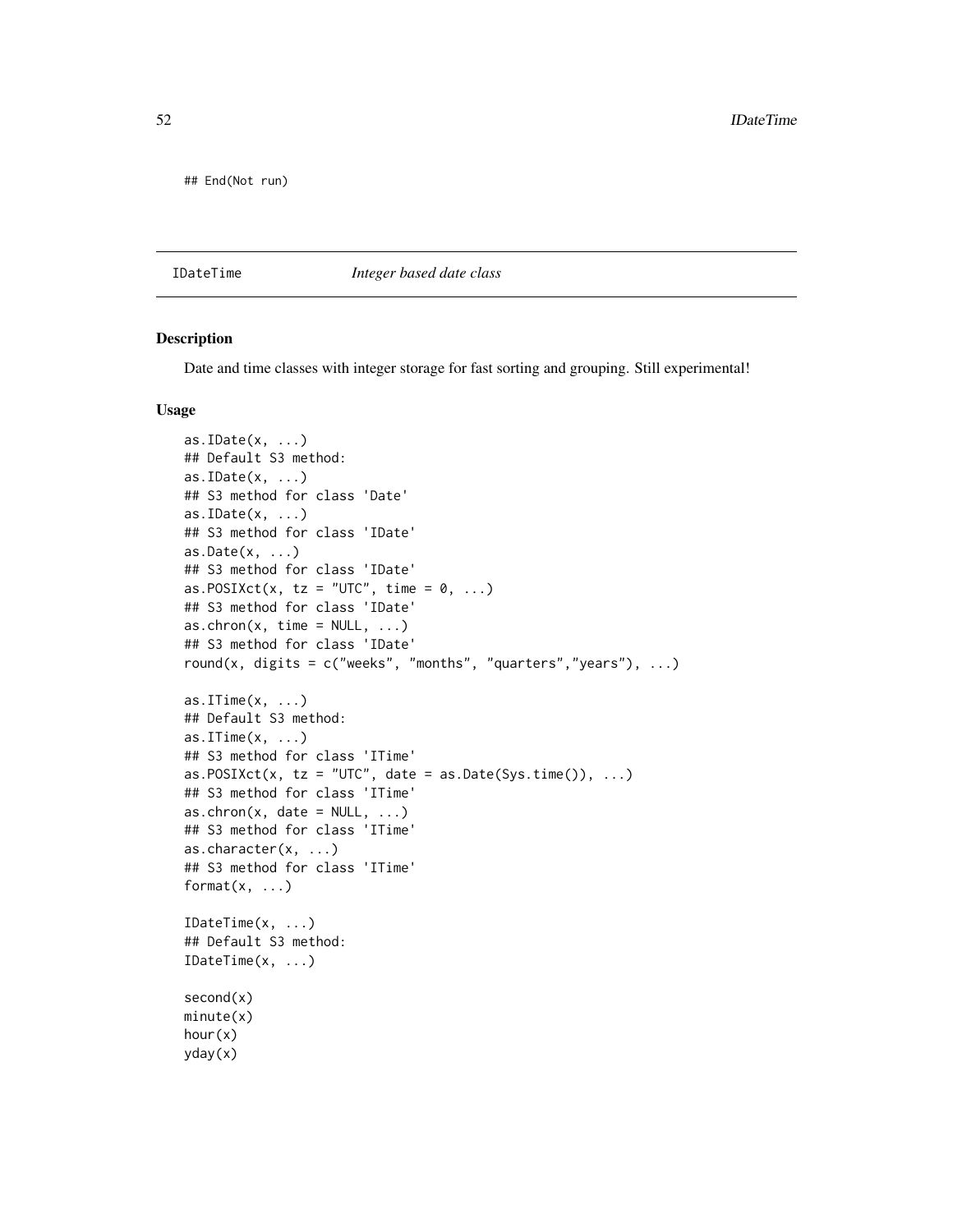## End(Not run)

# IDateTime *Integer based date class*

### Description

Date and time classes with integer storage for fast sorting and grouping. Still experimental!

## Usage

```
as.IDate(x, \ldots)## Default S3 method:
as.IDate(x, ...)## S3 method for class 'Date'
as.IDate(x, ...)## S3 method for class 'IDate'
as.Date(x, ...)## S3 method for class 'IDate'
as.POSIXct(x, tz = "UTC", time = 0, ...)## S3 method for class 'IDate'
as.chron(x, time = NULL, ...)## S3 method for class 'IDate'
round(x, digits = c("weeks", "months", "quarters", "years"), ...)
as.ITime(x, ...)## Default S3 method:
as.ITime(x, \ldots)## S3 method for class 'ITime'
as.POSIXct(x, tz = "UTC", date = as.DataFrame(System.time(), ...)## S3 method for class 'ITime'
as.chron(x, date = NULL, ...)## S3 method for class 'ITime'
as.character(x, ...)
## S3 method for class 'ITime'
format(x, \ldots)IDateTime(x, ...)
## Default S3 method:
IDateTime(x, ...)
second(x)
minute(x)
hour(x)
yday(x)
```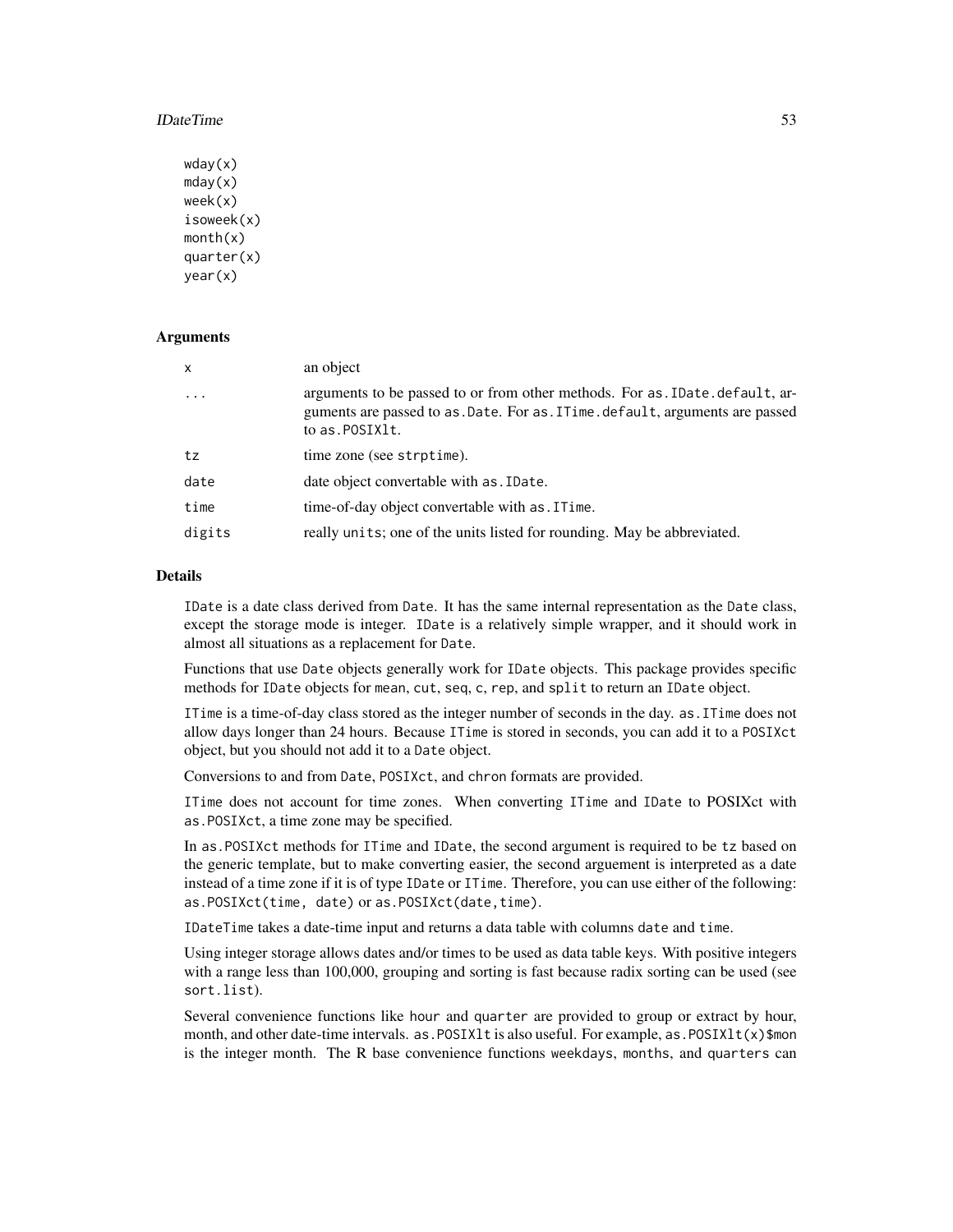#### **IDateTime** 53

wday(x) mday(x) week(x) isoweek(x) month(x) quarter(x) year(x)

# **Arguments**

| $\mathsf{x}$ | an object                                                                                                                                                                        |
|--------------|----------------------------------------------------------------------------------------------------------------------------------------------------------------------------------|
| $\cdot$      | arguments to be passed to or from other methods. For as . IDate. default, ar-<br>guments are passed to as. Date. For as. ITime. default, arguments are passed<br>to as. POSIXIt. |
| tz           | time zone (see strptime).                                                                                                                                                        |
| date         | date object convertable with as . IDate.                                                                                                                                         |
| time         | time-of-day object convertable with as . IT ime.                                                                                                                                 |
| digits       | really units; one of the units listed for rounding. May be abbreviated.                                                                                                          |

# Details

IDate is a date class derived from Date. It has the same internal representation as the Date class, except the storage mode is integer. IDate is a relatively simple wrapper, and it should work in almost all situations as a replacement for Date.

Functions that use Date objects generally work for IDate objects. This package provides specific methods for IDate objects for mean, cut, seq, c, rep, and split to return an IDate object.

ITime is a time-of-day class stored as the integer number of seconds in the day. as.ITime does not allow days longer than 24 hours. Because ITime is stored in seconds, you can add it to a POSIXct object, but you should not add it to a Date object.

Conversions to and from Date, POSIXct, and chron formats are provided.

ITime does not account for time zones. When converting ITime and IDate to POSIXct with as.POSIXct, a time zone may be specified.

In as.POSIXct methods for ITime and IDate, the second argument is required to be tz based on the generic template, but to make converting easier, the second arguement is interpreted as a date instead of a time zone if it is of type IDate or ITime. Therefore, you can use either of the following: as.POSIXct(time, date) or as.POSIXct(date,time).

IDateTime takes a date-time input and returns a data table with columns date and time.

Using integer storage allows dates and/or times to be used as data table keys. With positive integers with a range less than 100,000, grouping and sorting is fast because radix sorting can be used (see sort.list).

Several convenience functions like hour and quarter are provided to group or extract by hour, month, and other date-time intervals. as .POSIXlt is also useful. For example, as .POSIXlt(x)\$mon is the integer month. The R base convenience functions weekdays, months, and quarters can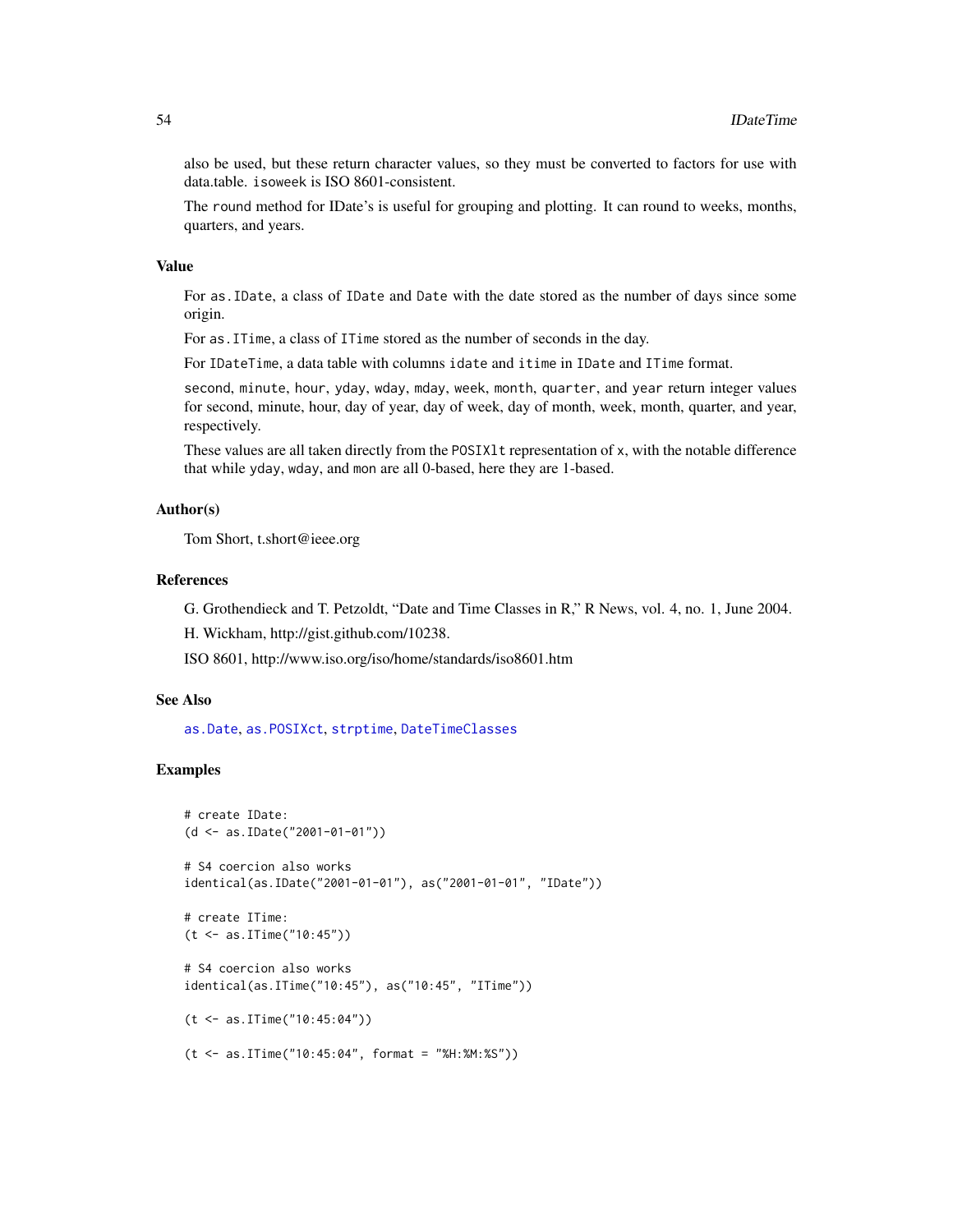also be used, but these return character values, so they must be converted to factors for use with data.table. isoweek is ISO 8601-consistent.

The round method for IDate's is useful for grouping and plotting. It can round to weeks, months, quarters, and years.

#### Value

For as.IDate, a class of IDate and Date with the date stored as the number of days since some origin.

For as.ITime, a class of ITime stored as the number of seconds in the day.

For IDateTime, a data table with columns idate and itime in IDate and ITime format.

second, minute, hour, yday, wday, mday, week, month, quarter, and year return integer values for second, minute, hour, day of year, day of week, day of month, week, month, quarter, and year, respectively.

These values are all taken directly from the POSIX1t representation of x, with the notable difference that while yday, wday, and mon are all 0-based, here they are 1-based.

# Author(s)

Tom Short, t.short@ieee.org

## References

G. Grothendieck and T. Petzoldt, "Date and Time Classes in R," R News, vol. 4, no. 1, June 2004.

H. Wickham, http://gist.github.com/10238.

ISO 8601, http://www.iso.org/iso/home/standards/iso8601.htm

### See Also

[as.Date](#page-0-0), [as.POSIXct](#page-0-0), [strptime](#page-0-0), [DateTimeClasses](#page-0-0)

```
# create IDate:
(d <- as.IDate("2001-01-01"))
# S4 coercion also works
identical(as.IDate("2001-01-01"), as("2001-01-01", "IDate"))
# create ITime:
(t <- as.ITime("10:45"))
# S4 coercion also works
identical(as.ITime("10:45"), as("10:45", "ITime"))
(t <- as.ITime("10:45:04"))
(t <- as.ITime("10:45:04", format = "%H:%M:%S"))
```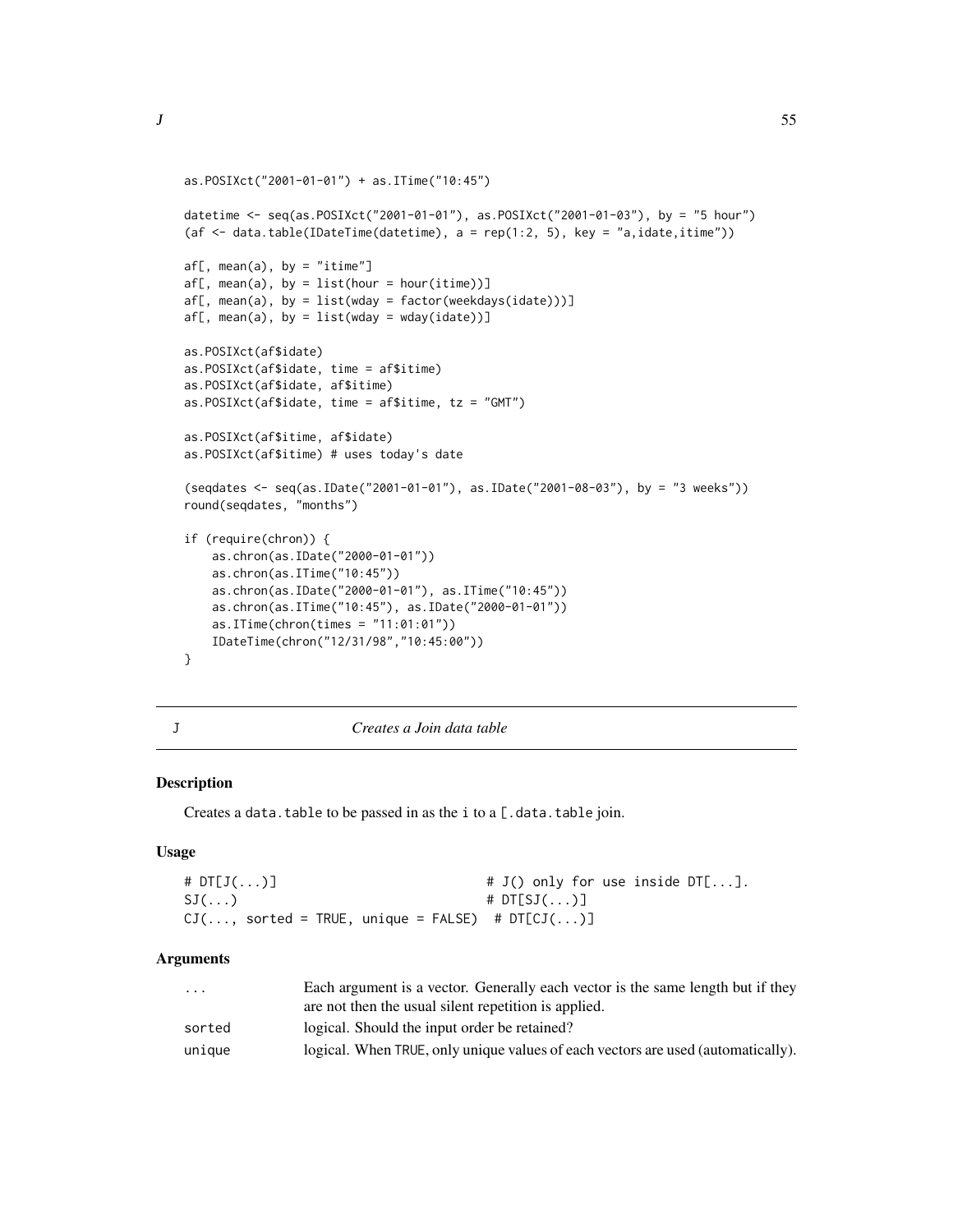```
as.POSIXct("2001-01-01") + as.ITime("10:45")
datetime <- seq(as.POSIXct("2001-01-01"), as.POSIXct("2001-01-03"), by = "5 hour")
(af \le data.table(IDateTime(datetime), a = rep(1:2, 5), key = "a,idate,itime"))
af[, mean(a), by = "itime"]
af[, mean(a), by = list(hour = hour(itime))]
af[, mean(a), by = list(wday = factor(weekdays(idate)))]
af[, mean(a), by = list(wday = wday(idate))]
as.POSIXct(af$idate)
as.POSIXct(af$idate, time = af$itime)
as.POSIXct(af$idate, af$itime)
as.POSIXct(af$idate, time = af$itime, tz = "GMT")
as.POSIXct(af$itime, af$idate)
as.POSIXct(af$itime) # uses today's date
(seqdates <- seq(as.IDate("2001-01-01"), as.IDate("2001-08-03"), by = "3 weeks"))
round(seqdates, "months")
if (require(chron)) {
   as.chron(as.IDate("2000-01-01"))
   as.chron(as.ITime("10:45"))
   as.chron(as.IDate("2000-01-01"), as.ITime("10:45"))
   as.chron(as.ITime("10:45"), as.IDate("2000-01-01"))
   as.ITime(chron(times = "11:01:01"))
   IDateTime(chron("12/31/98","10:45:00"))
}
```
J *Creates a Join data table*

#### **Description**

Creates a data.table to be passed in as the i to a [.data.table join.

#### Usage

```
# DT[J(...)] # J() only for use inside DT[...].
SI(...) # DT[SI(...)]CI(..., sorted = TRUE, unique = FALSE) # DTCJ(...)]
```

| $\cdots$ | Each argument is a vector. Generally each vector is the same length but if they  |
|----------|----------------------------------------------------------------------------------|
|          | are not then the usual silent repetition is applied.                             |
| sorted   | logical. Should the input order be retained?                                     |
| unique   | logical. When TRUE, only unique values of each vectors are used (automatically). |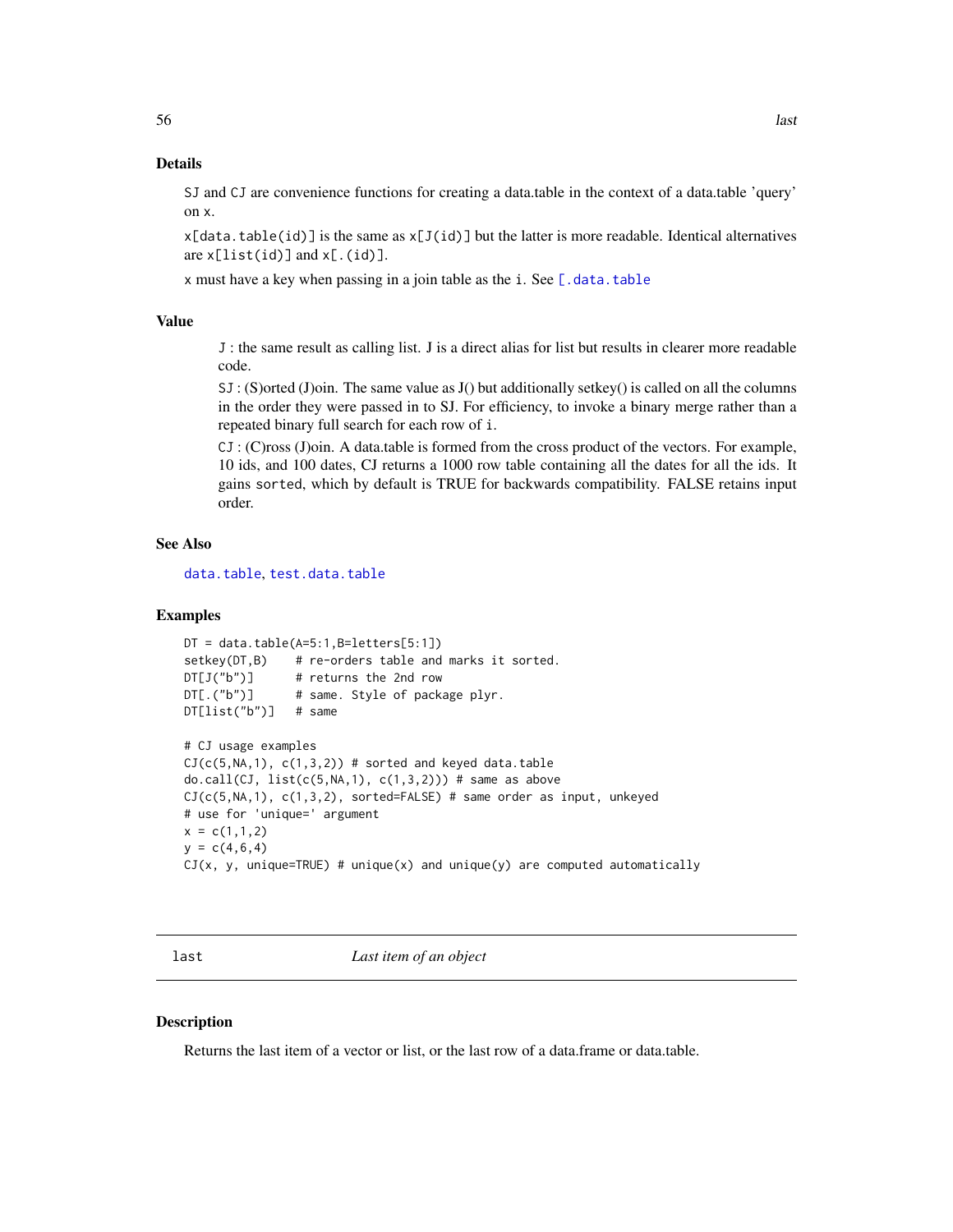# Details

SJ and CJ are convenience functions for creating a data.table in the context of a data.table 'query' on x.

 $x[data.table(id)]$  is the same as  $x[J(id)]$  but the latter is more readable. Identical alternatives are  $x[list(id)]$  and  $x[.(id)]$ .

 $x$  must have a key when passing in a join table as the i. See  $[$ .data.table

#### Value

J : the same result as calling list. J is a direct alias for list but results in clearer more readable code.

SJ : (S)orted (J)oin. The same value as J() but additionally setkey() is called on all the columns in the order they were passed in to SJ. For efficiency, to invoke a binary merge rather than a repeated binary full search for each row of i.

CJ : (C)ross (J)oin. A data.table is formed from the cross product of the vectors. For example, 10 ids, and 100 dates, CJ returns a 1000 row table containing all the dates for all the ids. It gains sorted, which by default is TRUE for backwards compatibility. FALSE retains input order.

#### See Also

[data.table](#page-2-0), [test.data.table](#page-90-0)

### Examples

```
DT = data.title(A=5:1,B=letters[5:1])setkey(DT,B) # re-orders table and marks it sorted.
DT[J("b")] # returns the 2nd row
DT[.("b")] # same. Style of package plyr.
DT[list("b")] # same
# CJ usage examples
CI(c(5, NA, 1), c(1, 3, 2)) # sorted and keyed data.table
do.call(CJ, list(c(5, NA, 1), c(1, 3, 2))) # same as above
CI(c(5, NA, 1), c(1, 3, 2), sorted=FALSE) # same order as input, unkeyed
# use for 'unique=' argument
x = c(1,1,2)y = c(4, 6, 4)CJ(x, y, unique=TRUE) # unique(x) and unique(y) are computed automatically
```
last *Last item of an object*

#### Description

Returns the last item of a vector or list, or the last row of a data.frame or data.table.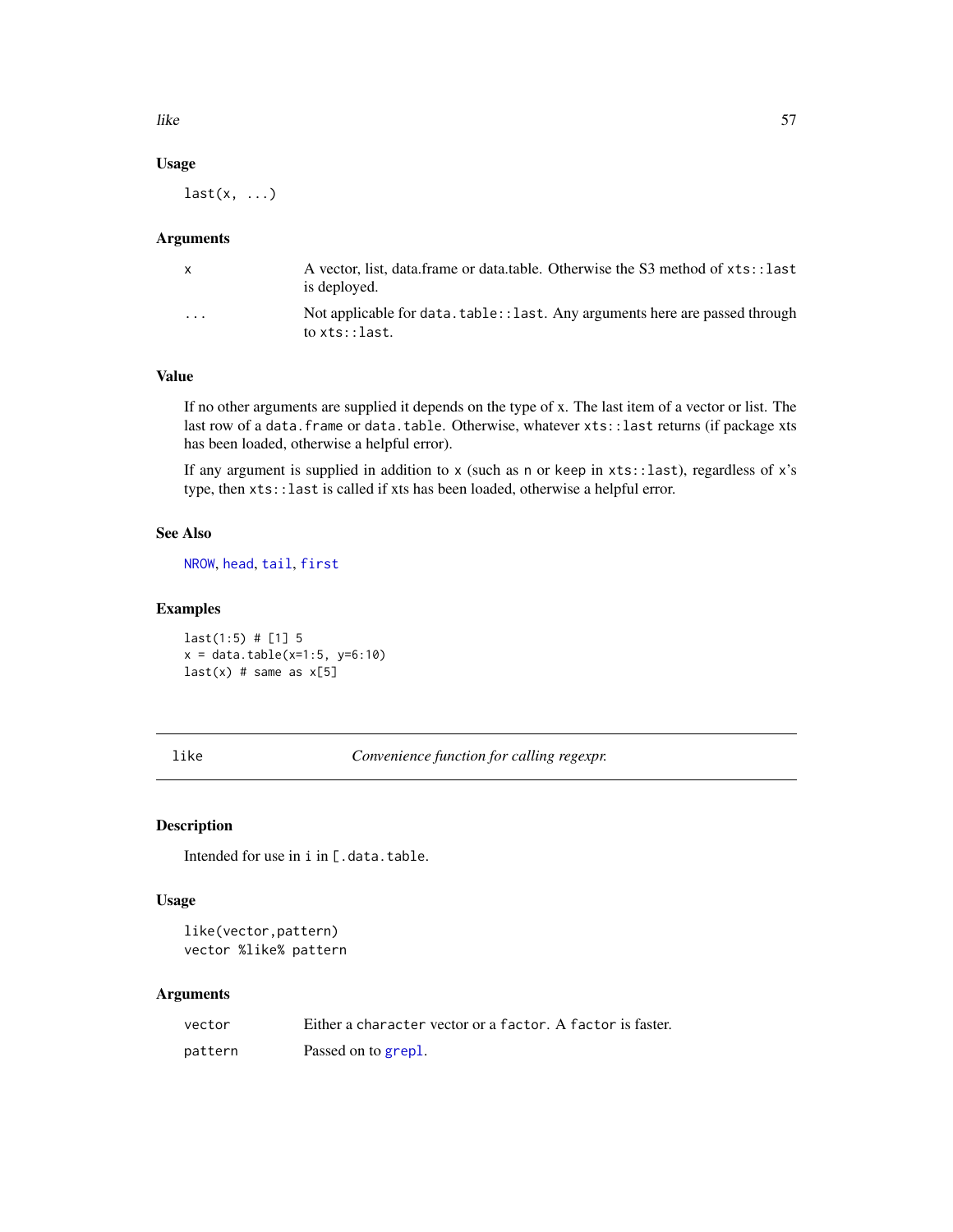like 57

# Usage

 $last(x, \ldots)$ 

# Arguments

| x        | A vector, list, data.frame or data.table. Otherwise the S3 method of xts::last<br>is deployed. |
|----------|------------------------------------------------------------------------------------------------|
| $\cdots$ | Not applicable for data. table: : last. Any arguments here are passed through<br>to xts::last. |

# Value

If no other arguments are supplied it depends on the type of x. The last item of a vector or list. The last row of a data.frame or data.table. Otherwise, whatever xts::last returns (if package xts has been loaded, otherwise a helpful error).

If any argument is supplied in addition to x (such as n or keep in xts::last), regardless of x's type, then xts::last is called if xts has been loaded, otherwise a helpful error.

# See Also

[NROW](#page-0-0), [head](#page-0-0), [tail](#page-0-0), [first](#page-33-0)

# Examples

last(1:5) # [1] 5  $x = data.title(x=1:5, y=6:10)$  $last(x)$  # same as  $x[5]$ 

like *Convenience function for calling regexpr.*

# Description

Intended for use in i in [.data.table.

# Usage

```
like(vector,pattern)
vector %like% pattern
```

| vector  | Either a character vector or a factor. A factor is faster. |
|---------|------------------------------------------------------------|
| pattern | Passed on to grepl.                                        |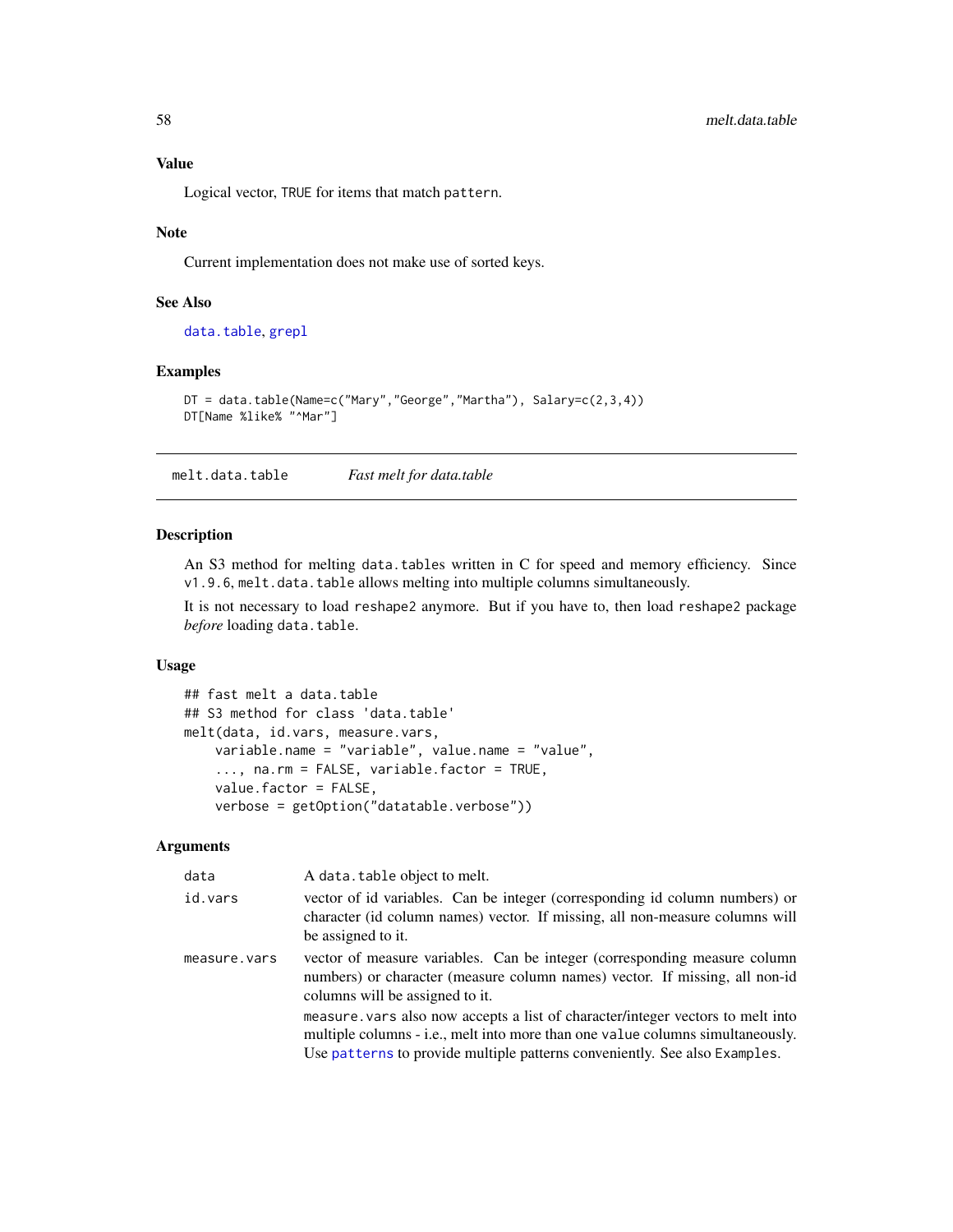# Value

Logical vector, TRUE for items that match pattern.

# Note

Current implementation does not make use of sorted keys.

# See Also

[data.table](#page-2-0), [grepl](#page-0-0)

# Examples

```
DT = data.table(Name=c("Mary","George","Martha"), Salary=c(2,3,4))
DT[Name %like% "^Mar"]
```
<span id="page-57-0"></span>melt.data.table *Fast melt for data.table*

# <span id="page-57-1"></span>Description

An S3 method for melting data.tables written in C for speed and memory efficiency. Since v1.9.6, melt.data.table allows melting into multiple columns simultaneously.

It is not necessary to load reshape2 anymore. But if you have to, then load reshape2 package *before* loading data.table.

# Usage

```
## fast melt a data.table
## S3 method for class 'data.table'
melt(data, id.vars, measure.vars,
   variable.name = "variable", value.name = "value",
    ..., na.rm = FALSE, variable.factor = TRUE,
   value.factor = FALSE,
   verbose = getOption("datatable.verbose"))
```

| data         | A data. table object to melt.                                                                                                                                                                                                                  |
|--------------|------------------------------------------------------------------------------------------------------------------------------------------------------------------------------------------------------------------------------------------------|
| id.vars      | vector of id variables. Can be integer (corresponding id column numbers) or<br>character (id column names) vector. If missing, all non-measure columns will<br>be assigned to it.                                                              |
| measure.vars | vector of measure variables. Can be integer (corresponding measure column<br>numbers) or character (measure column names) vector. If missing, all non-id<br>columns will be assigned to it.                                                    |
|              | measure vars also now accepts a list of character/integer vectors to melt into<br>multiple columns - i.e., melt into more than one value columns simultaneously.<br>Use patterns to provide multiple patterns conveniently. See also Examples. |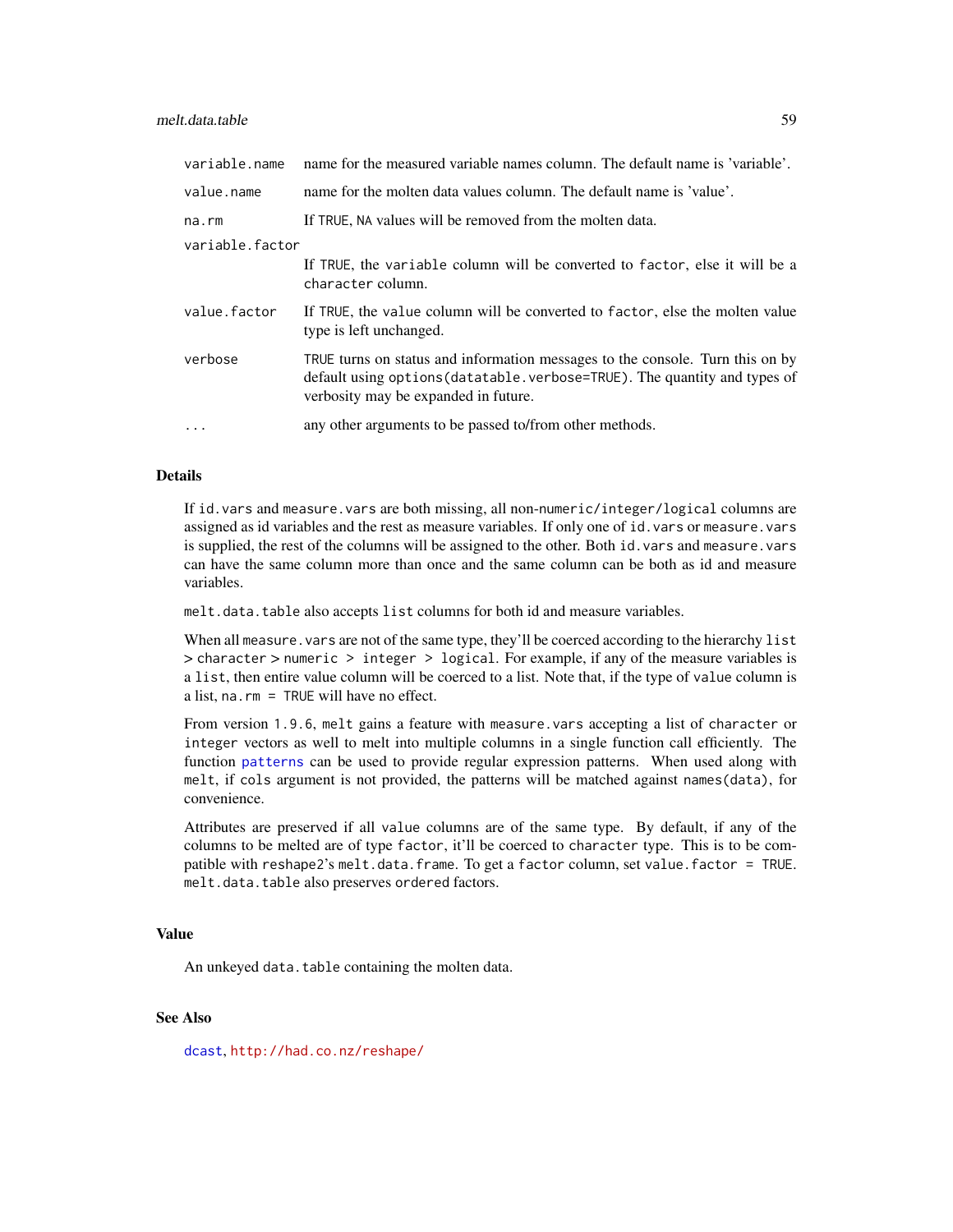| variable.name   | name for the measured variable names column. The default name is 'variable'.                                                                                                                        |  |
|-----------------|-----------------------------------------------------------------------------------------------------------------------------------------------------------------------------------------------------|--|
| value.name      | name for the molten data values column. The default name is 'value'.                                                                                                                                |  |
| na.rm           | If TRUE, NA values will be removed from the molten data.                                                                                                                                            |  |
| variable.factor |                                                                                                                                                                                                     |  |
|                 | If TRUE, the variable column will be converted to factor, else it will be a<br>character column.                                                                                                    |  |
| value.factor    | If TRUE, the value column will be converted to factor, else the molten value<br>type is left unchanged.                                                                                             |  |
| verbose         | TRUE turns on status and information messages to the console. Turn this on by<br>default using options (datatable. verbose=TRUE). The quantity and types of<br>verbosity may be expanded in future. |  |
| $\cdots$        | any other arguments to be passed to/from other methods.                                                                                                                                             |  |

### Details

If id. vars and measure. vars are both missing, all non-numeric/integer/logical columns are assigned as id variables and the rest as measure variables. If only one of id. vars or measure. vars is supplied, the rest of the columns will be assigned to the other. Both id. vars and measure. vars can have the same column more than once and the same column can be both as id and measure variables.

melt.data.table also accepts list columns for both id and measure variables.

When all measure. vars are not of the same type, they'll be coerced according to the hierarchy list > character > numeric > integer > logical. For example, if any of the measure variables is a list, then entire value column will be coerced to a list. Note that, if the type of value column is a list, na.rm = TRUE will have no effect.

From version 1.9.6, melt gains a feature with measure.vars accepting a list of character or integer vectors as well to melt into multiple columns in a single function call efficiently. The function [patterns](#page-63-0) can be used to provide regular expression patterns. When used along with melt, if cols argument is not provided, the patterns will be matched against names(data), for convenience.

Attributes are preserved if all value columns are of the same type. By default, if any of the columns to be melted are of type factor, it'll be coerced to character type. This is to be compatible with reshape2's melt.data.frame. To get a factor column, set value.factor = TRUE. melt.data.table also preserves ordered factors.

# Value

An unkeyed data.table containing the molten data.

## See Also

[dcast](#page-27-0), <http://had.co.nz/reshape/>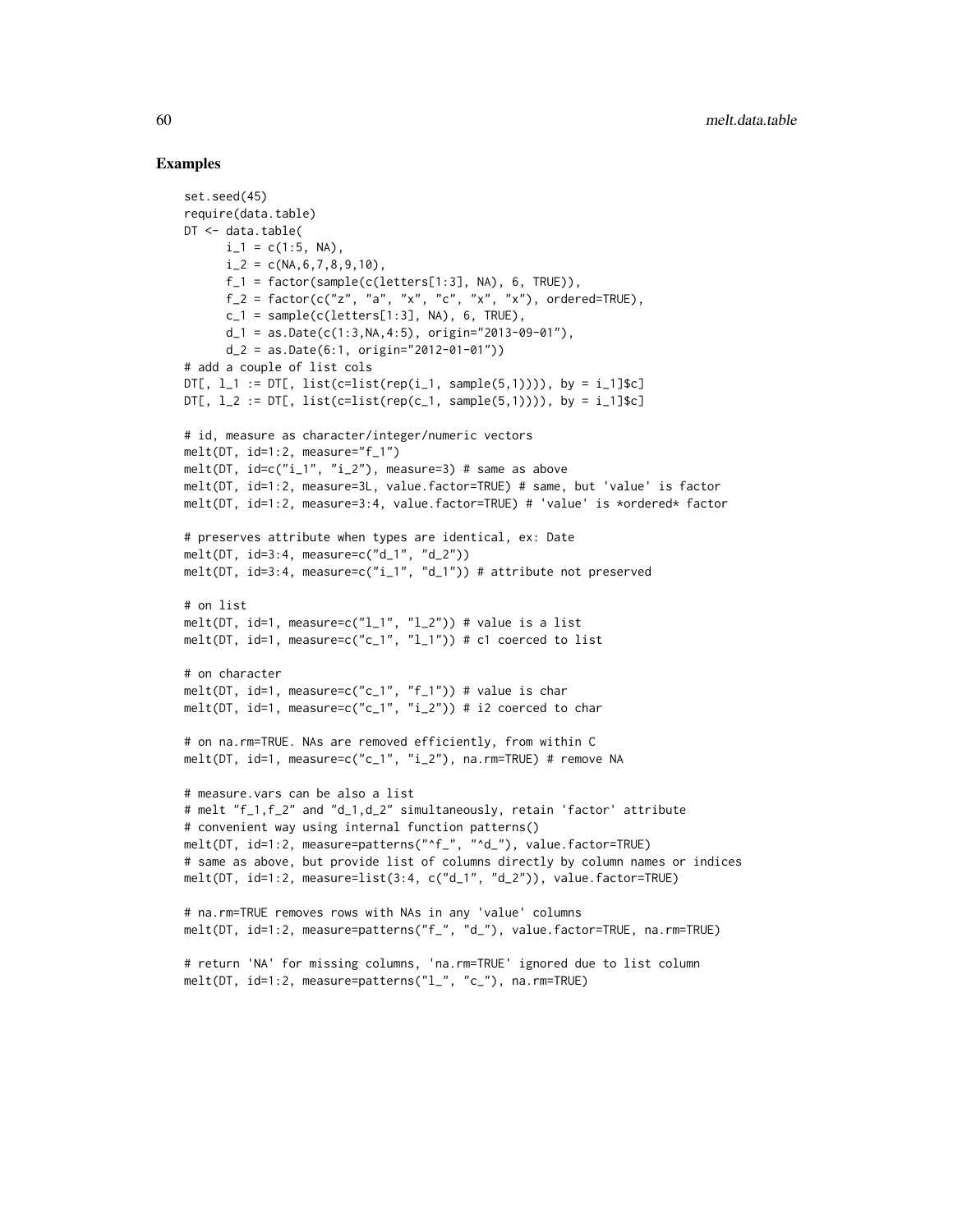```
set.seed(45)
require(data.table)
DT <- data.table(
     i_{-}1 = c(1:5, NA),
      i_{-2} = c(NA, 6, 7, 8, 9, 10),
      f_1 = factor(sample(c(leftters[1:3], NA), 6, TRUE)),f_2 = \text{factor}(c("z", "a", "x", "c", "x", "x"), ordered=True),c_1 = sample(c(letters[1:3], NA), 6, TRUE),
      d_1 = as.Date(c(1:3, NA, 4:5), origin="2013-09-01"),d_2 = as.Date(6:1, origin="2012-01-01"))
# add a couple of list cols
DT[, l_1 := D T[, list(c=list(rep(i_1, sample(5,1)))), by = i_1]$c]
DT[, l_2 := DT[, list(c=list(rep(c_1, sample(5,1)))), by = i_1]$c]
# id, measure as character/integer/numeric vectors
melt(DT, id=1:2, measure="f_1")
melt(DT, id=c("i_1", "i_2"), measure=3) # same as above
melt(DT, id=1:2, measure=3L, value.factor=TRUE) # same, but 'value' is factor
melt(DT, id=1:2, measure=3:4, value.factor=TRUE) # 'value' is *ordered* factor
# preserves attribute when types are identical, ex: Date
melt(DT, id=3:4, measure=c("d_1", "d_2"))
melt(DT, id=3:4, measure=c("i_1", "d_1")) # attribute not preserved
# on list
melt(DT, id=1, measure=c("l_1", "l_2")) # value is a list
melt(DT, id=1, measure=c("c_1", "l_1")) # c1 coerced to list
# on character
melt(DT, id=1, measure=c("c_1", "f_1")) # value is char
melt(DT, id=1, measure=c("c_1", "i_2")) # i2 coerced to char
# on na.rm=TRUE. NAs are removed efficiently, from within C
melt(DT, id=1, measure=c("c_1", "i_2"), na.rm=TRUE) # remove NA
# measure.vars can be also a list
# melt "f_1,f_2" and "d_1,d_2" simultaneously, retain 'factor' attribute
# convenient way using internal function patterns()
melt(DT, id=1:2, measure=patterns("^f_", "^d_"), value.factor=TRUE)
# same as above, but provide list of columns directly by column names or indices
melt(DT, id=1:2, measure=list(3:4, c("d_1", "d_2")), value.factor=TRUE)
# na.rm=TRUE removes rows with NAs in any 'value' columns
melt(DT, id=1:2, measure=patterns("f_", "d_"), value.factor=TRUE, na.rm=TRUE)
# return 'NA' for missing columns, 'na.rm=TRUE' ignored due to list column
melt(DT, id=1:2, measure=patterns("l_", "c_"), na.rm=TRUE)
```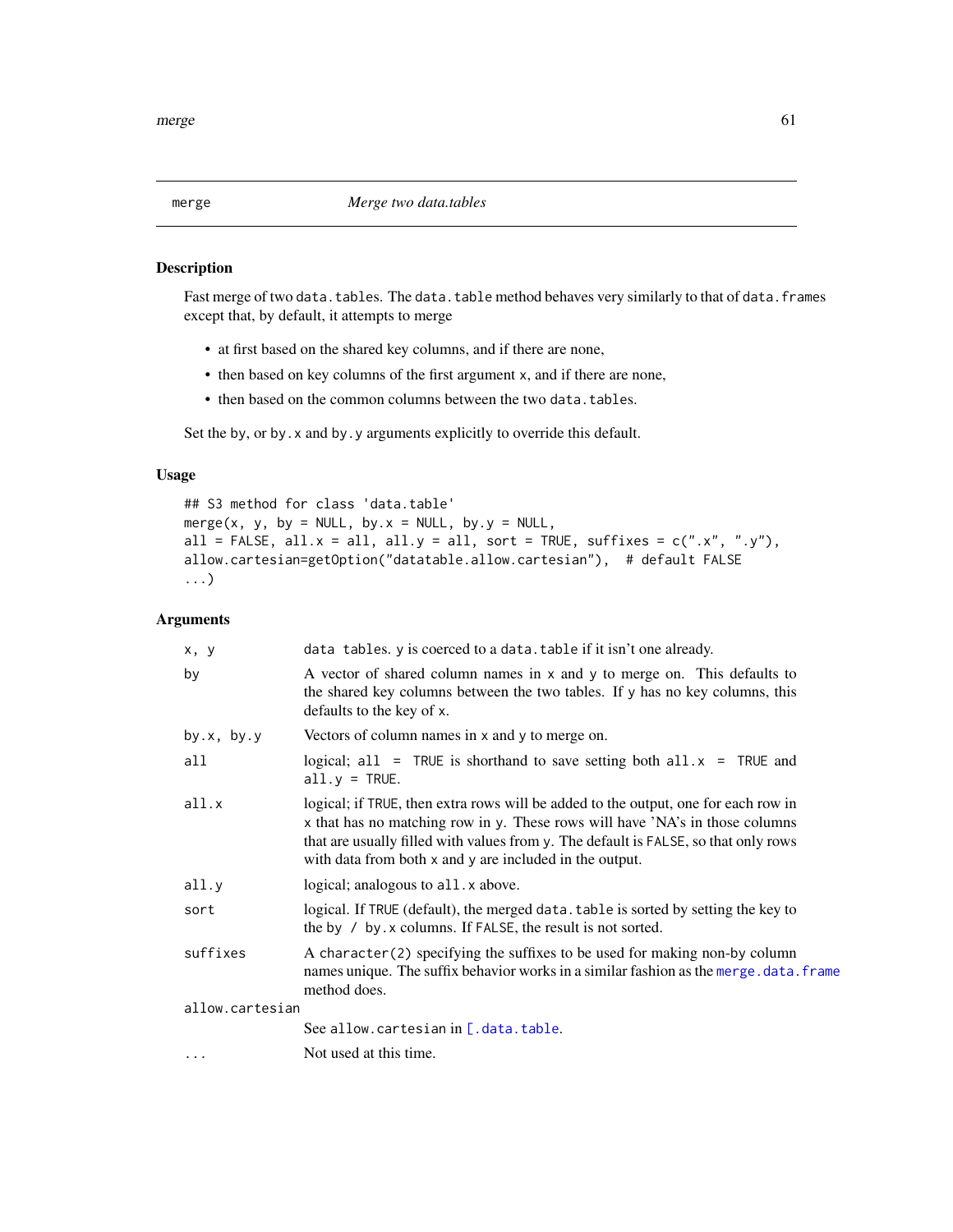### Description

Fast merge of two data.tables. The data.table method behaves very similarly to that of data.frames except that, by default, it attempts to merge

- at first based on the shared key columns, and if there are none,
- then based on key columns of the first argument x, and if there are none,
- then based on the common columns between the two data.tables.

Set the by, or by. x and by. y arguments explicitly to override this default.

# Usage

```
## S3 method for class 'data.table'
merge(x, y, by = NULL, by.x = NULL, by.y = NULL,
all = FALSE, all.x = all, all.y = all, sort = TRUE, suffixes = c("x", "y"),allow.cartesian=getOption("datatable.allow.cartesian"), # default FALSE
...)
```

| x, y              | data tables. y is coerced to a data. table if it isn't one already.                                                                                                                                                                                                                                                  |  |
|-------------------|----------------------------------------------------------------------------------------------------------------------------------------------------------------------------------------------------------------------------------------------------------------------------------------------------------------------|--|
| by                | A vector of shared column names in x and y to merge on. This defaults to<br>the shared key columns between the two tables. If y has no key columns, this<br>defaults to the key of x.                                                                                                                                |  |
| by. $x$ , by. $y$ | Vectors of column names in x and y to merge on.                                                                                                                                                                                                                                                                      |  |
| all               | logical; $all = TRUE$ is shorthand to save setting both $all.x = TRUE$ and<br>$all.v = TRUE.$                                                                                                                                                                                                                        |  |
| all.x             | logical; if TRUE, then extra rows will be added to the output, one for each row in<br>x that has no matching row in y. These rows will have 'NA's in those columns<br>that are usually filled with values from y. The default is FALSE, so that only rows<br>with data from both x and y are included in the output. |  |
| all.y             | logical; analogous to all. x above.                                                                                                                                                                                                                                                                                  |  |
| sort              | logical. If TRUE (default), the merged data. table is sorted by setting the key to<br>the by / by. x columns. If FALSE, the result is not sorted.                                                                                                                                                                    |  |
| suffixes          | A character (2) specifying the suffixes to be used for making non-by column<br>names unique. The suffix behavior works in a similar fashion as the merge data. frame<br>method does.                                                                                                                                 |  |
| allow.cartesian   |                                                                                                                                                                                                                                                                                                                      |  |
|                   | See allow.cartesian in $[$ .data.table.                                                                                                                                                                                                                                                                              |  |
|                   | Not used at this time.                                                                                                                                                                                                                                                                                               |  |
|                   |                                                                                                                                                                                                                                                                                                                      |  |

<span id="page-60-0"></span>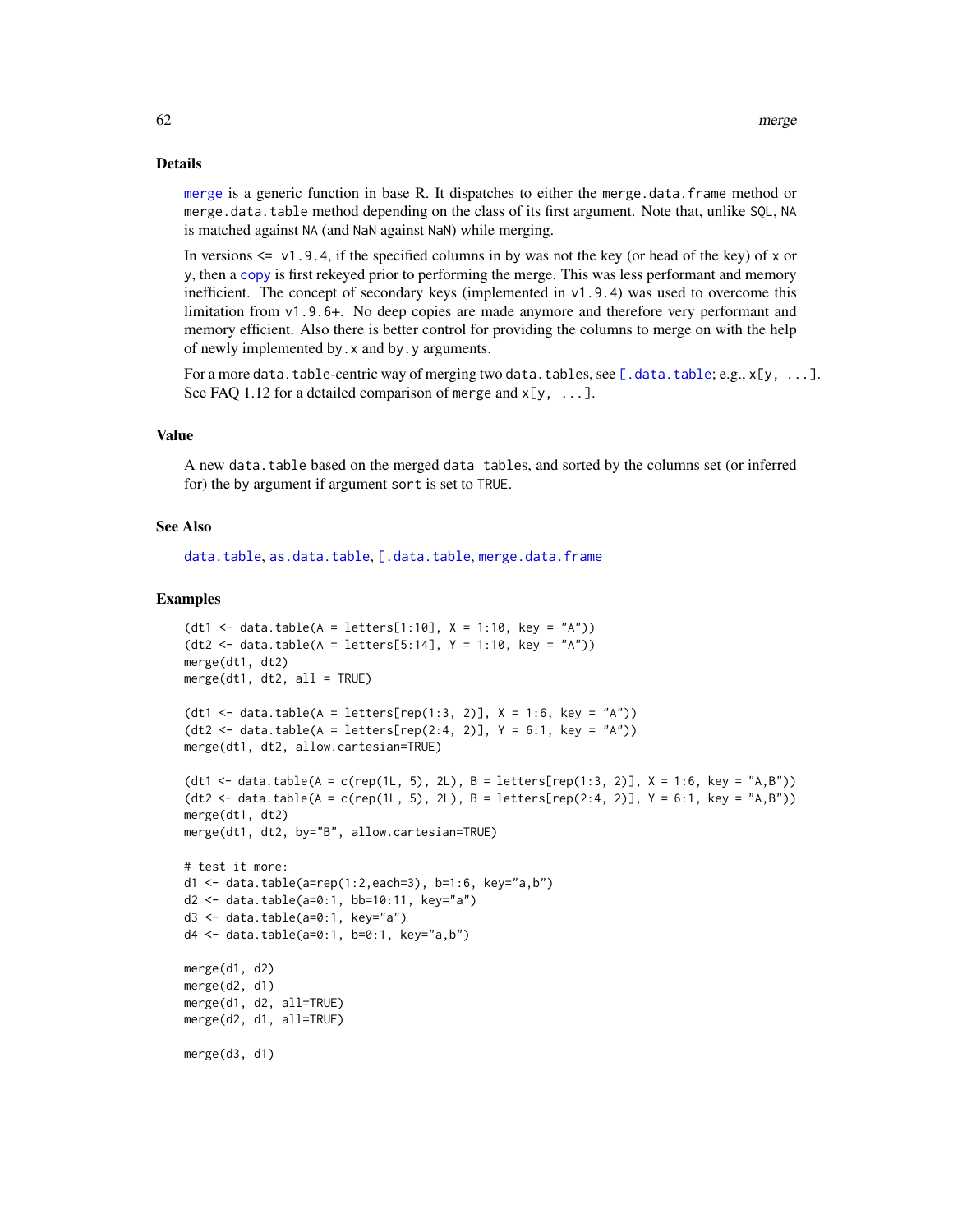#### Details

[merge](#page-60-0) is a generic function in base R. It dispatches to either the merge.data.frame method or merge.data.table method depending on the class of its first argument. Note that, unlike SQL, NA is matched against NA (and NaN against NaN) while merging.

In versions  $\leq$  v1.9.4, if the specified columns in by was not the key (or head of the key) of x or y, then a [copy](#page-23-0) is first rekeyed prior to performing the merge. This was less performant and memory inefficient. The concept of secondary keys (implemented in v1.9.4) was used to overcome this limitation from v1.9.6+. No deep copies are made anymore and therefore very performant and memory efficient. Also there is better control for providing the columns to merge on with the help of newly implemented by.x and by.y arguments.

For a more data.table-centric way of merging two data.tables, see [\[.data.table](#page-2-0); e.g.,  $x[y, \ldots]$ . See FAQ 1.12 for a detailed comparison of merge and  $x[y, \ldots]$ .

# Value

A new data.table based on the merged data tables, and sorted by the columns set (or inferred for) the by argument if argument sort is set to TRUE.

### See Also

[data.table](#page-2-0), [as.data.table](#page-17-0), [\[.data.table](#page-2-0), [merge.data.frame](#page-0-0)

```
(dt1 \leq -data.table(A = letters[1:10], X = 1:10, key = "A"))(dt2 \leq -data.table(A = letters[5:14], Y = 1:10, key = "A"))merge(dt1, dt2)
merge(dt1, dt2, all = TRUE)
(dt1 \leq data.table(A = letters[rep(1:3, 2)], X = 1:6, key = "A")(dt2 \leq data.table(A = letters[rep(2:4, 2)], Y = 6:1, key = "A")merge(dt1, dt2, allow.cartesian=TRUE)
(dt1 <- data.table(A = c(rep(1L, 5), 2L), B = letters[rep(1:3, 2)], X = 1:6, key = "A,B"))
(dt2 < - data.table(A = c(rep(1L, 5), 2L), B = letters[rep(2:4, 2)], Y = 6:1, key = "A, B")merge(dt1, dt2)
merge(dt1, dt2, by="B", allow.cartesian=TRUE)
# test it more:
d1 <- data.table(a=rep(1:2,each=3), b=1:6, key="a,b")
d2 <- data.table(a=0:1, bb=10:11, key="a")
d3 <- data.table(a=0:1, key="a")
d4 <- data.table(a=0:1, b=0:1, key="a,b")
merge(d1, d2)
merge(d2, d1)
merge(d1, d2, all=TRUE)
merge(d2, d1, all=TRUE)
merge(d3, d1)
```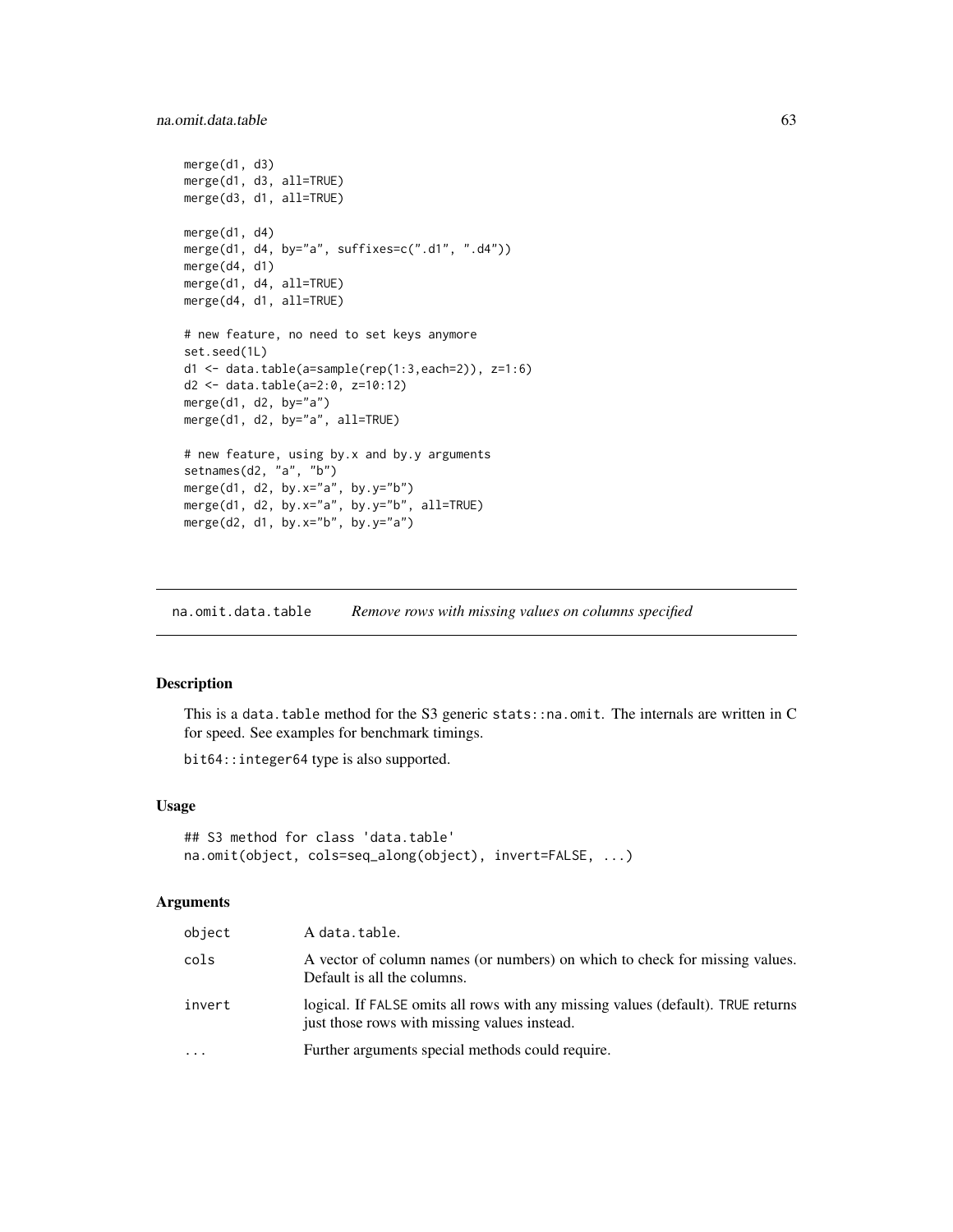```
merge(d1, d3)
merge(d1, d3, all=TRUE)
merge(d3, d1, all=TRUE)
merge(d1, d4)
merge(d1, d4, by="a", suffixes=c(".d1", ".d4"))
merge(d4, d1)
merge(d1, d4, all=TRUE)
merge(d4, d1, all=TRUE)
# new feature, no need to set keys anymore
set.seed(1L)
d1 <- data.table(a=sample(rep(1:3,each=2)), z=1:6)
d2 <- data.table(a=2:0, z=10:12)
merge(d1, d2, by="a")
merge(d1, d2, by="a", all=TRUE)
# new feature, using by.x and by.y arguments
setnames(d2, "a", "b")
merge(d1, d2, by.x='a", by.y='b")merge(d1, d2, by.x="a", by.y="b", all=TRUE)
merge(d2, d1, by.x="b", by.y="a")
```
na.omit.data.table *Remove rows with missing values on columns specified*

# Description

This is a data.table method for the S3 generic stats::na.omit. The internals are written in C for speed. See examples for benchmark timings.

bit64::integer64 type is also supported.

# Usage

```
## S3 method for class 'data.table'
na.omit(object, cols=seq_along(object), invert=FALSE, ...)
```

| object | A data.table.                                                                                                                    |
|--------|----------------------------------------------------------------------------------------------------------------------------------|
| cols   | A vector of column names (or numbers) on which to check for missing values.<br>Default is all the columns.                       |
| invert | logical. If FALSE omits all rows with any missing values (default). TRUE returns<br>just those rows with missing values instead. |
| .      | Further arguments special methods could require.                                                                                 |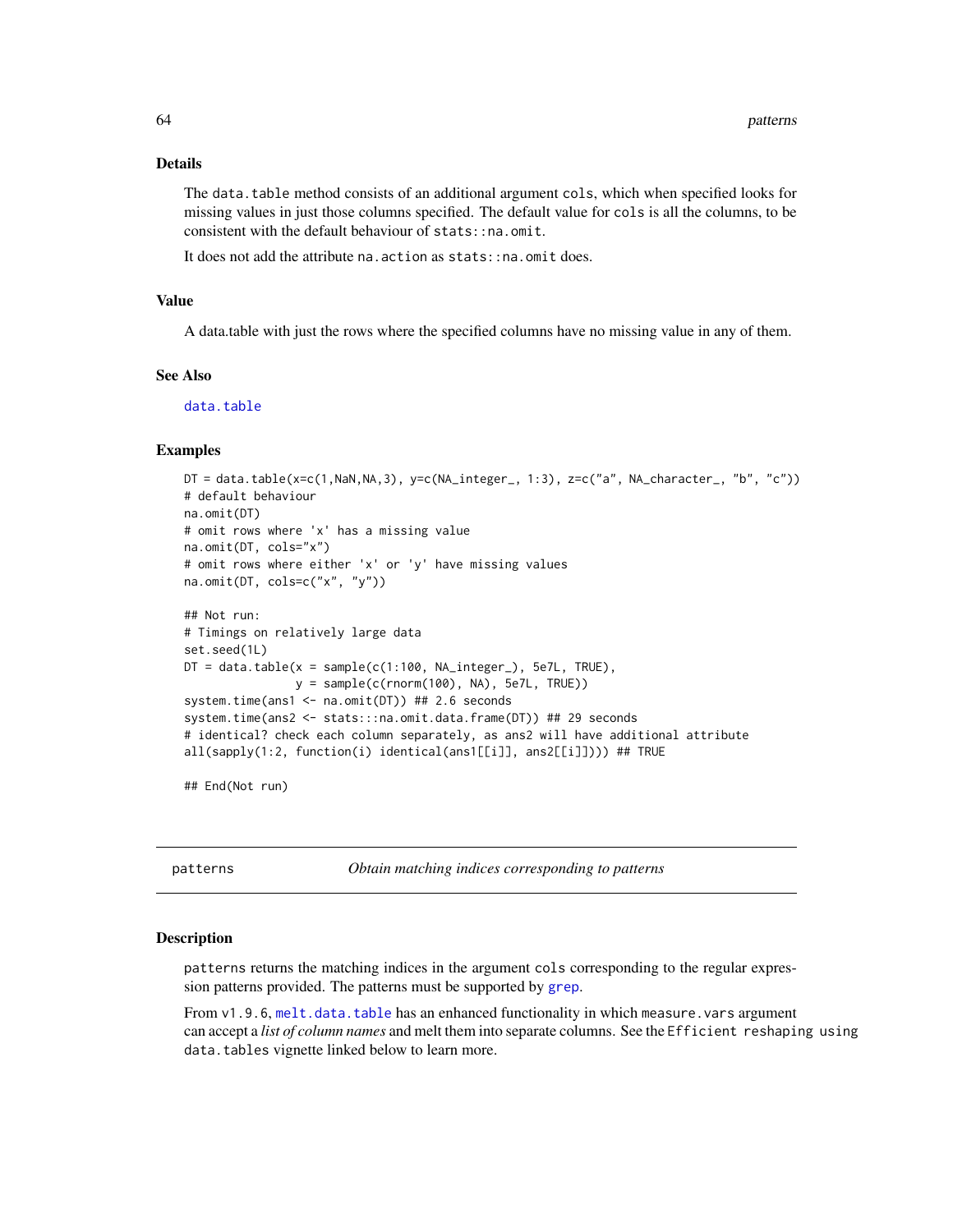#### Details

The data.table method consists of an additional argument cols, which when specified looks for missing values in just those columns specified. The default value for cols is all the columns, to be consistent with the default behaviour of stats::na.omit.

It does not add the attribute na. action as stats::na.omit does.

# Value

A data.table with just the rows where the specified columns have no missing value in any of them.

# See Also

[data.table](#page-2-0)

#### Examples

```
DT = data.title(x=c(1,NaN, NA, 3), y=c(NA\_integer_{1}, 1:3), z=c("a", NA_{\text{c}}character_{1}, "b", "c"))# default behaviour
na.omit(DT)
# omit rows where 'x' has a missing value
na.omit(DT, cols="x")
# omit rows where either 'x' or 'y' have missing values
na.omit(DT, cols=c("x", "y"))
## Not run:
# Timings on relatively large data
set.seed(1L)
DT = data.title(x = sample(c(1:100, NA_interest\_), 5e7L, TRUE),y = sample(c(rnorm(100), NA), 5e7L, TRUE)system.time(ans1 <- na.omit(DT)) ## 2.6 seconds
system.time(ans2 <- stats:::na.omit.data.frame(DT)) ## 29 seconds
# identical? check each column separately, as ans2 will have additional attribute
all(sapply(1:2, function(i) identical(ans1[[i]], ans2[[i]]))) ## TRUE
```

```
## End(Not run)
```
<span id="page-63-0"></span>patterns *Obtain matching indices corresponding to patterns*

#### Description

patterns returns the matching indices in the argument cols corresponding to the regular expression patterns provided. The patterns must be supported by [grep](#page-0-0).

From  $v1.9.6$ , [melt.data.table](#page-57-0) has an enhanced functionality in which measure. vars argument can accept a *list of column names* and melt them into separate columns. See the Efficient reshaping using data.tables vignette linked below to learn more.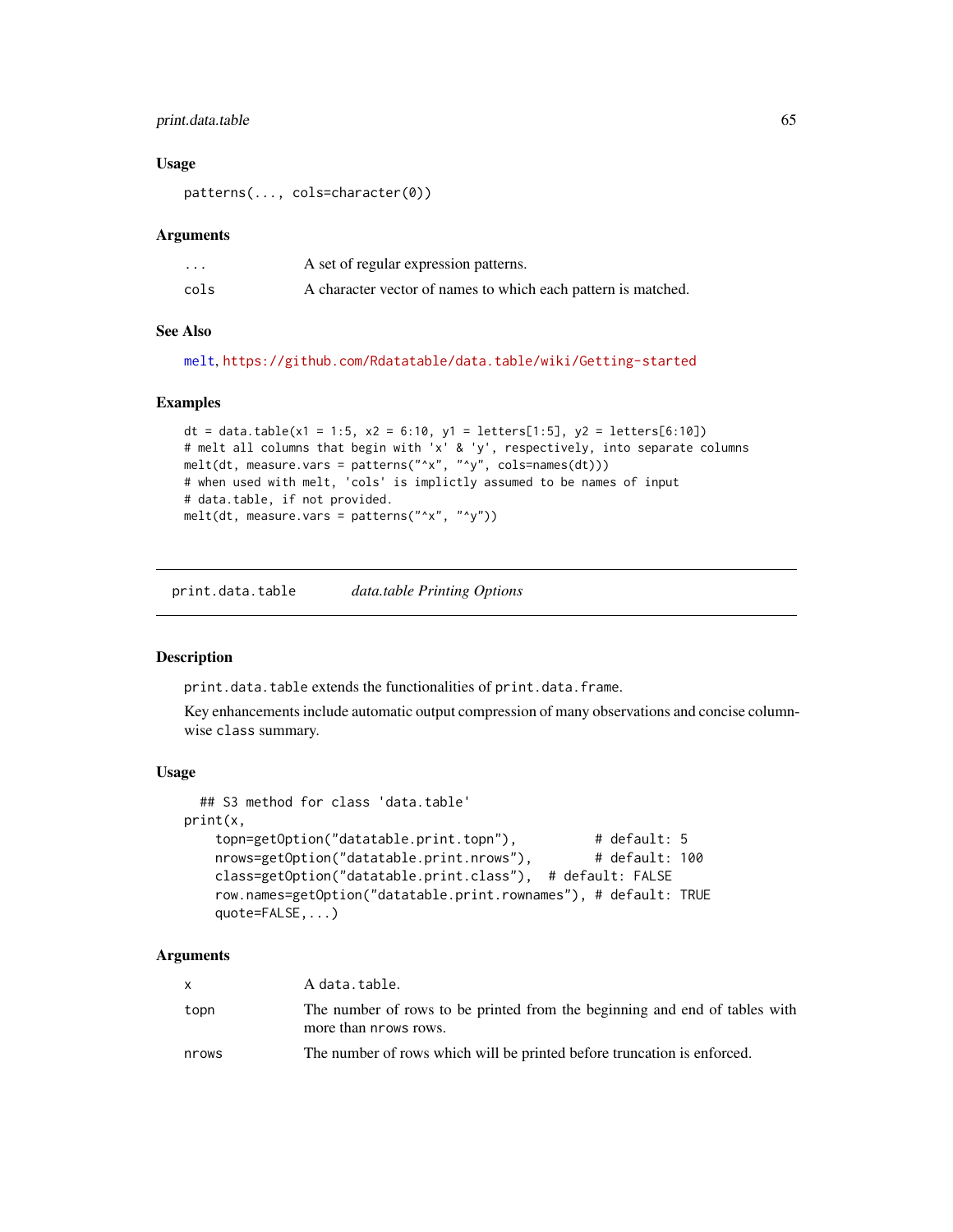# print.data.table 65

#### Usage

patterns(..., cols=character(0))

### Arguments

| $\cdot$ $\cdot$ $\cdot$ | A set of regular expression patterns.                         |
|-------------------------|---------------------------------------------------------------|
| cols                    | A character vector of names to which each pattern is matched. |

#### See Also

[melt](#page-57-1), <https://github.com/Rdatatable/data.table/wiki/Getting-started>

### Examples

```
dt = data.table(x1 = 1:5, x2 = 6:10, y1 = letters[1:5], y2 = letters[6:10])
# melt all columns that begin with 'x' & 'y', respectively, into separate columns
melt(dt, measure.vars = patterns("^x", "^y", cols=names(dt)))
# when used with melt, 'cols' is implictly assumed to be names of input
# data.table, if not provided.
melt(dt, measure.vars = patterns("^x", "^y"))
```
print.data.table *data.table Printing Options*

## Description

print.data.table extends the functionalities of print.data.frame.

Key enhancements include automatic output compression of many observations and concise columnwise class summary.

#### Usage

```
## S3 method for class 'data.table'
print(x,
   topn=getOption("datatable.print.topn"), # default: 5
   nrows=getOption("datatable.print.nrows"), # default: 100
   class=getOption("datatable.print.class"), # default: FALSE
   row.names=getOption("datatable.print.rownames"), # default: TRUE
   quote=FALSE,...)
```

| X.    | A data.table.                                                                                       |
|-------|-----------------------------------------------------------------------------------------------------|
| topn  | The number of rows to be printed from the beginning and end of tables with<br>more than prows rows. |
| nrows | The number of rows which will be printed before truncation is enforced.                             |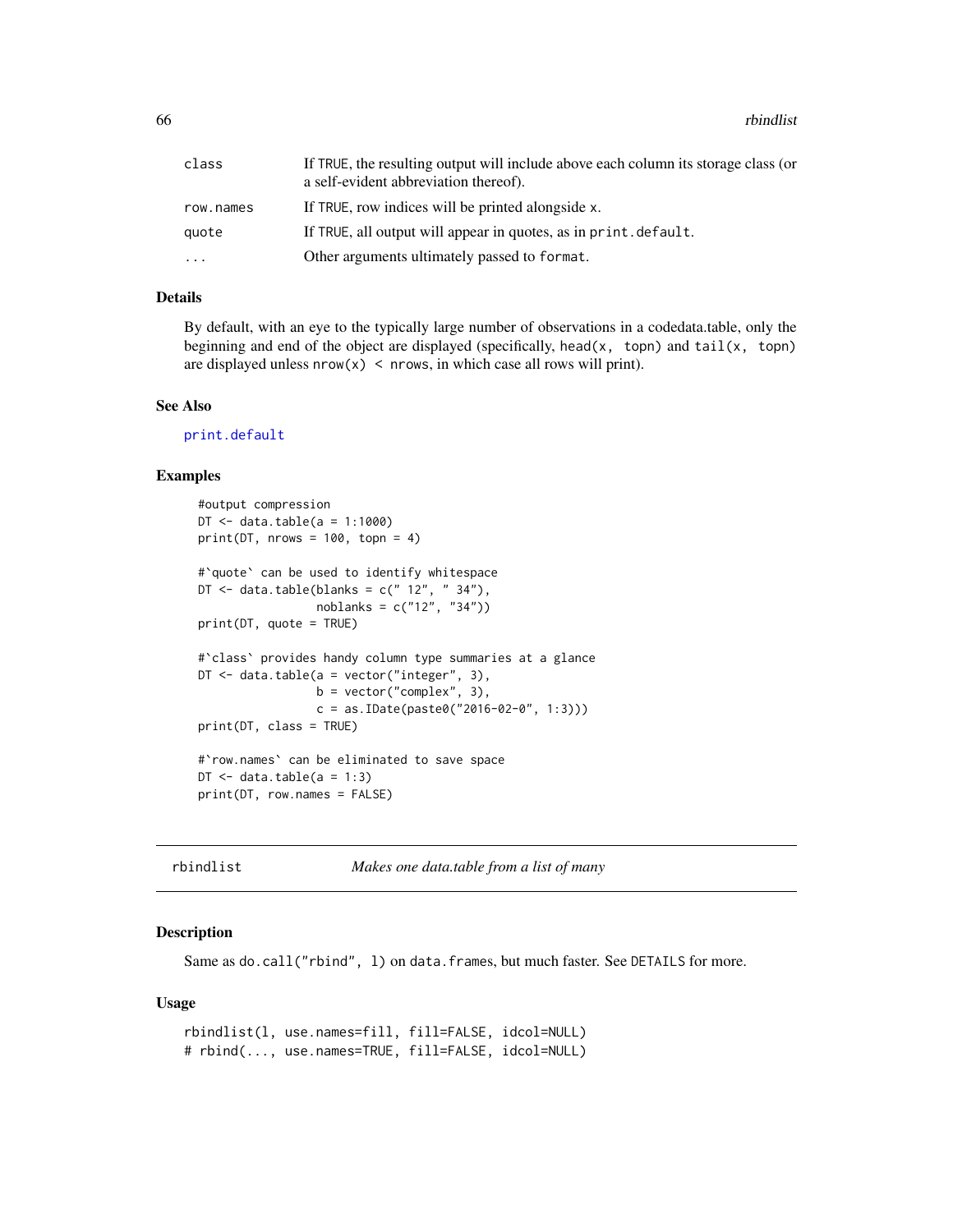| class     | If TRUE, the resulting output will include above each column its storage class (or<br>a self-evident abbreviation thereof). |
|-----------|-----------------------------------------------------------------------------------------------------------------------------|
| row.names | If TRUE, row indices will be printed alongside x.                                                                           |
| quote     | If TRUE, all output will appear in quotes, as in print, default.                                                            |
| $\ddotsc$ | Other arguments ultimately passed to format.                                                                                |

# Details

By default, with an eye to the typically large number of observations in a codedata.table, only the beginning and end of the object are displayed (specifically, head( $x$ , topn) and tail( $x$ , topn) are displayed unless  $nrow(x) < nrows$ , in which case all rows will print).

# See Also

[print.default](#page-0-0)

## Examples

```
#output compression
DT \leq data.table(a = 1:1000)
print(DT, nrows = 100, topn = 4)
#`quote` can be used to identify whitespace
DT \le data.table(blanks = c(" 12", " 34"),
                 noblanks = c("12", "34"))
print(DT, quote = TRUE)
#`class` provides handy column type summaries at a glance
DT <- data.table(a = vector("integer", 3),
                 b = vector("complex", 3),
                 c = as.IDate(paste0("2016-02-0", 1:3)))print(DT, class = TRUE)
#`row.names` can be eliminated to save space
DT \leq data.table(a = 1:3)
print(DT, row.names = FALSE)
```

```
rbindlist Makes one data.table from a list of many
```
# Description

Same as do.call("rbind", l) on data.frames, but much faster. See DETAILS for more.

### Usage

```
rbindlist(l, use.names=fill, fill=FALSE, idcol=NULL)
# rbind(..., use.names=TRUE, fill=FALSE, idcol=NULL)
```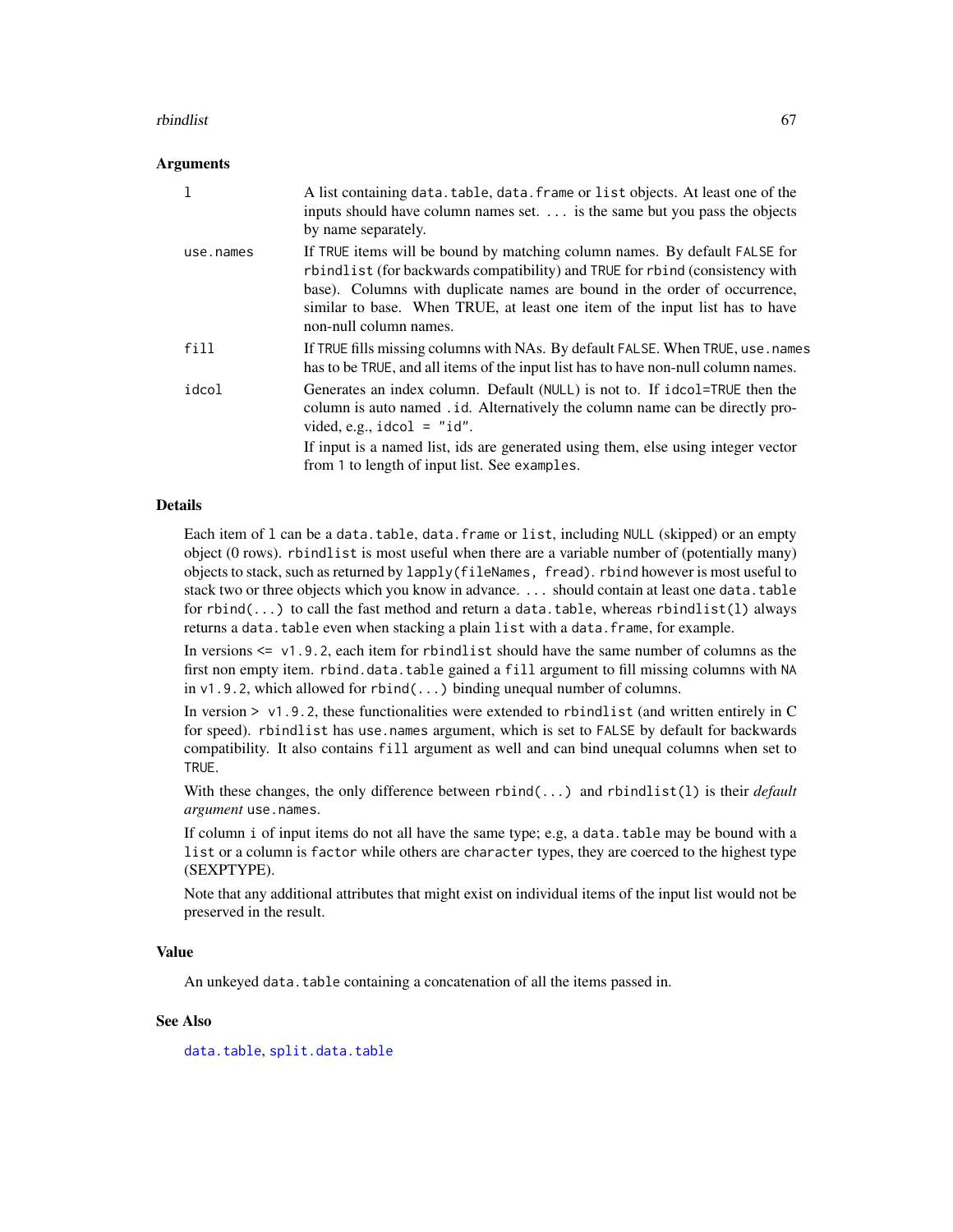#### rbindlist 67

#### **Arguments**

| 1         | A list containing data. table, data. frame or list objects. At least one of the<br>inputs should have column names set. $\dots$ is the same but you pass the objects<br>by name separately.                                                                                                                                                      |
|-----------|--------------------------------------------------------------------------------------------------------------------------------------------------------------------------------------------------------------------------------------------------------------------------------------------------------------------------------------------------|
| use.names | If TRUE items will be bound by matching column names. By default FALSE for<br>rbindlist (for backwards compatibility) and TRUE for rbind (consistency with<br>base). Columns with duplicate names are bound in the order of occurrence,<br>similar to base. When TRUE, at least one item of the input list has to have<br>non-null column names. |
| fill      | If TRUE fills missing columns with NAs. By default FALSE. When TRUE, use . names<br>has to be TRUE, and all items of the input list has to have non-null column names.                                                                                                                                                                           |
| idcol     | Generates an index column. Default (NULL) is not to. If idcol=TRUE then the<br>column is auto named . id. Alternatively the column name can be directly pro-<br>vided, e.g., $idcol = "id".$<br>If input is a named list, ids are generated using them, else using integer vector<br>from 1 to length of input list. See examples.               |

# Details

Each item of 1 can be a data.table, data.frame or list, including NULL (skipped) or an empty object (0 rows). rbindlist is most useful when there are a variable number of (potentially many) objects to stack, such as returned by lapply(fileNames, fread). rbind however is most useful to stack two or three objects which you know in advance. ... should contain at least one data.table for rbind(...) to call the fast method and return a data.table, whereas rbindlist(l) always returns a data.table even when stacking a plain list with a data.frame, for example.

In versions <= v1.9.2, each item for rbindlist should have the same number of columns as the first non empty item. rbind.data.table gained a fill argument to fill missing columns with NA in v1.9.2, which allowed for rbind(...) binding unequal number of columns.

In version  $> v1.9.2$ , these functionalities were extended to rbindlist (and written entirely in C for speed). rbindlist has use.names argument, which is set to FALSE by default for backwards compatibility. It also contains fill argument as well and can bind unequal columns when set to TRUE.

With these changes, the only difference between rbind(...) and rbindlist(1) is their *default argument* use.names.

If column i of input items do not all have the same type; e.g, a data.table may be bound with a list or a column is factor while others are character types, they are coerced to the highest type (SEXPTYPE).

Note that any additional attributes that might exist on individual items of the input list would not be preserved in the result.

### Value

An unkeyed data.table containing a concatenation of all the items passed in.

## See Also

[data.table](#page-2-0), [split.data.table](#page-86-0)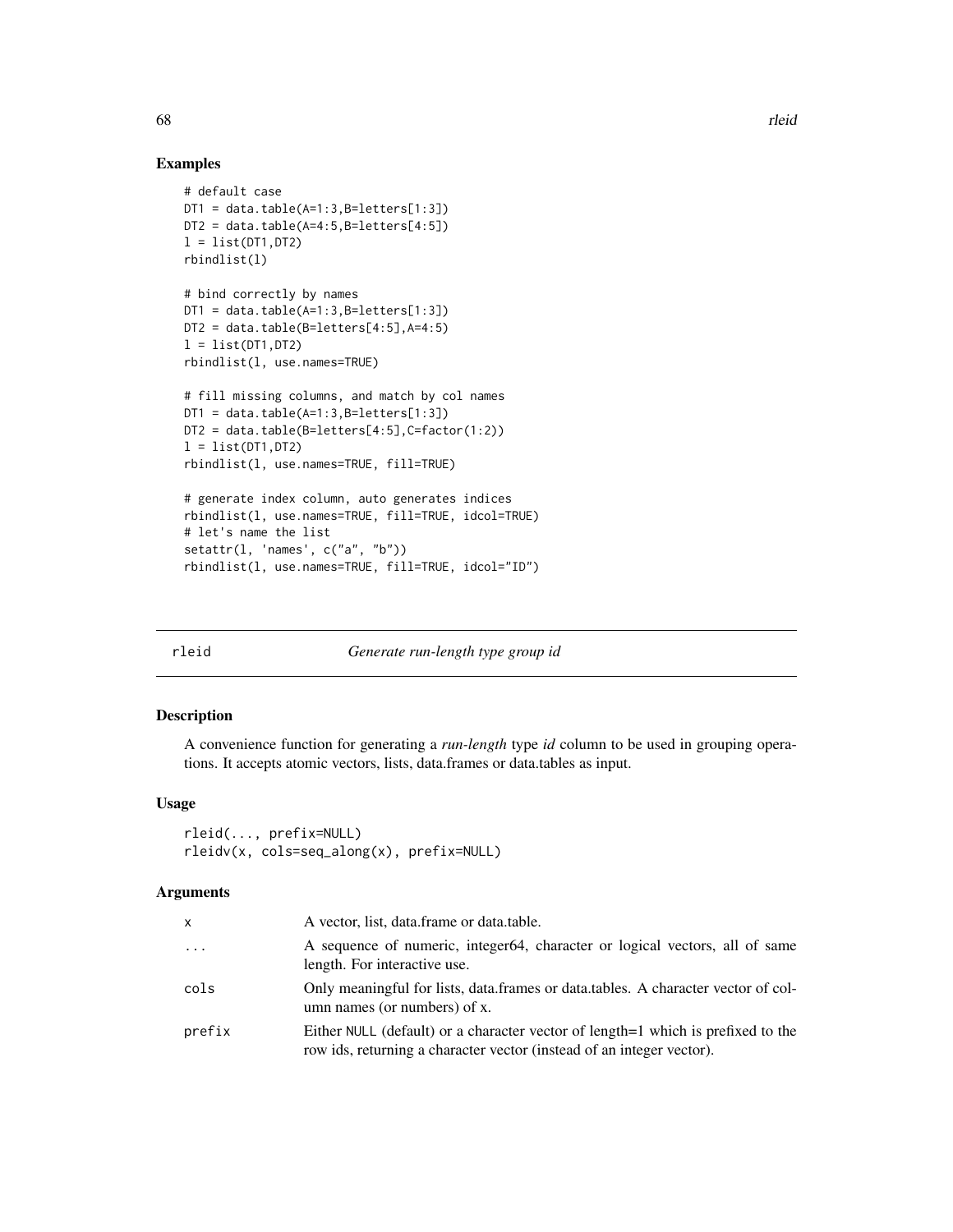### Examples

```
# default case
DT1 = data.table(A=1:3,B=letters[1:3])DT2 = data.table(A=4:5,B=letters[4:5])l = list(DT1,DT2)rbindlist(l)
# bind correctly by names
DT1 = data_table(A=1:3,B=letters[1:3])DT2 = data.table(B=letters[4:5], A=4:5)
l = list(DT1, DT2)rbindlist(l, use.names=TRUE)
# fill missing columns, and match by col names
DT1 = data.table(A=1:3,B=letters[1:3])DT2 = data.table(B=letters[4:5],C=factor(1:2))
l = list(DT1, DT2)rbindlist(l, use.names=TRUE, fill=TRUE)
# generate index column, auto generates indices
rbindlist(l, use.names=TRUE, fill=TRUE, idcol=TRUE)
# let's name the list
setattr(l, 'names', c("a", "b"))
rbindlist(l, use.names=TRUE, fill=TRUE, idcol="ID")
```
<span id="page-67-0"></span>

| ÷ |
|---|
|   |

#### Generate run-length type group id

#### Description

A convenience function for generating a *run-length* type *id* column to be used in grouping operations. It accepts atomic vectors, lists, data.frames or data.tables as input.

# Usage

```
rleid(..., prefix=NULL)
rleidv(x, cols=seq_along(x), prefix=NULL)
```

| x        | A vector, list, data.frame or data.table.                                                                                                                 |
|----------|-----------------------------------------------------------------------------------------------------------------------------------------------------------|
| $\cdots$ | A sequence of numeric, integer64, character or logical vectors, all of same<br>length. For interactive use.                                               |
| cols     | Only meaningful for lists, data.frames or data.tables. A character vector of col-<br>umn names (or numbers) of x.                                         |
| prefix   | Either NULL (default) or a character vector of length=1 which is prefixed to the<br>row ids, returning a character vector (instead of an integer vector). |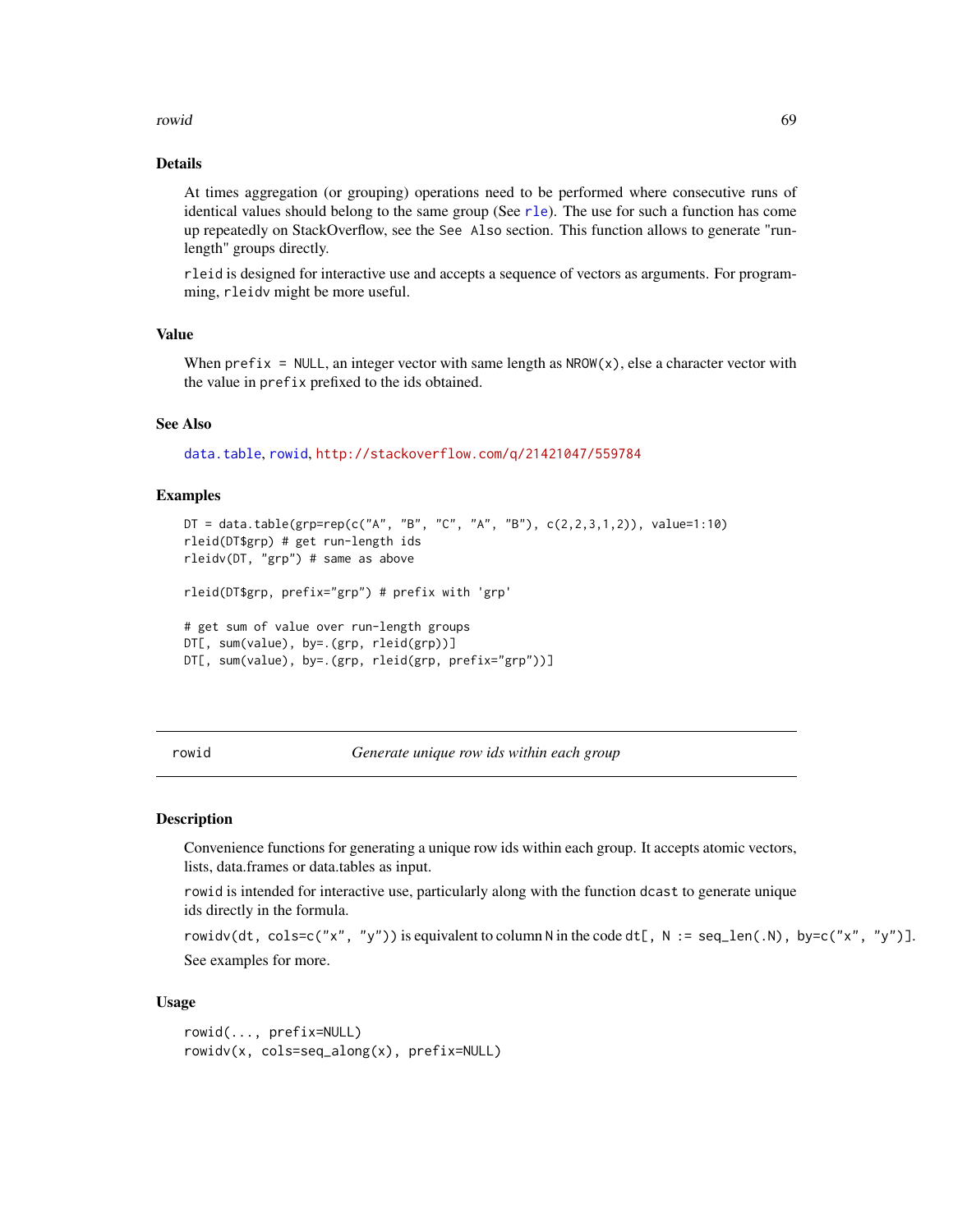#### rowid 69

# Details

At times aggregation (or grouping) operations need to be performed where consecutive runs of identical values should belong to the same group (See [rle](#page-0-0)). The use for such a function has come up repeatedly on StackOverflow, see the See Also section. This function allows to generate "runlength" groups directly.

rleid is designed for interactive use and accepts a sequence of vectors as arguments. For programming, rleidv might be more useful.

# Value

When prefix =  $NULL$ , an integer vector with same length as  $NROW(x)$ , else a character vector with the value in prefix prefixed to the ids obtained.

### See Also

[data.table](#page-2-0), [rowid](#page-68-0), <http://stackoverflow.com/q/21421047/559784>

## Examples

```
DT = data.title(grp=rep(c('A", 'B", 'C", 'A", 'B"), c(2,2,3,1,2)), value=1:10)rleid(DT$grp) # get run-length ids
rleidv(DT, "grp") # same as above
rleid(DT$grp, prefix="grp") # prefix with 'grp'
# get sum of value over run-length groups
DT[, sum(value), by=.(grp, rleid(grp))]
DT[, sum(value), by=.(grp, rleid(grp, prefix="grp"))]
```
<span id="page-68-0"></span>rowid *Generate unique row ids within each group*

### Description

Convenience functions for generating a unique row ids within each group. It accepts atomic vectors, lists, data.frames or data.tables as input.

rowid is intended for interactive use, particularly along with the function dcast to generate unique ids directly in the formula.

rowidv(dt, cols=c("x", "y")) is equivalent to column N in the code dt[, N := seq\_len(.N), by=c("x", "y")]. See examples for more.

### Usage

```
rowid(..., prefix=NULL)
rowidv(x, cols=seq_along(x), prefix=NULL)
```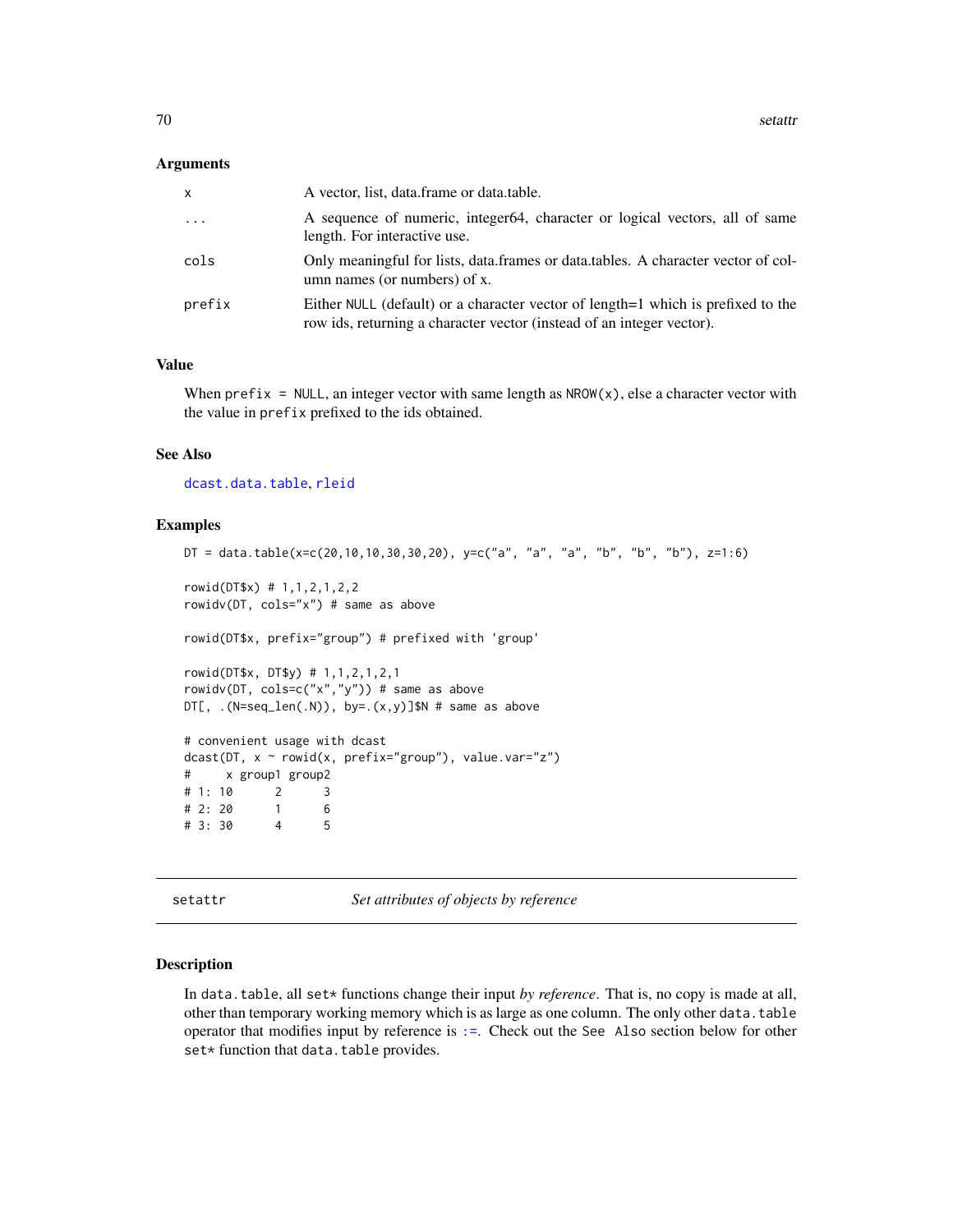### **Arguments**

| x        | A vector, list, data.frame or data.table.                                                                                                                 |
|----------|-----------------------------------------------------------------------------------------------------------------------------------------------------------|
| $\cdots$ | A sequence of numeric, integer64, character or logical vectors, all of same<br>length. For interactive use.                                               |
| cols     | Only meaningful for lists, data.frames or data.tables. A character vector of col-<br>umn names (or numbers) of x.                                         |
| prefix   | Either NULL (default) or a character vector of length=1 which is prefixed to the<br>row ids, returning a character vector (instead of an integer vector). |

## Value

When prefix =  $NULL$ , an integer vector with same length as  $NROW(x)$ , else a character vector with the value in prefix prefixed to the ids obtained.

# See Also

[dcast.data.table](#page-27-1), [rleid](#page-67-0)

#### Examples

```
DT = data.table(x=c(20,10,10,30,30,20), y=c("a", "a", "a", "b", "b"), z=1:6)
rowid(DT$x) # 1,1,2,1,2,2
rowidv(DT, cols="x") # same as above
rowid(DT$x, prefix="group") # prefixed with 'group'
rowid(DT$x, DT$y) # 1,1,2,1,2,1
rowidv(DT, cols=c("x","y")) # same as above
DT[, .(N=seq_len(.N)), by=.(x,y)]$N # same as above
# convenient usage with dcast
dcast(DT, x ~ rowid(x, prefix="group"), value.var="z")
# x group1 group2
# 1: 10 2 3
# 2: 20 1 6
# 3: 30 4 5
```
setattr *Set attributes of objects by reference*

### Description

In data.table, all set\* functions change their input *by reference*. That is, no copy is made at all, other than temporary working memory which is as large as one column. The only other data.table operator that modifies input by reference is [:=](#page-11-0). Check out the See Also section below for other set\* function that data.table provides.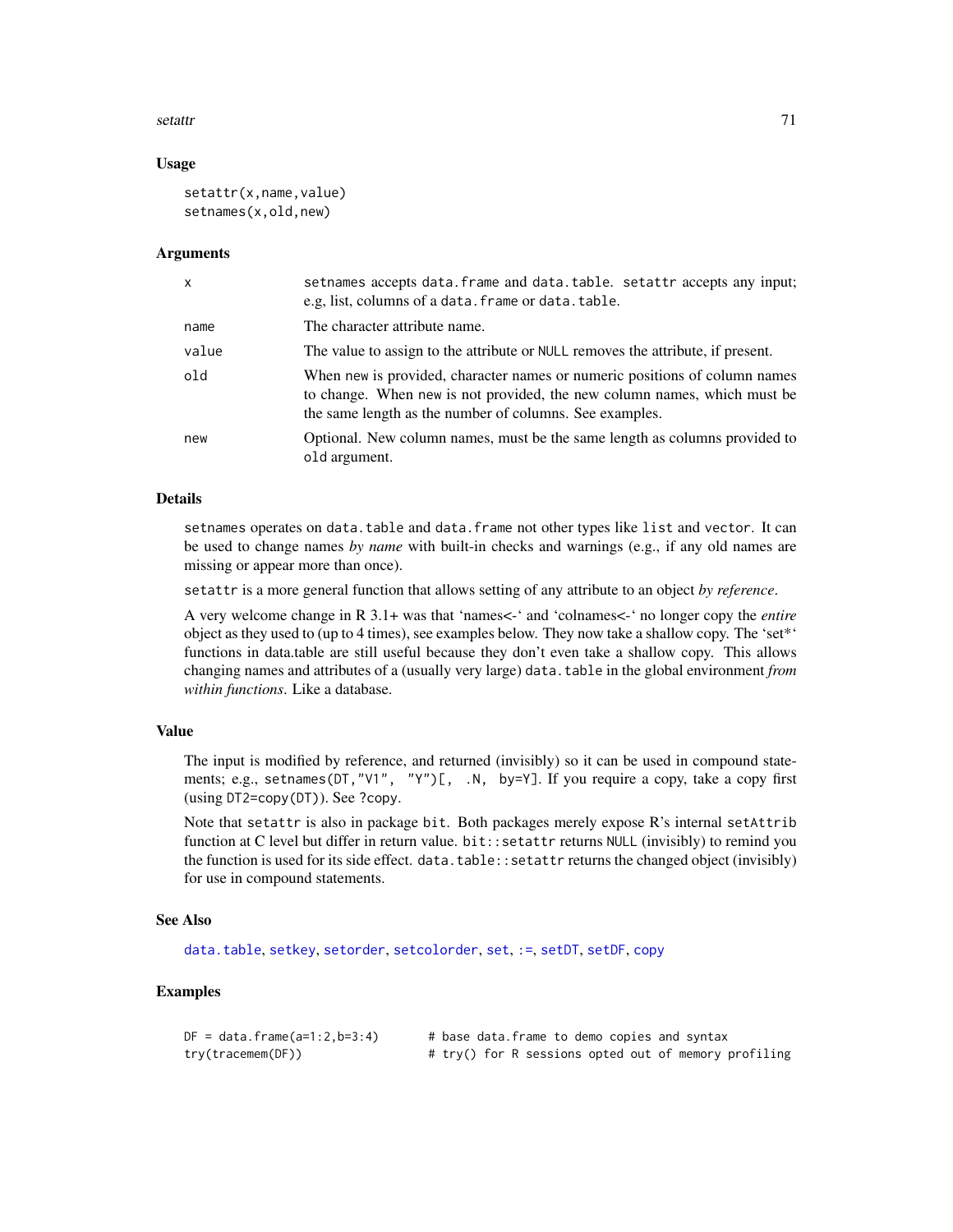#### setattr 71

### Usage

```
setattr(x,name, value)
setnames(x,old,new)
```
#### Arguments

| $\mathsf{x}$ | setnames accepts data. frame and data. table. setattr accepts any input;<br>e.g, list, columns of a data. frame or data. table.                                                                                   |
|--------------|-------------------------------------------------------------------------------------------------------------------------------------------------------------------------------------------------------------------|
| name         | The character attribute name.                                                                                                                                                                                     |
| value        | The value to assign to the attribute or NULL removes the attribute, if present.                                                                                                                                   |
| old          | When new is provided, character names or numeric positions of column names<br>to change. When new is not provided, the new column names, which must be<br>the same length as the number of columns. See examples. |
| new          | Optional. New column names, must be the same length as columns provided to<br>old argument.                                                                                                                       |

# Details

setnames operates on data.table and data.frame not other types like list and vector. It can be used to change names *by name* with built-in checks and warnings (e.g., if any old names are missing or appear more than once).

setattr is a more general function that allows setting of any attribute to an object *by reference*.

A very welcome change in R 3.1+ was that 'names<-' and 'colnames<-' no longer copy the *entire* object as they used to (up to 4 times), see examples below. They now take a shallow copy. The 'set\*' functions in data.table are still useful because they don't even take a shallow copy. This allows changing names and attributes of a (usually very large) data.table in the global environment *from within functions*. Like a database.

### Value

The input is modified by reference, and returned (invisibly) so it can be used in compound statements; e.g., setnames(DT,"V1", "Y")[, .N, by=Y]. If you require a copy, take a copy first (using DT2=copy(DT)). See ?copy.

Note that setattr is also in package bit. Both packages merely expose R's internal setAttrib function at C level but differ in return value. bit::setattr returns NULL (invisibly) to remind you the function is used for its side effect. data.table::setattr returns the changed object (invisibly) for use in compound statements.

## See Also

[data.table](#page-2-0), [setkey](#page-76-0), [setorder](#page-81-0), [setcolorder](#page-71-0), [set](#page-11-1), [:=](#page-11-0), [setDT](#page-73-0), [setDF](#page-72-0), [copy](#page-23-0)

| $DF = data.$ frame( $a=1:2, b=3:4$ ) | # base data.frame to demo copies and syntax          |
|--------------------------------------|------------------------------------------------------|
| try(tracemem(DF))                    | # try() for R sessions opted out of memory profiling |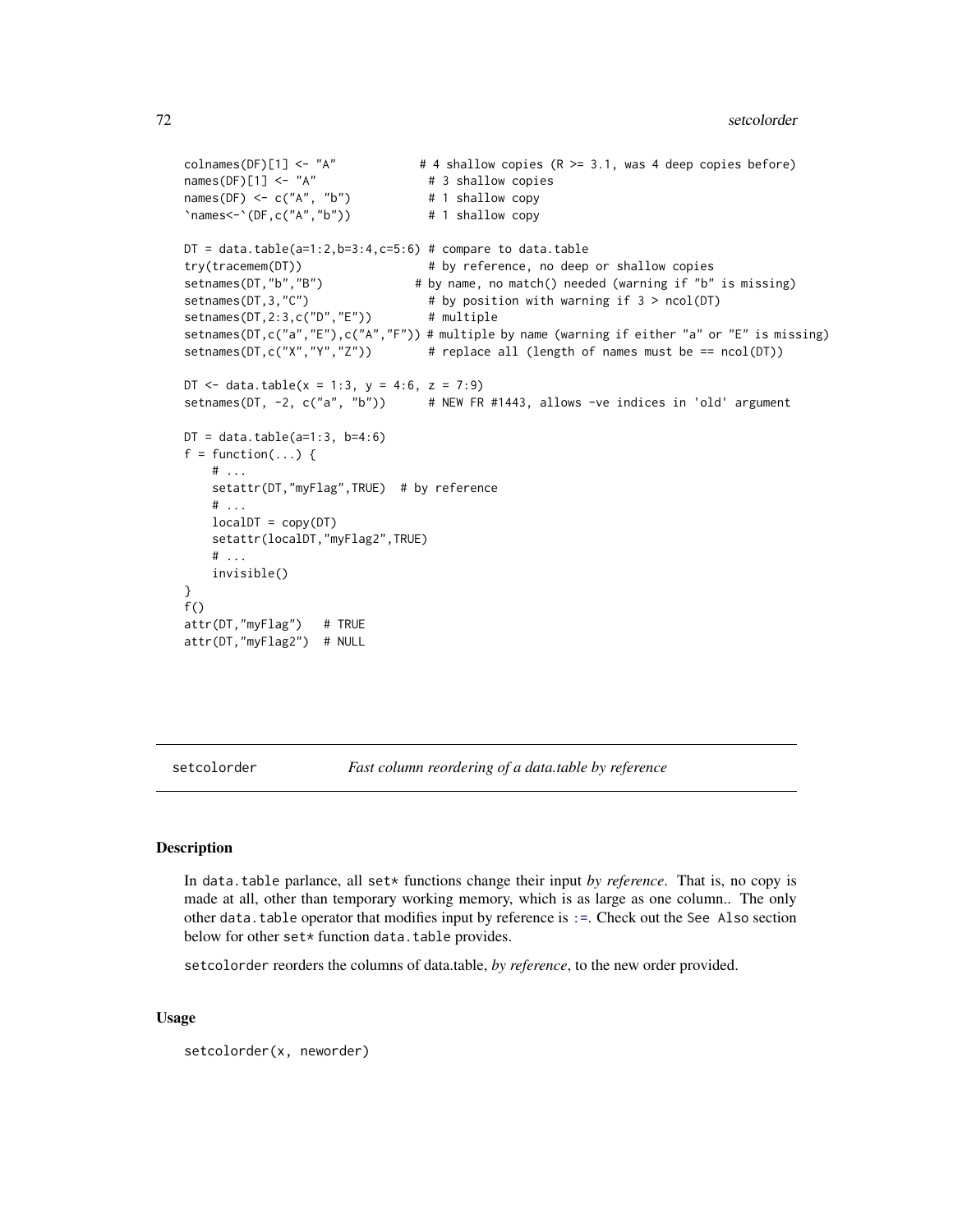```
colnames(DF)[1] \leftarrow "A" # 4 shallow copies (R \geq 3.1, was 4 deep copies before)
names(DF)[1] < - "A" \qquad \qquad # 3 shallow copiesnames(DF) \leq c("A", "b") # 1 shallow copy
'names' (DF,c("A","b")) * 1 shallow copyDT = data.title(a=1:2,b=3:4,c=5:6) # compare to data_tabletry(tracemem(DT)) # by reference, no deep or shallow copies
setnames(DT,"b","B") # by name, no match() needed (warning if "b" is missing)
setnames(DT,3,"C") \qquad # by position with warning if 3 > ncol(DT)
setnames(DT,2:3,c("D","E")) # multiple
setnames(DT,c("a","E"),c("A","F")) # multiple by name (warning if either "a" or "E" is missing)<br>setnames(DT,c("X","Y","Z"))  # replace all (length of names must be == ncol(DT))
                                   # replace all (length of names must be == ncol(DT))
DT \le data.table(x = 1:3, y = 4:6, z = 7:9)
setnames(DT, -2, c("a", "b")) # NEW FR #1443, allows -ve indices in 'old' argument
DT = data.title(a=1:3, b=4:6)f = function(...) {
    # ...
    setattr(DT,"myFlag",TRUE) # by reference
    # . . .
    localDT = copy(DT)setattr(localDT,"myFlag2",TRUE)
    # ...
    invisible()
}
f()
attr(DT,"myFlag") # TRUE
attr(DT,"myFlag2") # NULL
```
<span id="page-71-0"></span>setcolorder *Fast column reordering of a data.table by reference*

# Description

In data.table parlance, all set\* functions change their input *by reference*. That is, no copy is made at all, other than temporary working memory, which is as large as one column.. The only other data.table operator that modifies input by reference is [:=](#page-11-0). Check out the See Also section below for other set\* function data.table provides.

setcolorder reorders the columns of data.table, *by reference*, to the new order provided.

### Usage

setcolorder(x, neworder)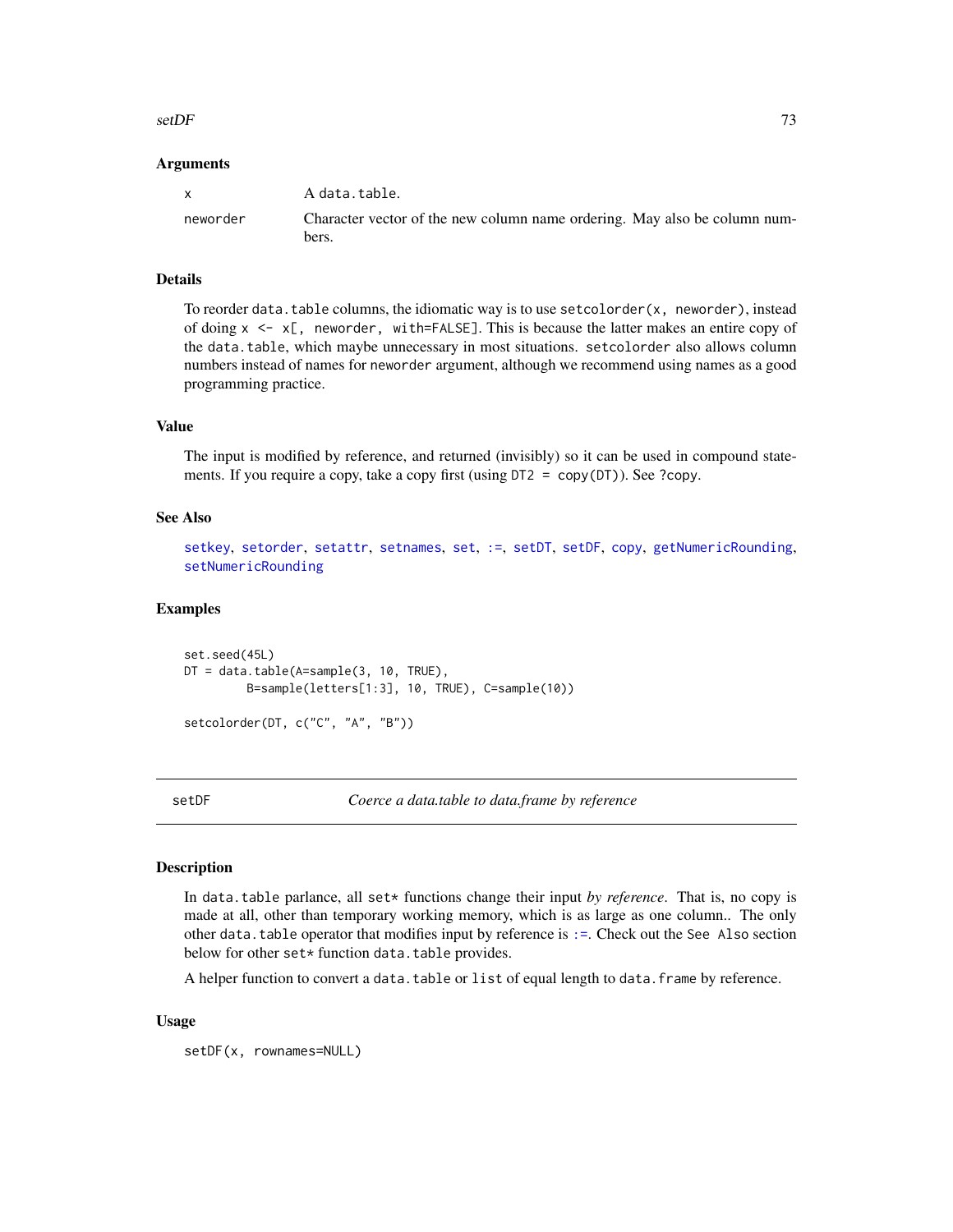#### <span id="page-72-1"></span> $setDF$  73

#### Arguments

| $\mathbf{x}$ | A data.table.                                                                      |
|--------------|------------------------------------------------------------------------------------|
| neworder     | Character vector of the new column name ordering. May also be column num-<br>bers. |

## Details

To reorder data.table columns, the idiomatic way is to use setcolorder(x, neworder), instead of doing  $x \leq x \leq x$ , neworder, with=FALSE]. This is because the latter makes an entire copy of the data.table, which maybe unnecessary in most situations. setcolorder also allows column numbers instead of names for neworder argument, although we recommend using names as a good programming practice.

# Value

The input is modified by reference, and returned (invisibly) so it can be used in compound statements. If you require a copy, take a copy first (using DT2 = copy(DT)). See ?copy.

## See Also

[setkey](#page-76-0), [setorder](#page-81-0), [setattr](#page-69-0), [setnames](#page-69-1), [set](#page-11-0), [:=](#page-11-1), [setDT](#page-73-0), [setDF](#page-72-0), [copy](#page-23-0), [getNumericRounding](#page-78-0), [setNumericRounding](#page-78-1)

## Examples

```
set.seed(45L)
DT = data.table(A=sample(3, 10, TRUE),
         B=sample(letters[1:3], 10, TRUE), C=sample(10))
```
setcolorder(DT, c("C", "A", "B"))

<span id="page-72-0"></span>

setDF *Coerce a data.table to data.frame by reference*

#### Description

In data.table parlance, all set\* functions change their input by reference. That is, no copy is made at all, other than temporary working memory, which is as large as one column.. The only other data.table operator that modifies input by reference is [:=](#page-11-1). Check out the See Also section below for other set\* function data.table provides.

A helper function to convert a data.table or list of equal length to data.frame by reference.

#### Usage

setDF(x, rownames=NULL)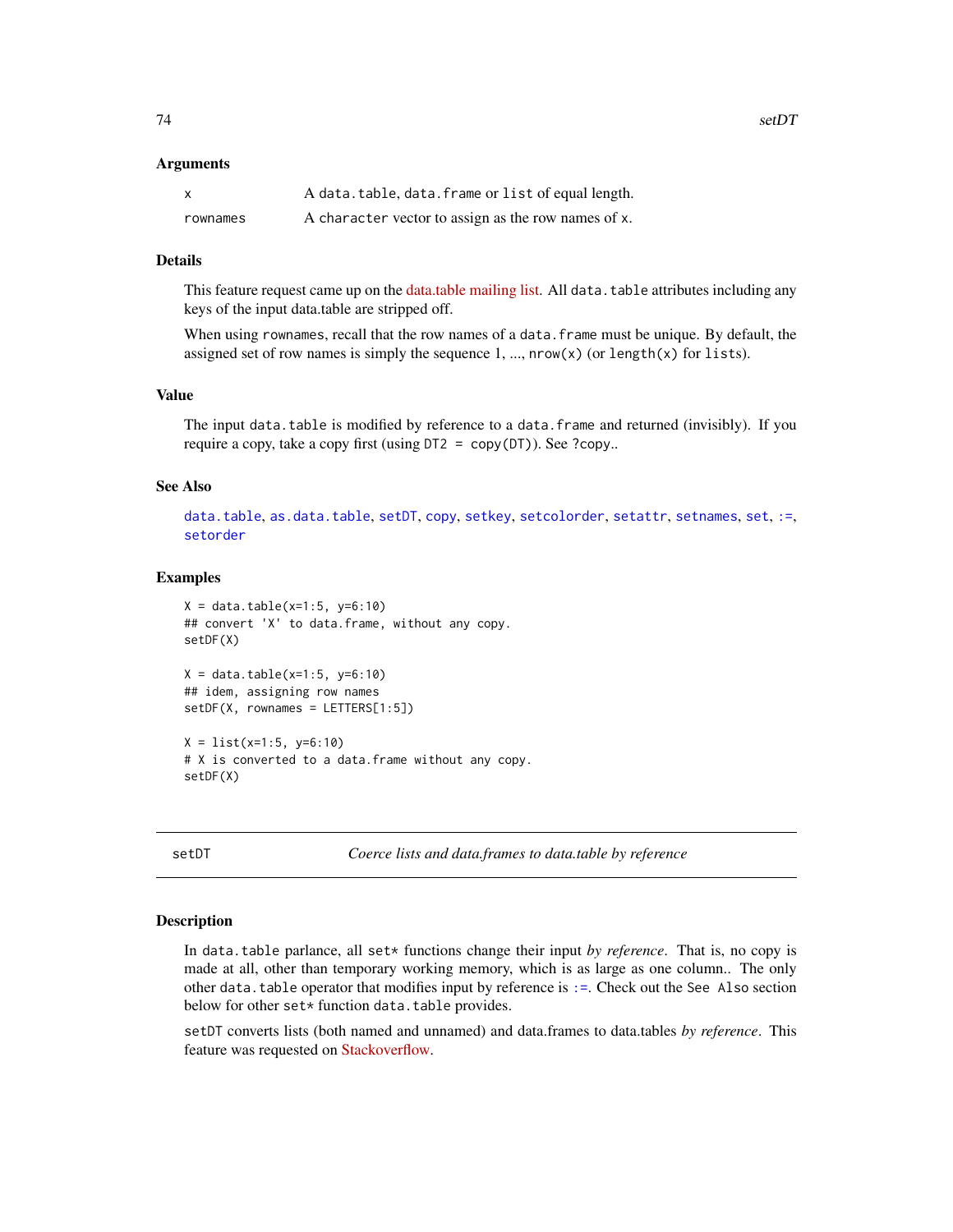## <span id="page-73-1"></span>Arguments

| X        | A data.table, data.frame or list of equal length.   |
|----------|-----------------------------------------------------|
| rownames | A character vector to assign as the row names of x. |

# Details

This feature request came up on the [data.table mailing list.](http://r.789695.n4.nabble.com/Is-there-any-overhead-to-converting-back-and-forth-from-a-data-table-to-a-data-frame-td4688332.html) All data.table attributes including any keys of the input data.table are stripped off.

When using rownames, recall that the row names of a data. frame must be unique. By default, the assigned set of row names is simply the sequence  $1, ..., now(x)$  (or length(x) for lists).

# Value

The input data.table is modified by reference to a data.frame and returned (invisibly). If you require a copy, take a copy first (using DT2 = copy(DT)). See ?copy..

# See Also

[data.table](#page-2-0), [as.data.table](#page-17-0), [setDT](#page-73-0), [copy](#page-23-0), [setkey](#page-76-0), [setcolorder](#page-71-0), [setattr](#page-69-0), [setnames](#page-69-1), [set](#page-11-0), [:=](#page-11-1), [setorder](#page-81-0)

## Examples

```
X = data.title(x=1:5, y=6:10)## convert 'X' to data.frame, without any copy.
setDF(X)
X = data.title(x=1:5, y=6:10)## idem, assigning row names
setDF(X, rownames = LETTERS[1:5])
X = list(x=1:5, y=6:10)# X is converted to a data.frame without any copy.
setDF(X)
```
<span id="page-73-0"></span>setDT *Coerce lists and data.frames to data.table by reference*

#### Description

In data.table parlance, all set\* functions change their input *by reference*. That is, no copy is made at all, other than temporary working memory, which is as large as one column.. The only other data.table operator that modifies input by reference is [:=](#page-11-1). Check out the See Also section below for other set\* function data.table provides.

setDT converts lists (both named and unnamed) and data.frames to data.tables *by reference*. This feature was requested on [Stackoverflow.](http://stackoverflow.com/questions/20345022/convert-a-data-frame-to-a-data-table-without-copy)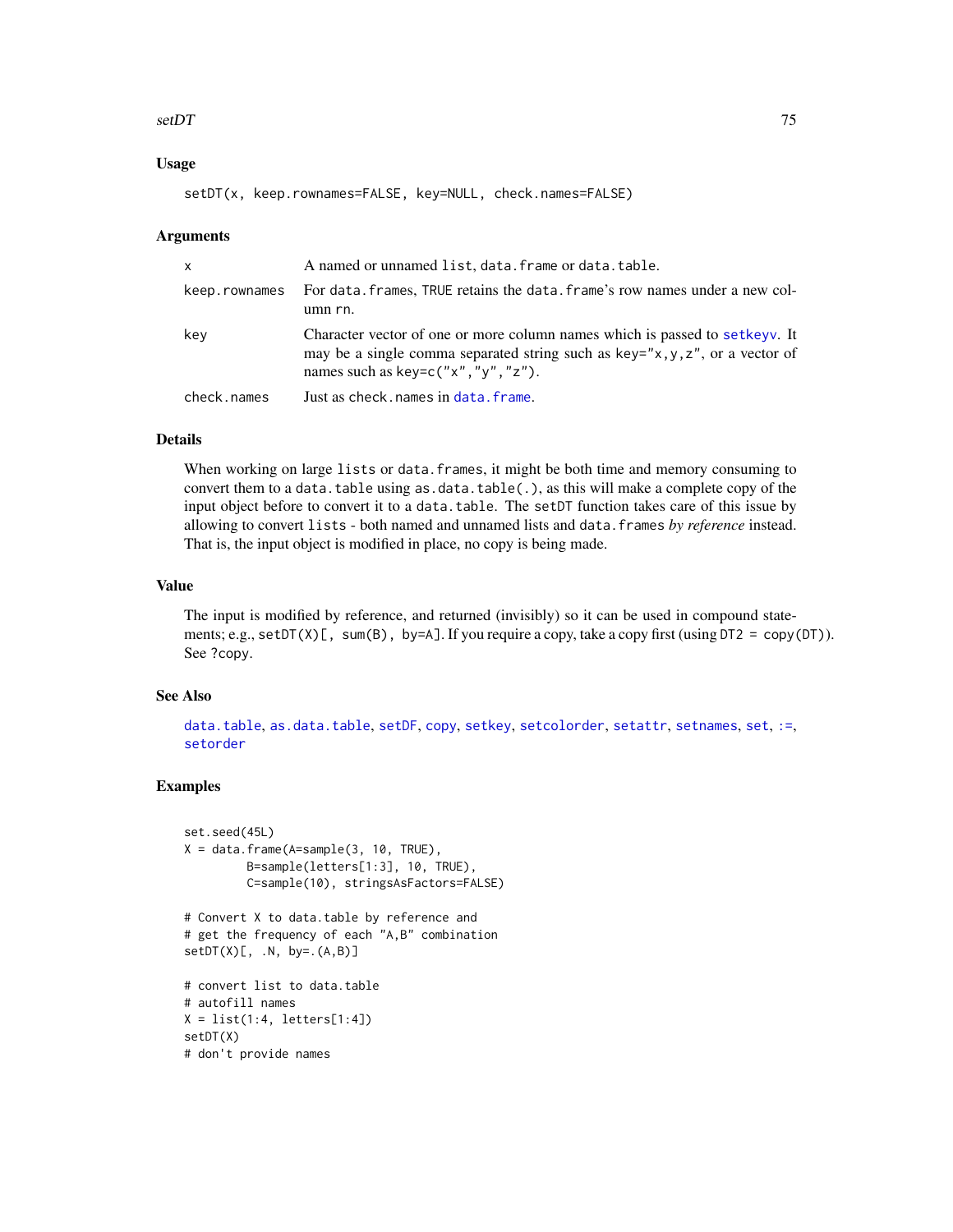## <span id="page-74-0"></span> $\text{set}$   $\Gamma$  75

# Usage

setDT(x, keep.rownames=FALSE, key=NULL, check.names=FALSE)

## **Arguments**

| $\mathsf{x}$  | A named or unnamed list, data, frame or data, table.                                                                                                                                                     |
|---------------|----------------------------------------------------------------------------------------------------------------------------------------------------------------------------------------------------------|
| keep.rownames | For data, frames, TRUE retains the data, frame's row names under a new col-<br>umn rn.                                                                                                                   |
| kev           | Character vector of one or more column names which is passed to setkey. It<br>may be a single comma separated string such as $key = "x, y, z",$ or a vector of<br>names such as key= $c("x", "y", "z").$ |
| check.names   | Just as check.names in data.frame.                                                                                                                                                                       |

# Details

When working on large lists or data.frames, it might be both time and memory consuming to convert them to a data.table using as.data.table(.), as this will make a complete copy of the input object before to convert it to a data.table. The setDT function takes care of this issue by allowing to convert lists - both named and unnamed lists and data.frames *by reference* instead. That is, the input object is modified in place, no copy is being made.

#### Value

The input is modified by reference, and returned (invisibly) so it can be used in compound statements; e.g., setDT(X)[, sum(B), by=A]. If you require a copy, take a copy first (using DT2 = copy(DT)). See ?copy.

# See Also

[data.table](#page-2-0), [as.data.table](#page-17-0), [setDF](#page-72-0), [copy](#page-23-0), [setkey](#page-76-0), [setcolorder](#page-71-0), [setattr](#page-69-0), [setnames](#page-69-1), [set](#page-11-0), [:=](#page-11-1), [setorder](#page-81-0)

## Examples

```
set.seed(45L)
X = data. frame(A=sample(3, 10, TRUE),
        B=sample(letters[1:3], 10, TRUE),
         C=sample(10), stringsAsFactors=FALSE)
# Convert X to data.table by reference and
# get the frequency of each "A,B" combination
setDT(X)[, .N, by=(A,B)]# convert list to data.table
# autofill names
X = list(1:4, letters[1:4])setDT(X)
# don't provide names
```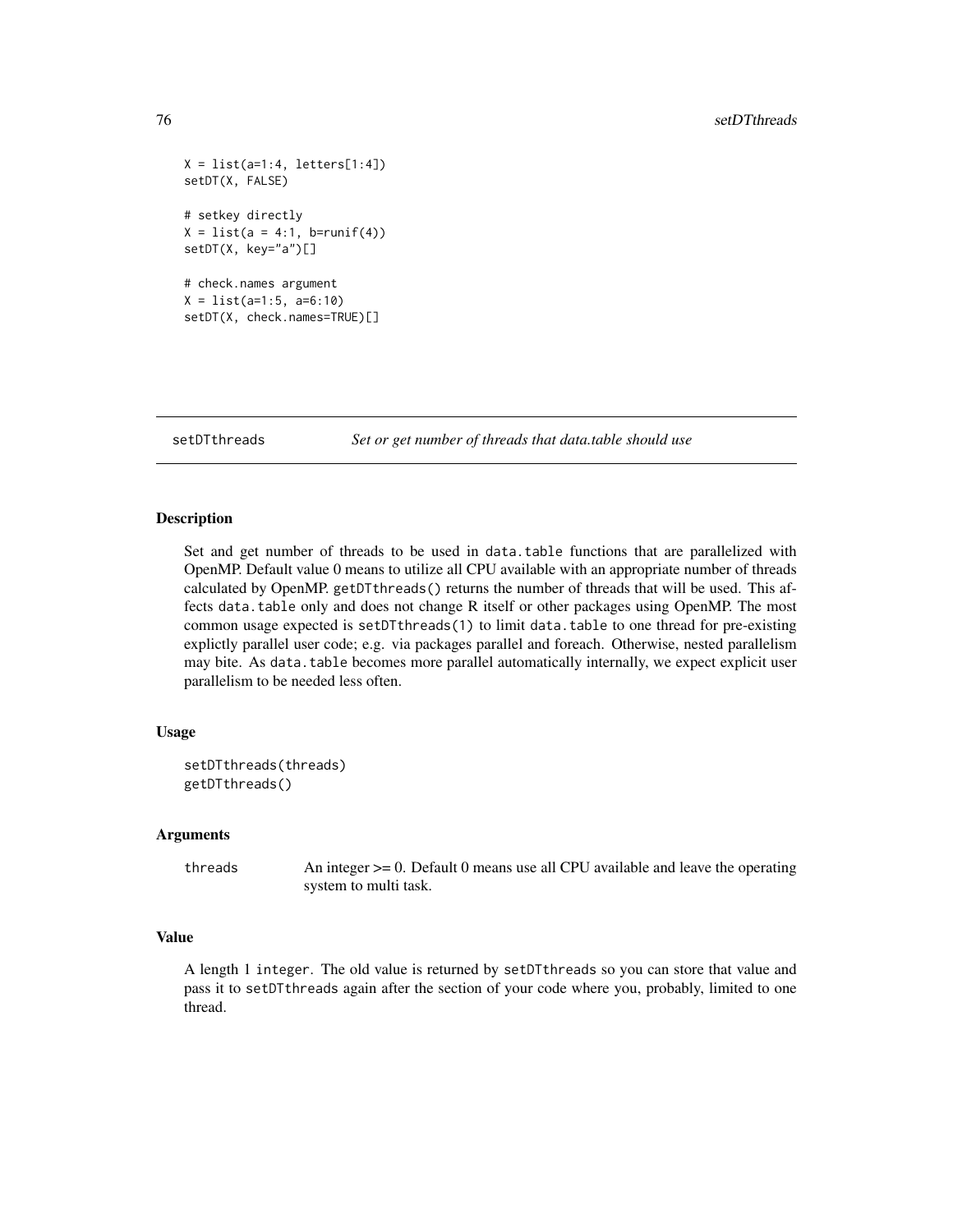```
X = list(a=1:4, letters[1:4])setDT(X, FALSE)
# setkey directly
X = list(a = 4:1, b = runif(4))setDT(X, key="a")[]
# check.names argument
X = list(a=1:5, a=6:10)setDT(X, check.names=TRUE)[]
```
setDTthreads *Set or get number of threads that data.table should use*

## Description

Set and get number of threads to be used in data.table functions that are parallelized with OpenMP. Default value 0 means to utilize all CPU available with an appropriate number of threads calculated by OpenMP. getDTthreads() returns the number of threads that will be used. This affects data.table only and does not change R itself or other packages using OpenMP. The most common usage expected is setDTthreads(1) to limit data.table to one thread for pre-existing explictly parallel user code; e.g. via packages parallel and foreach. Otherwise, nested parallelism may bite. As data.table becomes more parallel automatically internally, we expect explicit user parallelism to be needed less often.

# Usage

```
setDTthreads(threads)
getDTthreads()
```
## **Arguments**

threads An integer >= 0. Default 0 means use all CPU available and leave the operating system to multi task.

## Value

A length 1 integer. The old value is returned by setDTthreads so you can store that value and pass it to setDTthreads again after the section of your code where you, probably, limited to one thread.

<span id="page-75-0"></span>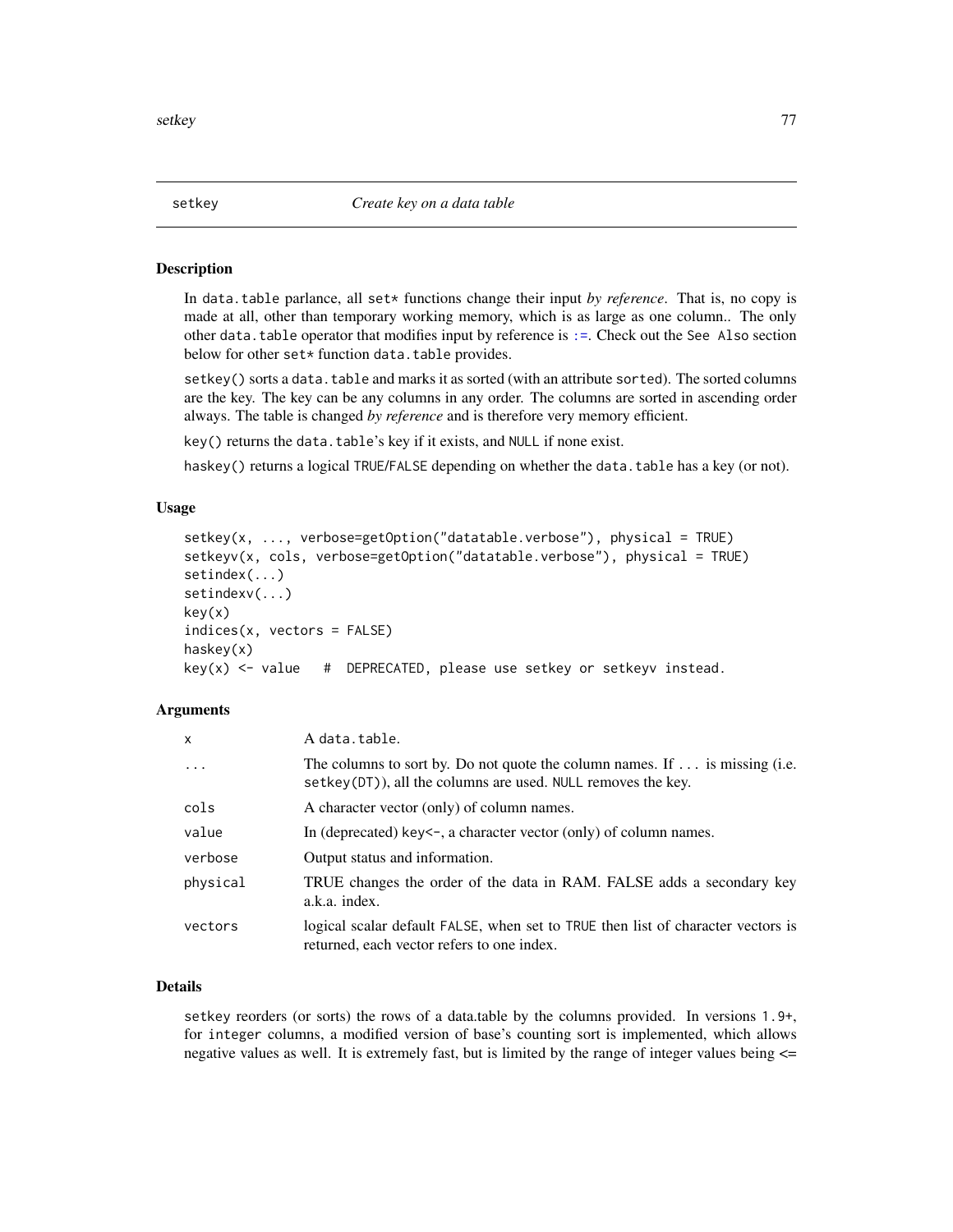<span id="page-76-2"></span>setkey 77

#### <span id="page-76-1"></span>Description

In data.table parlance, all set\* functions change their input *by reference*. That is, no copy is made at all, other than temporary working memory, which is as large as one column.. The only other data.table operator that modifies input by reference is [:=](#page-11-1). Check out the See Also section below for other set\* function data.table provides.

setkey() sorts a data.table and marks it as sorted (with an attribute sorted). The sorted columns are the key. The key can be any columns in any order. The columns are sorted in ascending order always. The table is changed *by reference* and is therefore very memory efficient.

key() returns the data.table's key if it exists, and NULL if none exist.

haskey() returns a logical TRUE/FALSE depending on whether the data.table has a key (or not).

# Usage

```
setkey(x, ..., verbose=getOption("datatable.verbose"), physical = TRUE)
setkeyv(x, cols, verbose=getOption("datatable.verbose"), physical = TRUE)
setindex(...)
setindexv(...)
key(x)
indices(x, vectors = FALSE)
haskey(x)
key(x) \leq value # DEPRECATED, please use setkey or setkeyv instead.
```
#### Arguments

| $\mathsf{x}$ | A data.table.                                                                                                                                      |
|--------------|----------------------------------------------------------------------------------------------------------------------------------------------------|
| $\ddots$     | The columns to sort by. Do not quote the column names. If $\dots$ is missing (i.e.<br>setkey(DT)), all the columns are used. NULL removes the key. |
| cols         | A character vector (only) of column names.                                                                                                         |
| value        | In (deprecated) key $\leftarrow$ , a character vector (only) of column names.                                                                      |
| verbose      | Output status and information.                                                                                                                     |
| physical     | TRUE changes the order of the data in RAM. FALSE adds a secondary key<br>a.k.a. index.                                                             |
| vectors      | logical scalar default FALSE, when set to TRUE then list of character vectors is<br>returned, each vector refers to one index.                     |

# Details

setkey reorders (or sorts) the rows of a data.table by the columns provided. In versions 1.9+, for integer columns, a modified version of base's counting sort is implemented, which allows negative values as well. It is extremely fast, but is limited by the range of integer values being <=

<span id="page-76-0"></span>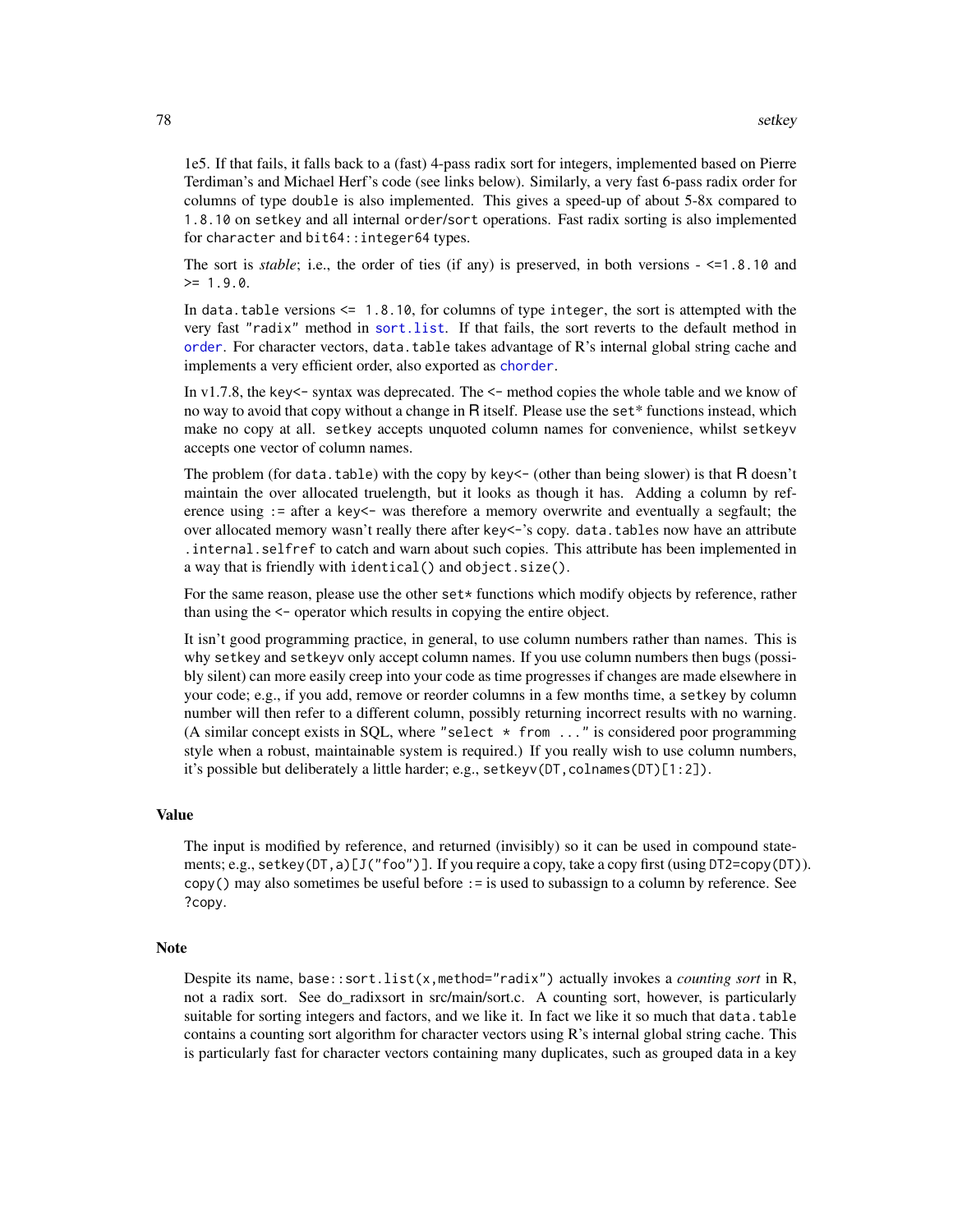<span id="page-77-0"></span>1e5. If that fails, it falls back to a (fast) 4-pass radix sort for integers, implemented based on Pierre Terdiman's and Michael Herf's code (see links below). Similarly, a very fast 6-pass radix order for columns of type double is also implemented. This gives a speed-up of about 5-8x compared to 1.8.10 on setkey and all internal order/sort operations. Fast radix sorting is also implemented for character and bit64:: integer64 types.

The sort is *stable*; i.e., the order of ties (if any) is preserved, in both versions  $-$  <=1.8.10 and  $>= 1.9.0.$ 

In data.table versions  $\leq 1.8.10$ , for columns of type integer, the sort is attempted with the very fast "radix" method in [sort.list](#page-0-0). If that fails, the sort reverts to the default method in [order](#page-81-1). For character vectors, data.table takes advantage of R's internal global string cache and implements a very efficient order, also exported as [chorder](#page-21-0).

In v1.7.8, the key<- syntax was deprecated. The <- method copies the whole table and we know of no way to avoid that copy without a change in R itself. Please use the set\* functions instead, which make no copy at all. setkey accepts unquoted column names for convenience, whilst setkeyv accepts one vector of column names.

The problem (for data.table) with the copy by key<- (other than being slower) is that R doesn't maintain the over allocated truelength, but it looks as though it has. Adding a column by reference using := after a key<- was therefore a memory overwrite and eventually a segfault; the over allocated memory wasn't really there after key <- 's copy. data.tables now have an attribute .internal.selfref to catch and warn about such copies. This attribute has been implemented in a way that is friendly with identical() and object.size().

For the same reason, please use the other set $\star$  functions which modify objects by reference, rather than using the <- operator which results in copying the entire object.

It isn't good programming practice, in general, to use column numbers rather than names. This is why setkey and setkeyv only accept column names. If you use column numbers then bugs (possibly silent) can more easily creep into your code as time progresses if changes are made elsewhere in your code; e.g., if you add, remove or reorder columns in a few months time, a setkey by column number will then refer to a different column, possibly returning incorrect results with no warning. (A similar concept exists in SQL, where "select  $*$  from ..." is considered poor programming style when a robust, maintainable system is required.) If you really wish to use column numbers, it's possible but deliberately a little harder; e.g., setkeyv(DT,colnames(DT)[1:2]).

#### Value

The input is modified by reference, and returned (invisibly) so it can be used in compound statements; e.g., setkey(DT, a)[J("foo")]. If you require a copy, take a copy first (using DT2=copy(DT)). copy() may also sometimes be useful before := is used to subassign to a column by reference. See ?copy.

## Note

Despite its name, base::sort.list(x,method="radix") actually invokes a *counting sort* in R, not a radix sort. See do\_radixsort in src/main/sort.c. A counting sort, however, is particularly suitable for sorting integers and factors, and we like it. In fact we like it so much that data.table contains a counting sort algorithm for character vectors using R's internal global string cache. This is particularly fast for character vectors containing many duplicates, such as grouped data in a key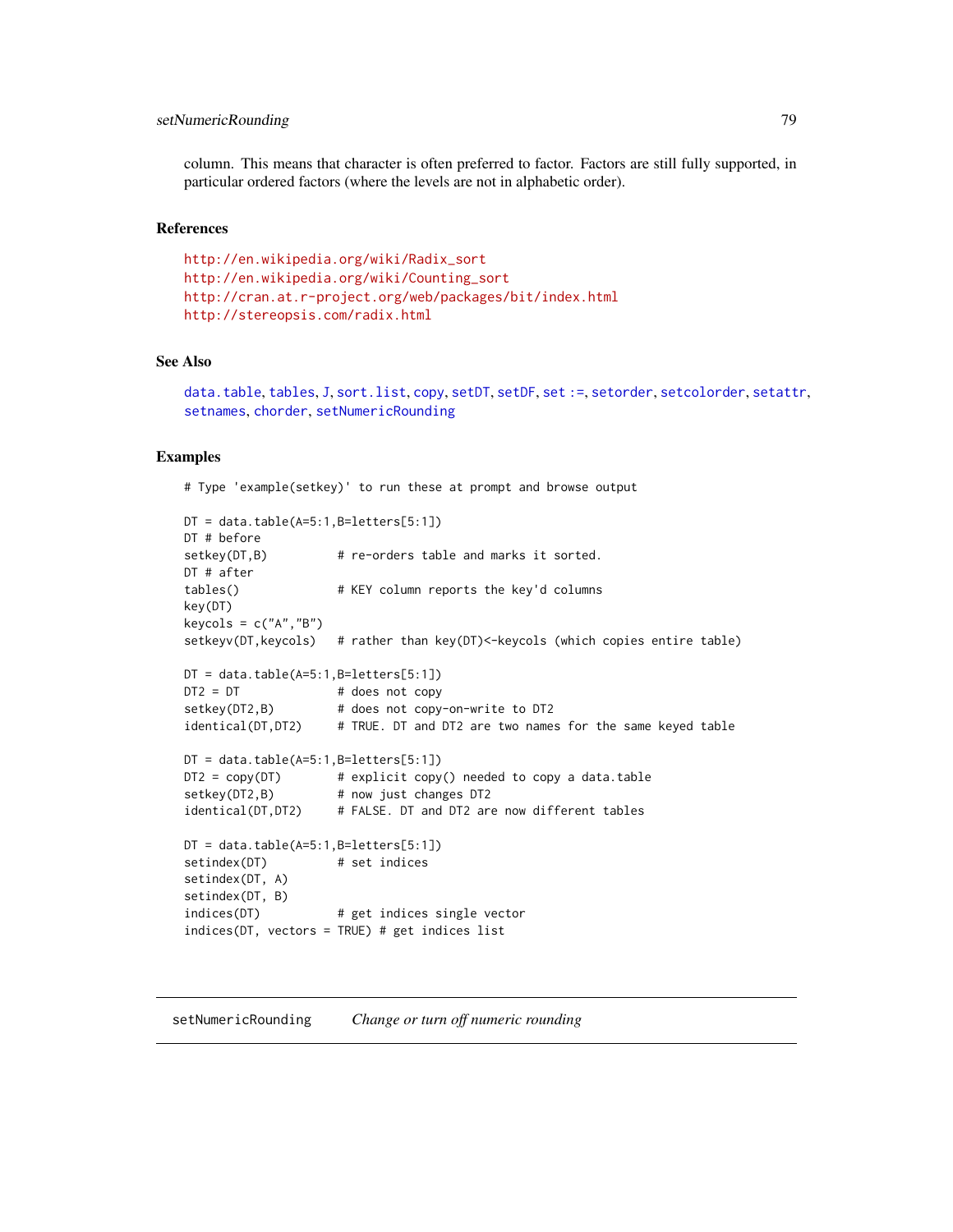# <span id="page-78-2"></span>setNumericRounding 79

column. This means that character is often preferred to factor. Factors are still fully supported, in particular ordered factors (where the levels are not in alphabetic order).

#### References

```
http://en.wikipedia.org/wiki/Radix_sort
http://en.wikipedia.org/wiki/Counting_sort
http://cran.at.r-project.org/web/packages/bit/index.html
http://stereopsis.com/radix.html
```
## See Also

```
data.table, tables, J, sort.list, copy, setDT, setDF, set :=, setorder, setcolorder, setattr,
setnames, chorder, setNumericRounding
```
## Examples

```
# Type 'example(setkey)' to run these at prompt and browse output
```

```
DT = data.table(A=5:1,B=letters[5:1])
DT # before
setkey(DT,B) # re-orders table and marks it sorted.
DT # after
tables() # KEY column reports the key'd columns
key(DT)
keycols = c("A","B")
setkeyv(DT,keycols) # rather than key(DT)<-keycols (which copies entire table)
DT = data.table(A=5:1,B=letters[5:1])
DT2 = DT # does not copy
setkey(DT2,B) # does not copy-on-write to DT2
identical(DT,DT2) # TRUE. DT and DT2 are two names for the same keyed table
DT = data.title(A=5:1,B=letters[5:1])DT2 = copy(DT) # explicit copy() needed to copy a data.table
setkey(DT2,B) # now just changes DT2
identical(DT,DT2) # FALSE. DT and DT2 are now different tables
DT = data.title(A=5:1,B=letters[5:1])setindex(DT) # set indices
setindex(DT, A)
setindex(DT, B)
indices(DT) # get indices single vector
indices(DT, vectors = TRUE) # get indices list
```
#### <span id="page-78-1"></span><span id="page-78-0"></span>setNumericRounding *Change or turn off numeric rounding*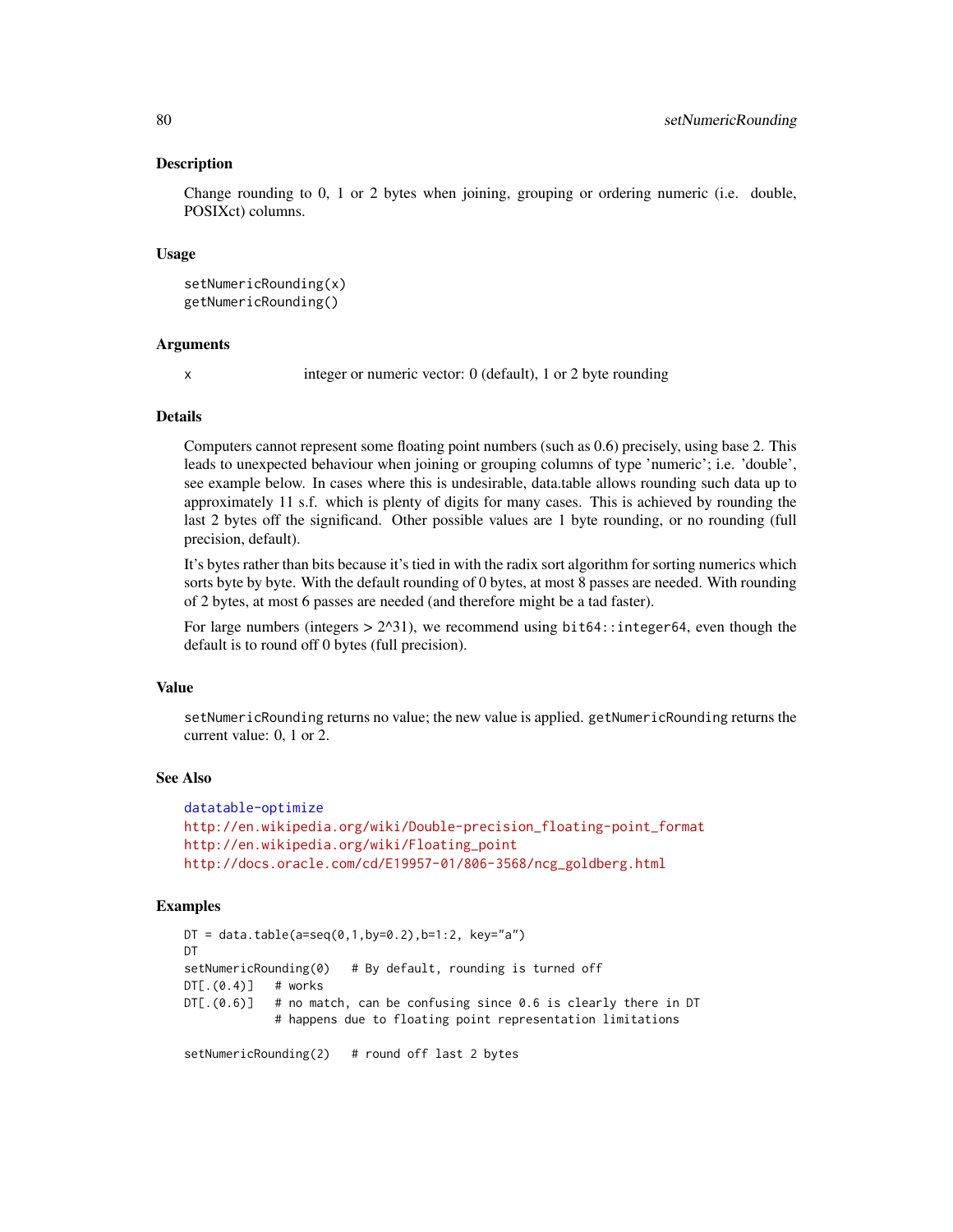## **Description**

Change rounding to 0, 1 or 2 bytes when joining, grouping or ordering numeric (i.e. double, POSIXct) columns.

## Usage

```
setNumericRounding(x)
getNumericRounding()
```
## Arguments

x integer or numeric vector: 0 (default), 1 or 2 byte rounding

#### **Details**

Computers cannot represent some floating point numbers (such as 0.6) precisely, using base 2. This leads to unexpected behaviour when joining or grouping columns of type 'numeric'; i.e. 'double', see example below. In cases where this is undesirable, data.table allows rounding such data up to approximately 11 s.f. which is plenty of digits for many cases. This is achieved by rounding the last 2 bytes off the significand. Other possible values are 1 byte rounding, or no rounding (full precision, default).

It's bytes rather than bits because it's tied in with the radix sort algorithm for sorting numerics which sorts byte by byte. With the default rounding of 0 bytes, at most 8 passes are needed. With rounding of 2 bytes, at most 6 passes are needed (and therefore might be a tad faster).

For large numbers (integers  $> 2^{\lambda}31$ ), we recommend using bit64::integer64, even though the default is to round off 0 bytes (full precision).

## Value

setNumericRounding returns no value; the new value is applied. getNumericRounding returns the current value: 0, 1 or 2.

# See Also

```
datatable-optimize
http://en.wikipedia.org/wiki/Double-precision_floating-point_format
http://en.wikipedia.org/wiki/Floating_point
http://docs.oracle.com/cd/E19957-01/806-3568/ncg_goldberg.html
```
## Examples

 $DT = data.table(a=seq(0, 1, by=0.2), b=1:2, key='a")$ **DT** setNumericRounding(0) # By default, rounding is turned off DT[.(0.4)] # works DT[.(0.6)] # no match, can be confusing since 0.6 is clearly there in DT # happens due to floating point representation limitations

setNumericRounding(2) # round off last 2 bytes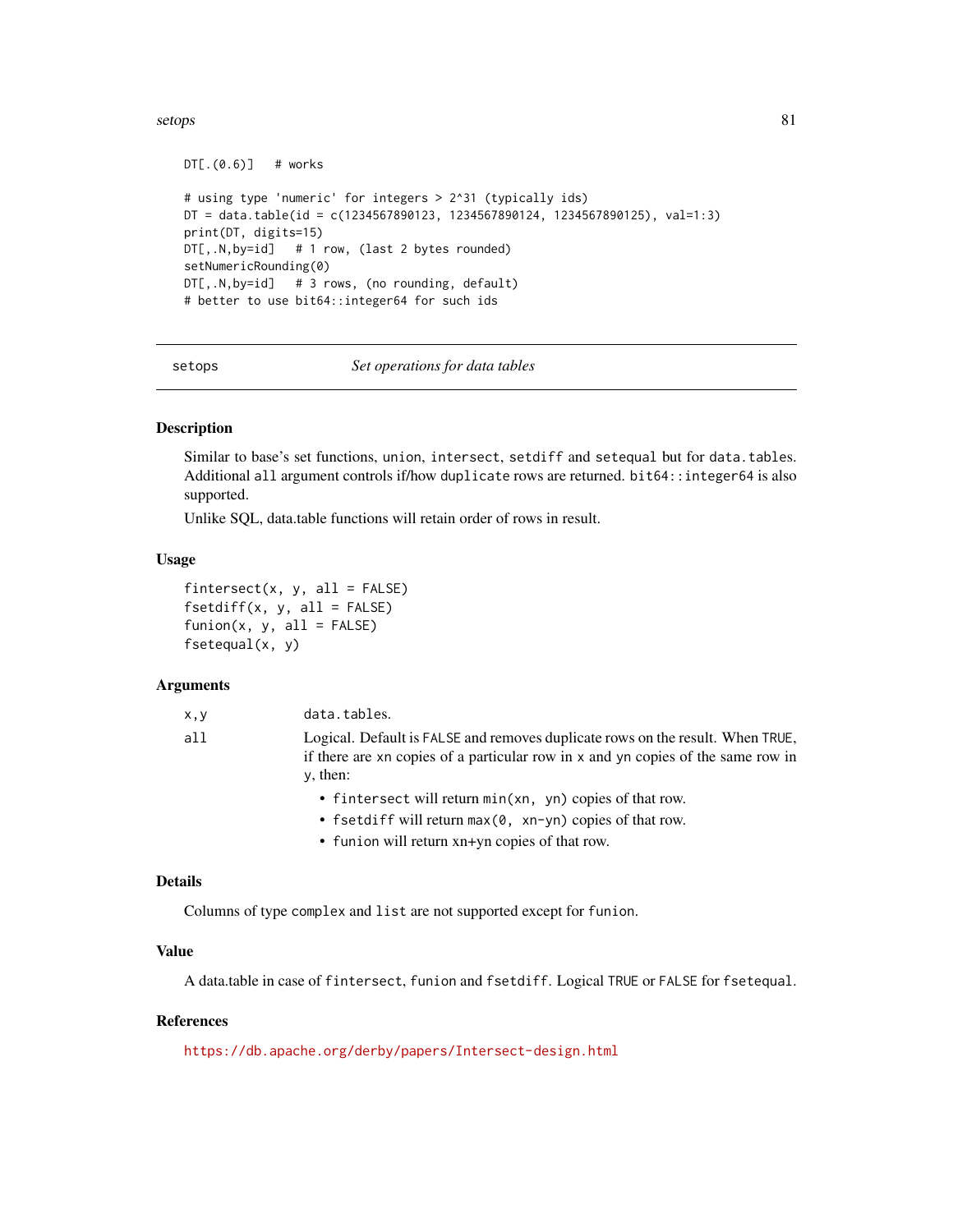#### <span id="page-80-0"></span>setops 81

```
DT[.(0.6)] # works
# using type 'numeric' for integers > 2^31 (typically ids)
DT = data.table(id = c(1234567890123, 1234567890124, 1234567890125), val=1:3)
print(DT, digits=15)
DT[,.N,by=id] # 1 row, (last 2 bytes rounded)
setNumericRounding(0)
DT[,.N,by=id] # 3 rows, (no rounding, default)
# better to use bit64::integer64 for such ids
```
setops *Set operations for data tables*

# Description

Similar to base's set functions, union, intersect, setdiff and setequal but for data.tables. Additional all argument controls if/how duplicate rows are returned. bit64::integer64 is also supported.

Unlike SQL, data.table functions will retain order of rows in result.

## Usage

 $fintersect(x, y, all = FALSE)$  $fsetdiff(x, y, all = FALSE)$  $function(x, y, all = FALSE)$ fsetequal(x, y)

#### **Arguments**

| x,y | data.tables.                                                                                                                                                                     |
|-----|----------------------------------------------------------------------------------------------------------------------------------------------------------------------------------|
| all | Logical. Default is FALSE and removes duplicate rows on the result. When TRUE,<br>if there are xn copies of a particular row in x and yn copies of the same row in<br>$v,$ then: |
|     | • fintersect will return min(xn, yn) copies of that row.<br>• fsetdiff will return max (0, xn-yn) copies of that row.                                                            |

• funion will return xn+yn copies of that row.

# Details

Columns of type complex and list are not supported except for funion.

# Value

A data.table in case of fintersect, funion and fsetdiff. Logical TRUE or FALSE for fsetequal.

# References

<https://db.apache.org/derby/papers/Intersect-design.html>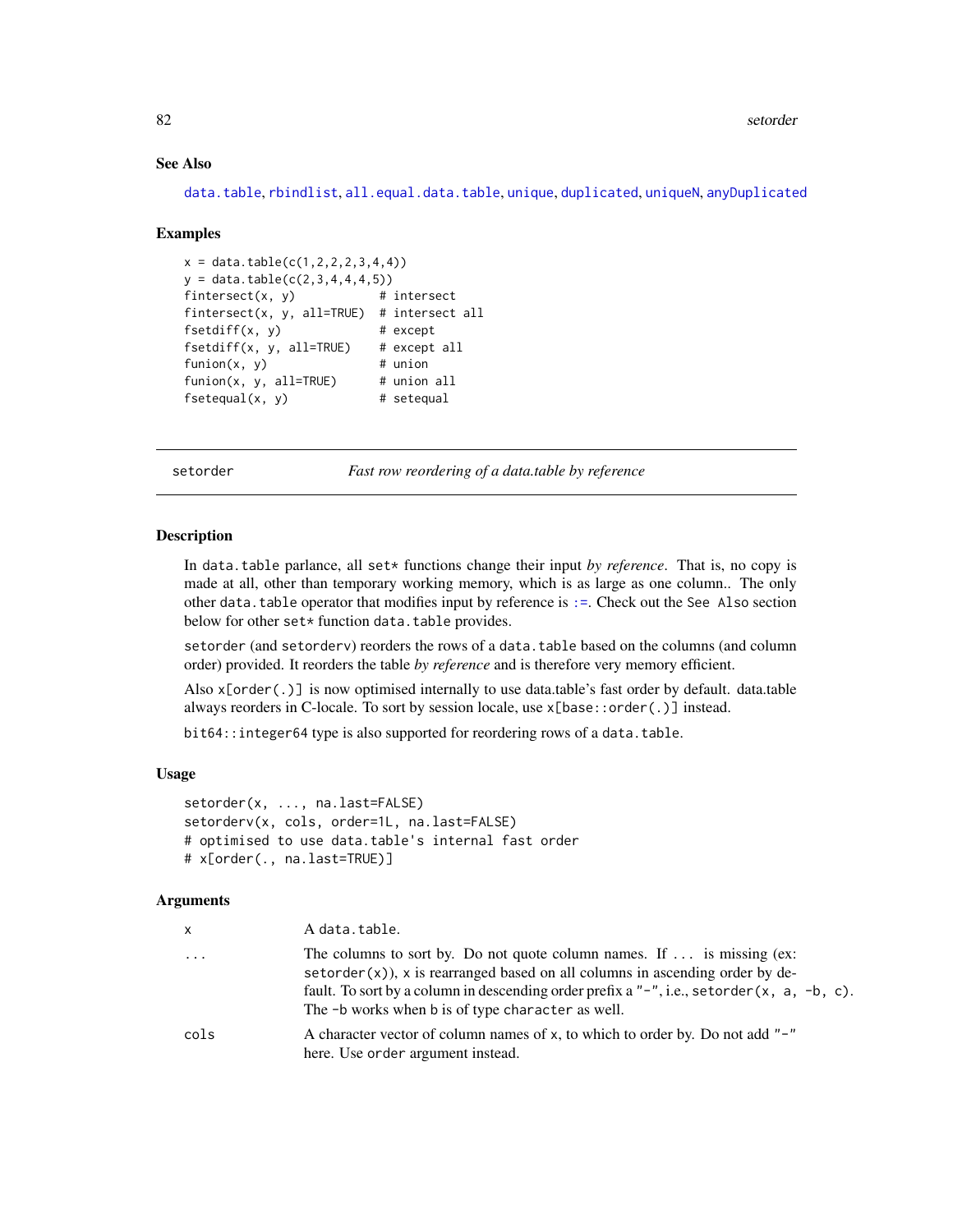## <span id="page-81-2"></span>See Also

[data.table](#page-2-0), [rbindlist](#page-65-0), [all.equal.data.table](#page-15-0), [unique](#page-30-0), [duplicated](#page-30-1), [uniqueN](#page-30-0), [anyDuplicated](#page-30-0)

#### Examples

```
x = data.title(c(1, 2, 2, 2, 3, 4, 4))y = data.title(c(2, 3, 4, 4, 4, 5))fintersect(x, y) # intersect
fintersect(x, y, all=TRUE) # intersect all
fsetdiff(x, y) # except
fsetdiff(x, y, all=TRUE) # except all
function(x, y) # union
function(x, y, all=True) # union all
fsetequal(x, y) # setequal
```
<span id="page-81-0"></span>setorder *Fast row reordering of a data.table by reference*

## <span id="page-81-1"></span>Description

In data.table parlance, all set\* functions change their input *by reference*. That is, no copy is made at all, other than temporary working memory, which is as large as one column.. The only other data.table operator that modifies input by reference is [:=](#page-11-1). Check out the See Also section below for other set\* function data.table provides.

setorder (and setorderv) reorders the rows of a data.table based on the columns (and column order) provided. It reorders the table *by reference* and is therefore very memory efficient.

Also  $x[order(.)]$  is now optimised internally to use data.table's fast order by default. data.table always reorders in C-locale. To sort by session locale, use x[base::order(.)] instead.

bit64:: integer64 type is also supported for reordering rows of a data.table.

## Usage

```
setorder(x, ..., na.last=FALSE)
setorderv(x, cols, order=1L, na.last=FALSE)
# optimised to use data.table's internal fast order
# x[order(., na.last=TRUE)]
```
## **Arguments**

| x        | A data.table.                                                                                                                                                                                                                                                                                                          |
|----------|------------------------------------------------------------------------------------------------------------------------------------------------------------------------------------------------------------------------------------------------------------------------------------------------------------------------|
| $\cdots$ | The columns to sort by. Do not quote column names. If $\dots$ is missing (ex:<br>$setorder(x)$ , x is rearranged based on all columns in ascending order by de-<br>fault. To sort by a column in descending order prefix a "-", i.e., set order $(x, a, -b, c)$ .<br>The -b works when b is of type character as well. |
| cols     | A character vector of column names of x, to which to order by. Do not add "-"<br>here. Use order argument instead.                                                                                                                                                                                                     |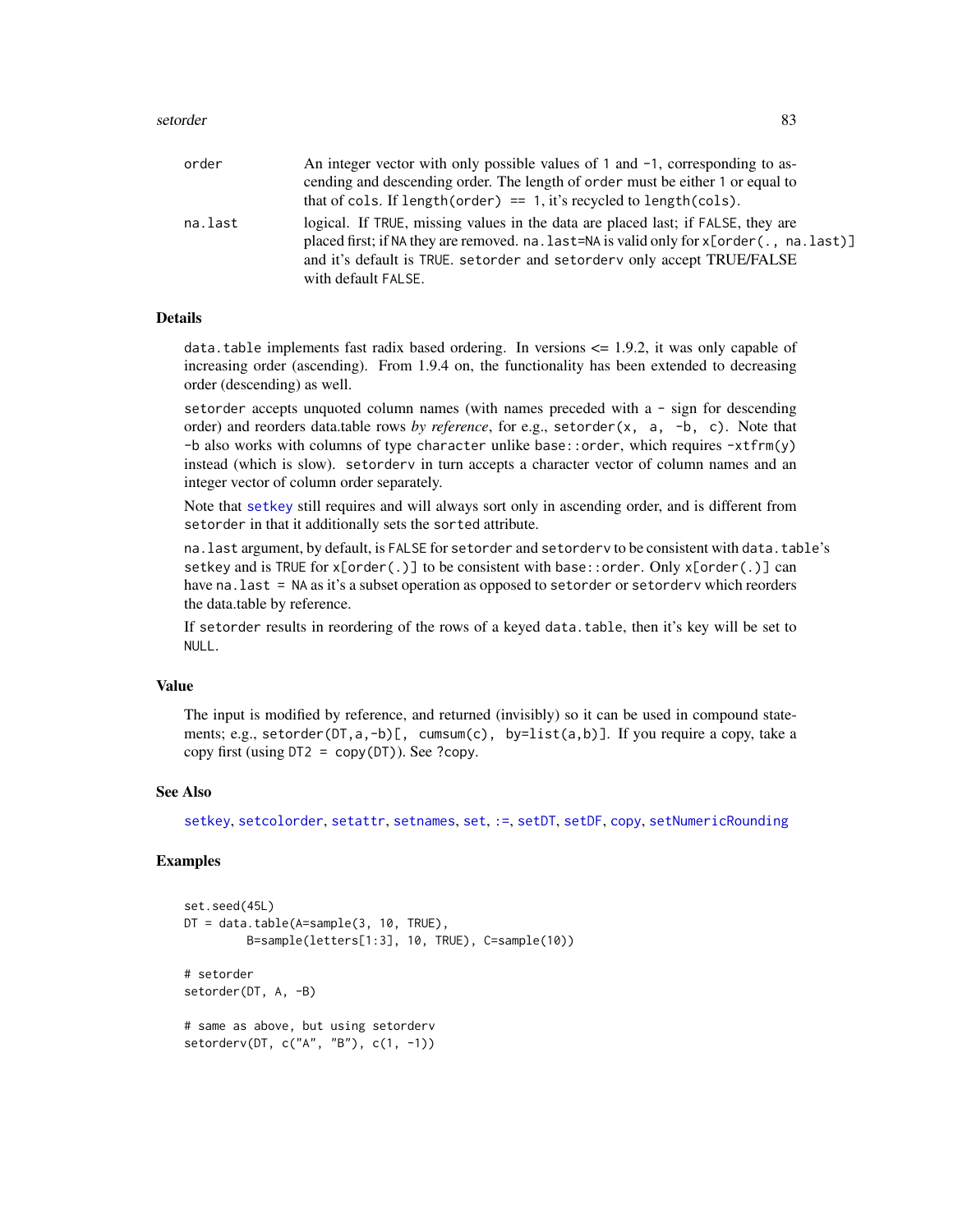#### <span id="page-82-0"></span>setorder 83

| order   | An integer vector with only possible values of 1 and $-1$ , corresponding to as-                                                                                                                                                                                                   |
|---------|------------------------------------------------------------------------------------------------------------------------------------------------------------------------------------------------------------------------------------------------------------------------------------|
|         | cending and descending order. The length of order must be either 1 or equal to                                                                                                                                                                                                     |
|         | that of cols. If length(order) == $1$ , it's recycled to length(cols).                                                                                                                                                                                                             |
| na.last | logical. If TRUE, missing values in the data are placed last; if FALSE, they are<br>placed first; if NA they are removed. na. last=NA is valid only for x[order(., na. last)]<br>and it's default is TRUE. set order and set order v only accept TRUE/FALSE<br>with default FALSE. |

# Details

data.table implements fast radix based ordering. In versions  $\leq$  1.9.2, it was only capable of increasing order (ascending). From 1.9.4 on, the functionality has been extended to decreasing order (descending) as well.

setorder accepts unquoted column names (with names preceded with a - sign for descending order) and reorders data.table rows by reference, for e.g., setorder(x, a, -b, c). Note that -b also works with columns of type character unlike base::order, which requires -xtfrm(y) instead (which is slow). setorderv in turn accepts a character vector of column names and an integer vector of column order separately.

Note that [setkey](#page-76-0) still requires and will always sort only in ascending order, and is different from setorder in that it additionally sets the sorted attribute.

na.last argument, by default, is FALSE for setorder and setorderv to be consistent with data.table's setkey and is TRUE for  $x[order(.)]$  to be consistent with base::order. Only  $x[order(.)]$  can have na. last = NA as it's a subset operation as opposed to setorder or setorderv which reorders the data.table by reference.

If setorder results in reordering of the rows of a keyed data.table, then it's key will be set to NULL.

#### Value

The input is modified by reference, and returned (invisibly) so it can be used in compound statements; e.g., setorder(DT,a,-b)[, cumsum(c), by=list(a,b)]. If you require a copy, take a copy first (using  $DT2 = copy(DT)$ ). See ?copy.

#### See Also

[setkey](#page-76-0), [setcolorder](#page-71-0), [setattr](#page-69-0), [setnames](#page-69-1), [set](#page-11-0), [:=](#page-11-1), [setDT](#page-73-0), [setDF](#page-72-0), [copy](#page-23-0), [setNumericRounding](#page-78-1)

## Examples

```
set.seed(45L)
DT = data.table(A=sample(3, 10, TRUE),
        B=sample(letters[1:3], 10, TRUE), C=sample(10))
# setorder
setorder(DT, A, -B)
# same as above, but using setorderv
setorderv(DT, c("A", "B"), c(1, -1))
```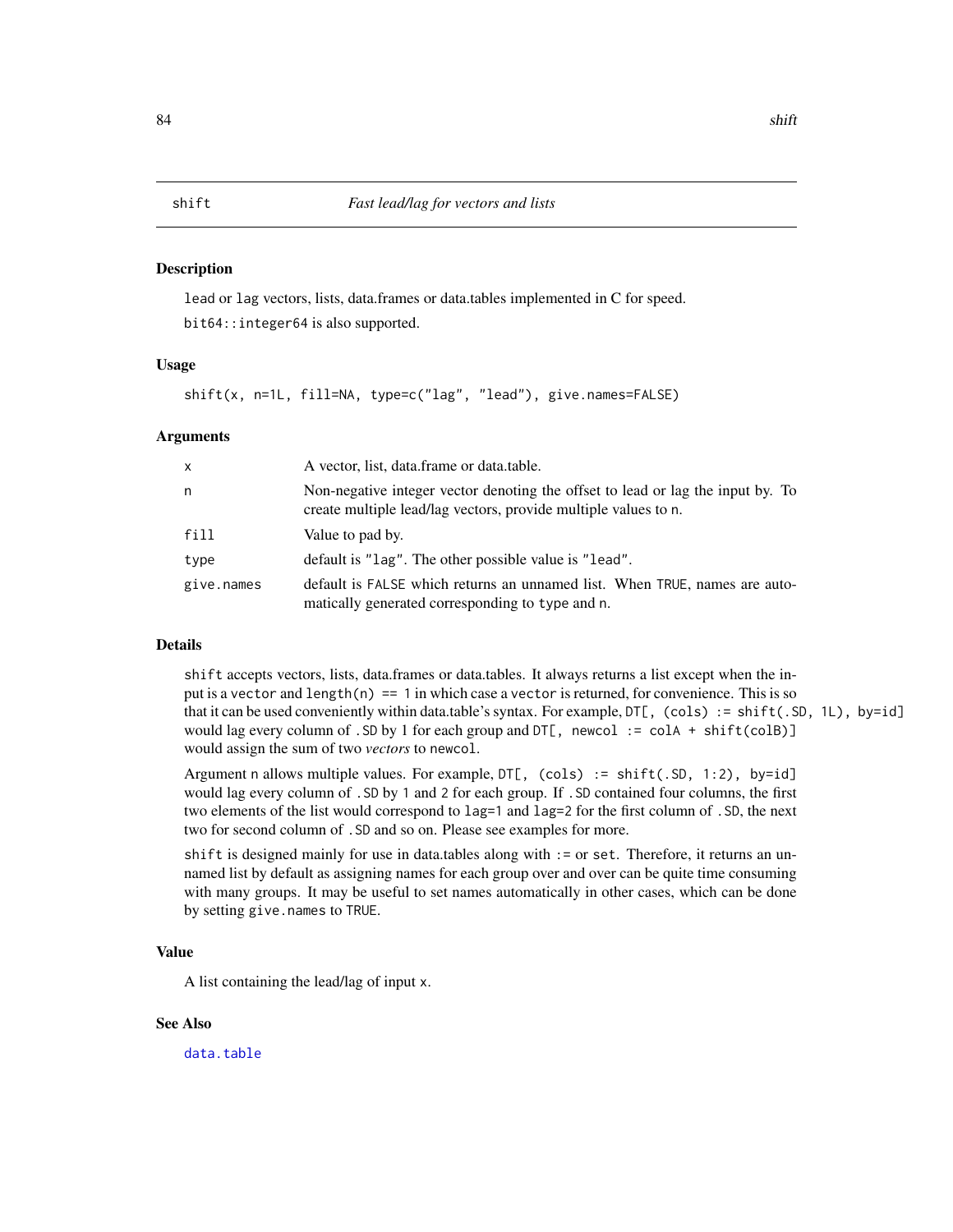#### Description

lead or lag vectors, lists, data.frames or data.tables implemented in C for speed. bit64::integer64 is also supported.

# Usage

shift(x, n=1L, fill=NA, type=c("lag", "lead"), give.names=FALSE)

#### Arguments

| x          | A vector, list, data.frame or data.table.                                                                                                          |
|------------|----------------------------------------------------------------------------------------------------------------------------------------------------|
| n          | Non-negative integer vector denoting the offset to lead or lag the input by. To<br>create multiple lead/lag vectors, provide multiple values to n. |
| fill       | Value to pad by.                                                                                                                                   |
| type       | default is "lag". The other possible value is "lead".                                                                                              |
| give.names | default is FALSE which returns an unnamed list. When TRUE, names are auto-<br>matically generated corresponding to type and n.                     |

#### Details

shift accepts vectors, lists, data.frames or data.tables. It always returns a list except when the input is a vector and length(n) =  $= 1$  in which case a vector is returned, for convenience. This is so that it can be used conveniently within data.table's syntax. For example, DT[, (cols) := shift(.SD, 1L), by=id] would lag every column of . SD by 1 for each group and  $DT[$ , newcol := colA + shift(colB)] would assign the sum of two *vectors* to newcol.

Argument n allows multiple values. For example, DT[, (cols) := shift(.SD, 1:2), by=id] would lag every column of .SD by 1 and 2 for each group. If .SD contained four columns, the first two elements of the list would correspond to lag=1 and lag=2 for the first column of .SD, the next two for second column of .SD and so on. Please see examples for more.

shift is designed mainly for use in data.tables along with := or set. Therefore, it returns an unnamed list by default as assigning names for each group over and over can be quite time consuming with many groups. It may be useful to set names automatically in other cases, which can be done by setting give.names to TRUE.

# Value

A list containing the lead/lag of input x.

# See Also

[data.table](#page-2-0)

#### <span id="page-83-0"></span>84 shift shows that the state of the state of the state of the state of the state of the state of the state of the state of the state of the state of the state of the state of the state of the state of the state of the sta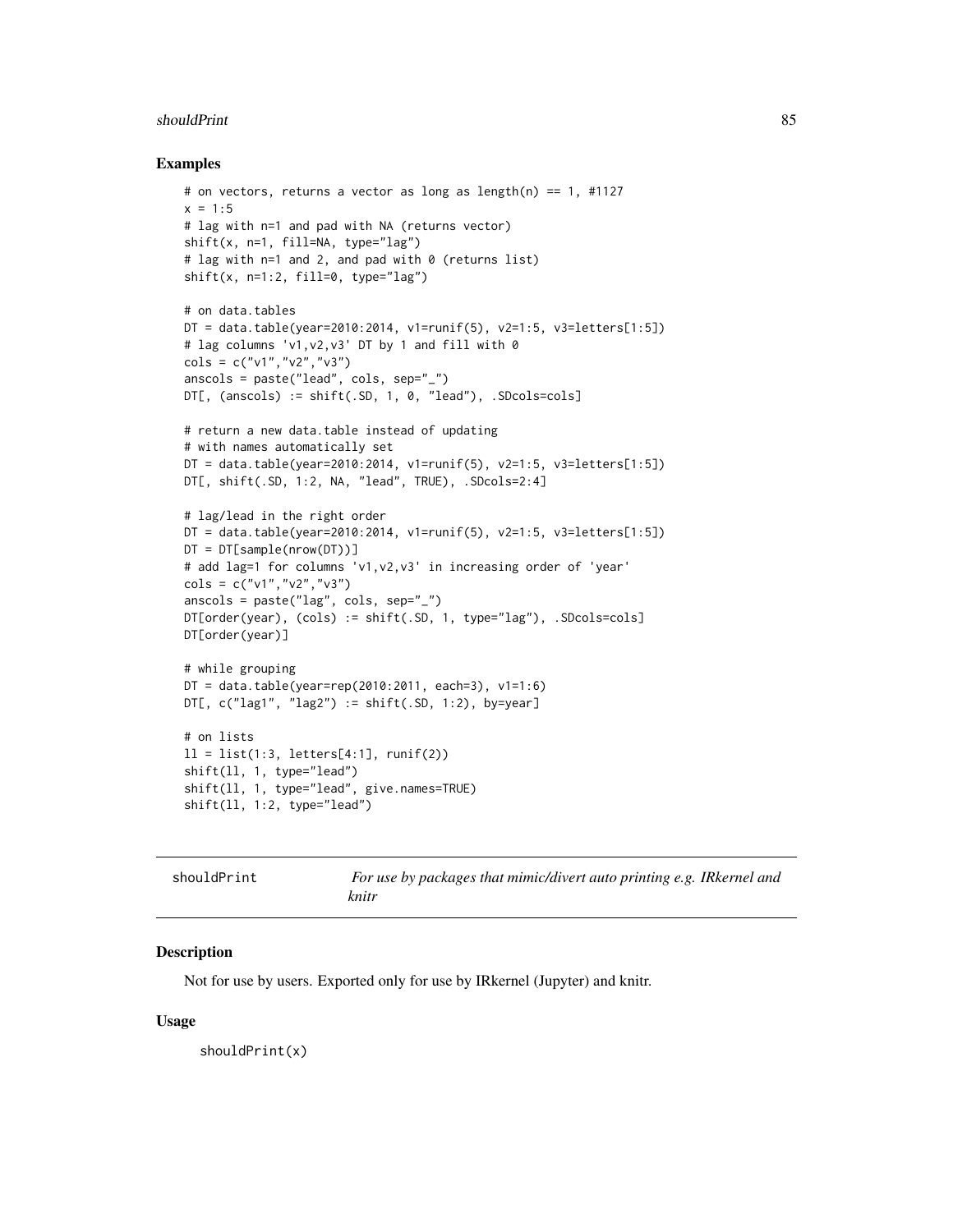#### <span id="page-84-0"></span>shouldPrint 85

## Examples

```
# on vectors, returns a vector as long as length(n) == 1, #1127
x = 1:5# lag with n=1 and pad with NA (returns vector)
shift(x, n=1, fill=NA, type="lag")# lag with n=1 and 2, and pad with 0 (returns list)
shift(x, n=1:2, fill=0, type="lag")
# on data.tables
DT = data.table(year=2010:2014, v1=runif(5), v2=1:5, v3=letters[1:5])
# lag columns 'v1,v2,v3' DT by 1 and fill with 0
\text{cols} = c("v1", "v2", "v3")anscols = paste("lead", cols, sep="_")
DT[, (anscols) := shift(.SD, 1, 0, "lead"), .SDcols=cols]
# return a new data.table instead of updating
# with names automatically set
DT = data.title(year=2010:2014, v1=runif(5), v2=1:5, v3=letters[1:5])DT[, shift(.SD, 1:2, NA, "lead", TRUE), .SDcols=2:4]
# lag/lead in the right order
DT = data.table(year=2010:2014, v1=runif(5), v2=1:5, v3=letters[1:5])
DT = DT[sample(nrow(DT))]
# add lag=1 for columns 'v1,v2,v3' in increasing order of 'year'
cols = c("v1","v2","v3")
anscols = paste("lag", cols, sep="_")
DT[order(year), (cols) := shift(.SD, 1, type="lag"), .SDcols=cols]
DT[order(year)]
# while grouping
DT = data.title(year=rep(2010:2011, each=3), v1=1:6)DT[, c("lag1", "lag2") := shift(.SD, 1:2), by=year]
# on lists
ll = list(1:3, letters[4:1], runif(2))
shift(ll, 1, type="lead")
shift(ll, 1, type="lead", give.names=TRUE)
shift(ll, 1:2, type="lead")
```

| shouldPrint | For use by packages that mimic/divert auto printing e.g. IRkernel and |
|-------------|-----------------------------------------------------------------------|
|             | knitr                                                                 |

# Description

Not for use by users. Exported only for use by IRkernel (Jupyter) and knitr.

#### Usage

shouldPrint(x)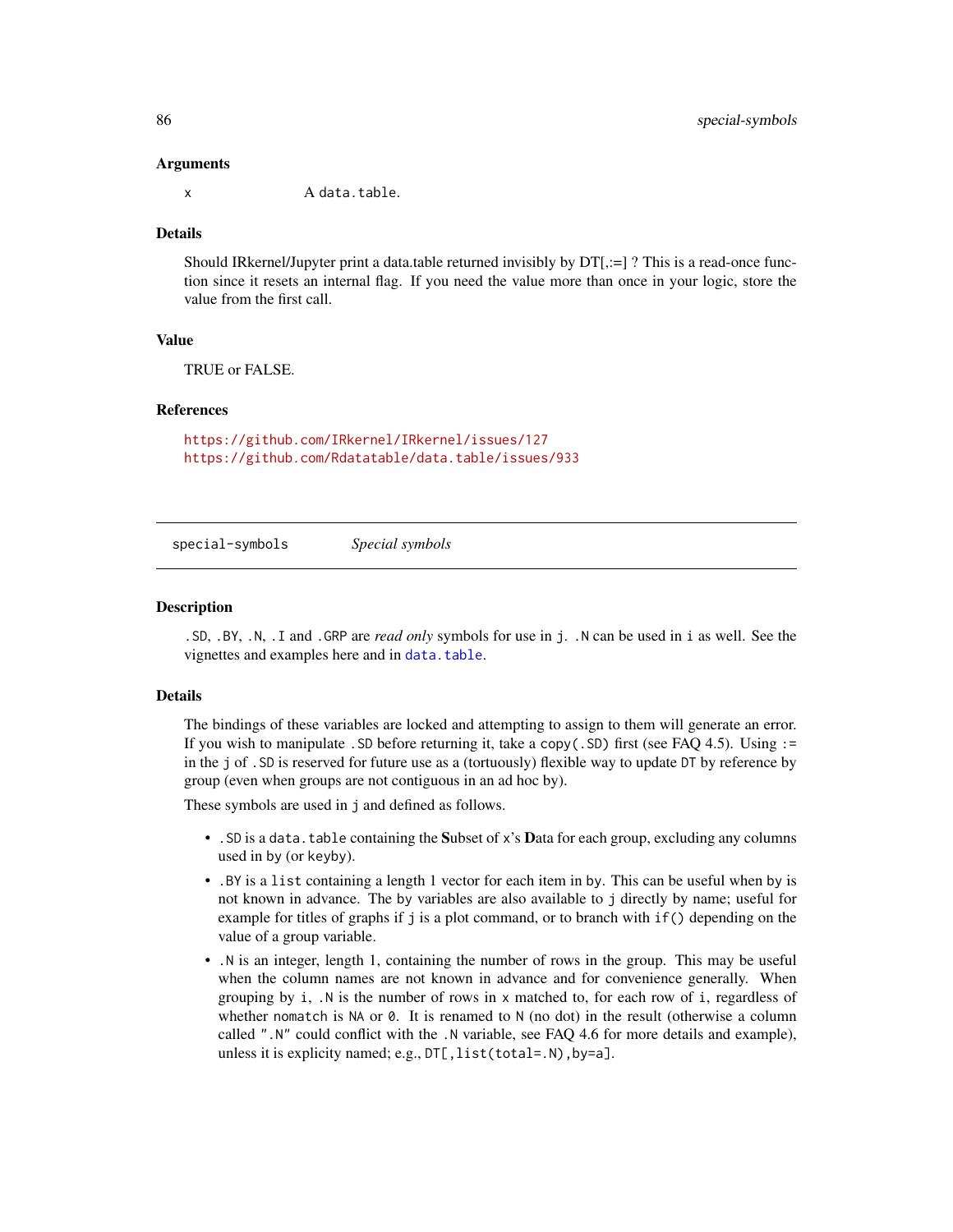#### Arguments

x A data.table.

#### Details

Should IRkernel/Jupyter print a data.table returned invisibly by  $DT[$ ,: $=$  ? This is a read-once function since it resets an internal flag. If you need the value more than once in your logic, store the value from the first call.

## Value

TRUE or FALSE.

## References

<https://github.com/IRkernel/IRkernel/issues/127> <https://github.com/Rdatatable/data.table/issues/933>

special-symbols *Special symbols*

#### **Description**

.SD, .BY, .N, .I and .GRP are *read only* symbols for use in j. .N can be used in i as well. See the vignettes and examples here and in [data.table](#page-2-0).

# Details

The bindings of these variables are locked and attempting to assign to them will generate an error. If you wish to manipulate .SD before returning it, take a copy(.SD) first (see FAQ 4.5). Using := in the j of .SD is reserved for future use as a (tortuously) flexible way to update DT by reference by group (even when groups are not contiguous in an ad hoc by).

These symbols are used in j and defined as follows.

- .SD is a data.table containing the Subset of x's Data for each group, excluding any columns used in by (or keyby).
- .BY is a list containing a length 1 vector for each item in by. This can be useful when by is not known in advance. The by variables are also available to j directly by name; useful for example for titles of graphs if  $j$  is a plot command, or to branch with  $if()$  depending on the value of a group variable.
- .N is an integer, length 1, containing the number of rows in the group. This may be useful when the column names are not known in advance and for convenience generally. When grouping by i, .N is the number of rows in x matched to, for each row of i, regardless of whether nomatch is NA or  $\theta$ . It is renamed to N (no dot) in the result (otherwise a column called ".N" could conflict with the .N variable, see FAQ 4.6 for more details and example), unless it is explicity named; e.g.,  $DT[,$  list(total=.N), by=a].

<span id="page-85-0"></span>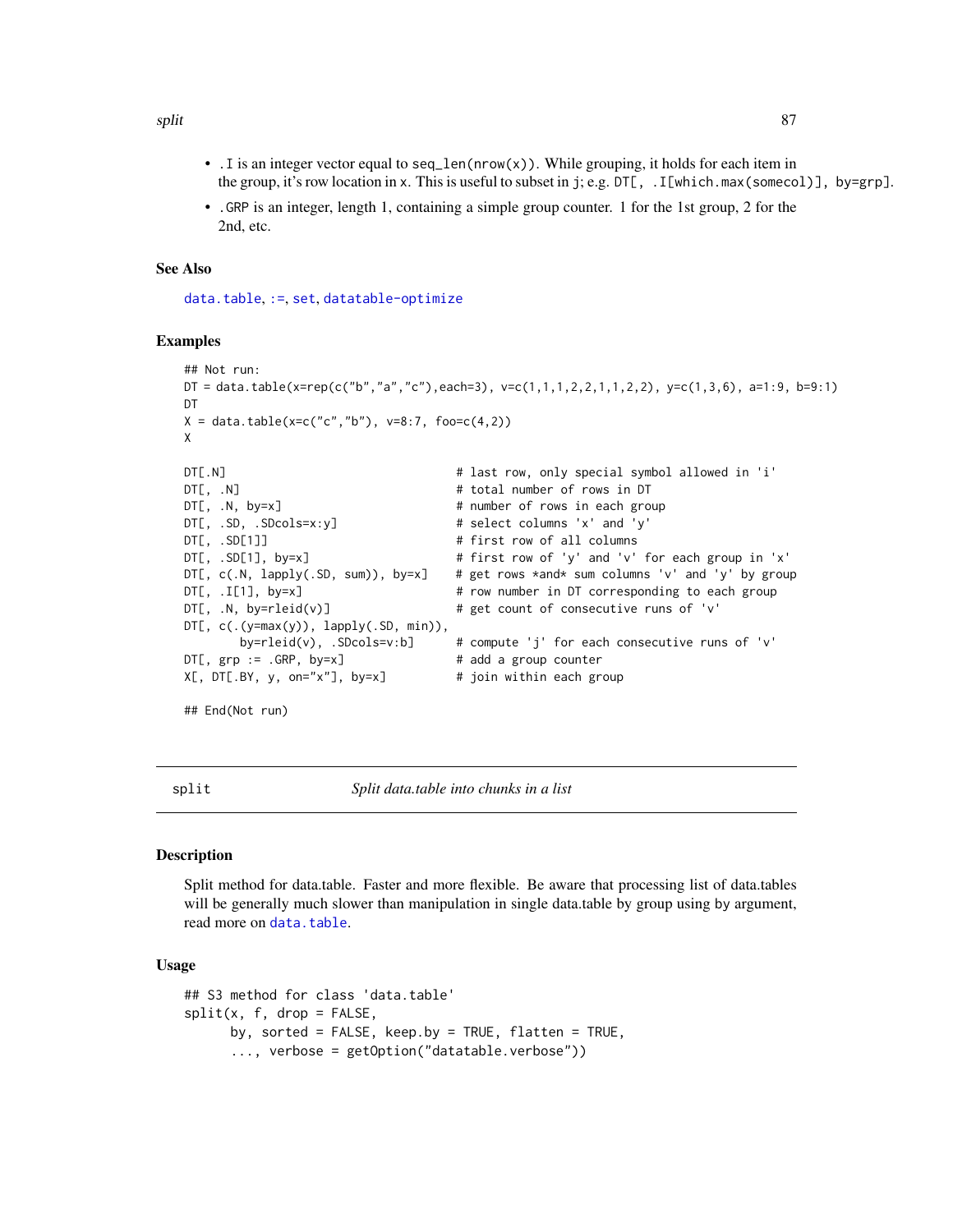- <span id="page-86-0"></span>• . I is an integer vector equal to seq\_len(nrow(x)). While grouping, it holds for each item in the group, it's row location in x. This is useful to subset in j; e.g. DT[, .I[which.max(somecol)], by=grp].
- .GRP is an integer, length 1, containing a simple group counter. 1 for the 1st group, 2 for the 2nd, etc.

#### See Also

[data.table](#page-2-0), [:=](#page-11-1), [set](#page-11-0), [datatable-optimize](#page-25-0)

# Examples

```
## Not run:
DT = data.table(x=rep(c("b","a","c"),each=3), v=c(1,1,1,2,2,1,1,2,2), y=c(1,3,6), a=1:9, b=9:1)
DT
X = data.title(x=c("c", "b"), v=8:7, foo=c(4,2)X
DT[.N] # last row, only special symbol allowed in 'i'
DT[, .N] # total number of rows in DT
DT[, .N, by=x] # number of rows in each group<br>DT[, .SD, .SDcols=x:y] # select columns 'x' and 'y'
                                   # select columns 'x' and 'y'
DT[, .SD[1]] # first row of all columns
DT[, .SD[1], by=x] # first row of 'y' and 'v' for each group in 'x'
DT[, c(.N, \text{lapply}(.SD, \text{sum})), \text{by}=x] # get rows *and* sum columns 'v' and 'y' by group
DT[, .I[1], by=x] \qquad # row number in DT corresponding to each group
DT[, .N, by=rleid(v)] \qquad # get count of consecutive runs of 'v'
DT[, c(.(\text{y=max}(y)), lapply(.SD, min)),by=rleid(v), .SDcols=v:b] # compute 'j' for each consecutive runs of 'v'
DT[, grp := .GRP, by=x] # add a group counter
X[, DT[.BY, y, on="x"], by=x] # join within each group
## End(Not run)
```
split *Split data.table into chunks in a list*

#### Description

Split method for data.table. Faster and more flexible. Be aware that processing list of data.tables will be generally much slower than manipulation in single data.table by group using by argument, read more on [data.table](#page-2-0).

#### Usage

```
## S3 method for class 'data.table'
split(x, f, drop = FALSE,by, sorted = FALSE, keep.by = TRUE, flatten = TRUE,
      ..., verbose = getOption("datatable.verbose"))
```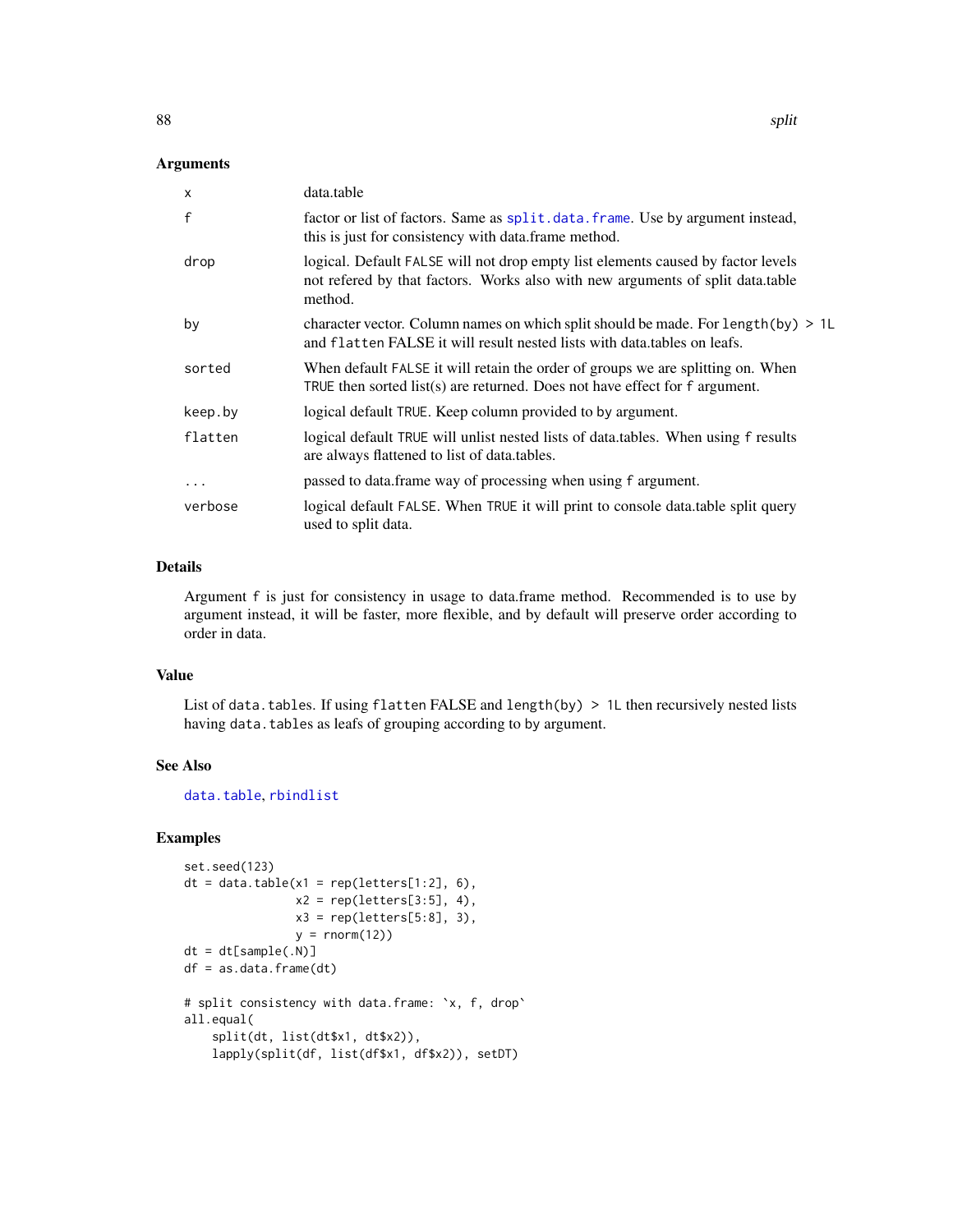## <span id="page-87-0"></span>Arguments

| $\boldsymbol{\mathsf{x}}$ | data.table                                                                                                                                                                    |
|---------------------------|-------------------------------------------------------------------------------------------------------------------------------------------------------------------------------|
| $\mathsf{f}$              | factor or list of factors. Same as split.data.frame. Use by argument instead,<br>this is just for consistency with data.frame method.                                         |
| drop                      | logical. Default FALSE will not drop empty list elements caused by factor levels<br>not refered by that factors. Works also with new arguments of split data.table<br>method. |
| by                        | character vector. Column names on which split should be made. For length $(by) > 1L$<br>and flatten FALSE it will result nested lists with data tables on leafs.              |
| sorted                    | When default FALSE it will retain the order of groups we are splitting on. When<br>TRUE then sorted $list(s)$ are returned. Does not have effect for f argument.              |
| keep.by                   | logical default TRUE. Keep column provided to by argument.                                                                                                                    |
| flatten                   | logical default TRUE will unlist nested lists of data.tables. When using f results<br>are always flattened to list of data.tables.                                            |
| $\ddotsc$                 | passed to data.frame way of processing when using f argument.                                                                                                                 |
| verbose                   | logical default FALSE. When TRUE it will print to console data table split query<br>used to split data.                                                                       |

# Details

Argument f is just for consistency in usage to data.frame method. Recommended is to use by argument instead, it will be faster, more flexible, and by default will preserve order according to order in data.

# Value

List of data.tables. If using flatten FALSE and length(by) > 1L then recursively nested lists having data.tables as leafs of grouping according to by argument.

# See Also

[data.table](#page-2-0), [rbindlist](#page-65-0)

# Examples

```
set.seed(123)
dt = data.table(x1 = rep(leftters[1:2], 6),x2 = rep(leftters[3:5], 4),x3 = rep(leftters[5:8], 3),y = rnorm(12)dt = dt[sample(.N)]df = as.data.frame(dt)
# split consistency with data.frame: `x, f, drop`
all.equal(
    split(dt, list(dt$x1, dt$x2)),
    lapply(split(df, list(df$x1, df$x2)), setDT)
```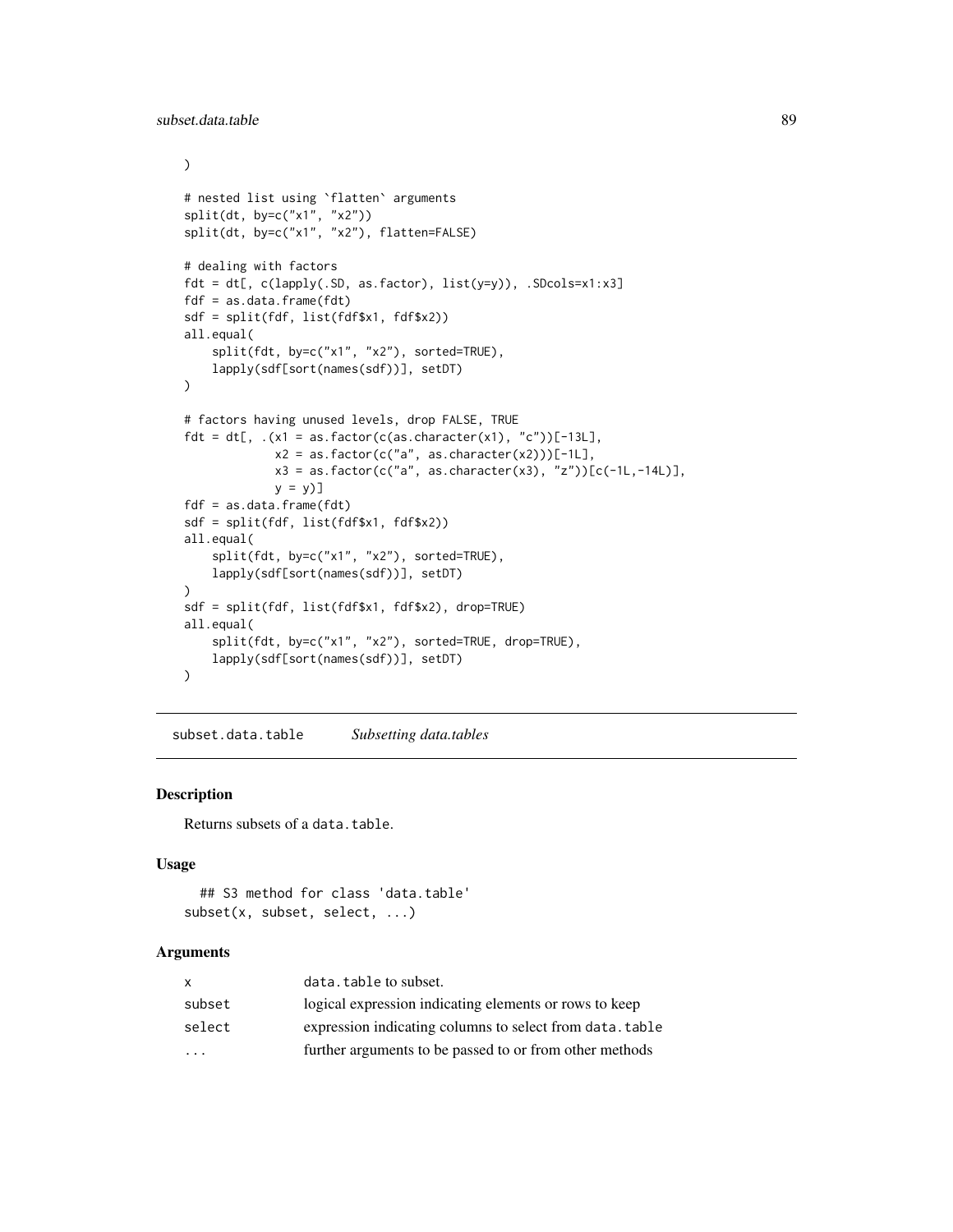```
)
# nested list using `flatten` arguments
split(dt, by=c("x1", "x2"))
split(dt, by=c("x1", "x2"), flatten=FALSE)
# dealing with factors
fdt = dt[, c(lapply(.SD, as.factor), list(y=y)), .SDcols=x1:x3]
fdf = as.data.frame(fdt)
sdf = split(fdf, list(fdf$x1, fdf$x2))
all.equal(
    split(fdt, by=c("x1", "x2"), sorted=TRUE),
    lapply(sdf[sort(names(sdf))], setDT)
)
# factors having unused levels, drop FALSE, TRUE
fdt = dt[, .(x1 = as.factor(c(as.character(x1), "c"))[-13L],
             x2 = as.factor(c("a", as.character(x2)))[-1L],x3 = as.factor(c("a", as.character(x3), "z"))[c(-1L,-14L)],y = y]
fdf = as.data.frame(fdt)
sdf = split(fdf, list(fdf$x1, fdf$x2))
all.equal(
    split(fdt, by=c("x1", "x2"), sorted=TRUE),
    lapply(sdf[sort(names(sdf))], setDT)
)
sdf = split(fdf, list(fdf$x1, fdf$x2), drop=TRUE)
all.equal(
   split(fdt, by=c("x1", "x2"), sorted=TRUE, drop=TRUE),
   lapply(sdf[sort(names(sdf))], setDT)
\mathcal{L}
```
subset.data.table *Subsetting data.tables*

## <span id="page-88-0"></span>Description

Returns subsets of a data.table.

## Usage

```
## S3 method for class 'data.table'
subset(x, subset, select, ...)
```
## Arguments

| x.                      | data.table to subset.                                    |
|-------------------------|----------------------------------------------------------|
| subset                  | logical expression indicating elements or rows to keep   |
| select                  | expression indicating columns to select from data, table |
| $\cdot$ $\cdot$ $\cdot$ | further arguments to be passed to or from other methods  |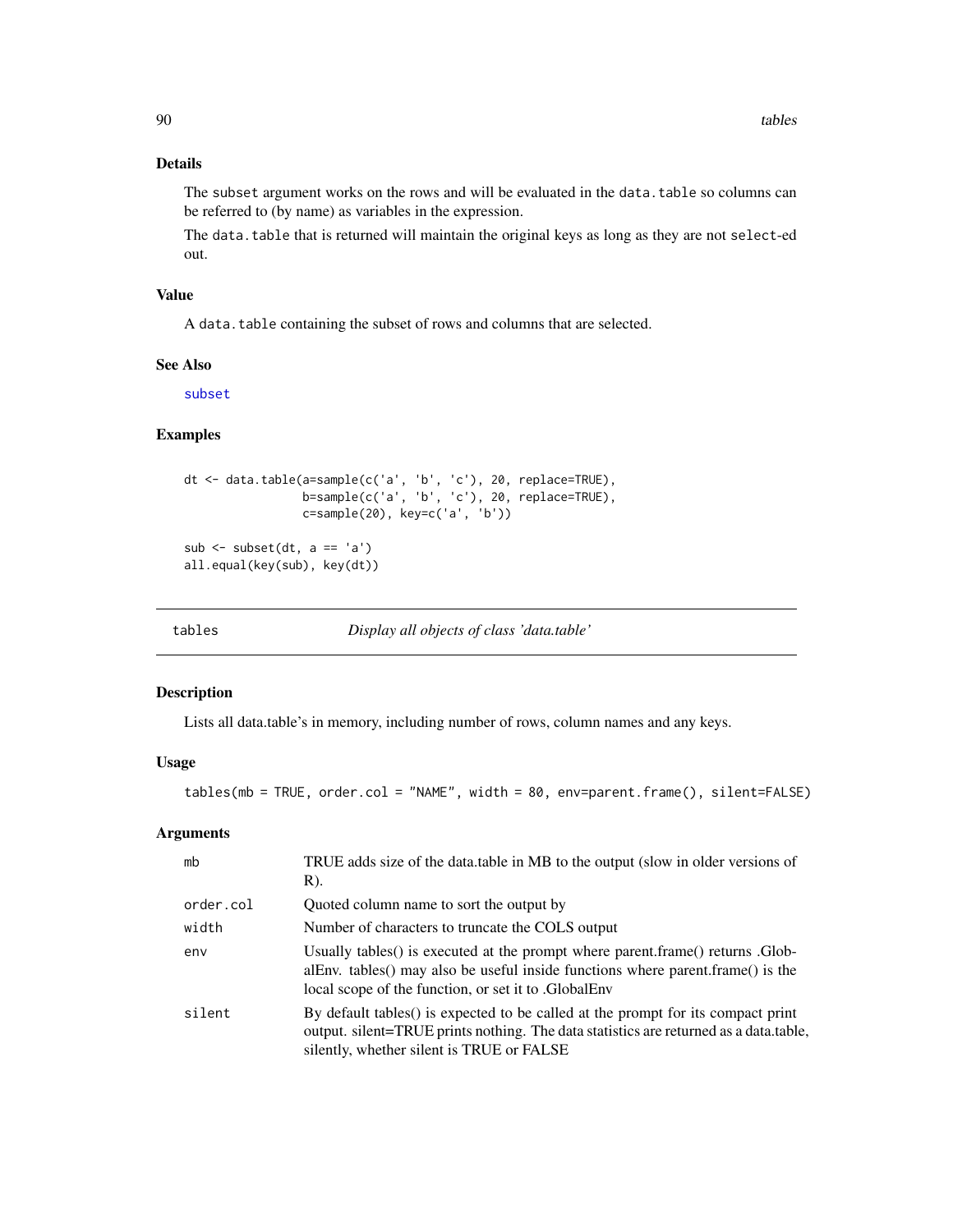# Details

The subset argument works on the rows and will be evaluated in the data.table so columns can be referred to (by name) as variables in the expression.

The data.table that is returned will maintain the original keys as long as they are not select-ed out.

# Value

A data.table containing the subset of rows and columns that are selected.

## See Also

[subset](#page-88-0)

# Examples

```
dt <- data.table(a=sample(c('a', 'b', 'c'), 20, replace=TRUE),
                 b=sample(c('a', 'b', 'c'), 20, replace=TRUE),
                 c=sample(20), key=c('a', 'b'))
sub \leq subset(dt, a == 'a')
all.equal(key(sub), key(dt))
```
<span id="page-89-0"></span>

tables *Display all objects of class 'data.table'*

# Description

Lists all data.table's in memory, including number of rows, column names and any keys.

# Usage

```
tables(mb = TRUE, order.col = "NAME", width = 80, env=parent.frame(), silent=FALSE)
```
# Arguments

| mb        | TRUE adds size of the data.table in MB to the output (slow in older versions of<br>$R)$ .                                                                                                                                |
|-----------|--------------------------------------------------------------------------------------------------------------------------------------------------------------------------------------------------------------------------|
| order.col | Quoted column name to sort the output by                                                                                                                                                                                 |
| width     | Number of characters to truncate the COLS output                                                                                                                                                                         |
| env       | Usually tables() is executed at the prompt where parent.frame() returns .Glob-<br>alenv. tables() may also be useful inside functions where parent frame() is the<br>local scope of the function, or set it to GlobalEnv |
| silent    | By default tables() is expected to be called at the prompt for its compact print<br>output. silent=TRUE prints nothing. The data statistics are returned as a data.table,<br>silently, whether silent is TRUE or FALSE   |

<span id="page-89-1"></span>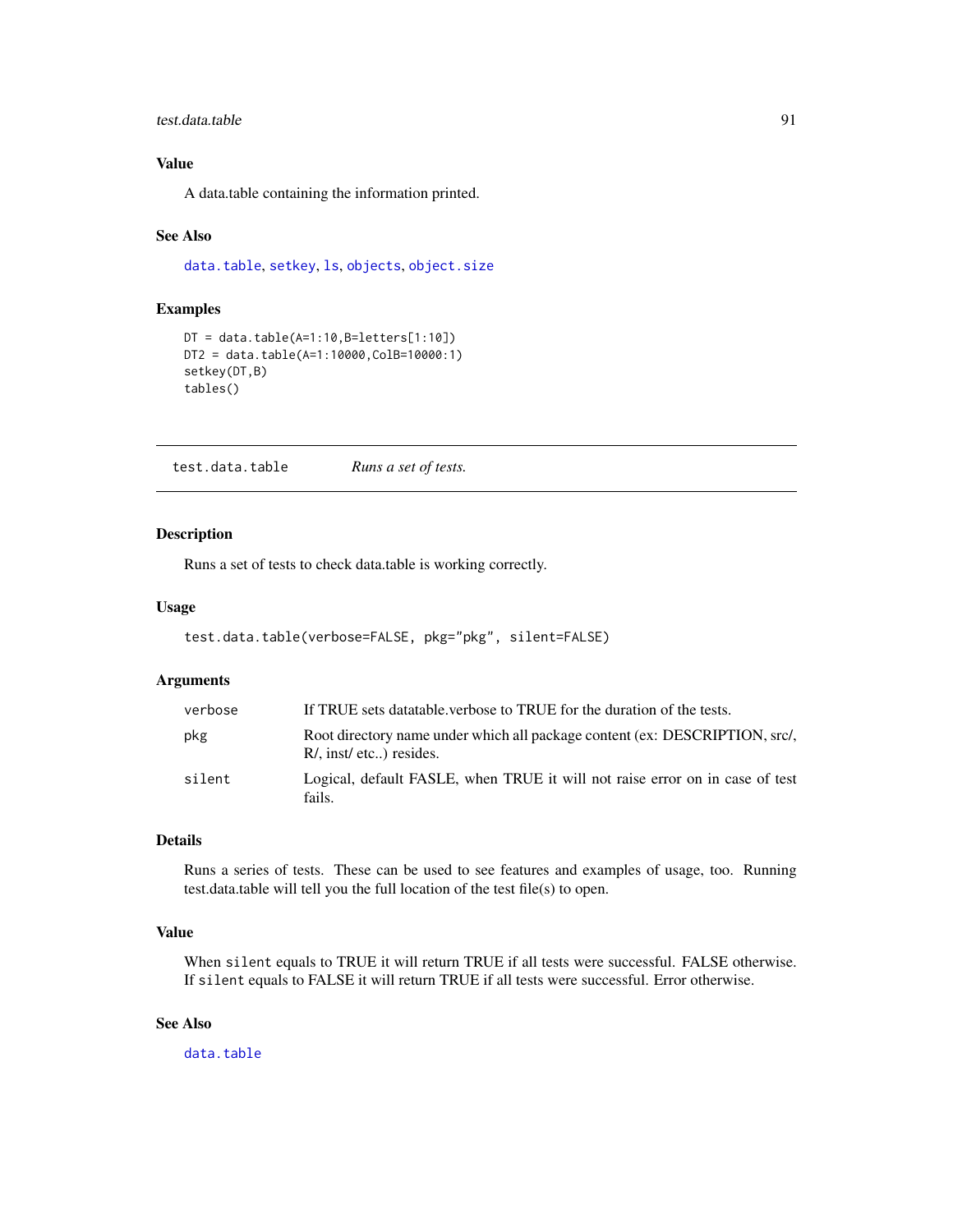# <span id="page-90-0"></span>test.data.table 91

# Value

A data.table containing the information printed.

# See Also

[data.table](#page-2-0), [setkey](#page-76-0), [ls](#page-0-0), [objects](#page-0-0), [object.size](#page-0-0)

# Examples

```
DT = data.title(A=1:10,B=letters[1:10])DT2 = data.table(A=1:10000,ColB=10000:1)
setkey(DT,B)
tables()
```
test.data.table *Runs a set of tests.*

# Description

Runs a set of tests to check data.table is working correctly.

# Usage

```
test.data.table(verbose=FALSE, pkg="pkg", silent=FALSE)
```
# Arguments

| verbose | If TRUE sets data table, verbose to TRUE for the duration of the tests.                                |
|---------|--------------------------------------------------------------------------------------------------------|
| pkg     | Root directory name under which all package content (ex: DESCRIPTION, src/,<br>R/, inst/ etc) resides. |
| silent  | Logical, default FASLE, when TRUE it will not raise error on in case of test<br>fails.                 |

# Details

Runs a series of tests. These can be used to see features and examples of usage, too. Running test.data.table will tell you the full location of the test file(s) to open.

# Value

When silent equals to TRUE it will return TRUE if all tests were successful. FALSE otherwise. If silent equals to FALSE it will return TRUE if all tests were successful. Error otherwise.

# See Also

[data.table](#page-2-0)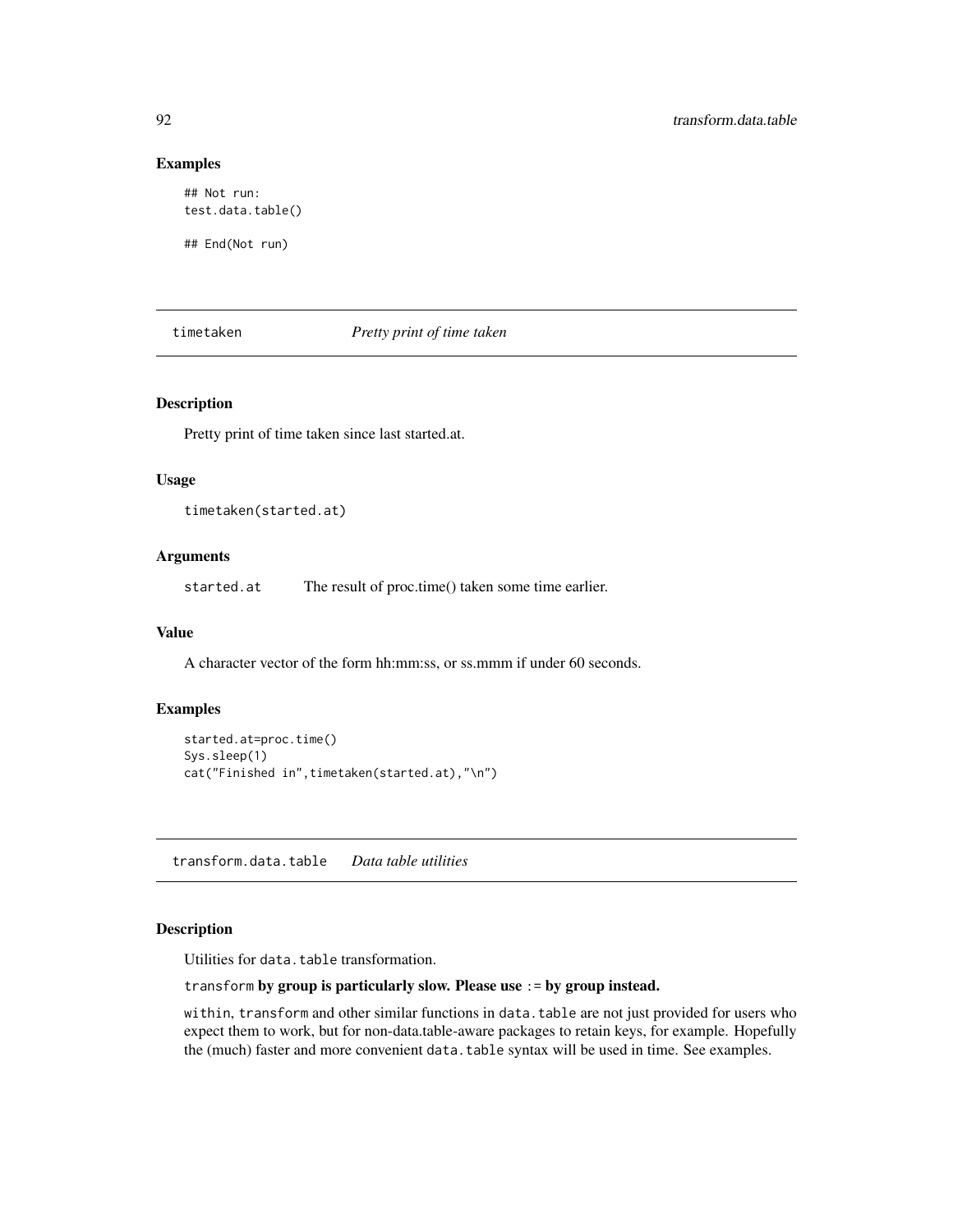#### Examples

## Not run: test.data.table()

## End(Not run)

# timetaken *Pretty print of time taken*

# Description

Pretty print of time taken since last started.at.

## Usage

```
timetaken(started.at)
```
# Arguments

started.at The result of proc.time() taken some time earlier.

## Value

A character vector of the form hh:mm:ss, or ss.mmm if under 60 seconds.

# Examples

```
started.at=proc.time()
Sys.sleep(1)
cat("Finished in",timetaken(started.at),"\n")
```
transform.data.table *Data table utilities*

# <span id="page-91-0"></span>Description

Utilities for data.table transformation.

# transform by group is particularly slow. Please use := by group instead.

within, transform and other similar functions in data.table are not just provided for users who expect them to work, but for non-data.table-aware packages to retain keys, for example. Hopefully the (much) faster and more convenient data.table syntax will be used in time. See examples.

<span id="page-91-1"></span>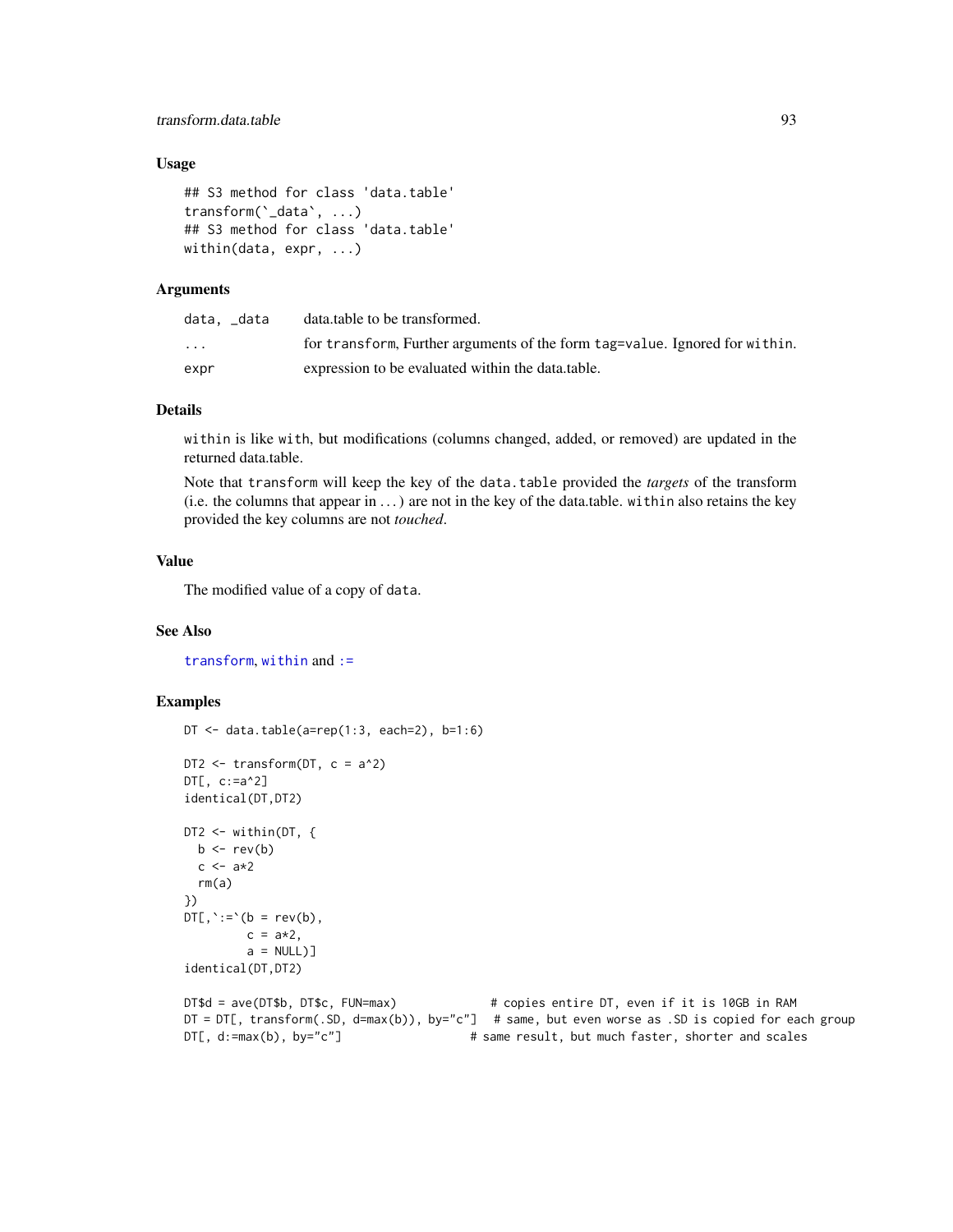# <span id="page-92-0"></span>transform.data.table 93

# Usage

```
## S3 method for class 'data.table'
transform(`_data`, ...)
## S3 method for class 'data.table'
within(data, expr, ...)
```
## Arguments

| data. _data             | data.table to be transformed.                                               |
|-------------------------|-----------------------------------------------------------------------------|
| $\cdot$ $\cdot$ $\cdot$ | for transform, Further arguments of the form tag=value. Ignored for within. |
| expr                    | expression to be evaluated within the data table.                           |

# Details

within is like with, but modifications (columns changed, added, or removed) are updated in the returned data.table.

Note that transform will keep the key of the data.table provided the *targets* of the transform  $(i.e.$  the columns that appear in  $\dots$ ) are not in the key of the data.table. within also retains the key provided the key columns are not *touched*.

# Value

The modified value of a copy of data.

## See Also

[transform](#page-91-0), [within](#page-91-0) and [:=](#page-11-1)

## Examples

```
DT \le data.table(a=rep(1:3, each=2), b=1:6)
DT2 \leq transform(DT, c = a^2)
DTL, c:=a^22identical(DT,DT2)
DT2 <- within(DT, {
  b \leftarrow rev(b)c \le -a \times 2rm(a)
})
DT[,':='(b = rev(b),
        c = a*2,
        a = NULL]
identical(DT,DT2)
DT$d = ave(DT$b, DT$c, FUN=max) # copies entire DT, even if it is 10GB in RAM
DT = DT[, transform(.SD, d=max(b)), by="c"] # same, but even worse as .SD is copied for each group
DT[, d:=max(b), by="c"] \qquad # same result, but much faster, shorter and scales
```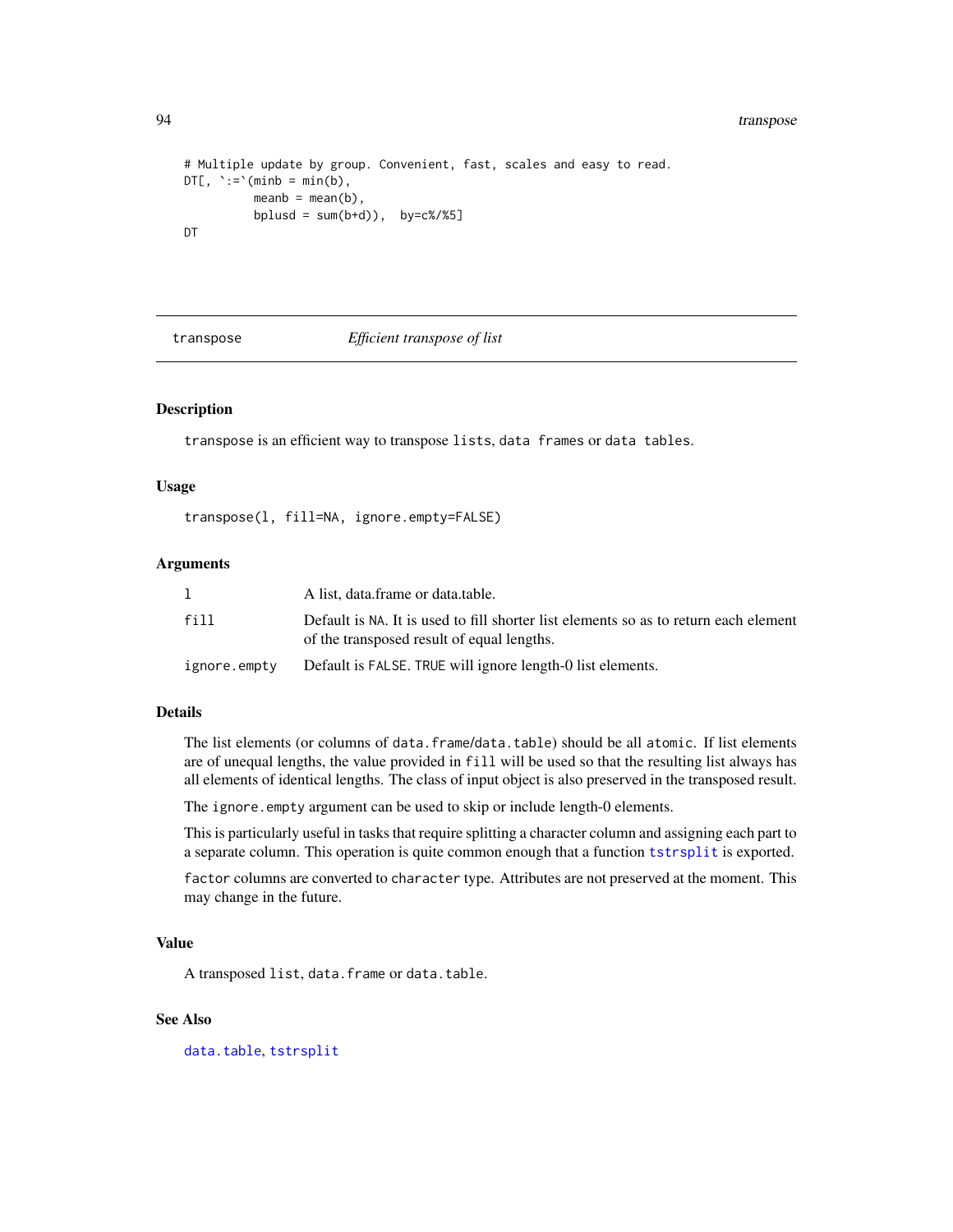#### 94 transpose

```
# Multiple update by group. Convenient, fast, scales and easy to read.
DTL, ':='(minb = min(b),meanb = mean(b),
          bplusd = sum(b+d), by=c\frac{8}{3}]
DT
```
<span id="page-93-0"></span>transpose *Efficient transpose of list*

# Description

transpose is an efficient way to transpose lists, data frames or data tables.

# Usage

transpose(l, fill=NA, ignore.empty=FALSE)

# Arguments

|              | A list, data.frame or data.table.                                                                                                  |
|--------------|------------------------------------------------------------------------------------------------------------------------------------|
| fill         | Default is NA. It is used to fill shorter list elements so as to return each element<br>of the transposed result of equal lengths. |
| ignore.empty | Default is FALSE. TRUE will ignore length-0 list elements.                                                                         |

# Details

The list elements (or columns of data.frame/data.table) should be all atomic. If list elements are of unequal lengths, the value provided in fill will be used so that the resulting list always has all elements of identical lengths. The class of input object is also preserved in the transposed result.

The ignore.empty argument can be used to skip or include length-0 elements.

This is particularly useful in tasks that require splitting a character column and assigning each part to a separate column. This operation is quite common enough that a function [tstrsplit](#page-95-0) is exported.

factor columns are converted to character type. Attributes are not preserved at the moment. This may change in the future.

# Value

A transposed list, data.frame or data.table.

# See Also

[data.table](#page-2-0), [tstrsplit](#page-95-0)

<span id="page-93-1"></span>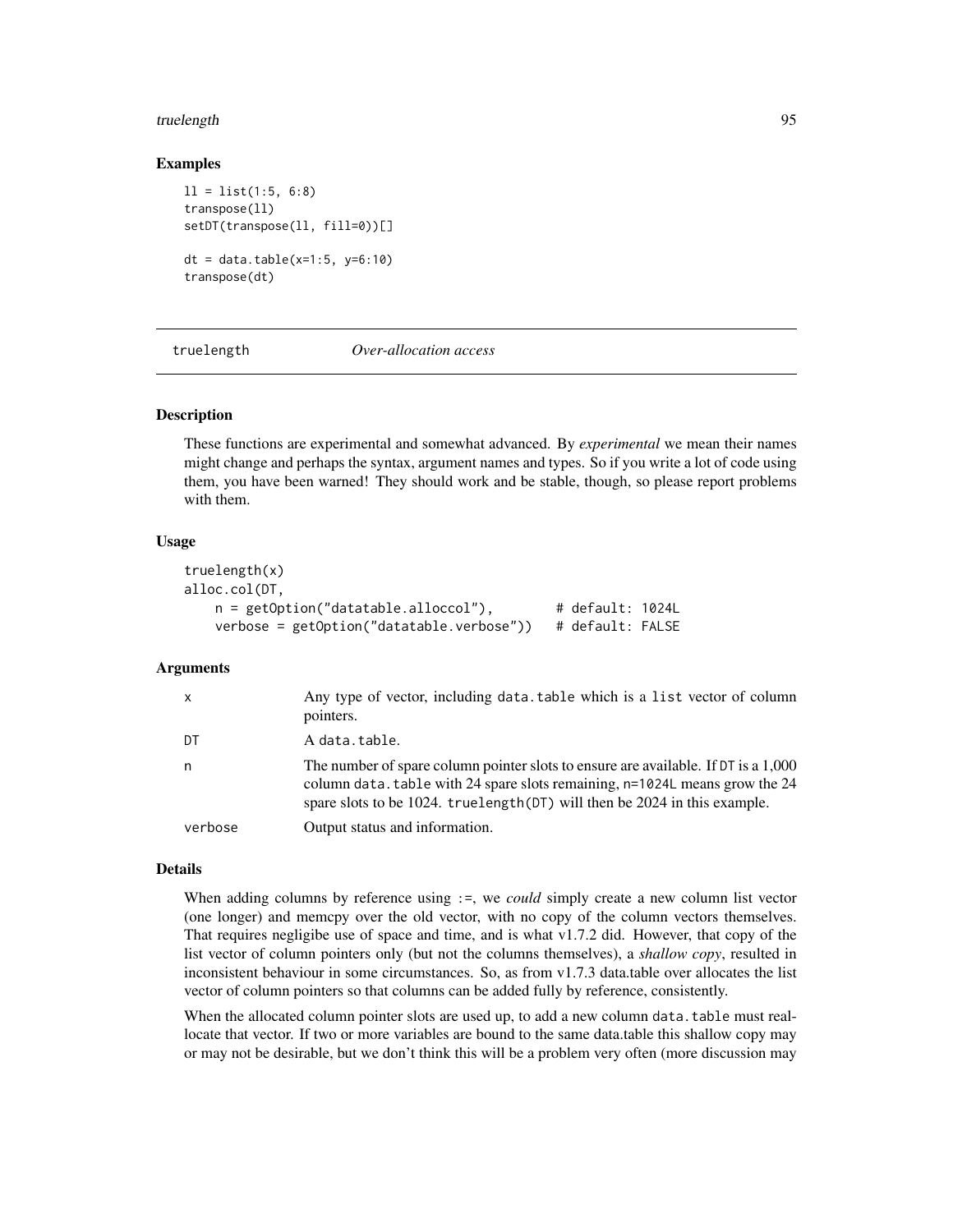#### <span id="page-94-0"></span>truelength 95

## Examples

```
11 = list(1:5, 6:8)transpose(ll)
setDT(transpose(ll, fill=0))[]
dt = data.table(x=1:5, y=6:10)
transpose(dt)
```
truelength *Over-allocation access*

## Description

These functions are experimental and somewhat advanced. By *experimental* we mean their names might change and perhaps the syntax, argument names and types. So if you write a lot of code using them, you have been warned! They should work and be stable, though, so please report problems with them.

# Usage

```
truelength(x)
alloc.col(DT,
     n = getOption("datatable.alloccol"), # default: 1024L<br>verbose = getOption("datatable.verbose")) # default: FALSE
     verbose = getOption("datatable, verbose"))
```
# Arguments

| $\mathsf{x}$ | Any type of vector, including data table which is a list vector of column<br>pointers.                                                                                                                                                          |
|--------------|-------------------------------------------------------------------------------------------------------------------------------------------------------------------------------------------------------------------------------------------------|
| DT           | A data.table.                                                                                                                                                                                                                                   |
| n            | The number of spare column pointer slots to ensure are available. If DT is a 1,000<br>column data. table with 24 spare slots remaining, n=1024L means grow the 24<br>spare slots to be 1024. truelength (DT) will then be 2024 in this example. |
| verbose      | Output status and information.                                                                                                                                                                                                                  |

# Details

When adding columns by reference using  $:=$ , we *could* simply create a new column list vector (one longer) and memcpy over the old vector, with no copy of the column vectors themselves. That requires negligibe use of space and time, and is what v1.7.2 did. However, that copy of the list vector of column pointers only (but not the columns themselves), a *shallow copy*, resulted in inconsistent behaviour in some circumstances. So, as from v1.7.3 data.table over allocates the list vector of column pointers so that columns can be added fully by reference, consistently.

When the allocated column pointer slots are used up, to add a new column data.table must reallocate that vector. If two or more variables are bound to the same data.table this shallow copy may or may not be desirable, but we don't think this will be a problem very often (more discussion may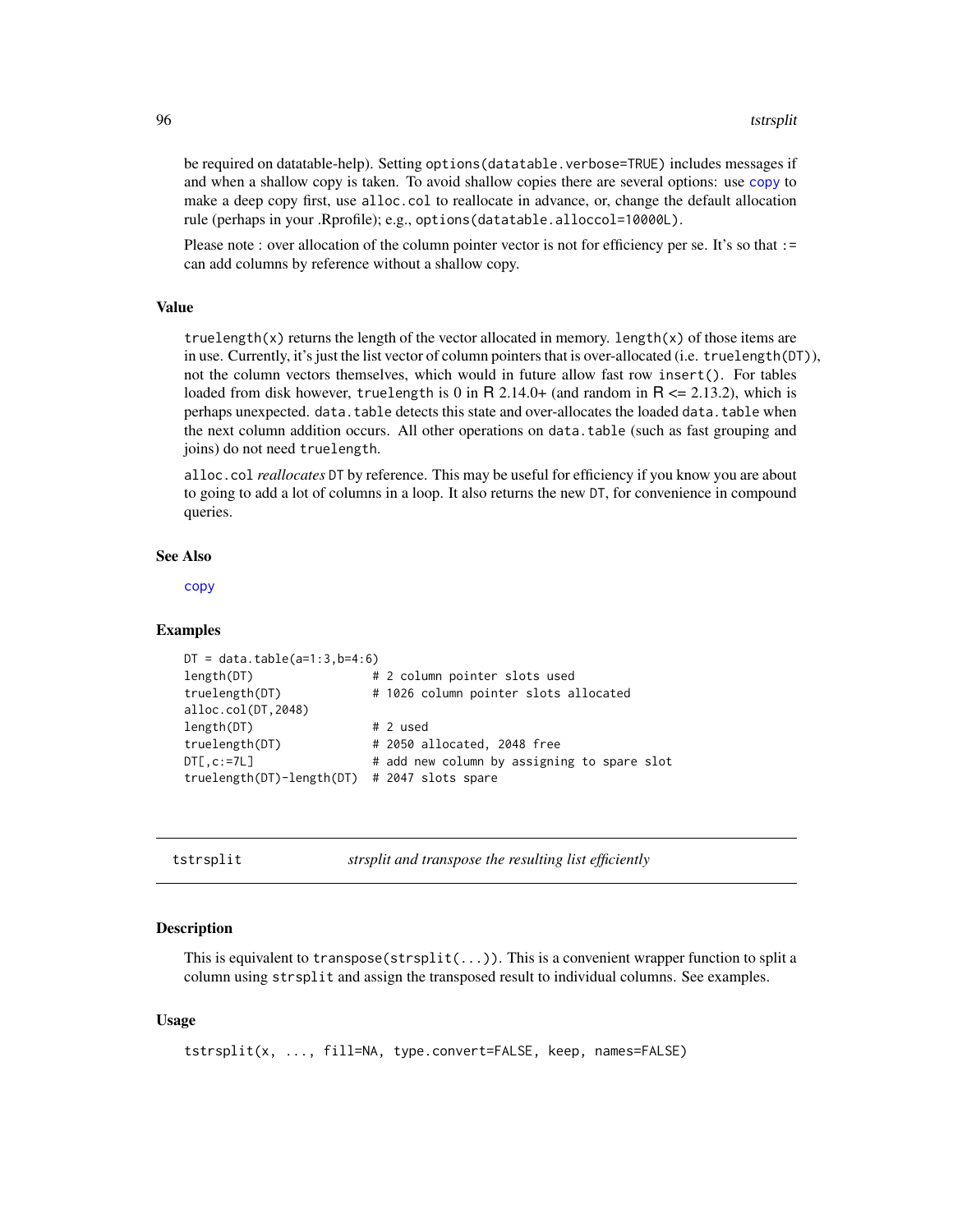be required on datatable-help). Setting options(datatable.verbose=TRUE) includes messages if and when a shallow copy is taken. To avoid shallow copies there are several options: use [copy](#page-23-0) to make a deep copy first, use alloc.col to reallocate in advance, or, change the default allocation rule (perhaps in your .Rprofile); e.g., options(datatable.alloccol=10000L).

Please note : over allocation of the column pointer vector is not for efficiency per se. It's so that := can add columns by reference without a shallow copy.

#### Value

truelength(x) returns the length of the vector allocated in memory. length(x) of those items are in use. Currently, it's just the list vector of column pointers that is over-allocated (i.e. truelength(DT)), not the column vectors themselves, which would in future allow fast row insert(). For tables loaded from disk however, truelength is 0 in R 2.14.0+ (and random in R  $\leq$  2.13.2), which is perhaps unexpected. data.table detects this state and over-allocates the loaded data.table when the next column addition occurs. All other operations on data.table (such as fast grouping and joins) do not need truelength.

alloc.col *reallocates* DT by reference. This may be useful for efficiency if you know you are about to going to add a lot of columns in a loop. It also returns the new DT, for convenience in compound queries.

# See Also

[copy](#page-23-0)

## Examples

```
DT = data.title(a=1:3,b=4:6)length(DT) # 2 column pointer slots used
truelength(DT) # 1026 column pointer slots allocated
alloc.col(DT,2048)
length(DT) # 2 used
truelength(DT) # 2050 allocated, 2048 free
DT[,c:=7L] # add new column by assigning to spare slot
truelength(DT)-length(DT) # 2047 slots spare
```
<span id="page-95-0"></span>tstrsplit *strsplit and transpose the resulting list efficiently*

#### **Description**

This is equivalent to transpose( $strsplit(...)$ ). This is a convenient wrapper function to split a column using strsplit and assign the transposed result to individual columns. See examples.

## Usage

tstrsplit(x, ..., fill=NA, type.convert=FALSE, keep, names=FALSE)

<span id="page-95-1"></span>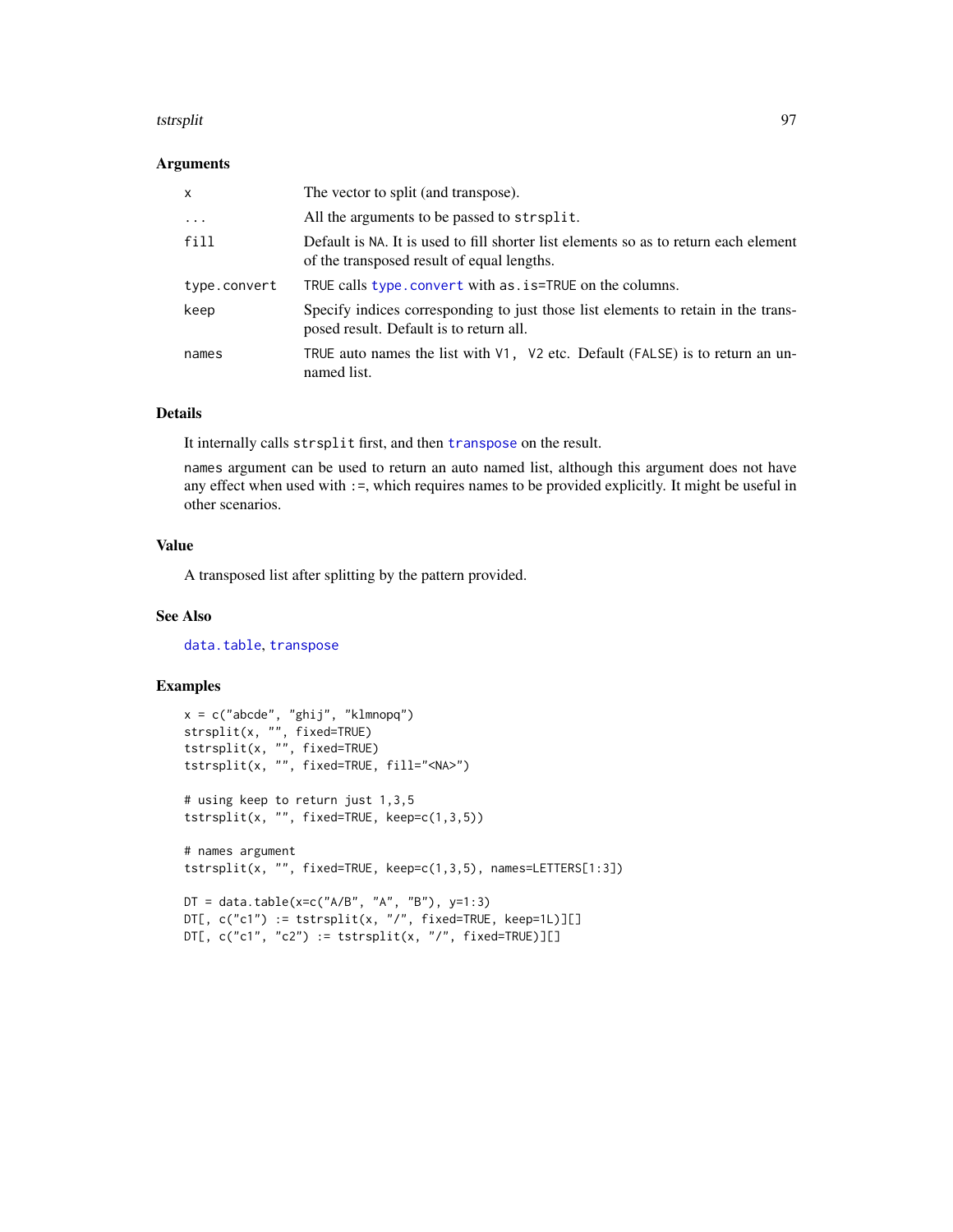#### <span id="page-96-0"></span>tstrsplit 97

#### **Arguments**

| x            | The vector to split (and transpose).                                                                                               |
|--------------|------------------------------------------------------------------------------------------------------------------------------------|
| $\ddotsc$    | All the arguments to be passed to strsplit.                                                                                        |
| fill         | Default is NA. It is used to fill shorter list elements so as to return each element<br>of the transposed result of equal lengths. |
| type.convert | TRUE calls type, convert with as, is=TRUE on the columns.                                                                          |
| keep         | Specify indices corresponding to just those list elements to retain in the trans-<br>posed result. Default is to return all.       |
| names        | TRUE auto names the list with $V1$ , $V2$ etc. Default (FALSE) is to return an un-<br>named list.                                  |

# Details

It internally calls strsplit first, and then [transpose](#page-93-0) on the result.

names argument can be used to return an auto named list, although this argument does not have any effect when used with :=, which requires names to be provided explicitly. It might be useful in other scenarios.

## Value

A transposed list after splitting by the pattern provided.

## See Also

[data.table](#page-2-0), [transpose](#page-93-0)

# Examples

```
x = c("abcde", "ghij", "klmnopq")
strsplit(x, "", fixed=TRUE)
tstrsplit(x, "", fixed=TRUE)
tstrsplit(x, "", fixed=TRUE, fill="<NA>")
# using keep to return just 1,3,5
tstrsplit(x, "", fixed=TRUE, keep=c(1,3,5))
# names argument
tstrsplit(x, "", fixed=TRUE, keep=c(1,3,5), names=LETTERS[1:3])
DT = data.table(x=c("A/B", "A", "B"), y=1:3)DT[, c("c1") := tstrsplit(x, "/", fixed=TRUE, keep=1L)][]
DT[, c("c1", "c2") := tstrsplit(x, "7", fixed=True)]
```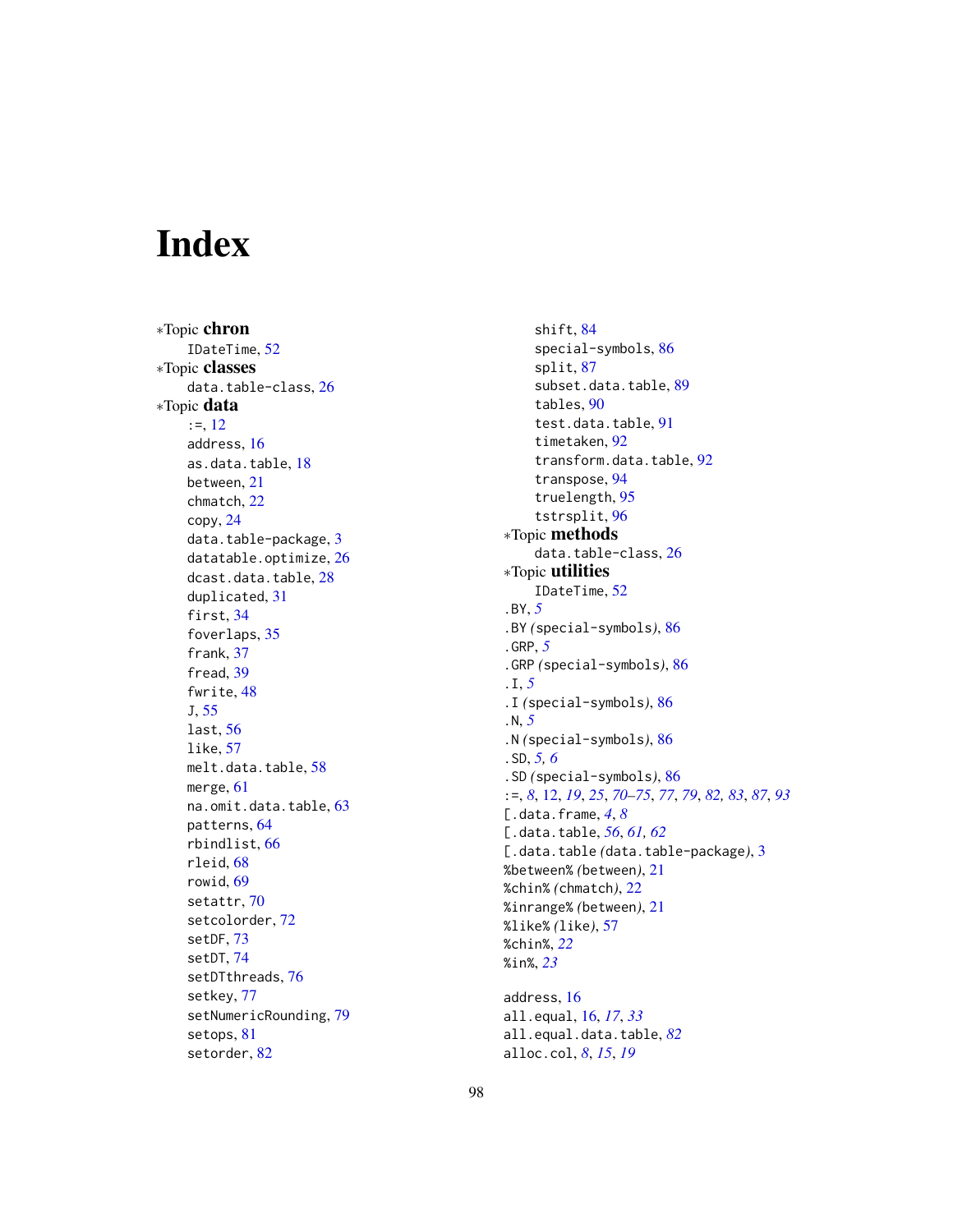# Index

∗Topic chron IDateTime , [52](#page-51-0) ∗Topic classes data.table-class , [26](#page-25-1) ∗Topic data  $:=, 12$  $:=, 12$ address , [16](#page-15-1) as.data.table, [18](#page-17-1) between , [21](#page-20-0) chmatch , [22](#page-21-1) copy , [24](#page-23-1) data.table-package, [3](#page-2-1) datatable.optimize, [26](#page-25-1) dcast.data.table , [28](#page-27-0) duplicated , [31](#page-30-2) first, [34](#page-33-0) foverlaps , [35](#page-34-0) frank , [37](#page-36-0) fread, [39](#page-38-0) fwrite, [48](#page-47-0) J , [55](#page-54-1) last , [56](#page-55-0) like , [57](#page-56-0) melt.data.table, [58](#page-57-0) merge , [61](#page-60-0) na.omit.data.table , [63](#page-62-0) patterns , [64](#page-63-0) rbindlist , [66](#page-65-1) rleid , [68](#page-67-0) rowid , [69](#page-68-0) setattr , [70](#page-69-2) setcolorder , [72](#page-71-1) setDF , [73](#page-72-1) setDT , [74](#page-73-1) setDTthreads, [76](#page-75-0) setkey , [77](#page-76-2) setNumericRounding , [79](#page-78-2) setops, [81](#page-80-0) setorder , [82](#page-81-2)

shift , [84](#page-83-0) special-symbols , [86](#page-85-0) split , [87](#page-86-0) subset.data.table, [89](#page-88-1) tables , [90](#page-89-1) test.data.table , [91](#page-90-0) timetaken , [92](#page-91-1) transform.data.table, [92](#page-91-1) transpose , [94](#page-93-1) truelength , [95](#page-94-0) tstrsplit , [96](#page-95-1) ∗Topic methods data.table-class , [26](#page-25-1) ∗Topic utilities IDateTime , [52](#page-51-0) .BY , *[5](#page-4-0)* .BY *(*special-symbols *)* , [86](#page-85-0) .GRP , *[5](#page-4-0)* .GRP *(*special-symbols *)* , [86](#page-85-0) .I , *[5](#page-4-0)* .I *(*special-symbols *)* , [86](#page-85-0) .N , *[5](#page-4-0)* .N *(*special-symbols *)* , [86](#page-85-0) .SD , *[5](#page-4-0) , [6](#page-5-0)* .SD *(*special-symbols *)* , [86](#page-85-0) := , *[8](#page-7-0)* , [12](#page-11-2) , *[19](#page-18-0)* , *[25](#page-24-0)* , *[70](#page-69-2)[–75](#page-74-0)* , *[77](#page-76-2)* , *[79](#page-78-2)* , *[82](#page-81-2) , [83](#page-82-0)* , *[87](#page-86-0)* , *[93](#page-92-0)* [.data.frame , *[4](#page-3-0)* , *[8](#page-7-0)* [.data.table , *[56](#page-55-0)* , *[61](#page-60-0) , [62](#page-61-0)* [.data.table *(*data.table-package *)* , [3](#page-2-1) %between% *(*between *)* , [21](#page-20-0) %chin% *(*chmatch *)* , [22](#page-21-1) %inrange% *(*between *)* , [21](#page-20-0) %like% *(*like *)* , [57](#page-56-0) %chin% , *[22](#page-21-1)* %in% , *[23](#page-22-0)* address , [16](#page-15-1) all.equal , [16](#page-15-1) , *[17](#page-16-0)* , *[33](#page-32-0)*

all.equal.data.table , *[82](#page-81-2)* alloc.col , *[8](#page-7-0)* , *[15](#page-14-0)* , *[19](#page-18-0)*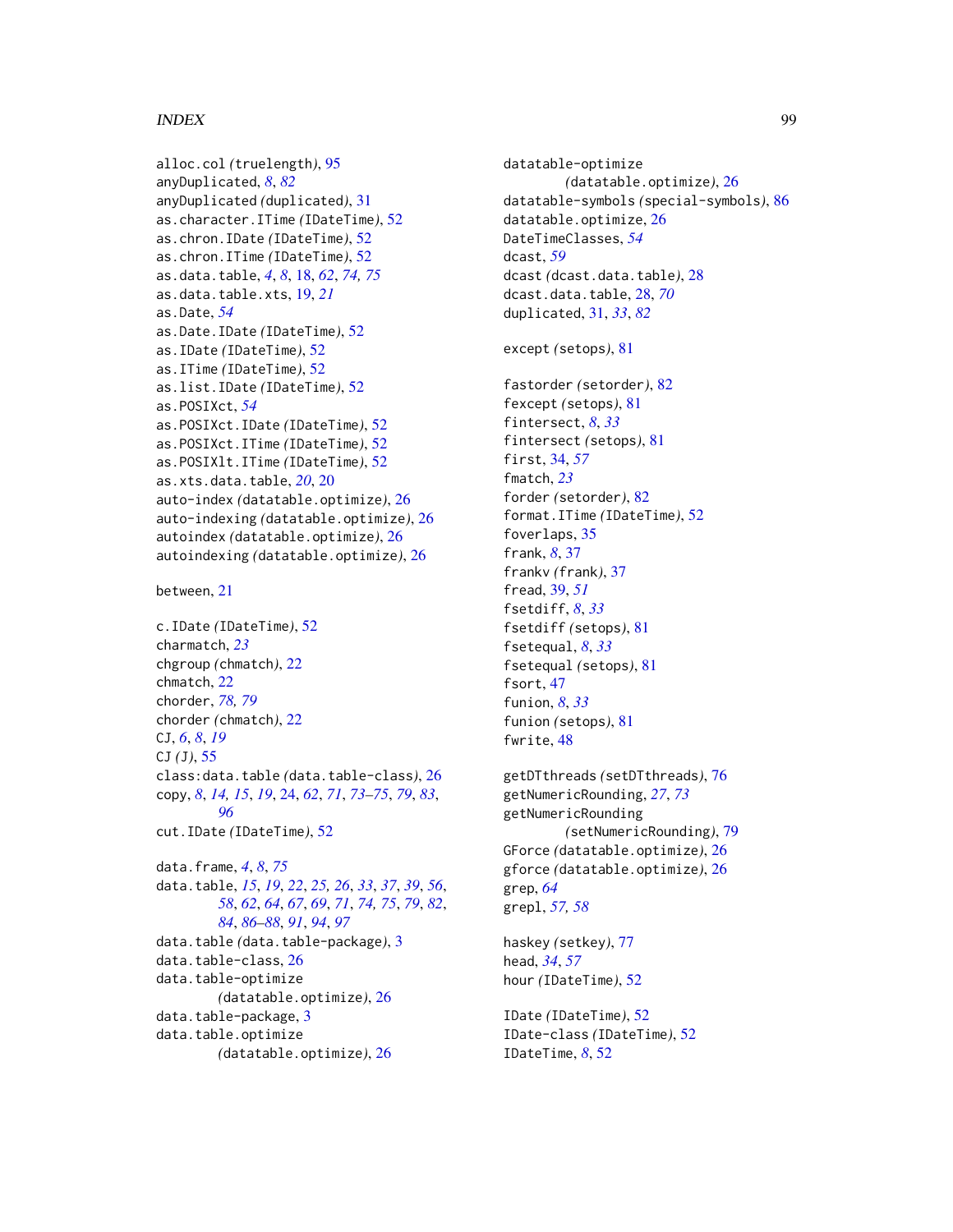## INDEX 99

alloc.col *(*truelength*)*, [95](#page-94-0) anyDuplicated, *[8](#page-7-0)*, *[82](#page-81-2)* anyDuplicated *(*duplicated*)*, [31](#page-30-2) as.character.ITime *(*IDateTime*)*, [52](#page-51-0) as.chron.IDate *(*IDateTime*)*, [52](#page-51-0) as.chron.ITime *(*IDateTime*)*, [52](#page-51-0) as.data.table, *[4](#page-3-0)*, *[8](#page-7-0)*, [18,](#page-17-1) *[62](#page-61-0)*, *[74,](#page-73-1) [75](#page-74-0)* as.data.table.xts, [19,](#page-18-0) *[21](#page-20-0)* as.Date, *[54](#page-53-0)* as.Date.IDate *(*IDateTime*)*, [52](#page-51-0) as.IDate *(*IDateTime*)*, [52](#page-51-0) as.ITime *(*IDateTime*)*, [52](#page-51-0) as.list.IDate *(*IDateTime*)*, [52](#page-51-0) as.POSIXct, *[54](#page-53-0)* as.POSIXct.IDate *(*IDateTime*)*, [52](#page-51-0) as.POSIXct.ITime *(*IDateTime*)*, [52](#page-51-0) as.POSIXlt.ITime *(*IDateTime*)*, [52](#page-51-0) as.xts.data.table, *[20](#page-19-0)*, [20](#page-19-0) auto-index *(*datatable.optimize*)*, [26](#page-25-1) auto-indexing *(*datatable.optimize*)*, [26](#page-25-1) autoindex *(*datatable.optimize*)*, [26](#page-25-1) autoindexing *(*datatable.optimize*)*, [26](#page-25-1)

between, [21](#page-20-0)

c.IDate *(*IDateTime*)*, [52](#page-51-0) charmatch, *[23](#page-22-0)* chgroup *(*chmatch*)*, [22](#page-21-1) chmatch, [22](#page-21-1) chorder, *[78,](#page-77-0) [79](#page-78-2)* chorder *(*chmatch*)*, [22](#page-21-1) CJ, *[6](#page-5-0)*, *[8](#page-7-0)*, *[19](#page-18-0)* CJ *(*J*)*, [55](#page-54-1) class:data.table *(*data.table-class*)*, [26](#page-25-1) copy, *[8](#page-7-0)*, *[14,](#page-13-0) [15](#page-14-0)*, *[19](#page-18-0)*, [24,](#page-23-1) *[62](#page-61-0)*, *[71](#page-70-0)*, *[73–](#page-72-1)[75](#page-74-0)*, *[79](#page-78-2)*, *[83](#page-82-0)*, *[96](#page-95-1)* cut.IDate *(*IDateTime*)*, [52](#page-51-0) data.frame, *[4](#page-3-0)*, *[8](#page-7-0)*, *[75](#page-74-0)* data.table, *[15](#page-14-0)*, *[19](#page-18-0)*, *[22](#page-21-1)*, *[25,](#page-24-0) [26](#page-25-1)*, *[33](#page-32-0)*, *[37](#page-36-0)*, *[39](#page-38-0)*, *[56](#page-55-0)*, *[58](#page-57-0)*, *[62](#page-61-0)*, *[64](#page-63-0)*, *[67](#page-66-0)*, *[69](#page-68-0)*, *[71](#page-70-0)*, *[74,](#page-73-1) [75](#page-74-0)*, *[79](#page-78-2)*, *[82](#page-81-2)*, *[84](#page-83-0)*, *[86](#page-85-0)[–88](#page-87-0)*, *[91](#page-90-0)*, *[94](#page-93-1)*, *[97](#page-96-0)* data.table *(*data.table-package*)*, [3](#page-2-1) data.table-class, [26](#page-25-1) data.table-optimize *(*datatable.optimize*)*, [26](#page-25-1) data.table-package, [3](#page-2-1) data.table.optimize

*(*datatable.optimize*)*, [26](#page-25-1)

datatable-optimize *(*datatable.optimize*)*, [26](#page-25-1) datatable-symbols *(*special-symbols*)*, [86](#page-85-0) datatable.optimize, [26](#page-25-1) DateTimeClasses, *[54](#page-53-0)* dcast, *[59](#page-58-0)* dcast *(*dcast.data.table*)*, [28](#page-27-0) dcast.data.table, [28,](#page-27-0) *[70](#page-69-2)* duplicated, [31,](#page-30-2) *[33](#page-32-0)*, *[82](#page-81-2)* except *(*setops*)*, [81](#page-80-0) fastorder *(*setorder*)*, [82](#page-81-2) fexcept *(*setops*)*, [81](#page-80-0) fintersect, *[8](#page-7-0)*, *[33](#page-32-0)* fintersect *(*setops*)*, [81](#page-80-0) first, [34,](#page-33-0) *[57](#page-56-0)* fmatch, *[23](#page-22-0)* forder *(*setorder*)*, [82](#page-81-2) format.ITime *(*IDateTime*)*, [52](#page-51-0) foverlaps, [35](#page-34-0) frank, *[8](#page-7-0)*, [37](#page-36-0) frankv *(*frank*)*, [37](#page-36-0) fread, [39,](#page-38-0) *[51](#page-50-0)* fsetdiff, *[8](#page-7-0)*, *[33](#page-32-0)* fsetdiff *(*setops*)*, [81](#page-80-0) fsetequal, *[8](#page-7-0)*, *[33](#page-32-0)* fsetequal *(*setops*)*, [81](#page-80-0) fsort, [47](#page-46-0) funion, *[8](#page-7-0)*, *[33](#page-32-0)* funion *(*setops*)*, [81](#page-80-0) fwrite, [48](#page-47-0) getDTthreads *(*setDTthreads*)*, [76](#page-75-0) getNumericRounding, *[27](#page-26-0)*, *[73](#page-72-1)* getNumericRounding *(*setNumericRounding*)*, [79](#page-78-2) GForce *(*datatable.optimize*)*, [26](#page-25-1) gforce *(*datatable.optimize*)*, [26](#page-25-1) grep, *[64](#page-63-0)* grepl, *[57,](#page-56-0) [58](#page-57-0)* haskey *(*setkey*)*, [77](#page-76-2) head, *[34](#page-33-0)*, *[57](#page-56-0)* hour *(*IDateTime*)*, [52](#page-51-0)

IDate *(*IDateTime*)*, [52](#page-51-0) IDate-class *(*IDateTime*)*, [52](#page-51-0) IDateTime, *[8](#page-7-0)*, [52](#page-51-0)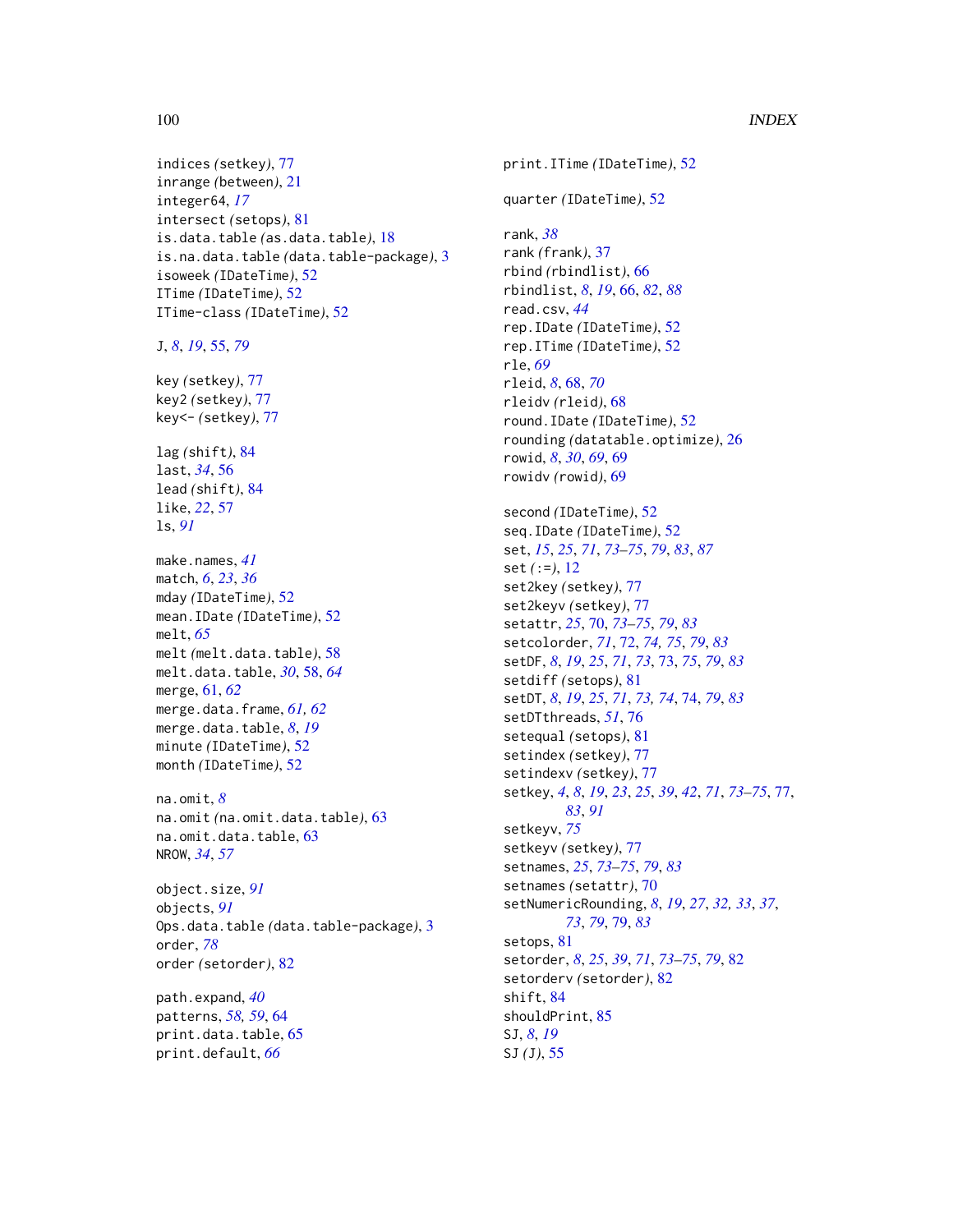# 100 INDEX

indices *(*setkey*)*, [77](#page-76-2) inrange *(*between*)*, [21](#page-20-0) integer64, *[17](#page-16-0)* intersect *(*setops*)*, [81](#page-80-0) is.data.table *(*as.data.table*)*, [18](#page-17-1) is.na.data.table *(*data.table-package*)*, [3](#page-2-1) isoweek *(*IDateTime*)*, [52](#page-51-0) ITime *(*IDateTime*)*, [52](#page-51-0) ITime-class *(*IDateTime*)*, [52](#page-51-0)

J, *[8](#page-7-0)*, *[19](#page-18-0)*, [55,](#page-54-1) *[79](#page-78-2)*

key *(*setkey*)*, [77](#page-76-2) key2 *(*setkey*)*, [77](#page-76-2) key<- *(*setkey*)*, [77](#page-76-2)

lag *(*shift*)*, [84](#page-83-0) last, *[34](#page-33-0)*, [56](#page-55-0) lead *(*shift*)*, [84](#page-83-0) like, *[22](#page-21-1)*, [57](#page-56-0) ls, *[91](#page-90-0)*

make.names, *[41](#page-40-0)* match, *[6](#page-5-0)*, *[23](#page-22-0)*, *[36](#page-35-0)* mday *(*IDateTime*)*, [52](#page-51-0) mean.IDate *(*IDateTime*)*, [52](#page-51-0) melt, *[65](#page-64-0)* melt *(*melt.data.table*)*, [58](#page-57-0) melt.data.table, *[30](#page-29-0)*, [58,](#page-57-0) *[64](#page-63-0)* merge, [61,](#page-60-0) *[62](#page-61-0)* merge.data.frame, *[61,](#page-60-0) [62](#page-61-0)* merge.data.table, *[8](#page-7-0)*, *[19](#page-18-0)* minute *(*IDateTime*)*, [52](#page-51-0) month *(*IDateTime*)*, [52](#page-51-0)

na.omit, *[8](#page-7-0)* na.omit *(*na.omit.data.table*)*, [63](#page-62-0) na.omit.data.table, [63](#page-62-0) NROW, *[34](#page-33-0)*, *[57](#page-56-0)*

object.size, *[91](#page-90-0)* objects, *[91](#page-90-0)* Ops.data.table *(*data.table-package*)*, [3](#page-2-1) order, *[78](#page-77-0)* order *(*setorder*)*, [82](#page-81-2)

path.expand, *[40](#page-39-0)* patterns, *[58,](#page-57-0) [59](#page-58-0)*, [64](#page-63-0) print.data.table, [65](#page-64-0) print.default, *[66](#page-65-1)*

print.ITime *(*IDateTime*)*, [52](#page-51-0) quarter *(*IDateTime*)*, [52](#page-51-0) rank, *[38](#page-37-0)* rank *(*frank*)*, [37](#page-36-0) rbind *(*rbindlist*)*, [66](#page-65-1) rbindlist, *[8](#page-7-0)*, *[19](#page-18-0)*, [66,](#page-65-1) *[82](#page-81-2)*, *[88](#page-87-0)* read.csv, *[44](#page-43-0)* rep.IDate *(*IDateTime*)*, [52](#page-51-0) rep.ITime *(*IDateTime*)*, [52](#page-51-0) rle, *[69](#page-68-0)* rleid, *[8](#page-7-0)*, [68,](#page-67-0) *[70](#page-69-2)* rleidv *(*rleid*)*, [68](#page-67-0) round.IDate *(*IDateTime*)*, [52](#page-51-0) rounding *(*datatable.optimize*)*, [26](#page-25-1) rowid, *[8](#page-7-0)*, *[30](#page-29-0)*, *[69](#page-68-0)*, [69](#page-68-0) rowidv *(*rowid*)*, [69](#page-68-0) second *(*IDateTime*)*, [52](#page-51-0) seq.IDate *(*IDateTime*)*, [52](#page-51-0) set, *[15](#page-14-0)*, *[25](#page-24-0)*, *[71](#page-70-0)*, *[73](#page-72-1)[–75](#page-74-0)*, *[79](#page-78-2)*, *[83](#page-82-0)*, *[87](#page-86-0)* set *(*:=*)*, [12](#page-11-2) set2key *(*setkey*)*, [77](#page-76-2) set2keyv *(*setkey*)*, [77](#page-76-2) setattr, *[25](#page-24-0)*, [70,](#page-69-2) *[73](#page-72-1)[–75](#page-74-0)*, *[79](#page-78-2)*, *[83](#page-82-0)* setcolorder, *[71](#page-70-0)*, [72,](#page-71-1) *[74,](#page-73-1) [75](#page-74-0)*, *[79](#page-78-2)*, *[83](#page-82-0)* setDF, *[8](#page-7-0)*, *[19](#page-18-0)*, *[25](#page-24-0)*, *[71](#page-70-0)*, *[73](#page-72-1)*, [73,](#page-72-1) *[75](#page-74-0)*, *[79](#page-78-2)*, *[83](#page-82-0)* setdiff *(*setops*)*, [81](#page-80-0) setDT, *[8](#page-7-0)*, *[19](#page-18-0)*, *[25](#page-24-0)*, *[71](#page-70-0)*, *[73,](#page-72-1) [74](#page-73-1)*, [74,](#page-73-1) *[79](#page-78-2)*, *[83](#page-82-0)* setDTthreads, *[51](#page-50-0)*, [76](#page-75-0) setequal *(*setops*)*, [81](#page-80-0) setindex *(*setkey*)*, [77](#page-76-2) setindexv *(*setkey*)*, [77](#page-76-2) setkey, *[4](#page-3-0)*, *[8](#page-7-0)*, *[19](#page-18-0)*, *[23](#page-22-0)*, *[25](#page-24-0)*, *[39](#page-38-0)*, *[42](#page-41-0)*, *[71](#page-70-0)*, *[73](#page-72-1)[–75](#page-74-0)*, [77,](#page-76-2) *[83](#page-82-0)*, *[91](#page-90-0)* setkeyv, *[75](#page-74-0)* setkeyv *(*setkey*)*, [77](#page-76-2) setnames, *[25](#page-24-0)*, *[73](#page-72-1)[–75](#page-74-0)*, *[79](#page-78-2)*, *[83](#page-82-0)* setnames *(*setattr*)*, [70](#page-69-2) setNumericRounding, *[8](#page-7-0)*, *[19](#page-18-0)*, *[27](#page-26-0)*, *[32,](#page-31-0) [33](#page-32-0)*, *[37](#page-36-0)*, *[73](#page-72-1)*, *[79](#page-78-2)*, [79,](#page-78-2) *[83](#page-82-0)* setops, [81](#page-80-0) setorder, *[8](#page-7-0)*, *[25](#page-24-0)*, *[39](#page-38-0)*, *[71](#page-70-0)*, *[73](#page-72-1)[–75](#page-74-0)*, *[79](#page-78-2)*, [82](#page-81-2) setorderv *(*setorder*)*, [82](#page-81-2) shift, [84](#page-83-0) shouldPrint, [85](#page-84-0) SJ, *[8](#page-7-0)*, *[19](#page-18-0)* SJ *(*J*)*, [55](#page-54-1)